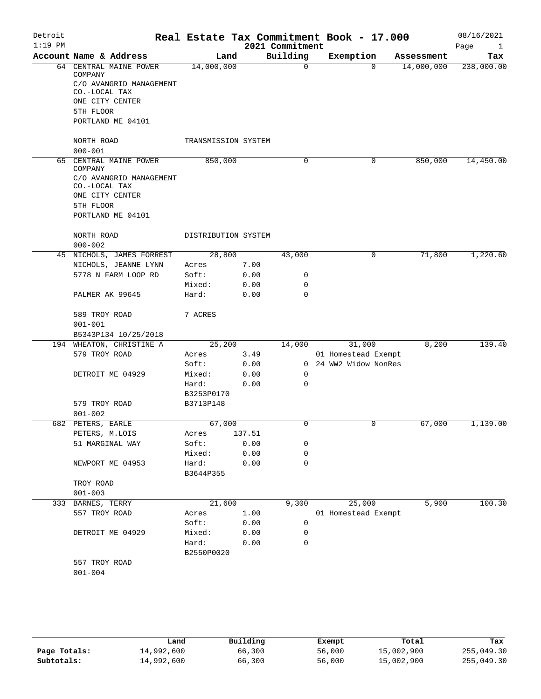| Detroit   |                                                           | Real Estate Tax Commitment Book - 17.000 |              |                 |                       |          |            | 08/16/2021           |
|-----------|-----------------------------------------------------------|------------------------------------------|--------------|-----------------|-----------------------|----------|------------|----------------------|
| $1:19$ PM |                                                           |                                          |              | 2021 Commitment |                       |          |            | Page<br>$\mathbf{1}$ |
|           | Account Name & Address                                    | Land                                     |              | Building        | Exemption             |          | Assessment | Tax                  |
|           | 64 CENTRAL MAINE POWER<br>COMPANY                         | 14,000,000                               |              | $\mathbf 0$     |                       | $\Omega$ | 14,000,000 | 238,000.00           |
|           | C/O AVANGRID MANAGEMENT<br>CO.-LOCAL TAX                  |                                          |              |                 |                       |          |            |                      |
|           | ONE CITY CENTER                                           |                                          |              |                 |                       |          |            |                      |
|           | 5TH FLOOR                                                 |                                          |              |                 |                       |          |            |                      |
|           | PORTLAND ME 04101                                         |                                          |              |                 |                       |          |            |                      |
|           | NORTH ROAD                                                | TRANSMISSION SYSTEM                      |              |                 |                       |          |            |                      |
| 65        | $000 - 001$                                               |                                          |              |                 |                       |          |            | 14,450.00            |
|           | CENTRAL MAINE POWER<br>COMPANY<br>C/O AVANGRID MANAGEMENT | 850,000                                  |              | 0               |                       | 0        | 850,000    |                      |
|           | CO.-LOCAL TAX<br>ONE CITY CENTER                          |                                          |              |                 |                       |          |            |                      |
|           | 5TH FLOOR                                                 |                                          |              |                 |                       |          |            |                      |
|           | PORTLAND ME 04101                                         |                                          |              |                 |                       |          |            |                      |
|           | NORTH ROAD                                                | DISTRIBUTION SYSTEM                      |              |                 |                       |          |            |                      |
|           | $000 - 002$<br>45 NICHOLS, JAMES FORREST                  | 28,800                                   |              | 43,000          |                       | 0        | 71,800     | 1,220.60             |
|           |                                                           |                                          |              |                 |                       |          |            |                      |
|           | NICHOLS, JEANNE LYNN<br>5778 N FARM LOOP RD               | Acres<br>Soft:                           | 7.00         | 0               |                       |          |            |                      |
|           |                                                           | Mixed:                                   | 0.00         | 0               |                       |          |            |                      |
|           | PALMER AK 99645                                           | Hard:                                    | 0.00<br>0.00 | $\Omega$        |                       |          |            |                      |
|           | 589 TROY ROAD                                             | 7 ACRES                                  |              |                 |                       |          |            |                      |
|           | $001 - 001$                                               |                                          |              |                 |                       |          |            |                      |
|           | B5343P134 10/25/2018                                      |                                          |              |                 |                       |          |            |                      |
|           | 194 WHEATON, CHRISTINE A                                  | 25,200                                   |              | 14,000          | 31,000                |          | 8,200      | 139.40               |
|           | 579 TROY ROAD                                             | Acres                                    | 3.49         |                 | 01 Homestead Exempt   |          |            |                      |
|           |                                                           | Soft:                                    | 0.00         |                 | 0 24 WW2 Widow NonRes |          |            |                      |
|           | DETROIT ME 04929                                          | Mixed:                                   | 0.00         | $\mathbf 0$     |                       |          |            |                      |
|           |                                                           | Hard:                                    | 0.00         | 0               |                       |          |            |                      |
|           |                                                           | B3253P0170                               |              |                 |                       |          |            |                      |
|           | 579 TROY ROAD                                             | B3713P148                                |              |                 |                       |          |            |                      |
| 682       | $001 - 002$                                               |                                          |              | 0               |                       | 0        |            | 1,139.00             |
|           | PETERS, EARLE                                             | 67,000                                   |              |                 |                       |          | 67,000     |                      |
|           | PETERS, M.LOIS                                            | Acres                                    | 137.51       |                 |                       |          |            |                      |
|           | 51 MARGINAL WAY                                           | Soft:                                    | 0.00         | 0<br>0          |                       |          |            |                      |
|           |                                                           | Mixed:<br>Hard:                          | 0.00         | 0               |                       |          |            |                      |
|           | NEWPORT ME 04953                                          | B3644P355                                | 0.00         |                 |                       |          |            |                      |
|           | TROY ROAD                                                 |                                          |              |                 |                       |          |            |                      |
|           | $001 - 003$                                               |                                          |              |                 |                       |          |            |                      |
|           | 333 BARNES, TERRY                                         | 21,600                                   |              | 9,300           | 25,000                |          | 5,900      | 100.30               |
|           | 557 TROY ROAD                                             | Acres                                    | 1.00         |                 | 01 Homestead Exempt   |          |            |                      |
|           |                                                           | Soft:                                    | 0.00         | 0               |                       |          |            |                      |
|           | DETROIT ME 04929                                          | Mixed:                                   | 0.00         | 0               |                       |          |            |                      |
|           |                                                           | Hard:<br>B2550P0020                      | 0.00         | 0               |                       |          |            |                      |
|           | 557 TROY ROAD                                             |                                          |              |                 |                       |          |            |                      |
|           | $001 - 004$                                               |                                          |              |                 |                       |          |            |                      |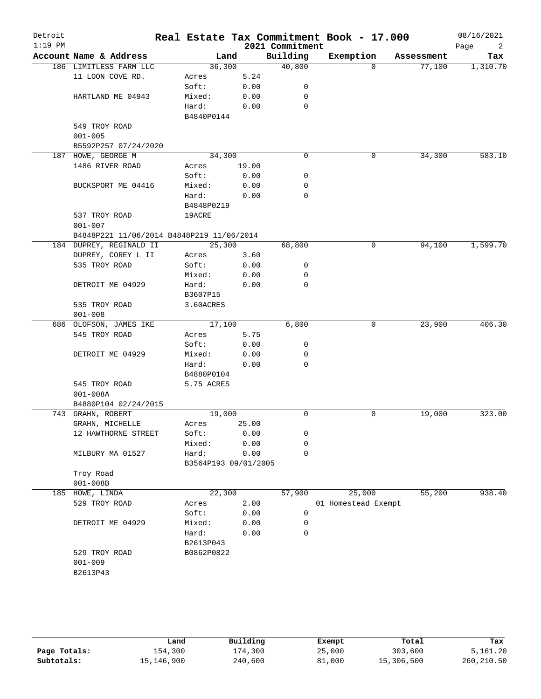| Detroit<br>$1:19$ PM |                                           |            |                      | 2021 Commitment | Real Estate Tax Commitment Book - 17.000 |            | 08/16/2021<br>Page<br>2 |
|----------------------|-------------------------------------------|------------|----------------------|-----------------|------------------------------------------|------------|-------------------------|
|                      | Account Name & Address                    |            | Land                 | Building        | Exemption                                | Assessment | Tax                     |
|                      | 186 LIMITLESS FARM LLC                    | 36,300     |                      | 40,800          | $\Omega$                                 | 77,100     | 1,310.70                |
|                      | 11 LOON COVE RD.                          | Acres      | 5.24                 |                 |                                          |            |                         |
|                      |                                           | Soft:      | 0.00                 | 0               |                                          |            |                         |
|                      | HARTLAND ME 04943                         | Mixed:     | 0.00                 | 0               |                                          |            |                         |
|                      |                                           | Hard:      | 0.00                 | $\mathbf 0$     |                                          |            |                         |
|                      |                                           | B4840P0144 |                      |                 |                                          |            |                         |
|                      | 549 TROY ROAD                             |            |                      |                 |                                          |            |                         |
|                      | $001 - 005$                               |            |                      |                 |                                          |            |                         |
|                      | B5592P257 07/24/2020                      |            |                      |                 |                                          |            |                         |
|                      | 187 HOWE, GEORGE M                        | 34,300     |                      | $\mathbf 0$     | 0                                        | 34,300     | 583.10                  |
|                      | 1486 RIVER ROAD                           | Acres      | 19.00                |                 |                                          |            |                         |
|                      |                                           | Soft:      | 0.00                 | 0               |                                          |            |                         |
|                      | BUCKSPORT ME 04416                        | Mixed:     | 0.00                 | 0               |                                          |            |                         |
|                      |                                           | Hard:      | 0.00                 | 0               |                                          |            |                         |
|                      |                                           | B4848P0219 |                      |                 |                                          |            |                         |
|                      | 537 TROY ROAD                             | 19ACRE     |                      |                 |                                          |            |                         |
|                      | $001 - 007$                               |            |                      |                 |                                          |            |                         |
|                      | B4848P221 11/06/2014 B4848P219 11/06/2014 |            |                      |                 |                                          |            |                         |
|                      | 184 DUPREY, REGINALD II                   | 25,300     |                      | 68,800          | 0                                        | 94,100     | 1,599.70                |
|                      | DUPREY, COREY L II                        | Acres      | 3.60                 |                 |                                          |            |                         |
|                      | 535 TROY ROAD                             | Soft:      | 0.00                 | 0               |                                          |            |                         |
|                      |                                           | Mixed:     | 0.00                 | 0               |                                          |            |                         |
|                      | DETROIT ME 04929                          | Hard:      | 0.00                 | 0               |                                          |            |                         |
|                      |                                           | B3607P15   |                      |                 |                                          |            |                         |
|                      | 535 TROY ROAD                             | 3.60ACRES  |                      |                 |                                          |            |                         |
|                      | $001 - 008$                               |            |                      |                 |                                          |            |                         |
|                      | 686 OLOFSON, JAMES IKE                    | 17,100     |                      | 6,800           | 0                                        | 23,900     | 406.30                  |
|                      | 545 TROY ROAD                             | Acres      | 5.75                 |                 |                                          |            |                         |
|                      |                                           | Soft:      |                      | 0               |                                          |            |                         |
|                      |                                           |            | 0.00                 |                 |                                          |            |                         |
|                      | DETROIT ME 04929                          | Mixed:     | 0.00                 | 0               |                                          |            |                         |
|                      |                                           | Hard:      | 0.00                 | 0               |                                          |            |                         |
|                      |                                           | B4880P0104 |                      |                 |                                          |            |                         |
|                      | 545 TROY ROAD                             | 5.75 ACRES |                      |                 |                                          |            |                         |
|                      | $001 - 008A$                              |            |                      |                 |                                          |            |                         |
|                      | B4880P104 02/24/2015                      |            |                      |                 |                                          |            |                         |
|                      | 743 GRAHN, ROBERT                         | 19,000     |                      | 0               | 0                                        | 19,000     | 323.00                  |
|                      | GRAHN, MICHELLE                           | Acres      | 25.00                |                 |                                          |            |                         |
|                      | 12 HAWTHORNE STREET                       | Soft:      | 0.00                 | 0               |                                          |            |                         |
|                      |                                           | Mixed:     | 0.00                 | 0               |                                          |            |                         |
|                      | MILBURY MA 01527                          | Hard:      | 0.00                 | 0               |                                          |            |                         |
|                      |                                           |            | B3564P193 09/01/2005 |                 |                                          |            |                         |
|                      | Troy Road                                 |            |                      |                 |                                          |            |                         |
|                      | $001 - 008B$                              |            |                      |                 |                                          |            |                         |
|                      | 185 HOWE, LINDA                           | 22,300     |                      | 57,900          | 25,000                                   | 55,200     | 938.40                  |
|                      | 529 TROY ROAD                             | Acres      | 2.00                 |                 | 01 Homestead Exempt                      |            |                         |
|                      |                                           | Soft:      | 0.00                 | 0               |                                          |            |                         |
|                      | DETROIT ME 04929                          | Mixed:     | 0.00                 | 0               |                                          |            |                         |
|                      |                                           | Hard:      | 0.00                 | 0               |                                          |            |                         |
|                      |                                           | B2613P043  |                      |                 |                                          |            |                         |
|                      | 529 TROY ROAD                             | B0862P0822 |                      |                 |                                          |            |                         |
|                      | $001 - 009$                               |            |                      |                 |                                          |            |                         |
|                      | B2613P43                                  |            |                      |                 |                                          |            |                         |
|                      |                                           |            |                      |                 |                                          |            |                         |
|                      |                                           |            |                      |                 |                                          |            |                         |

|              | Land       | Building | Exempt | Total      | Tax        |
|--------------|------------|----------|--------|------------|------------|
| Page Totals: | 154,300    | 174,300  | 25,000 | 303,600    | 5,161.20   |
| Subtotals:   | 15,146,900 | 240,600  | 81,000 | 15,306,500 | 260,210.50 |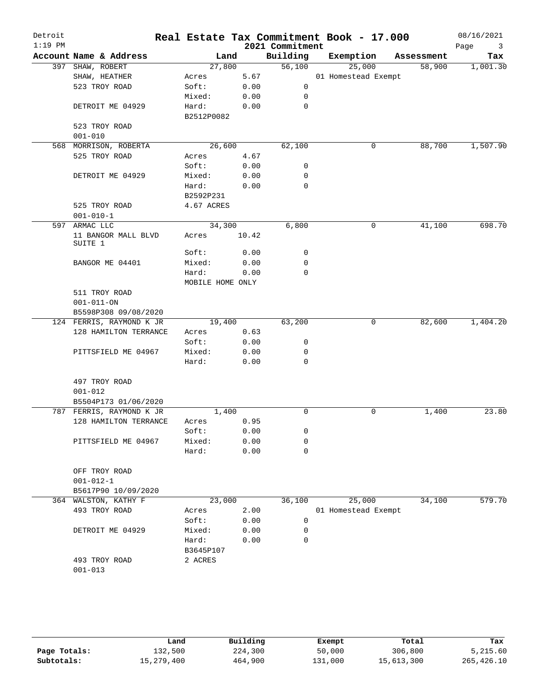| Detroit<br>$1:19$ PM |                                |                  |       | 2021 Commitment | Real Estate Tax Commitment Book - 17.000 |            | 08/16/2021<br>Page<br>$\overline{\mathbf{3}}$ |
|----------------------|--------------------------------|------------------|-------|-----------------|------------------------------------------|------------|-----------------------------------------------|
|                      | Account Name & Address         |                  | Land  | Building        | Exemption                                | Assessment | Tax                                           |
|                      | 397 SHAW, ROBERT               | 27,800           |       | 56,100          | 25,000                                   | 58,900     | 1,001.30                                      |
|                      | SHAW, HEATHER                  | Acres            | 5.67  |                 | 01 Homestead Exempt                      |            |                                               |
|                      | 523 TROY ROAD                  | Soft:            | 0.00  | $\mathbf 0$     |                                          |            |                                               |
|                      |                                | Mixed:           | 0.00  | 0               |                                          |            |                                               |
|                      | DETROIT ME 04929               | Hard:            | 0.00  | 0               |                                          |            |                                               |
|                      |                                | B2512P0082       |       |                 |                                          |            |                                               |
|                      | 523 TROY ROAD                  |                  |       |                 |                                          |            |                                               |
|                      | $001 - 010$                    |                  |       |                 |                                          |            |                                               |
|                      | 568 MORRISON, ROBERTA          | 26,600           |       | 62,100          | 0                                        | 88,700     | 1,507.90                                      |
|                      | 525 TROY ROAD                  | Acres            | 4.67  |                 |                                          |            |                                               |
|                      |                                | Soft:            | 0.00  | 0               |                                          |            |                                               |
|                      | DETROIT ME 04929               | Mixed:           | 0.00  | 0               |                                          |            |                                               |
|                      |                                | Hard:            | 0.00  | 0               |                                          |            |                                               |
|                      |                                | B2592P231        |       |                 |                                          |            |                                               |
|                      | 525 TROY ROAD                  | 4.67 ACRES       |       |                 |                                          |            |                                               |
|                      | $001 - 010 - 1$                |                  |       |                 |                                          |            |                                               |
|                      | 597 ARMAC LLC                  | 34,300           |       | 6,800           | 0                                        | 41,100     | 698.70                                        |
|                      | 11 BANGOR MALL BLVD<br>SUITE 1 | Acres            | 10.42 |                 |                                          |            |                                               |
|                      |                                | Soft:            | 0.00  | 0               |                                          |            |                                               |
|                      | BANGOR ME 04401                | Mixed:           | 0.00  | 0               |                                          |            |                                               |
|                      |                                | Hard:            | 0.00  | $\mathbf 0$     |                                          |            |                                               |
|                      |                                | MOBILE HOME ONLY |       |                 |                                          |            |                                               |
|                      | 511 TROY ROAD                  |                  |       |                 |                                          |            |                                               |
|                      | $001 - 011 - ON$               |                  |       |                 |                                          |            |                                               |
|                      | B5598P308 09/08/2020           |                  |       |                 |                                          |            |                                               |
|                      | 124 FERRIS, RAYMOND K JR       | 19,400           |       | 63,200          | $\mathbf 0$                              | 82,600     | 1,404.20                                      |
|                      | 128 HAMILTON TERRANCE          | Acres            | 0.63  |                 |                                          |            |                                               |
|                      |                                | Soft:            | 0.00  | 0               |                                          |            |                                               |
|                      | PITTSFIELD ME 04967            | Mixed:           | 0.00  | 0               |                                          |            |                                               |
|                      |                                | Hard:            | 0.00  | 0               |                                          |            |                                               |
|                      | 497 TROY ROAD                  |                  |       |                 |                                          |            |                                               |
|                      | $001 - 012$                    |                  |       |                 |                                          |            |                                               |
|                      | B5504P173 01/06/2020           |                  |       |                 |                                          |            |                                               |
|                      | 787 FERRIS, RAYMOND K JR       |                  | 1,400 | $\mathbf 0$     | 0                                        | 1,400      | 23.80                                         |
|                      | 128 HAMILTON TERRANCE          | Acres            | 0.95  |                 |                                          |            |                                               |
|                      |                                | Soft:            | 0.00  | 0               |                                          |            |                                               |
|                      | PITTSFIELD ME 04967            | Mixed:           | 0.00  | $\mathbf 0$     |                                          |            |                                               |
|                      |                                | Hard:            | 0.00  | 0               |                                          |            |                                               |
|                      |                                |                  |       |                 |                                          |            |                                               |
|                      | OFF TROY ROAD                  |                  |       |                 |                                          |            |                                               |
|                      | $001 - 012 - 1$                |                  |       |                 |                                          |            |                                               |
|                      | B5617P90 10/09/2020            |                  |       |                 |                                          |            |                                               |
|                      | 364 WALSTON, KATHY F           | 23,000           |       | 36,100          | 25,000                                   | 34,100     | 579.70                                        |
|                      | 493 TROY ROAD                  | Acres            | 2.00  |                 | 01 Homestead Exempt                      |            |                                               |
|                      |                                | Soft:            | 0.00  | 0               |                                          |            |                                               |
|                      | DETROIT ME 04929               | Mixed:           | 0.00  | 0               |                                          |            |                                               |
|                      |                                | Hard:            | 0.00  | $\mathbf 0$     |                                          |            |                                               |
|                      |                                | B3645P107        |       |                 |                                          |            |                                               |
|                      | 493 TROY ROAD                  | 2 ACRES          |       |                 |                                          |            |                                               |
|                      | $001 - 013$                    |                  |       |                 |                                          |            |                                               |
|                      |                                |                  |       |                 |                                          |            |                                               |
|                      |                                |                  |       |                 |                                          |            |                                               |
|                      |                                |                  |       |                 |                                          |            |                                               |

|              | Land       | Building | Exempt  | Total      | Tax        |
|--------------|------------|----------|---------|------------|------------|
| Page Totals: | 132,500    | 224,300  | 50,000  | 306,800    | 5,215.60   |
| Subtotals:   | 15,279,400 | 464,900  | 131,000 | 15,613,300 | 265,426.10 |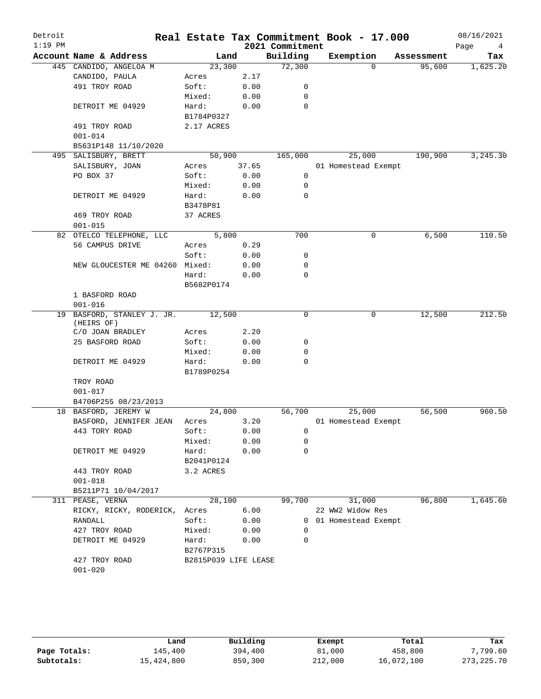| Detroit   |                                |                      |       |                 | Real Estate Tax Commitment Book - 17.000 |            | 08/16/2021            |
|-----------|--------------------------------|----------------------|-------|-----------------|------------------------------------------|------------|-----------------------|
| $1:19$ PM |                                |                      |       | 2021 Commitment |                                          |            | Page<br>$\frac{4}{3}$ |
|           | Account Name & Address         | Land                 |       | Building        | Exemption                                | Assessment | Tax                   |
|           | 445 CANDIDO, ANGELOA M         | 23,300               |       | 72,300          | $\Omega$                                 | 95,600     | 1,625.20              |
|           | CANDIDO, PAULA                 | Acres                | 2.17  |                 |                                          |            |                       |
|           | 491 TROY ROAD                  | Soft:                | 0.00  | 0               |                                          |            |                       |
|           |                                | Mixed:               | 0.00  | 0               |                                          |            |                       |
|           | DETROIT ME 04929               | Hard:                | 0.00  | $\Omega$        |                                          |            |                       |
|           |                                | B1784P0327           |       |                 |                                          |            |                       |
|           | 491 TROY ROAD                  | 2.17 ACRES           |       |                 |                                          |            |                       |
|           | $001 - 014$                    |                      |       |                 |                                          |            |                       |
|           | B5631P148 11/10/2020           |                      |       |                 |                                          |            |                       |
|           | 495 SALISBURY, BRETT           | 50,900               |       | 165,000         | 25,000                                   | 190,900    | 3,245.30              |
|           | SALISBURY, JOAN                | Acres                | 37.65 |                 | 01 Homestead Exempt                      |            |                       |
|           | PO BOX 37                      | Soft:                | 0.00  | $\mathbf 0$     |                                          |            |                       |
|           |                                | Mixed:               | 0.00  | 0               |                                          |            |                       |
|           | DETROIT ME 04929               | Hard:                | 0.00  | $\Omega$        |                                          |            |                       |
|           |                                | B3478P81             |       |                 |                                          |            |                       |
|           |                                |                      |       |                 |                                          |            |                       |
|           | 469 TROY ROAD                  | 37 ACRES             |       |                 |                                          |            |                       |
|           | $001 - 015$                    |                      |       |                 |                                          |            |                       |
|           | 82 OTELCO TELEPHONE, LLC       | 5,800                |       | 700             | $\mathbf 0$                              | 6,500      | 110.50                |
|           | 56 CAMPUS DRIVE                | Acres                | 0.29  |                 |                                          |            |                       |
|           |                                | Soft:                | 0.00  | 0               |                                          |            |                       |
|           | NEW GLOUCESTER ME 04260 Mixed: |                      | 0.00  | 0               |                                          |            |                       |
|           |                                | Hard:                | 0.00  | $\mathbf 0$     |                                          |            |                       |
|           |                                | B5682P0174           |       |                 |                                          |            |                       |
|           | 1 BASFORD ROAD                 |                      |       |                 |                                          |            |                       |
|           | $001 - 016$                    |                      |       |                 |                                          |            |                       |
|           | 19 BASFORD, STANLEY J. JR.     | 12,500               |       | 0               | 0                                        | 12,500     | 212.50                |
|           | (HEIRS OF)                     |                      |       |                 |                                          |            |                       |
|           | C/O JOAN BRADLEY               | Acres                | 2.20  |                 |                                          |            |                       |
|           | 25 BASFORD ROAD                | Soft:                | 0.00  | 0               |                                          |            |                       |
|           |                                | Mixed:               | 0.00  | 0               |                                          |            |                       |
|           | DETROIT ME 04929               | Hard:                | 0.00  | 0               |                                          |            |                       |
|           |                                | B1789P0254           |       |                 |                                          |            |                       |
|           | TROY ROAD                      |                      |       |                 |                                          |            |                       |
|           | $001 - 017$                    |                      |       |                 |                                          |            |                       |
|           | B4706P255 08/23/2013           |                      |       |                 |                                          |            |                       |
|           | 18 BASFORD, JEREMY W           | 24,800               |       | 56,700          | 25,000                                   | 56,500     | 960.50                |
|           | BASFORD, JENNIFER JEAN         | Acres                | 3.20  |                 | 01 Homestead Exempt                      |            |                       |
|           | 443 TORY ROAD                  | Soft:                | 0.00  | 0               |                                          |            |                       |
|           |                                | Mixed:               | 0.00  | 0               |                                          |            |                       |
|           | DETROIT ME 04929               |                      |       | 0               |                                          |            |                       |
|           |                                | Hard:                | 0.00  |                 |                                          |            |                       |
|           |                                | B2041P0124           |       |                 |                                          |            |                       |
|           | 443 TROY ROAD                  | 3.2 ACRES            |       |                 |                                          |            |                       |
|           | $001 - 018$                    |                      |       |                 |                                          |            |                       |
|           | B5211P71 10/04/2017            |                      |       |                 |                                          |            |                       |
|           | 311 PEASE, VERNA               | 28,100               |       | 99,700          | 31,000                                   | 96,800     | 1,645.60              |
|           | RICKY, RICKY, RODERICK,        | Acres                | 6.00  |                 | 22 WW2 Widow Res                         |            |                       |
|           | RANDALL                        | Soft:                | 0.00  |                 | 0 01 Homestead Exempt                    |            |                       |
|           | 427 TROY ROAD                  | Mixed:               | 0.00  | 0               |                                          |            |                       |
|           | DETROIT ME 04929               | Hard:                | 0.00  | $\Omega$        |                                          |            |                       |
|           |                                | B2767P315            |       |                 |                                          |            |                       |
|           | 427 TROY ROAD                  | B2815P039 LIFE LEASE |       |                 |                                          |            |                       |
|           | $001 - 020$                    |                      |       |                 |                                          |            |                       |
|           |                                |                      |       |                 |                                          |            |                       |

|              | Land       | Building | Exempt  | Total      | Tax          |
|--------------|------------|----------|---------|------------|--------------|
| Page Totals: | 145,400    | 394,400  | 81,000  | 458,800    | 7,799.60     |
| Subtotals:   | 15,424,800 | 859,300  | 212,000 | 16,072,100 | 273, 225. 70 |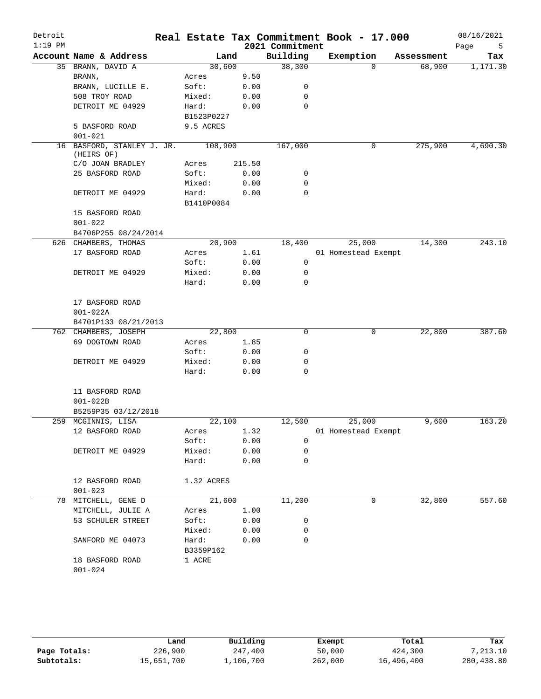| Detroit<br>$1:19$ PM |                                          |            |         |        | 2021 Commitment | Real Estate Tax Commitment Book - 17.000 |            | 08/16/2021<br>Page<br>5 |
|----------------------|------------------------------------------|------------|---------|--------|-----------------|------------------------------------------|------------|-------------------------|
|                      | Account Name & Address                   |            | Land    |        | Building        | Exemption                                | Assessment | Tax                     |
|                      | 35 BRANN, DAVID A                        |            | 30,600  |        | 38,300          | $\Omega$                                 | 68,900     | 1,171.30                |
|                      | BRANN,                                   | Acres      |         | 9.50   |                 |                                          |            |                         |
|                      | BRANN, LUCILLE E.                        | Soft:      |         | 0.00   | 0               |                                          |            |                         |
|                      | 508 TROY ROAD                            | Mixed:     |         | 0.00   | 0               |                                          |            |                         |
|                      | DETROIT ME 04929                         | Hard:      |         | 0.00   | $\mathbf 0$     |                                          |            |                         |
|                      |                                          | B1523P0227 |         |        |                 |                                          |            |                         |
|                      | 5 BASFORD ROAD                           | 9.5 ACRES  |         |        |                 |                                          |            |                         |
|                      | $001 - 021$                              |            |         |        |                 |                                          |            |                         |
|                      | 16 BASFORD, STANLEY J. JR.<br>(HEIRS OF) |            | 108,900 |        | 167,000         | 0                                        | 275,900    | 4,690.30                |
|                      | C/O JOAN BRADLEY                         | Acres      |         | 215.50 |                 |                                          |            |                         |
|                      | 25 BASFORD ROAD                          | Soft:      |         | 0.00   | 0               |                                          |            |                         |
|                      |                                          | Mixed:     |         | 0.00   | 0               |                                          |            |                         |
|                      | DETROIT ME 04929                         | Hard:      |         | 0.00   | 0               |                                          |            |                         |
|                      |                                          | B1410P0084 |         |        |                 |                                          |            |                         |
|                      | 15 BASFORD ROAD                          |            |         |        |                 |                                          |            |                         |
|                      | $001 - 022$                              |            |         |        |                 |                                          |            |                         |
|                      | B4706P255 08/24/2014                     |            |         |        |                 |                                          |            |                         |
|                      | 626 CHAMBERS, THOMAS                     |            | 20,900  |        | 18,400          | 25,000                                   | 14,300     | 243.10                  |
|                      | 17 BASFORD ROAD                          | Acres      |         | 1.61   |                 | 01 Homestead Exempt                      |            |                         |
|                      |                                          | Soft:      |         | 0.00   | $\mathbf 0$     |                                          |            |                         |
|                      | DETROIT ME 04929                         | Mixed:     |         | 0.00   | 0               |                                          |            |                         |
|                      |                                          | Hard:      |         | 0.00   | 0               |                                          |            |                         |
|                      |                                          |            |         |        |                 |                                          |            |                         |
|                      | 17 BASFORD ROAD                          |            |         |        |                 |                                          |            |                         |
|                      | $001 - 022A$                             |            |         |        |                 |                                          |            |                         |
|                      | B4701P133 08/21/2013                     |            |         |        |                 |                                          |            |                         |
|                      | 762 CHAMBERS, JOSEPH                     |            | 22,800  |        | 0               | 0                                        | 22,800     | 387.60                  |
|                      | 69 DOGTOWN ROAD                          | Acres      |         | 1.85   |                 |                                          |            |                         |
|                      |                                          | Soft:      |         | 0.00   | 0               |                                          |            |                         |
|                      | DETROIT ME 04929                         | Mixed:     |         | 0.00   | 0               |                                          |            |                         |
|                      |                                          | Hard:      |         | 0.00   | 0               |                                          |            |                         |
|                      | 11 BASFORD ROAD                          |            |         |        |                 |                                          |            |                         |
|                      | $001 - 022B$                             |            |         |        |                 |                                          |            |                         |
|                      | B5259P35 03/12/2018                      |            |         |        |                 |                                          |            |                         |
|                      | 259 MCGINNIS, LISA                       |            | 22,100  |        | 12,500          | 25,000                                   | 9,600      | 163.20                  |
|                      | 12 BASFORD ROAD                          | Acres      |         | 1.32   |                 | 01 Homestead Exempt                      |            |                         |
|                      |                                          | Soft:      |         | 0.00   | 0               |                                          |            |                         |
|                      | DETROIT ME 04929                         | Mixed:     |         | 0.00   | 0               |                                          |            |                         |
|                      |                                          | Hard:      |         | 0.00   | $\mathbf 0$     |                                          |            |                         |
|                      | 12 BASFORD ROAD<br>$001 - 023$           | 1.32 ACRES |         |        |                 |                                          |            |                         |
| 78                   | MITCHELL, GENE D                         |            | 21,600  |        | 11,200          | 0                                        | 32,800     | 557.60                  |
|                      | MITCHELL, JULIE A                        | Acres      |         | 1.00   |                 |                                          |            |                         |
|                      | 53 SCHULER STREET                        | Soft:      |         | 0.00   | 0               |                                          |            |                         |
|                      |                                          | Mixed:     |         | 0.00   | 0               |                                          |            |                         |
|                      | SANFORD ME 04073                         | Hard:      |         | 0.00   | $\mathbf 0$     |                                          |            |                         |
|                      |                                          | B3359P162  |         |        |                 |                                          |            |                         |
|                      | 18 BASFORD ROAD                          | 1 ACRE     |         |        |                 |                                          |            |                         |
|                      | $001 - 024$                              |            |         |        |                 |                                          |            |                         |
|                      |                                          |            |         |        |                 |                                          |            |                         |

|              | Land       | Building  | Exempt  | Total      | Tax        |
|--------------|------------|-----------|---------|------------|------------|
| Page Totals: | 226,900    | 247,400   | 50,000  | 424,300    | 7,213.10   |
| Subtotals:   | 15,651,700 | 1,106,700 | 262,000 | 16,496,400 | 280,438.80 |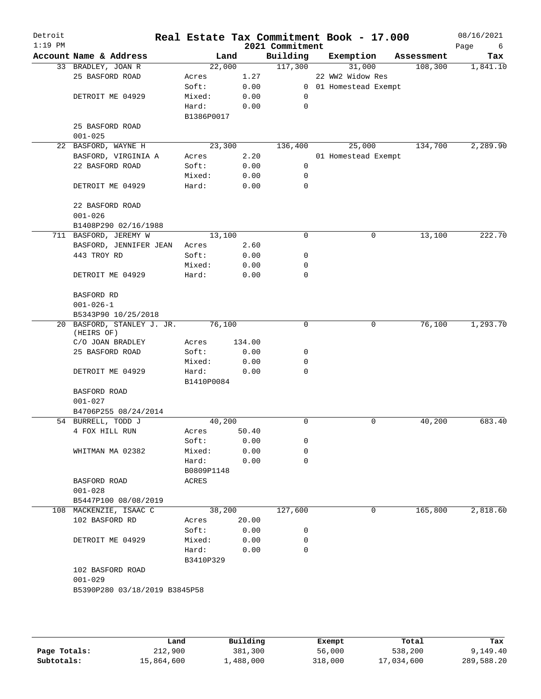| Detroit<br>$1:19$ PM |                                          |            |        | 2021 Commitment | Real Estate Tax Commitment Book - 17.000 |            | 08/16/2021<br>Page<br>6 |
|----------------------|------------------------------------------|------------|--------|-----------------|------------------------------------------|------------|-------------------------|
|                      | Account Name & Address                   | Land       |        | Building        | Exemption                                | Assessment | Tax                     |
|                      | 33 BRADLEY, JOAN R                       | 22,000     |        | 117,300         | 31,000                                   | 108,300    | 1,841.10                |
|                      | 25 BASFORD ROAD                          | Acres      | 1.27   |                 | 22 WW2 Widow Res                         |            |                         |
|                      |                                          | Soft:      | 0.00   |                 | 0 01 Homestead Exempt                    |            |                         |
|                      | DETROIT ME 04929                         | Mixed:     | 0.00   | 0               |                                          |            |                         |
|                      |                                          | Hard:      | 0.00   | 0               |                                          |            |                         |
|                      |                                          | B1386P0017 |        |                 |                                          |            |                         |
|                      | 25 BASFORD ROAD                          |            |        |                 |                                          |            |                         |
|                      | $001 - 025$                              |            |        |                 |                                          |            |                         |
|                      | 22 BASFORD, WAYNE H                      | 23,300     |        | 136,400         | 25,000                                   | 134,700    | 2,289.90                |
|                      | BASFORD, VIRGINIA A                      | Acres      | 2.20   |                 | 01 Homestead Exempt                      |            |                         |
|                      | 22 BASFORD ROAD                          | Soft:      | 0.00   | 0               |                                          |            |                         |
|                      |                                          | Mixed:     | 0.00   | 0               |                                          |            |                         |
|                      | DETROIT ME 04929                         | Hard:      | 0.00   | 0               |                                          |            |                         |
|                      | 22 BASFORD ROAD                          |            |        |                 |                                          |            |                         |
|                      | $001 - 026$                              |            |        |                 |                                          |            |                         |
|                      | B1408P290 02/16/1988                     |            |        |                 |                                          |            |                         |
|                      | 711 BASFORD, JEREMY W                    | 13,100     |        | $\mathbf 0$     | 0                                        | 13,100     | 222.70                  |
|                      | BASFORD, JENNIFER JEAN                   | Acres      | 2.60   |                 |                                          |            |                         |
|                      | 443 TROY RD                              | Soft:      | 0.00   | 0               |                                          |            |                         |
|                      |                                          | Mixed:     | 0.00   | 0               |                                          |            |                         |
|                      | DETROIT ME 04929                         | Hard:      | 0.00   | $\mathbf 0$     |                                          |            |                         |
|                      | BASFORD RD                               |            |        |                 |                                          |            |                         |
|                      | $001 - 026 - 1$                          |            |        |                 |                                          |            |                         |
|                      | B5343P90 10/25/2018                      |            |        |                 |                                          |            |                         |
|                      | 20 BASFORD, STANLEY J. JR.<br>(HEIRS OF) | 76,100     |        | $\mathbf 0$     | 0                                        | 76,100     | 1,293.70                |
|                      | C/O JOAN BRADLEY                         | Acres      | 134.00 |                 |                                          |            |                         |
|                      | 25 BASFORD ROAD                          | Soft:      | 0.00   | 0               |                                          |            |                         |
|                      |                                          | Mixed:     | 0.00   | 0               |                                          |            |                         |
|                      | DETROIT ME 04929                         | Hard:      | 0.00   | 0               |                                          |            |                         |
|                      |                                          | B1410P0084 |        |                 |                                          |            |                         |
|                      | BASFORD ROAD                             |            |        |                 |                                          |            |                         |
|                      | $001 - 027$                              |            |        |                 |                                          |            |                         |
|                      | B4706P255 08/24/2014                     |            |        |                 |                                          |            |                         |
|                      | 54 BURRELL, TODD J                       | 40,200     |        | $\mathbf 0$     | 0                                        | 40,200     | 683.40                  |
|                      | 4 FOX HILL RUN                           | Acres      | 50.40  |                 |                                          |            |                         |
|                      |                                          | Soft:      | 0.00   | 0               |                                          |            |                         |
|                      | WHITMAN MA 02382                         | Mixed:     | 0.00   | 0               |                                          |            |                         |
|                      |                                          | Hard:      | 0.00   | $\mathbf 0$     |                                          |            |                         |
|                      |                                          | B0809P1148 |        |                 |                                          |            |                         |
|                      | BASFORD ROAD                             | ACRES      |        |                 |                                          |            |                         |
|                      | $001 - 028$                              |            |        |                 |                                          |            |                         |
|                      | B5447P100 08/08/2019                     |            |        |                 |                                          |            |                         |
|                      | 108 MACKENZIE, ISAAC C                   | 38,200     |        | 127,600         | 0                                        | 165,800    | 2,818.60                |
|                      | 102 BASFORD RD                           | Acres      | 20.00  |                 |                                          |            |                         |
|                      |                                          | Soft:      | 0.00   | 0               |                                          |            |                         |
|                      | DETROIT ME 04929                         | Mixed:     | 0.00   | 0               |                                          |            |                         |
|                      |                                          | Hard:      | 0.00   | 0               |                                          |            |                         |
|                      |                                          | B3410P329  |        |                 |                                          |            |                         |
|                      | 102 BASFORD ROAD                         |            |        |                 |                                          |            |                         |
|                      | $001 - 029$                              |            |        |                 |                                          |            |                         |
|                      | B5390P280 03/18/2019 B3845P58            |            |        |                 |                                          |            |                         |
|                      |                                          |            |        |                 |                                          |            |                         |
|                      |                                          |            |        |                 |                                          |            |                         |

|              | Land       | Building  | Exempt  | Total      | Tax        |
|--------------|------------|-----------|---------|------------|------------|
| Page Totals: | 212,900    | 381,300   | 56,000  | 538,200    | 9,149.40   |
| Subtotals:   | 15,864,600 | 1,488,000 | 318,000 | 17,034,600 | 289,588.20 |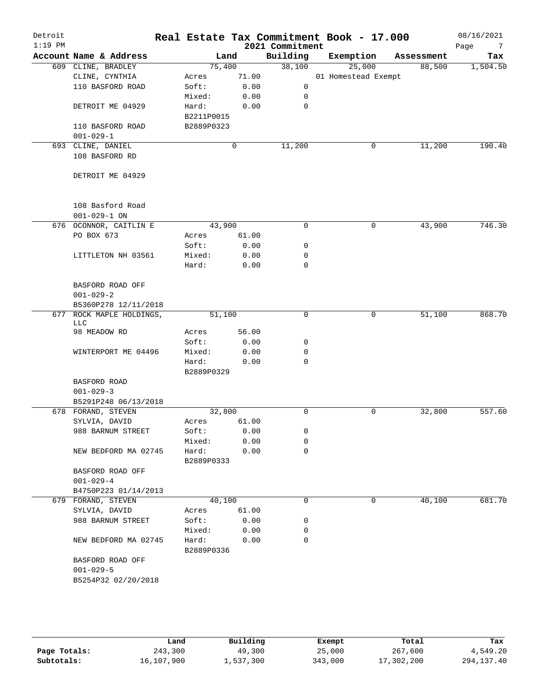| Detroit<br>$1:19$ PM |                                     |                     |       | 2021 Commitment | Real Estate Tax Commitment Book - 17.000 |            | 08/16/2021<br>Page<br>$\overline{7}$ |
|----------------------|-------------------------------------|---------------------|-------|-----------------|------------------------------------------|------------|--------------------------------------|
|                      | Account Name & Address              | Land                |       | Building        | Exemption                                | Assessment | Tax                                  |
|                      | 609 CLINE, BRADLEY                  | 75,400              |       | 38,100          | 25,000                                   | 88,500     | 1,504.50                             |
|                      | CLINE, CYNTHIA                      | Acres               | 71.00 |                 | 01 Homestead Exempt                      |            |                                      |
|                      | 110 BASFORD ROAD                    | Soft:               | 0.00  | $\mathsf{O}$    |                                          |            |                                      |
|                      |                                     | Mixed:              | 0.00  | 0               |                                          |            |                                      |
|                      | DETROIT ME 04929                    | Hard:               | 0.00  | $\mathbf 0$     |                                          |            |                                      |
|                      |                                     | B2211P0015          |       |                 |                                          |            |                                      |
|                      | 110 BASFORD ROAD                    | B2889P0323          |       |                 |                                          |            |                                      |
|                      | $001 - 029 - 1$                     |                     |       |                 |                                          |            |                                      |
|                      | 693 CLINE, DANIEL<br>108 BASFORD RD |                     | 0     | 11,200          | 0                                        | 11,200     | 190.40                               |
|                      |                                     |                     |       |                 |                                          |            |                                      |
|                      | DETROIT ME 04929                    |                     |       |                 |                                          |            |                                      |
|                      |                                     |                     |       |                 |                                          |            |                                      |
|                      |                                     |                     |       |                 |                                          |            |                                      |
|                      | 108 Basford Road                    |                     |       |                 |                                          |            |                                      |
|                      | $001 - 029 - 1$ ON                  |                     |       |                 |                                          |            |                                      |
|                      | 676 OCONNOR, CAITLIN E              | 43,900              |       | $\mathbf 0$     | 0                                        | 43,900     | 746.30                               |
|                      | PO BOX 673                          | Acres               | 61.00 |                 |                                          |            |                                      |
|                      |                                     | Soft:               | 0.00  | $\mathbf 0$     |                                          |            |                                      |
|                      | LITTLETON NH 03561                  | Mixed:              | 0.00  | 0               |                                          |            |                                      |
|                      |                                     | Hard:               | 0.00  | $\mathbf 0$     |                                          |            |                                      |
|                      |                                     |                     |       |                 |                                          |            |                                      |
|                      | BASFORD ROAD OFF                    |                     |       |                 |                                          |            |                                      |
|                      | $001 - 029 - 2$                     |                     |       |                 |                                          |            |                                      |
|                      | B5360P278 12/11/2018                |                     |       |                 |                                          |            |                                      |
| 677                  | ROCK MAPLE HOLDINGS,<br>LLC         | 51,100              |       | $\mathbf 0$     | 0                                        | 51,100     | 868.70                               |
|                      | 98 MEADOW RD                        | Acres               | 56.00 |                 |                                          |            |                                      |
|                      |                                     | Soft:               | 0.00  | 0               |                                          |            |                                      |
|                      | WINTERPORT ME 04496                 | Mixed:              | 0.00  | $\mathsf{O}$    |                                          |            |                                      |
|                      |                                     | Hard:               | 0.00  | $\mathbf 0$     |                                          |            |                                      |
|                      |                                     | B2889P0329          |       |                 |                                          |            |                                      |
|                      | BASFORD ROAD                        |                     |       |                 |                                          |            |                                      |
|                      | $001 - 029 - 3$                     |                     |       |                 |                                          |            |                                      |
|                      | B5291P248 06/13/2018                |                     |       |                 |                                          |            |                                      |
|                      | 678 FORAND, STEVEN                  | 32,800              |       | $\mathbf 0$     | 0                                        | 32,800     | 557.60                               |
|                      | SYLVIA, DAVID                       | Acres 61.00         |       |                 |                                          |            |                                      |
|                      | 988 BARNUM STREET                   | Soft:               | 0.00  | 0               |                                          |            |                                      |
|                      |                                     | Mixed:              | 0.00  | 0               |                                          |            |                                      |
|                      | NEW BEDFORD MA 02745                | Hard:<br>B2889P0333 | 0.00  | $\mathbf 0$     |                                          |            |                                      |
|                      | BASFORD ROAD OFF                    |                     |       |                 |                                          |            |                                      |
|                      | $001 - 029 - 4$                     |                     |       |                 |                                          |            |                                      |
|                      | B4750P223 01/14/2013                |                     |       |                 |                                          |            |                                      |
|                      | 679 FORAND, STEVEN                  | 40,100              |       | $\mathbf 0$     | 0                                        | 40,100     | 681.70                               |
|                      | SYLVIA, DAVID                       | Acres               | 61.00 |                 |                                          |            |                                      |
|                      | 988 BARNUM STREET                   | Soft:               | 0.00  | 0               |                                          |            |                                      |
|                      |                                     | Mixed:              | 0.00  | 0               |                                          |            |                                      |
|                      | NEW BEDFORD MA 02745                | Hard:               | 0.00  | $\mathbf 0$     |                                          |            |                                      |
|                      |                                     | B2889P0336          |       |                 |                                          |            |                                      |
|                      | BASFORD ROAD OFF                    |                     |       |                 |                                          |            |                                      |
|                      | $001 - 029 - 5$                     |                     |       |                 |                                          |            |                                      |
|                      | B5254P32 02/20/2018                 |                     |       |                 |                                          |            |                                      |
|                      |                                     |                     |       |                 |                                          |            |                                      |

|              | Land       | Building  | Exempt  | Total      | Tax          |
|--------------|------------|-----------|---------|------------|--------------|
| Page Totals: | 243,300    | 49,300    | 25,000  | 267,600    | 4,549.20     |
| Subtotals:   | 16,107,900 | 1,537,300 | 343,000 | 17,302,200 | 294, 137. 40 |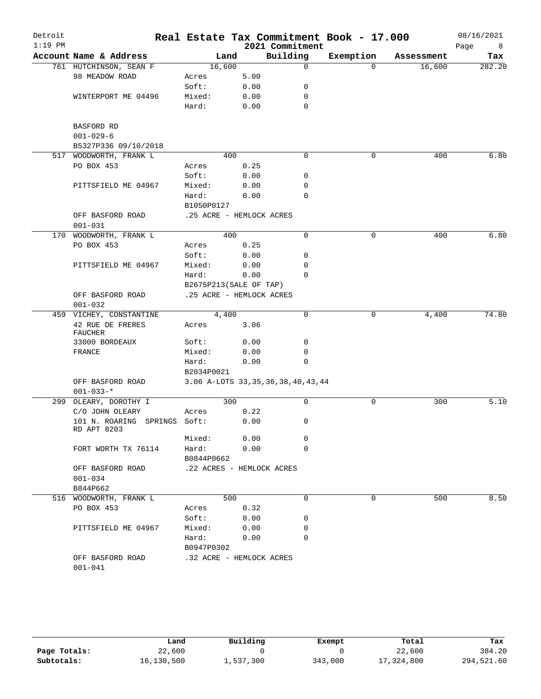| Detroit<br>$1:19$ PM |                                             |            |                                        | 2021 Commitment | Real Estate Tax Commitment Book - 17.000 |            | 08/16/2021<br>Page<br>8 |
|----------------------|---------------------------------------------|------------|----------------------------------------|-----------------|------------------------------------------|------------|-------------------------|
|                      | Account Name & Address                      |            | Land                                   | Building        | Exemption                                | Assessment | Tax                     |
|                      | 761 HUTCHINSON, SEAN F                      | 16,600     |                                        | 0               | $\Omega$                                 | 16,600     | 282.20                  |
|                      | 98 MEADOW ROAD                              | Acres      | 5.00                                   |                 |                                          |            |                         |
|                      |                                             | Soft:      | 0.00                                   | 0               |                                          |            |                         |
|                      | WINTERPORT ME 04496                         | Mixed:     | 0.00                                   | 0               |                                          |            |                         |
|                      |                                             | Hard:      | 0.00                                   | 0               |                                          |            |                         |
|                      |                                             |            |                                        |                 |                                          |            |                         |
|                      | BASFORD RD                                  |            |                                        |                 |                                          |            |                         |
|                      | $001 - 029 - 6$                             |            |                                        |                 |                                          |            |                         |
|                      | B5327P336 09/10/2018                        |            |                                        |                 |                                          |            |                         |
| 517                  | WOODWORTH, FRANK L                          |            | 400                                    | 0               | $\mathbf 0$                              | 400        | 6.80                    |
|                      | PO BOX 453                                  | Acres      | 0.25                                   |                 |                                          |            |                         |
|                      |                                             | Soft:      | 0.00                                   | 0               |                                          |            |                         |
|                      | PITTSFIELD ME 04967                         | Mixed:     | 0.00                                   | 0               |                                          |            |                         |
|                      |                                             | Hard:      | 0.00                                   | $\Omega$        |                                          |            |                         |
|                      |                                             | B1050P0127 |                                        |                 |                                          |            |                         |
|                      | OFF BASFORD ROAD                            |            | .25 ACRE - HEMLOCK ACRES               |                 |                                          |            |                         |
|                      | $001 - 031$                                 |            |                                        |                 |                                          |            |                         |
|                      | 170 WOODWORTH, FRANK L                      |            | 400                                    | 0               | 0                                        | 400        | 6.80                    |
|                      | PO BOX 453                                  | Acres      | 0.25                                   |                 |                                          |            |                         |
|                      |                                             | Soft:      | 0.00                                   | 0               |                                          |            |                         |
|                      | PITTSFIELD ME 04967                         | Mixed:     | 0.00                                   | 0               |                                          |            |                         |
|                      |                                             | Hard:      | 0.00                                   | $\Omega$        |                                          |            |                         |
|                      |                                             |            | B2675P213(SALE OF TAP)                 |                 |                                          |            |                         |
|                      | OFF BASFORD ROAD                            |            | .25 ACRE - HEMLOCK ACRES               |                 |                                          |            |                         |
|                      | $001 - 032$                                 |            |                                        |                 |                                          |            |                         |
|                      | 459 VICHEY, CONSTANTINE                     | 4,400      |                                        | 0               | 0                                        | 4,400      | 74.80                   |
|                      | 42 RUE DE FRERES<br><b>FAUCHER</b>          | Acres      | 3.06                                   |                 |                                          |            |                         |
|                      | 33000 BORDEAUX                              | Soft:      | 0.00                                   | 0               |                                          |            |                         |
|                      | FRANCE                                      | Mixed:     | 0.00                                   | 0               |                                          |            |                         |
|                      |                                             | Hard:      | 0.00                                   | 0               |                                          |            |                         |
|                      |                                             | B2034P0021 |                                        |                 |                                          |            |                         |
|                      | OFF BASFORD ROAD                            |            | 3.06 A-LOTS 33, 35, 36, 38, 40, 43, 44 |                 |                                          |            |                         |
|                      | $001 - 033 -$ *                             |            |                                        |                 |                                          |            |                         |
|                      | 299 OLEARY, DOROTHY I                       |            | 300                                    | 0               | 0                                        | 300        | 5.10                    |
|                      | C/O JOHN OLEARY                             | Acres      | 0.22                                   |                 |                                          |            |                         |
|                      | 101 N. ROARING SPRINGS Soft:<br>RD APT 8203 |            | 0.00                                   | 0               |                                          |            |                         |
|                      |                                             | Mixed:     | 0.00                                   | 0               |                                          |            |                         |
|                      | FORT WORTH TX 76114                         | Hard:      | 0.00                                   | $\Omega$        |                                          |            |                         |
|                      |                                             | B0844P0662 |                                        |                 |                                          |            |                         |
|                      | OFF BASFORD ROAD                            |            | .22 ACRES - HEMLOCK ACRES              |                 |                                          |            |                         |
|                      | $001 - 034$                                 |            |                                        |                 |                                          |            |                         |
|                      | B844P662                                    |            |                                        |                 |                                          |            |                         |
|                      | 516 WOODWORTH, FRANK L                      |            | 500                                    | 0               | 0                                        | 500        | 8.50                    |
|                      | PO BOX 453                                  | Acres      | 0.32                                   |                 |                                          |            |                         |
|                      |                                             | Soft:      | 0.00                                   | 0               |                                          |            |                         |
|                      | PITTSFIELD ME 04967                         | Mixed:     | 0.00                                   | 0               |                                          |            |                         |
|                      |                                             | Hard:      | 0.00                                   | 0               |                                          |            |                         |
|                      |                                             | B0947P0302 |                                        |                 |                                          |            |                         |
|                      | OFF BASFORD ROAD<br>$001 - 041$             |            | .32 ACRE - HEMLOCK ACRES               |                 |                                          |            |                         |

|              | Land       | Building  | Exempt  | Total      | Tax        |
|--------------|------------|-----------|---------|------------|------------|
| Page Totals: | 22,600     |           |         | 22,600     | 384.20     |
| Subtotals:   | 16,130,500 | 1,537,300 | 343,000 | 17,324,800 | 294,521.60 |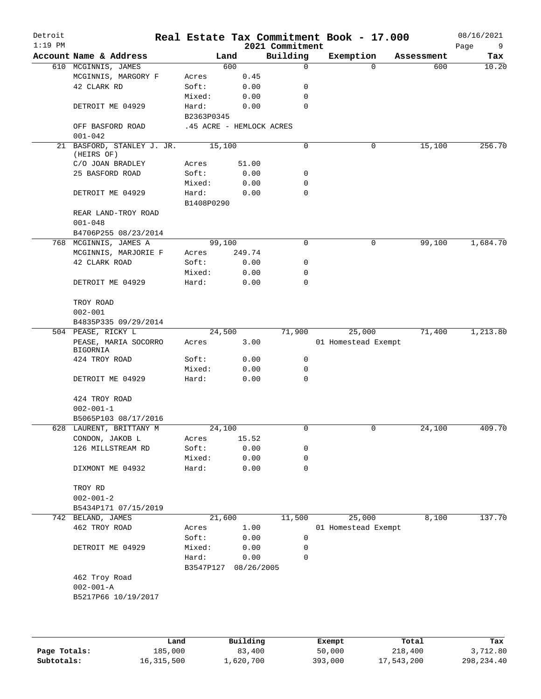| Detroit<br>$1:19$ PM |                                          |            |                          | 2021 Commitment | Real Estate Tax Commitment Book - 17.000 |            | 08/16/2021<br>Page<br>9 |
|----------------------|------------------------------------------|------------|--------------------------|-----------------|------------------------------------------|------------|-------------------------|
|                      | Account Name & Address                   | Land       |                          | Building        | Exemption                                | Assessment | Tax                     |
|                      | 610 MCGINNIS, JAMES                      |            | 600                      | $\mathbf 0$     | $\Omega$                                 | 600        | 10.20                   |
|                      | MCGINNIS, MARGORY F                      | Acres      | 0.45                     |                 |                                          |            |                         |
|                      | 42 CLARK RD                              | Soft:      | 0.00                     | 0               |                                          |            |                         |
|                      |                                          | Mixed:     | 0.00                     | 0               |                                          |            |                         |
|                      | DETROIT ME 04929                         | Hard:      | 0.00                     | 0               |                                          |            |                         |
|                      |                                          | B2363P0345 |                          |                 |                                          |            |                         |
|                      | OFF BASFORD ROAD                         |            | .45 ACRE - HEMLOCK ACRES |                 |                                          |            |                         |
|                      | $001 - 042$                              |            |                          |                 |                                          |            |                         |
|                      | 21 BASFORD, STANLEY J. JR.<br>(HEIRS OF) | 15,100     |                          | 0               | 0                                        | 15,100     | 256.70                  |
|                      | C/O JOAN BRADLEY                         | Acres      | 51.00                    |                 |                                          |            |                         |
|                      | 25 BASFORD ROAD                          | Soft:      | 0.00                     | 0               |                                          |            |                         |
|                      |                                          | Mixed:     | 0.00                     | 0               |                                          |            |                         |
|                      | DETROIT ME 04929                         | Hard:      | 0.00                     | $\mathbf 0$     |                                          |            |                         |
|                      |                                          | B1408P0290 |                          |                 |                                          |            |                         |
|                      | REAR LAND-TROY ROAD                      |            |                          |                 |                                          |            |                         |
|                      | $001 - 048$                              |            |                          |                 |                                          |            |                         |
|                      | B4706P255 08/23/2014                     |            |                          |                 |                                          |            |                         |
|                      | 768 MCGINNIS, JAMES A                    | 99,100     |                          | 0               | 0                                        | 99,100     | 1,684.70                |
|                      | MCGINNIS, MARJORIE F                     | Acres      | 249.74                   |                 |                                          |            |                         |
|                      | 42 CLARK ROAD                            | Soft:      | 0.00                     | 0               |                                          |            |                         |
|                      |                                          | Mixed:     | 0.00                     | 0               |                                          |            |                         |
|                      | DETROIT ME 04929                         | Hard:      | 0.00                     | 0               |                                          |            |                         |
|                      |                                          |            |                          |                 |                                          |            |                         |
|                      | TROY ROAD                                |            |                          |                 |                                          |            |                         |
|                      | $002 - 001$                              |            |                          |                 |                                          |            |                         |
|                      | B4835P335 09/29/2014                     |            |                          |                 |                                          |            |                         |
|                      | 504 PEASE, RICKY L                       | 24,500     |                          | 71,900          | 25,000                                   | 71,400     | 1,213.80                |
|                      | PEASE, MARIA SOCORRO<br>BIGORNIA         | Acres      | 3.00                     |                 | 01 Homestead Exempt                      |            |                         |
|                      | 424 TROY ROAD                            | Soft:      | 0.00                     | 0               |                                          |            |                         |
|                      |                                          | Mixed:     | 0.00                     | 0               |                                          |            |                         |
|                      | DETROIT ME 04929                         | Hard:      | 0.00                     | $\mathbf 0$     |                                          |            |                         |
|                      |                                          |            |                          |                 |                                          |            |                         |
|                      | 424 TROY ROAD                            |            |                          |                 |                                          |            |                         |
|                      | $002 - 001 - 1$                          |            |                          |                 |                                          |            |                         |
|                      | B5065P103 08/17/2016                     |            |                          |                 |                                          |            |                         |
|                      | 628 LAURENT, BRITTANY M                  | 24,100     |                          |                 |                                          | 24,100     | 409.70                  |
|                      | CONDON, JAKOB L                          | Acres      | 15.52                    |                 |                                          |            |                         |
|                      | 126 MILLSTREAM RD                        | Soft:      | 0.00                     | 0               |                                          |            |                         |
|                      |                                          | Mixed:     | 0.00                     | 0               |                                          |            |                         |
|                      | DIXMONT ME 04932                         | Hard:      | 0.00                     | 0               |                                          |            |                         |
|                      |                                          |            |                          |                 |                                          |            |                         |
|                      | TROY RD                                  |            |                          |                 |                                          |            |                         |
|                      | $002 - 001 - 2$                          |            |                          |                 |                                          |            |                         |
|                      | B5434P171 07/15/2019                     |            |                          |                 |                                          |            |                         |
|                      | 742 BELAND, JAMES                        | 21,600     |                          | 11,500          | 25,000                                   | 8,100      | 137.70                  |
|                      | 462 TROY ROAD                            | Acres      | 1.00                     |                 | 01 Homestead Exempt                      |            |                         |
|                      |                                          | Soft:      | 0.00                     | 0               |                                          |            |                         |
|                      | DETROIT ME 04929                         | Mixed:     | 0.00                     | 0               |                                          |            |                         |
|                      |                                          | Hard:      | 0.00                     | 0               |                                          |            |                         |
|                      |                                          | B3547P127  | 08/26/2005               |                 |                                          |            |                         |
|                      | 462 Troy Road                            |            |                          |                 |                                          |            |                         |
|                      | $002 - 001 - A$                          |            |                          |                 |                                          |            |                         |
|                      | B5217P66 10/19/2017                      |            |                          |                 |                                          |            |                         |
|                      |                                          |            |                          |                 |                                          |            |                         |
|                      |                                          |            |                          |                 |                                          |            |                         |
|                      |                                          |            |                          |                 |                                          |            |                         |
|                      |                                          |            |                          |                 |                                          |            |                         |

|              | Land       | Building  | Exempt  | Total      | Tax          |
|--------------|------------|-----------|---------|------------|--------------|
| Page Totals: | 185,000    | 83,400    | 50,000  | 218,400    | 3,712.80     |
| Subtotals:   | 16,315,500 | 1,620,700 | 393,000 | 17,543,200 | 298, 234, 40 |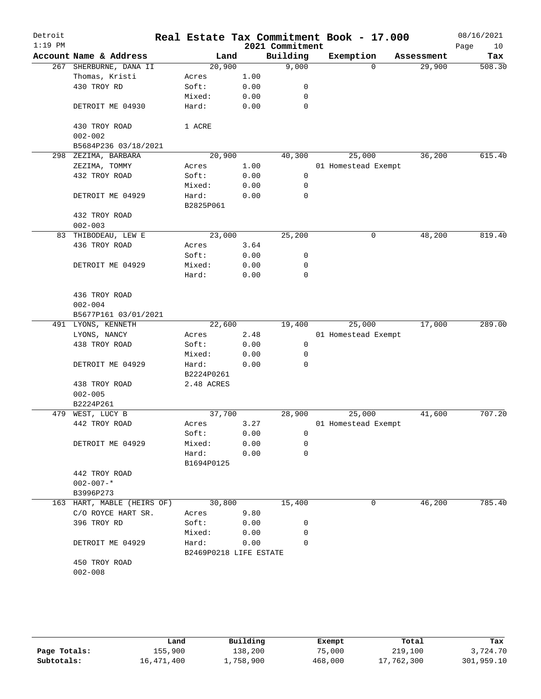| Detroit<br>$1:19$ PM |                              |                        |      | Real Estate Tax Commitment Book - 17.000<br>2021 Commitment |                     |          |            | 08/16/2021<br>Page<br>10 |
|----------------------|------------------------------|------------------------|------|-------------------------------------------------------------|---------------------|----------|------------|--------------------------|
|                      | Account Name & Address       | Land                   |      | Building                                                    | Exemption           |          | Assessment | Tax                      |
| 267                  | SHERBURNE, DANA II           | 20,900                 |      | 9,000                                                       |                     | $\Omega$ | 29,900     | 508.30                   |
|                      | Thomas, Kristi               | Acres                  | 1.00 |                                                             |                     |          |            |                          |
|                      | 430 TROY RD                  | Soft:                  | 0.00 | 0                                                           |                     |          |            |                          |
|                      |                              | Mixed:                 | 0.00 | 0                                                           |                     |          |            |                          |
|                      | DETROIT ME 04930             | Hard:                  | 0.00 | 0                                                           |                     |          |            |                          |
|                      | 430 TROY ROAD<br>$002 - 002$ | 1 ACRE                 |      |                                                             |                     |          |            |                          |
|                      | B5684P236 03/18/2021         |                        |      |                                                             |                     |          |            |                          |
|                      | 298 ZEZIMA, BARBARA          | 20,900                 |      | 40,300                                                      | 25,000              |          | 36,200     | 615.40                   |
|                      | ZEZIMA, TOMMY                | Acres                  | 1.00 |                                                             | 01 Homestead Exempt |          |            |                          |
|                      | 432 TROY ROAD                | Soft:                  | 0.00 | 0                                                           |                     |          |            |                          |
|                      |                              | Mixed:                 | 0.00 | 0                                                           |                     |          |            |                          |
|                      | DETROIT ME 04929             | Hard:<br>B2825P061     | 0.00 | 0                                                           |                     |          |            |                          |
|                      | 432 TROY ROAD                |                        |      |                                                             |                     |          |            |                          |
|                      | $002 - 003$                  |                        |      |                                                             |                     |          |            |                          |
|                      | 83 THIBODEAU, LEW E          | 23,000                 |      | 25,200                                                      |                     | 0        | 48,200     | 819.40                   |
|                      | 436 TROY ROAD                | Acres                  | 3.64 |                                                             |                     |          |            |                          |
|                      |                              | Soft:                  | 0.00 | 0                                                           |                     |          |            |                          |
|                      | DETROIT ME 04929             | Mixed:                 | 0.00 | 0                                                           |                     |          |            |                          |
|                      |                              | Hard:                  | 0.00 | 0                                                           |                     |          |            |                          |
|                      | 436 TROY ROAD                |                        |      |                                                             |                     |          |            |                          |
|                      | $002 - 004$                  |                        |      |                                                             |                     |          |            |                          |
|                      | B5677P161 03/01/2021         |                        |      |                                                             |                     |          |            |                          |
|                      | 491 LYONS, KENNETH           | 22,600                 |      | 19,400                                                      | 25,000              |          | 17,000     | 289.00                   |
|                      | LYONS, NANCY                 | Acres                  | 2.48 |                                                             | 01 Homestead Exempt |          |            |                          |
|                      | 438 TROY ROAD                | Soft:                  | 0.00 | 0                                                           |                     |          |            |                          |
|                      |                              | Mixed:                 | 0.00 | 0                                                           |                     |          |            |                          |
|                      | DETROIT ME 04929             | Hard:                  | 0.00 | $\Omega$                                                    |                     |          |            |                          |
|                      |                              | B2224P0261             |      |                                                             |                     |          |            |                          |
|                      | 438 TROY ROAD                | 2.48 ACRES             |      |                                                             |                     |          |            |                          |
|                      | $002 - 005$                  |                        |      |                                                             |                     |          |            |                          |
|                      | B2224P261                    |                        |      |                                                             |                     |          |            |                          |
| 479                  | WEST, LUCY B                 | 37,700                 |      | 28,900                                                      | 25,000              |          | 41,600     | 707.20                   |
|                      | 442 TROY ROAD                | Acres                  | 3.27 |                                                             | 01 Homestead Exempt |          |            |                          |
|                      |                              | Soft:                  | 0.00 | 0                                                           |                     |          |            |                          |
|                      | DETROIT ME 04929             | Mixed:                 | 0.00 | 0                                                           |                     |          |            |                          |
|                      |                              | Hard:                  | 0.00 | 0                                                           |                     |          |            |                          |
|                      |                              | B1694P0125             |      |                                                             |                     |          |            |                          |
|                      | 442 TROY ROAD                |                        |      |                                                             |                     |          |            |                          |
|                      | $002 - 007 -$ *              |                        |      |                                                             |                     |          |            |                          |
|                      | B3996P273                    |                        |      |                                                             |                     |          |            |                          |
|                      | 163 HART, MABLE (HEIRS OF)   | 30,800                 |      | 15,400                                                      |                     | 0        | 46,200     | 785.40                   |
|                      | C/O ROYCE HART SR.           | Acres                  | 9.80 |                                                             |                     |          |            |                          |
|                      | 396 TROY RD                  | Soft:                  | 0.00 | 0                                                           |                     |          |            |                          |
|                      |                              | Mixed:                 | 0.00 | 0                                                           |                     |          |            |                          |
|                      | DETROIT ME 04929             | Hard:                  | 0.00 | $\Omega$                                                    |                     |          |            |                          |
|                      |                              | B2469P0218 LIFE ESTATE |      |                                                             |                     |          |            |                          |
|                      | 450 TROY ROAD                |                        |      |                                                             |                     |          |            |                          |
|                      | $002 - 008$                  |                        |      |                                                             |                     |          |            |                          |
|                      |                              |                        |      |                                                             |                     |          |            |                          |
|                      |                              |                        |      |                                                             |                     |          |            |                          |

|              | Land       | Building  | Exempt  | Total      | Tax        |
|--------------|------------|-----------|---------|------------|------------|
| Page Totals: | 155,900    | 138,200   | 75,000  | 219,100    | 3,724.70   |
| Subtotals:   | 16,471,400 | 1,758,900 | 468,000 | 17,762,300 | 301,959.10 |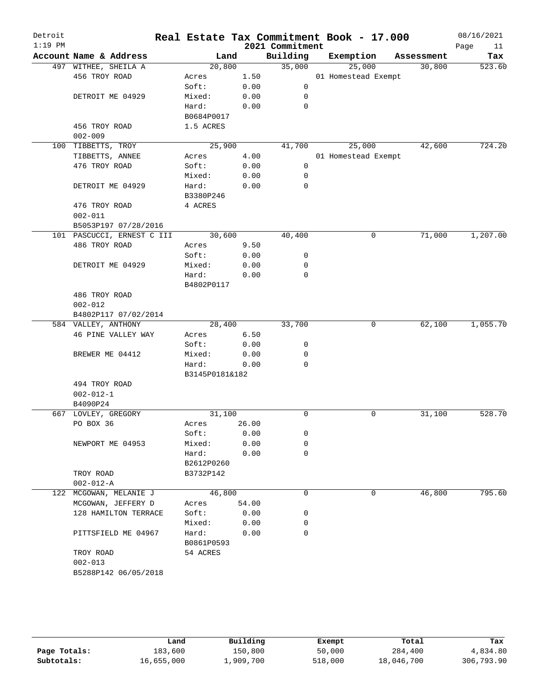| Detroit<br>$1:19$ PM |                            |                |       | 2021 Commitment | Real Estate Tax Commitment Book - 17.000 |            | 08/16/2021<br>Page<br>11 |
|----------------------|----------------------------|----------------|-------|-----------------|------------------------------------------|------------|--------------------------|
|                      | Account Name & Address     | Land           |       | Building        | Exemption                                | Assessment | Tax                      |
|                      | 497 WITHEE, SHEILA A       | 20,800         |       | 35,000          | 25,000                                   | 30,800     | 523.60                   |
|                      | 456 TROY ROAD              | Acres          | 1.50  |                 | 01 Homestead Exempt                      |            |                          |
|                      |                            | Soft:          | 0.00  | 0               |                                          |            |                          |
|                      | DETROIT ME 04929           | Mixed:         | 0.00  | 0               |                                          |            |                          |
|                      |                            | Hard:          | 0.00  | 0               |                                          |            |                          |
|                      |                            | B0684P0017     |       |                 |                                          |            |                          |
|                      | 456 TROY ROAD              | 1.5 ACRES      |       |                 |                                          |            |                          |
|                      | $002 - 009$                |                |       |                 |                                          |            |                          |
|                      | 100 TIBBETTS, TROY         | 25,900         |       | 41,700          | 25,000                                   | 42,600     | 724.20                   |
|                      | TIBBETTS, ANNEE            | Acres          | 4.00  |                 | 01 Homestead Exempt                      |            |                          |
|                      | 476 TROY ROAD              | Soft:          | 0.00  | 0               |                                          |            |                          |
|                      |                            | Mixed:         | 0.00  | 0               |                                          |            |                          |
|                      | DETROIT ME 04929           | Hard:          | 0.00  | 0               |                                          |            |                          |
|                      |                            | B3380P246      |       |                 |                                          |            |                          |
|                      | 476 TROY ROAD              | 4 ACRES        |       |                 |                                          |            |                          |
|                      | $002 - 011$                |                |       |                 |                                          |            |                          |
|                      | B5053P197 07/28/2016       |                |       |                 |                                          |            |                          |
|                      | 101 PASCUCCI, ERNEST C III | 30,600         |       | 40,400          | 0                                        | 71,000     | 1,207.00                 |
|                      | 486 TROY ROAD              | Acres          | 9.50  |                 |                                          |            |                          |
|                      |                            | Soft:          | 0.00  | 0               |                                          |            |                          |
|                      | DETROIT ME 04929           | Mixed:         | 0.00  | 0               |                                          |            |                          |
|                      |                            | Hard:          | 0.00  | 0               |                                          |            |                          |
|                      |                            | B4802P0117     |       |                 |                                          |            |                          |
|                      | 486 TROY ROAD              |                |       |                 |                                          |            |                          |
|                      | $002 - 012$                |                |       |                 |                                          |            |                          |
|                      | B4802P117 07/02/2014       |                |       |                 |                                          |            |                          |
|                      | 584 VALLEY, ANTHONY        | 28,400         |       | 33,700          | 0                                        | 62,100     | 1,055.70                 |
|                      | 46 PINE VALLEY WAY         | Acres          | 6.50  |                 |                                          |            |                          |
|                      |                            | Soft:          | 0.00  | 0               |                                          |            |                          |
|                      | BREWER ME 04412            | Mixed:         | 0.00  | 0               |                                          |            |                          |
|                      |                            | Hard:          | 0.00  | 0               |                                          |            |                          |
|                      |                            | B3145P0181&182 |       |                 |                                          |            |                          |
|                      | 494 TROY ROAD              |                |       |                 |                                          |            |                          |
|                      | $002 - 012 - 1$            |                |       |                 |                                          |            |                          |
|                      | B4090P24                   |                |       |                 |                                          |            |                          |
|                      | 667 LOVLEY, GREGORY        | 31,100         |       | 0               | 0                                        | 31,100     | 528.70                   |
|                      | PO BOX 36                  | Acres          | 26.00 |                 |                                          |            |                          |
|                      |                            | Soft:          | 0.00  | 0               |                                          |            |                          |
|                      | NEWPORT ME 04953           | Mixed:         | 0.00  | 0               |                                          |            |                          |
|                      |                            | Hard:          | 0.00  | $\mathbf 0$     |                                          |            |                          |
|                      |                            | B2612P0260     |       |                 |                                          |            |                          |
|                      | TROY ROAD                  | B3732P142      |       |                 |                                          |            |                          |
|                      | $002 - 012 - A$            |                |       |                 |                                          |            |                          |
|                      | 122 MCGOWAN, MELANIE J     | 46,800         |       | 0               | 0                                        | 46,800     | 795.60                   |
|                      | MCGOWAN, JEFFERY D         | Acres          | 54.00 |                 |                                          |            |                          |
|                      | 128 HAMILTON TERRACE       | Soft:          | 0.00  | 0               |                                          |            |                          |
|                      |                            | Mixed:         | 0.00  | 0               |                                          |            |                          |
|                      | PITTSFIELD ME 04967        | Hard:          | 0.00  | 0               |                                          |            |                          |
|                      |                            | B0861P0593     |       |                 |                                          |            |                          |
|                      | TROY ROAD                  | 54 ACRES       |       |                 |                                          |            |                          |
|                      | $002 - 013$                |                |       |                 |                                          |            |                          |
|                      | B5288P142 06/05/2018       |                |       |                 |                                          |            |                          |
|                      |                            |                |       |                 |                                          |            |                          |

|              | Land       | Building  | Exempt  | Total      | Tax        |
|--------------|------------|-----------|---------|------------|------------|
| Page Totals: | 183,600    | 150,800   | 50,000  | 284,400    | 4,834.80   |
| Subtotals:   | 16,655,000 | 1,909,700 | 518,000 | 18,046,700 | 306,793.90 |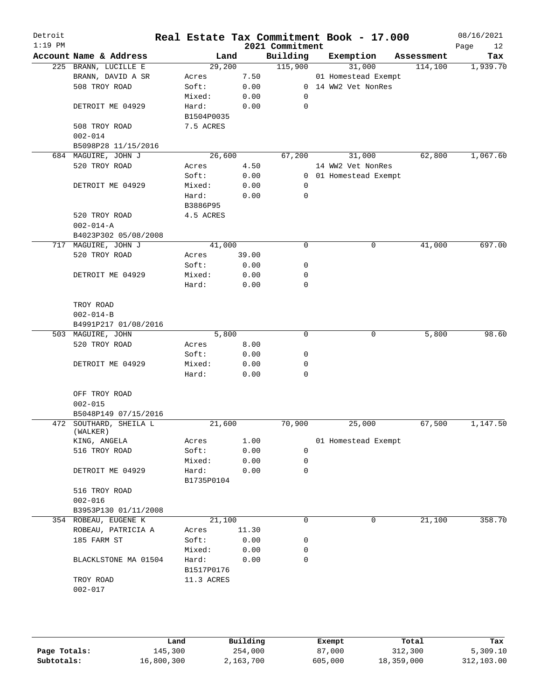| Detroit<br>$1:19$ PM |                                    |                 |              | 2021 Commitment | Real Estate Tax Commitment Book - 17.000 |            | 08/16/2021<br>12<br>Page |
|----------------------|------------------------------------|-----------------|--------------|-----------------|------------------------------------------|------------|--------------------------|
|                      | Account Name & Address             |                 | Land         | Building        | Exemption                                | Assessment | Tax                      |
|                      | 225 BRANN, LUCILLE E               | 29,200          |              | 115,900         | 31,000                                   | 114,100    | 1,939.70                 |
|                      | BRANN, DAVID A SR                  | Acres           | 7.50         |                 | 01 Homestead Exempt                      |            |                          |
|                      | 508 TROY ROAD                      | Soft:           | 0.00         |                 | 0 14 WW2 Vet NonRes                      |            |                          |
|                      |                                    | Mixed:          | 0.00         | 0               |                                          |            |                          |
|                      | DETROIT ME 04929                   | Hard:           | 0.00         | 0               |                                          |            |                          |
|                      |                                    | B1504P0035      |              |                 |                                          |            |                          |
|                      | 508 TROY ROAD                      | 7.5 ACRES       |              |                 |                                          |            |                          |
|                      | $002 - 014$                        |                 |              |                 |                                          |            |                          |
|                      | B5098P28 11/15/2016                |                 |              |                 |                                          |            |                          |
|                      | 684 MAGUIRE, JOHN J                | 26,600          |              | 67,200          | 31,000                                   | 62,800     | 1,067.60                 |
|                      | 520 TROY ROAD                      | Acres           | 4.50         |                 | 14 WW2 Vet NonRes                        |            |                          |
|                      |                                    | Soft:           | 0.00         |                 | 0 01 Homestead Exempt                    |            |                          |
|                      | DETROIT ME 04929                   | Mixed:          | 0.00         | 0               |                                          |            |                          |
|                      |                                    | Hard:           | 0.00         | 0               |                                          |            |                          |
|                      |                                    | B3886P95        |              |                 |                                          |            |                          |
|                      | 520 TROY ROAD                      | 4.5 ACRES       |              |                 |                                          |            |                          |
|                      | $002 - 014 - A$                    |                 |              |                 |                                          |            |                          |
|                      | B4023P302 05/08/2008               |                 |              |                 |                                          |            |                          |
|                      | 717 MAGUIRE, JOHN J                | 41,000          |              | $\mathbf 0$     | 0                                        | 41,000     | 697.00                   |
|                      | 520 TROY ROAD                      | Acres           | 39.00        |                 |                                          |            |                          |
|                      |                                    | Soft:           | 0.00         | 0               |                                          |            |                          |
|                      | DETROIT ME 04929                   | Mixed:          | 0.00         | 0               |                                          |            |                          |
|                      |                                    | Hard:           | 0.00         | $\mathbf 0$     |                                          |            |                          |
|                      | TROY ROAD                          |                 |              |                 |                                          |            |                          |
|                      | $002 - 014 - B$                    |                 |              |                 |                                          |            |                          |
|                      | B4991P217 01/08/2016               | 5,800           |              | 0               |                                          | 5,800      | 98.60                    |
|                      | 503 MAGUIRE, JOHN                  |                 |              |                 | 0                                        |            |                          |
|                      | 520 TROY ROAD                      | Acres           | 8.00         |                 |                                          |            |                          |
|                      |                                    | Soft:           | 0.00         | 0               |                                          |            |                          |
|                      | DETROIT ME 04929                   | Mixed:<br>Hard: | 0.00<br>0.00 | 0<br>0          |                                          |            |                          |
|                      |                                    |                 |              |                 |                                          |            |                          |
|                      | OFF TROY ROAD                      |                 |              |                 |                                          |            |                          |
|                      | $002 - 015$                        |                 |              |                 |                                          |            |                          |
|                      | B5048P149 07/15/2016               |                 |              |                 |                                          |            |                          |
|                      | 472 SOUTHARD, SHEILA L<br>(WALKER) | 21,600          |              | 70,900          | 25,000                                   | 67,500     | 1,147.50                 |
|                      | KING, ANGELA                       | Acres           | 1.00         |                 | 01 Homestead Exempt                      |            |                          |
|                      | 516 TROY ROAD                      | Soft:           | 0.00         | 0               |                                          |            |                          |
|                      |                                    | Mixed:          | 0.00         | 0               |                                          |            |                          |
|                      | DETROIT ME 04929                   | Hard:           | 0.00         | 0               |                                          |            |                          |
|                      |                                    | B1735P0104      |              |                 |                                          |            |                          |
|                      | 516 TROY ROAD                      |                 |              |                 |                                          |            |                          |
|                      | $002 - 016$                        |                 |              |                 |                                          |            |                          |
|                      | B3953P130 01/11/2008               |                 |              |                 |                                          |            |                          |
|                      | 354 ROBEAU, EUGENE K               | 21,100          |              | 0               | 0                                        | 21,100     | 358.70                   |
|                      | ROBEAU, PATRICIA A                 | Acres           | 11.30        |                 |                                          |            |                          |
|                      | 185 FARM ST                        | Soft:           | 0.00         | 0               |                                          |            |                          |
|                      |                                    | Mixed:          | 0.00         | 0               |                                          |            |                          |
|                      | BLACKLSTONE MA 01504               | Hard:           | 0.00         | $\mathbf 0$     |                                          |            |                          |
|                      |                                    | B1517P0176      |              |                 |                                          |            |                          |
|                      | TROY ROAD                          | 11.3 ACRES      |              |                 |                                          |            |                          |
|                      | $002 - 017$                        |                 |              |                 |                                          |            |                          |
|                      |                                    |                 |              |                 |                                          |            |                          |
|                      |                                    |                 |              |                 |                                          |            |                          |
|                      |                                    |                 |              |                 |                                          |            |                          |
|                      |                                    |                 |              |                 |                                          |            |                          |

|              | Land       | Building  | Exempt  | Total      | Tax        |
|--------------|------------|-----------|---------|------------|------------|
| Page Totals: | 145,300    | 254,000   | 87,000  | 312,300    | 5,309.10   |
| Subtotals:   | 16,800,300 | 2,163,700 | 605,000 | 18,359,000 | 312,103.00 |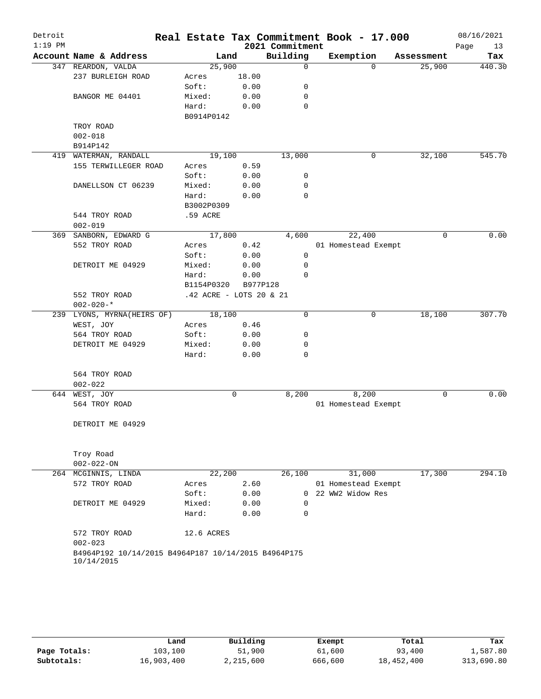| Detroit   |                                                     |                         |       | Real Estate Tax Commitment Book - 17.000 |                     |             |            | 08/16/2021 |
|-----------|-----------------------------------------------------|-------------------------|-------|------------------------------------------|---------------------|-------------|------------|------------|
| $1:19$ PM |                                                     |                         |       | 2021 Commitment                          |                     |             |            | Page<br>13 |
|           | Account Name & Address                              | Land                    |       | Building                                 | Exemption           |             | Assessment | Tax        |
|           | 347 REARDON, VALDA                                  | 25,900                  |       | $\Omega$                                 |                     | $\Omega$    | 25,900     | 440.30     |
|           | 237 BURLEIGH ROAD                                   | Acres                   | 18.00 |                                          |                     |             |            |            |
|           |                                                     | Soft:                   | 0.00  | 0                                        |                     |             |            |            |
|           | BANGOR ME 04401                                     | Mixed:                  | 0.00  | 0                                        |                     |             |            |            |
|           |                                                     | Hard:                   | 0.00  | 0                                        |                     |             |            |            |
|           |                                                     | B0914P0142              |       |                                          |                     |             |            |            |
|           | TROY ROAD                                           |                         |       |                                          |                     |             |            |            |
|           | $002 - 018$                                         |                         |       |                                          |                     |             |            |            |
|           | B914P142                                            |                         |       |                                          |                     |             |            |            |
|           | 419 WATERMAN, RANDALL                               | 19,100                  |       | 13,000                                   |                     | 0           | 32,100     | 545.70     |
|           | 155 TERWILLEGER ROAD                                | Acres                   | 0.59  |                                          |                     |             |            |            |
|           |                                                     | Soft:                   | 0.00  | 0                                        |                     |             |            |            |
|           | DANELLSON CT 06239                                  | Mixed:                  | 0.00  | 0                                        |                     |             |            |            |
|           |                                                     | Hard:                   | 0.00  | $\Omega$                                 |                     |             |            |            |
|           |                                                     | B3002P0309              |       |                                          |                     |             |            |            |
|           | 544 TROY ROAD<br>$002 - 019$                        | .59 ACRE                |       |                                          |                     |             |            |            |
|           | 369 SANBORN, EDWARD G                               | 17,800                  |       | 4,600                                    |                     | 22,400      | $\Omega$   | 0.00       |
|           | 552 TROY ROAD                                       | Acres                   | 0.42  |                                          | 01 Homestead Exempt |             |            |            |
|           |                                                     | Soft:                   | 0.00  | 0                                        |                     |             |            |            |
|           | DETROIT ME 04929                                    | Mixed:                  | 0.00  | 0                                        |                     |             |            |            |
|           |                                                     | Hard:                   | 0.00  | $\Omega$                                 |                     |             |            |            |
|           |                                                     | B1154P0320              |       | B977P128                                 |                     |             |            |            |
|           | 552 TROY ROAD                                       | .42 ACRE - LOTS 20 & 21 |       |                                          |                     |             |            |            |
|           | $002 - 020 -$ *                                     |                         |       |                                          |                     |             |            |            |
| 239       | LYONS, MYRNA(HEIRS OF)                              | 18,100                  |       | 0                                        |                     | $\mathbf 0$ | 18,100     | 307.70     |
|           | WEST, JOY                                           | Acres                   | 0.46  |                                          |                     |             |            |            |
|           | 564 TROY ROAD                                       | Soft:                   | 0.00  | 0                                        |                     |             |            |            |
|           | DETROIT ME 04929                                    | Mixed:                  | 0.00  | 0                                        |                     |             |            |            |
|           |                                                     | Hard:                   | 0.00  | $\mathbf 0$                              |                     |             |            |            |
|           |                                                     |                         |       |                                          |                     |             |            |            |
|           | 564 TROY ROAD                                       |                         |       |                                          |                     |             |            |            |
|           | $002 - 022$                                         |                         |       |                                          |                     |             |            |            |
|           | 644 WEST, JOY                                       |                         | 0     | 8,200                                    |                     | 8,200       | 0          | 0.00       |
|           | 564 TROY ROAD                                       |                         |       |                                          | 01 Homestead Exempt |             |            |            |
|           |                                                     |                         |       |                                          |                     |             |            |            |
|           | DETROIT ME 04929                                    |                         |       |                                          |                     |             |            |            |
|           |                                                     |                         |       |                                          |                     |             |            |            |
|           |                                                     |                         |       |                                          |                     |             |            |            |
|           | Troy Road                                           |                         |       |                                          |                     |             |            |            |
|           | $002 - 022 - ON$                                    |                         |       |                                          |                     |             |            |            |
|           | 264 MCGINNIS, LINDA                                 | 22,200                  |       | 26,100                                   |                     | 31,000      | 17,300     | 294.10     |
|           | 572 TROY ROAD                                       | Acres                   | 2.60  |                                          | 01 Homestead Exempt |             |            |            |
|           |                                                     | Soft:                   | 0.00  | $\overline{0}$                           | 22 WW2 Widow Res    |             |            |            |
|           | DETROIT ME 04929                                    | Mixed:                  | 0.00  | 0                                        |                     |             |            |            |
|           |                                                     | Hard:                   | 0.00  | $\mathbf 0$                              |                     |             |            |            |
|           |                                                     |                         |       |                                          |                     |             |            |            |
|           | 572 TROY ROAD<br>$002 - 023$                        | 12.6 ACRES              |       |                                          |                     |             |            |            |
|           | B4964P192 10/14/2015 B4964P187 10/14/2015 B4964P175 |                         |       |                                          |                     |             |            |            |
|           | 10/14/2015                                          |                         |       |                                          |                     |             |            |            |
|           |                                                     |                         |       |                                          |                     |             |            |            |

|              | Land       | Building  | Exempt  | Total      | Tax        |
|--------------|------------|-----------|---------|------------|------------|
| Page Totals: | 103,100    | 51,900    | 61,600  | 93,400     | 1,587.80   |
| Subtotals:   | 16,903,400 | 2,215,600 | 666,600 | 18,452,400 | 313,690.80 |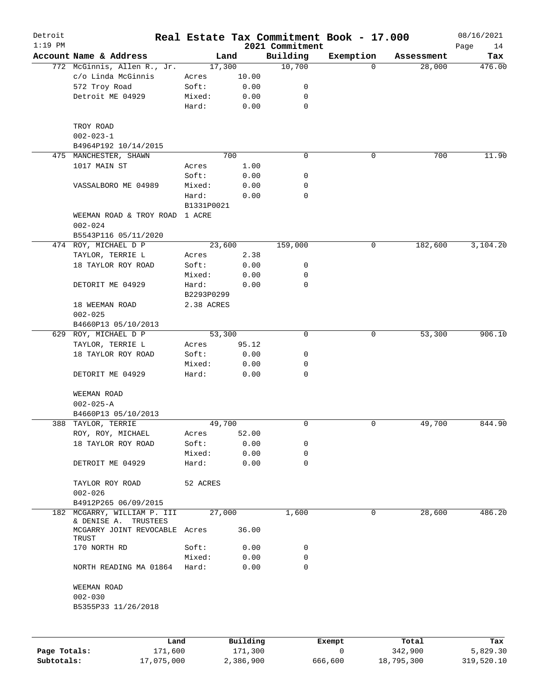| Detroit<br>$1:19$ PM |                                                    |            |          | 2021 Commitment | Real Estate Tax Commitment Book - 17.000 |            | 08/16/2021<br>Page<br>14 |
|----------------------|----------------------------------------------------|------------|----------|-----------------|------------------------------------------|------------|--------------------------|
|                      | Account Name & Address                             |            | Land     | Building        | Exemption                                | Assessment | Tax                      |
|                      | 772 McGinnis, Allen R., Jr.                        | 17,300     |          | 10,700          | $\Omega$                                 | 28,000     | 476.00                   |
|                      | c/o Linda McGinnis                                 | Acres      | 10.00    |                 |                                          |            |                          |
|                      | 572 Troy Road                                      | Soft:      | 0.00     | 0               |                                          |            |                          |
|                      | Detroit ME 04929                                   | Mixed:     | 0.00     | 0               |                                          |            |                          |
|                      |                                                    | Hard:      | 0.00     | $\mathbf 0$     |                                          |            |                          |
|                      | TROY ROAD                                          |            |          |                 |                                          |            |                          |
|                      | $002 - 023 - 1$                                    |            |          |                 |                                          |            |                          |
|                      | B4964P192 10/14/2015                               |            |          |                 |                                          |            |                          |
|                      | 475 MANCHESTER, SHAWN                              |            | 700      | 0               | 0                                        | 700        | 11.90                    |
|                      | 1017 MAIN ST                                       | Acres      | 1.00     |                 |                                          |            |                          |
|                      |                                                    | Soft:      | 0.00     | 0               |                                          |            |                          |
|                      | VASSALBORO ME 04989                                | Mixed:     | 0.00     | 0               |                                          |            |                          |
|                      |                                                    | Hard:      | 0.00     | 0               |                                          |            |                          |
|                      |                                                    | B1331P0021 |          |                 |                                          |            |                          |
|                      | WEEMAN ROAD & TROY ROAD<br>$002 - 024$             | 1 ACRE     |          |                 |                                          |            |                          |
|                      | B5543P116 05/11/2020                               |            |          |                 |                                          |            |                          |
|                      | 474 ROY, MICHAEL D P                               | 23,600     |          | 159,000         | 0                                        | 182,600    | 3,104.20                 |
|                      | TAYLOR, TERRIE L                                   | Acres      | 2.38     |                 |                                          |            |                          |
|                      | 18 TAYLOR ROY ROAD                                 | Soft:      | 0.00     | 0               |                                          |            |                          |
|                      |                                                    | Mixed:     | 0.00     | 0               |                                          |            |                          |
|                      | DETORIT ME 04929                                   | Hard:      | 0.00     | $\Omega$        |                                          |            |                          |
|                      |                                                    |            |          |                 |                                          |            |                          |
|                      |                                                    | B2293P0299 |          |                 |                                          |            |                          |
|                      | 18 WEEMAN ROAD                                     | 2.38 ACRES |          |                 |                                          |            |                          |
|                      | $002 - 025$                                        |            |          |                 |                                          |            |                          |
|                      | B4660P13 05/10/2013                                |            |          |                 |                                          |            |                          |
|                      | 629 ROY, MICHAEL D P                               | 53,300     |          | 0               | 0                                        | 53,300     | 906.10                   |
|                      | TAYLOR, TERRIE L                                   | Acres      | 95.12    |                 |                                          |            |                          |
|                      | 18 TAYLOR ROY ROAD                                 | Soft:      | 0.00     | 0               |                                          |            |                          |
|                      |                                                    | Mixed:     | 0.00     | 0               |                                          |            |                          |
|                      | DETORIT ME 04929                                   | Hard:      | 0.00     | 0               |                                          |            |                          |
|                      | WEEMAN ROAD                                        |            |          |                 |                                          |            |                          |
|                      | $002 - 025 - A$                                    |            |          |                 |                                          |            |                          |
|                      | B4660P13 05/10/2013                                |            |          |                 |                                          |            |                          |
|                      | 388 TAYLOR, TERRIE                                 | 49,700     |          | 0               | 0                                        | 49,700     | 844.90                   |
|                      | ROY, ROY, MICHAEL                                  | Acres      | 52.00    |                 |                                          |            |                          |
|                      | 18 TAYLOR ROY ROAD                                 | Soft:      | 0.00     | 0               |                                          |            |                          |
|                      |                                                    | Mixed:     | 0.00     | 0               |                                          |            |                          |
|                      | DETROIT ME 04929                                   | Hard:      | 0.00     | 0               |                                          |            |                          |
|                      | TAYLOR ROY ROAD                                    | 52 ACRES   |          |                 |                                          |            |                          |
|                      | $002 - 026$                                        |            |          |                 |                                          |            |                          |
|                      | B4912P265 06/09/2015                               |            |          |                 |                                          |            |                          |
| 182                  | MCGARRY, WILLIAM P. III                            | 27,000     |          | 1,600           | 0                                        | 28,600     | 486.20                   |
|                      | & DENISE A.<br>TRUSTEES<br>MCGARRY JOINT REVOCABLE | Acres      | 36.00    |                 |                                          |            |                          |
|                      | TRUST                                              |            |          |                 |                                          |            |                          |
|                      | 170 NORTH RD                                       | Soft:      | 0.00     | 0               |                                          |            |                          |
|                      |                                                    | Mixed:     | 0.00     | 0               |                                          |            |                          |
|                      | NORTH READING MA 01864                             | Hard:      | 0.00     | 0               |                                          |            |                          |
|                      | WEEMAN ROAD                                        |            |          |                 |                                          |            |                          |
|                      | $002 - 030$                                        |            |          |                 |                                          |            |                          |
|                      | B5355P33 11/26/2018                                |            |          |                 |                                          |            |                          |
|                      |                                                    |            |          |                 |                                          |            |                          |
|                      | Land                                               |            | Building |                 | Exempt                                   | Total      | Tax                      |
| Page Totals:         | 171,600                                            |            | 171,300  |                 | 0                                        | 342,900    | 5,829.30                 |

**Subtotals:** 17,075,000 2,386,900 666,600 18,795,300 319,520.10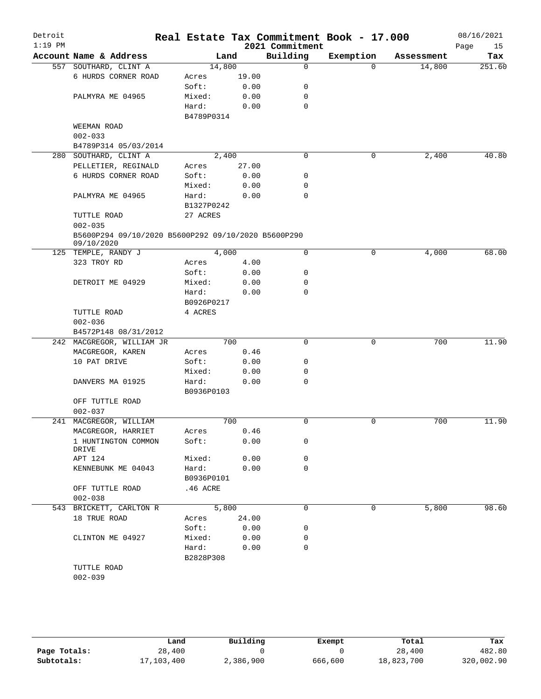| Detroit<br>$1:19$ PM |                                                     |            |       | 2021 Commitment | Real Estate Tax Commitment Book - 17.000 |            | 08/16/2021<br>Page<br>15 |
|----------------------|-----------------------------------------------------|------------|-------|-----------------|------------------------------------------|------------|--------------------------|
|                      | Account Name & Address                              |            | Land  | Building        | Exemption                                | Assessment | Tax                      |
|                      | 557 SOUTHARD, CLINT A                               | 14,800     |       | 0               | $\Omega$                                 | 14,800     | 251.60                   |
|                      | 6 HURDS CORNER ROAD                                 | Acres      | 19.00 |                 |                                          |            |                          |
|                      |                                                     | Soft:      | 0.00  | 0               |                                          |            |                          |
|                      | PALMYRA ME 04965                                    | Mixed:     | 0.00  | 0               |                                          |            |                          |
|                      |                                                     | Hard:      | 0.00  | 0               |                                          |            |                          |
|                      |                                                     | B4789P0314 |       |                 |                                          |            |                          |
|                      | WEEMAN ROAD                                         |            |       |                 |                                          |            |                          |
|                      | $002 - 033$                                         |            |       |                 |                                          |            |                          |
|                      | B4789P314 05/03/2014                                |            |       |                 |                                          |            |                          |
|                      | 280 SOUTHARD, CLINT A                               |            | 2,400 | 0               | $\mathbf 0$                              | 2,400      | 40.80                    |
|                      | PELLETIER, REGINALD                                 | Acres      | 27.00 |                 |                                          |            |                          |
|                      | 6 HURDS CORNER ROAD                                 | Soft:      | 0.00  | 0               |                                          |            |                          |
|                      |                                                     | Mixed:     | 0.00  | 0               |                                          |            |                          |
|                      | PALMYRA ME 04965                                    | Hard:      | 0.00  | $\Omega$        |                                          |            |                          |
|                      |                                                     | B1327P0242 |       |                 |                                          |            |                          |
|                      | TUTTLE ROAD                                         | 27 ACRES   |       |                 |                                          |            |                          |
|                      | $002 - 035$                                         |            |       |                 |                                          |            |                          |
|                      | B5600P294 09/10/2020 B5600P292 09/10/2020 B5600P290 |            |       |                 |                                          |            |                          |
|                      | 09/10/2020                                          |            |       |                 |                                          |            |                          |
|                      | 125 TEMPLE, RANDY J                                 |            | 4,000 | $\mathbf 0$     | $\mathbf 0$                              | 4,000      | 68.00                    |
|                      | 323 TROY RD                                         | Acres      | 4.00  |                 |                                          |            |                          |
|                      |                                                     | Soft:      | 0.00  | 0               |                                          |            |                          |
|                      | DETROIT ME 04929                                    | Mixed:     | 0.00  | 0               |                                          |            |                          |
|                      |                                                     | Hard:      | 0.00  | 0               |                                          |            |                          |
|                      |                                                     | B0926P0217 |       |                 |                                          |            |                          |
|                      | TUTTLE ROAD                                         | 4 ACRES    |       |                 |                                          |            |                          |
|                      | $002 - 036$                                         |            |       |                 |                                          |            |                          |
|                      | B4572P148 08/31/2012                                |            |       |                 |                                          |            |                          |
|                      | 242 MACGREGOR, WILLIAM JR                           |            | 700   | $\mathbf 0$     | 0                                        | 700        | 11.90                    |
|                      | MACGREGOR, KAREN                                    | Acres      | 0.46  |                 |                                          |            |                          |
|                      | 10 PAT DRIVE                                        | Soft:      | 0.00  | 0               |                                          |            |                          |
|                      |                                                     | Mixed:     | 0.00  | 0               |                                          |            |                          |
|                      | DANVERS MA 01925                                    | Hard:      | 0.00  | 0               |                                          |            |                          |
|                      |                                                     | B0936P0103 |       |                 |                                          |            |                          |
|                      | OFF TUTTLE ROAD                                     |            |       |                 |                                          |            |                          |
|                      | $002 - 037$                                         |            |       |                 |                                          |            |                          |
|                      | 241 MACGREGOR, WILLIAM                              |            | 700   | 0               | 0                                        | 700        | 11.90                    |
|                      | MACGREGOR, HARRIET                                  | Acres      | 0.46  |                 |                                          |            |                          |
|                      | 1 HUNTINGTON COMMON                                 | Soft:      | 0.00  | 0               |                                          |            |                          |
|                      | DRIVE                                               |            |       |                 |                                          |            |                          |
|                      | APT 124                                             | Mixed:     | 0.00  | 0               |                                          |            |                          |
|                      | KENNEBUNK ME 04043                                  | Hard:      | 0.00  | $\Omega$        |                                          |            |                          |
|                      |                                                     | B0936P0101 |       |                 |                                          |            |                          |
|                      | OFF TUTTLE ROAD                                     | .46 ACRE   |       |                 |                                          |            |                          |
|                      | $002 - 038$                                         |            |       |                 |                                          |            |                          |
|                      | 543 BRICKETT, CARLTON R                             |            | 5,800 | 0               | 0                                        | 5,800      | 98.60                    |
|                      | 18 TRUE ROAD                                        | Acres      | 24.00 |                 |                                          |            |                          |
|                      |                                                     | Soft:      | 0.00  | 0               |                                          |            |                          |
|                      | CLINTON ME 04927                                    | Mixed:     | 0.00  | 0               |                                          |            |                          |
|                      |                                                     | Hard:      | 0.00  | 0               |                                          |            |                          |
|                      |                                                     | B2828P308  |       |                 |                                          |            |                          |
|                      | TUTTLE ROAD                                         |            |       |                 |                                          |            |                          |
|                      | $002 - 039$                                         |            |       |                 |                                          |            |                          |

|              | Land       | Building  | Exempt  | Total      | Tax        |
|--------------|------------|-----------|---------|------------|------------|
| Page Totals: | 28,400     |           |         | 28,400     | 482.80     |
| Subtotals:   | 17,103,400 | 2,386,900 | 666,600 | 18,823,700 | 320,002.90 |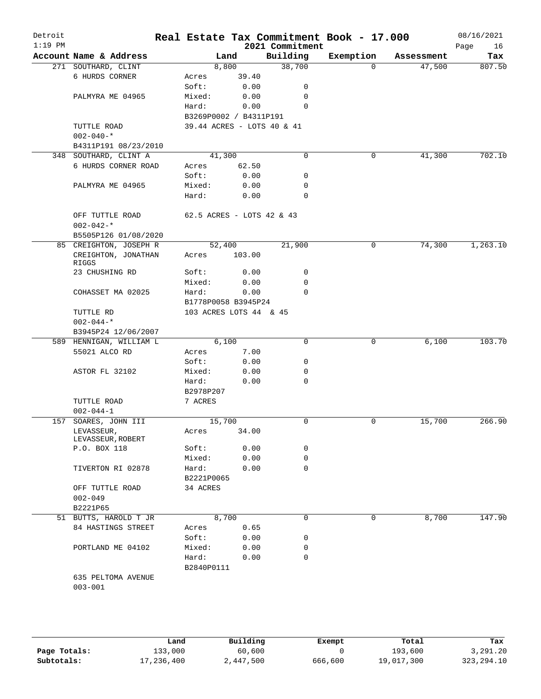| Detroit<br>$1:19$ PM |                                 |                            |        | 2021 Commitment | Real Estate Tax Commitment Book - 17.000 |            | 08/16/2021<br>Page<br>16 |
|----------------------|---------------------------------|----------------------------|--------|-----------------|------------------------------------------|------------|--------------------------|
|                      | Account Name & Address          |                            | Land   | Building        | Exemption                                | Assessment | Tax                      |
|                      | 271 SOUTHARD, CLINT             |                            | 8,800  | 38,700          | $\Omega$                                 | 47,500     | 807.50                   |
|                      | 6 HURDS CORNER                  | Acres                      | 39.40  |                 |                                          |            |                          |
|                      |                                 | Soft:                      | 0.00   | 0               |                                          |            |                          |
|                      | PALMYRA ME 04965                | Mixed:                     | 0.00   | 0               |                                          |            |                          |
|                      |                                 | Hard:                      | 0.00   | 0               |                                          |            |                          |
|                      |                                 | B3269P0002 / B4311P191     |        |                 |                                          |            |                          |
|                      | TUTTLE ROAD                     | 39.44 ACRES - LOTS 40 & 41 |        |                 |                                          |            |                          |
|                      | $002 - 040 -$ *                 |                            |        |                 |                                          |            |                          |
|                      | B4311P191 08/23/2010            |                            |        |                 |                                          |            |                          |
| 348                  | SOUTHARD, CLINT A               | 41,300                     |        | 0               | 0                                        | 41,300     | 702.10                   |
|                      | 6 HURDS CORNER ROAD             | Acres                      | 62.50  |                 |                                          |            |                          |
|                      |                                 | Soft:                      | 0.00   | 0               |                                          |            |                          |
|                      | PALMYRA ME 04965                | Mixed:                     | 0.00   | 0               |                                          |            |                          |
|                      |                                 | Hard:                      | 0.00   | $\Omega$        |                                          |            |                          |
|                      | OFF TUTTLE ROAD                 | 62.5 ACRES - LOTS 42 & 43  |        |                 |                                          |            |                          |
|                      | $002 - 042 -$ *                 |                            |        |                 |                                          |            |                          |
|                      | B5505P126 01/08/2020            |                            |        |                 |                                          |            |                          |
|                      | 85 CREIGHTON, JOSEPH R          | 52,400                     |        | 21,900          | 0                                        | 74,300     | 1,263.10                 |
|                      | CREIGHTON, JONATHAN<br>RIGGS    | Acres                      | 103.00 |                 |                                          |            |                          |
|                      | 23 CHUSHING RD                  | Soft:                      | 0.00   | 0               |                                          |            |                          |
|                      |                                 | Mixed:                     | 0.00   | 0               |                                          |            |                          |
|                      | COHASSET MA 02025               | Hard:                      | 0.00   | $\Omega$        |                                          |            |                          |
|                      |                                 | B1778P0058 B3945P24        |        |                 |                                          |            |                          |
|                      | TUTTLE RD                       | 103 ACRES LOTS 44 & 45     |        |                 |                                          |            |                          |
|                      | $002 - 044 -$ *                 |                            |        |                 |                                          |            |                          |
|                      | B3945P24 12/06/2007             |                            |        |                 |                                          |            |                          |
| 589                  | HENNIGAN, WILLIAM L             |                            | 6,100  | 0               | 0                                        | 6,100      | 103.70                   |
|                      | 55021 ALCO RD                   | Acres                      | 7.00   |                 |                                          |            |                          |
|                      |                                 | Soft:                      | 0.00   | 0               |                                          |            |                          |
|                      | ASTOR FL 32102                  | Mixed:                     | 0.00   | 0               |                                          |            |                          |
|                      |                                 | Hard:                      | 0.00   | 0               |                                          |            |                          |
|                      |                                 | B2978P207                  |        |                 |                                          |            |                          |
|                      | TUTTLE ROAD                     | 7 ACRES                    |        |                 |                                          |            |                          |
|                      | $002 - 044 - 1$                 |                            |        |                 |                                          |            |                          |
| 157                  | SOARES, JOHN III                | 15,700                     |        | 0               | 0                                        | 15,700     | 266.90                   |
|                      | LEVASSEUR,<br>LEVASSEUR, ROBERT | Acres                      | 34.00  |                 |                                          |            |                          |
|                      | P.O. BOX 118                    | Soft:                      | 0.00   | 0               |                                          |            |                          |
|                      |                                 | Mixed:                     | 0.00   | 0               |                                          |            |                          |
|                      | TIVERTON RI 02878               | Hard:<br>B2221P0065        | 0.00   | $\Omega$        |                                          |            |                          |
|                      | OFF TUTTLE ROAD                 | 34 ACRES                   |        |                 |                                          |            |                          |
|                      | $002 - 049$                     |                            |        |                 |                                          |            |                          |
|                      | B2221P65                        |                            |        |                 |                                          |            |                          |
|                      | 51 BUTTS, HAROLD T JR           |                            | 8,700  | $\Omega$        | 0                                        | 8,700      | 147.90                   |
|                      | 84 HASTINGS STREET              | Acres                      | 0.65   |                 |                                          |            |                          |
|                      |                                 | Soft:                      | 0.00   | 0               |                                          |            |                          |
|                      | PORTLAND ME 04102               | Mixed:                     | 0.00   | 0               |                                          |            |                          |
|                      |                                 | Hard:                      | 0.00   | 0               |                                          |            |                          |
|                      |                                 | B2840P0111                 |        |                 |                                          |            |                          |
|                      | 635 PELTOMA AVENUE              |                            |        |                 |                                          |            |                          |
|                      | $003 - 001$                     |                            |        |                 |                                          |            |                          |
|                      |                                 |                            |        |                 |                                          |            |                          |

|              | Land       | Building  | Exempt  | Total      | Tax          |
|--------------|------------|-----------|---------|------------|--------------|
| Page Totals: | 133,000    | 60,600    |         | 193,600    | 3,291.20     |
| Subtotals:   | 17,236,400 | 2,447,500 | 666,600 | 19,017,300 | 323, 294. 10 |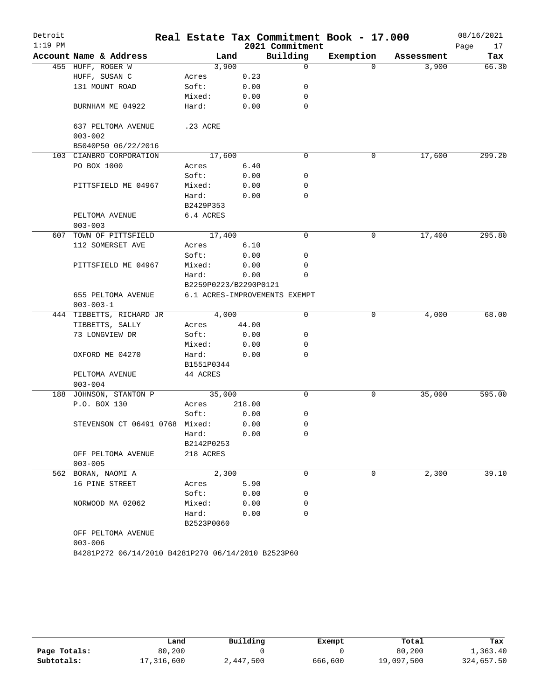| Detroit   |                                                    |                       |        |                               | Real Estate Tax Commitment Book - 17.000 |            | 08/16/2021 |
|-----------|----------------------------------------------------|-----------------------|--------|-------------------------------|------------------------------------------|------------|------------|
| $1:19$ PM |                                                    |                       |        | 2021 Commitment               |                                          |            | Page<br>17 |
|           | Account Name & Address                             |                       | Land   | Building                      | Exemption                                | Assessment | Tax        |
|           | 455 HUFF, ROGER W                                  |                       | 3,900  | $\mathbf 0$                   | $\Omega$                                 | 3,900      | 66.30      |
|           | HUFF, SUSAN C                                      | Acres                 | 0.23   |                               |                                          |            |            |
|           | 131 MOUNT ROAD                                     | Soft:                 | 0.00   | 0                             |                                          |            |            |
|           |                                                    | Mixed:                | 0.00   | 0                             |                                          |            |            |
|           | BURNHAM ME 04922                                   | Hard:                 | 0.00   | 0                             |                                          |            |            |
|           | 637 PELTOMA AVENUE<br>$003 - 002$                  | .23 ACRE              |        |                               |                                          |            |            |
|           | B5040P50 06/22/2016                                |                       |        |                               |                                          |            |            |
|           | 103 CIANBRO CORPORATION                            |                       | 17,600 | 0                             | 0                                        | 17,600     | 299.20     |
|           | PO BOX 1000                                        | Acres                 | 6.40   |                               |                                          |            |            |
|           |                                                    | Soft:                 | 0.00   | 0                             |                                          |            |            |
|           | PITTSFIELD ME 04967                                | Mixed:                | 0.00   | 0                             |                                          |            |            |
|           |                                                    | Hard:                 | 0.00   | 0                             |                                          |            |            |
|           |                                                    | B2429P353             |        |                               |                                          |            |            |
|           | PELTOMA AVENUE                                     | 6.4 ACRES             |        |                               |                                          |            |            |
|           | $003 - 003$                                        |                       |        |                               |                                          |            |            |
| 607       | TOWN OF PITTSFIELD                                 |                       | 17,400 | 0                             | 0                                        | 17,400     | 295.80     |
|           | 112 SOMERSET AVE                                   | Acres                 | 6.10   |                               |                                          |            |            |
|           |                                                    | Soft:                 | 0.00   | 0                             |                                          |            |            |
|           | PITTSFIELD ME 04967                                | Mixed:                | 0.00   | 0                             |                                          |            |            |
|           |                                                    | Hard:                 | 0.00   | 0                             |                                          |            |            |
|           |                                                    | B2259P0223/B2290P0121 |        |                               |                                          |            |            |
|           | 655 PELTOMA AVENUE                                 |                       |        | 6.1 ACRES-IMPROVEMENTS EXEMPT |                                          |            |            |
|           | $003 - 003 - 1$                                    |                       |        |                               |                                          |            |            |
|           | 444 TIBBETTS, RICHARD JR                           |                       | 4,000  | 0                             | 0                                        | 4,000      | 68.00      |
|           | TIBBETTS, SALLY                                    | Acres                 | 44.00  |                               |                                          |            |            |
|           | 73 LONGVIEW DR                                     | Soft:                 | 0.00   | 0                             |                                          |            |            |
|           |                                                    | Mixed:                | 0.00   | 0                             |                                          |            |            |
|           | OXFORD ME 04270                                    | Hard:                 | 0.00   | 0                             |                                          |            |            |
|           |                                                    | B1551P0344            |        |                               |                                          |            |            |
|           | PELTOMA AVENUE                                     | 44 ACRES              |        |                               |                                          |            |            |
|           | $003 - 004$                                        |                       |        |                               |                                          |            |            |
|           | 188 JOHNSON, STANTON P                             |                       | 35,000 | 0                             | 0                                        | 35,000     | 595.00     |
|           | P.O. BOX 130                                       | Acres                 | 218.00 |                               |                                          |            |            |
|           |                                                    | Soft:                 | 0.00   | 0                             |                                          |            |            |
|           | STEVENSON CT 06491 0768 Mixed:                     |                       | 0.00   | 0                             |                                          |            |            |
|           |                                                    | Hard:                 | 0.00   | 0                             |                                          |            |            |
|           |                                                    | B2142P0253            |        |                               |                                          |            |            |
|           | OFF PELTOMA AVENUE<br>$003 - 005$                  | 218 ACRES             |        |                               |                                          |            |            |
|           | 562 BORAN, NAOMI A                                 |                       | 2,300  | 0                             | 0                                        | 2,300      | 39.10      |
|           | 16 PINE STREET                                     | Acres                 | 5.90   |                               |                                          |            |            |
|           |                                                    | Soft:                 | 0.00   | 0                             |                                          |            |            |
|           | NORWOOD MA 02062                                   | Mixed:                | 0.00   | 0                             |                                          |            |            |
|           |                                                    | Hard:                 | 0.00   | 0                             |                                          |            |            |
|           |                                                    | B2523P0060            |        |                               |                                          |            |            |
|           | OFF PELTOMA AVENUE                                 |                       |        |                               |                                          |            |            |
|           | $003 - 006$                                        |                       |        |                               |                                          |            |            |
|           | B4281P272 06/14/2010 B4281P270 06/14/2010 B2523P60 |                       |        |                               |                                          |            |            |

|              | Land       | Building  | Exempt  | Total      | Tax        |
|--------------|------------|-----------|---------|------------|------------|
| Page Totals: | 80,200     |           |         | 80,200     | 1,363.40   |
| Subtotals:   | 17,316,600 | 2,447,500 | 666,600 | 19,097,500 | 324,657.50 |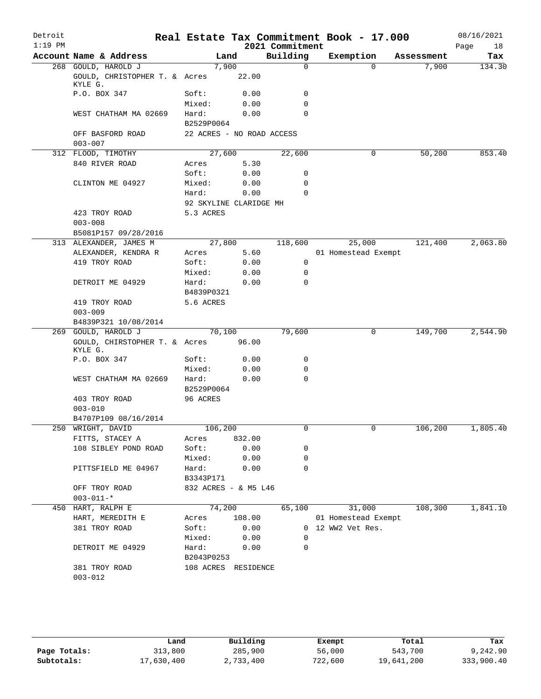| Detroit   |                                          |                           |        |                 | Real Estate Tax Commitment Book - 17.000 |                            | 08/16/2021 |
|-----------|------------------------------------------|---------------------------|--------|-----------------|------------------------------------------|----------------------------|------------|
| $1:19$ PM |                                          |                           |        | 2021 Commitment |                                          |                            | Page<br>18 |
|           | Account Name & Address                   | Land                      |        | Building        | Exemption                                | Assessment                 | Tax        |
|           | 268 GOULD, HAROLD J                      | 7,900                     |        | $\Omega$        |                                          | 7,900<br>$\Omega$          | 134.30     |
|           | GOULD, CHRISTOPHER T. & Acres<br>KYLE G. |                           | 22.00  |                 |                                          |                            |            |
|           | P.O. BOX 347                             | Soft:                     | 0.00   | 0               |                                          |                            |            |
|           |                                          | Mixed:                    | 0.00   | 0               |                                          |                            |            |
|           | WEST CHATHAM MA 02669                    | Hard:<br>B2529P0064       | 0.00   | $\Omega$        |                                          |                            |            |
|           | OFF BASFORD ROAD                         | 22 ACRES - NO ROAD ACCESS |        |                 |                                          |                            |            |
|           | $003 - 007$                              |                           |        |                 |                                          |                            |            |
|           | 312 FLOOD, TIMOTHY                       | 27,600                    |        | 22,600          |                                          | 50,200<br>0                | 853.40     |
|           | 840 RIVER ROAD                           | Acres                     | 5.30   |                 |                                          |                            |            |
|           |                                          | Soft:                     | 0.00   | 0               |                                          |                            |            |
|           | CLINTON ME 04927                         | Mixed:                    | 0.00   | 0               |                                          |                            |            |
|           |                                          | Hard:                     | 0.00   | 0               |                                          |                            |            |
|           |                                          | 92 SKYLINE CLARIDGE MH    |        |                 |                                          |                            |            |
|           | 423 TROY ROAD                            | 5.3 ACRES                 |        |                 |                                          |                            |            |
|           | $003 - 008$                              |                           |        |                 |                                          |                            |            |
|           | B5081P157 09/28/2016                     |                           |        |                 |                                          |                            |            |
|           | 313 ALEXANDER, JAMES M                   | 27,800                    |        | 118,600         | 25,000                                   | 121,400                    | 2,063.80   |
|           | ALEXANDER, KENDRA R                      | Acres                     | 5.60   |                 | 01 Homestead Exempt                      |                            |            |
|           | 419 TROY ROAD                            | Soft:                     | 0.00   | 0               |                                          |                            |            |
|           |                                          | Mixed:                    | 0.00   | 0               |                                          |                            |            |
|           | DETROIT ME 04929                         | Hard:                     | 0.00   | $\Omega$        |                                          |                            |            |
|           |                                          | B4839P0321                |        |                 |                                          |                            |            |
|           | 419 TROY ROAD                            | 5.6 ACRES                 |        |                 |                                          |                            |            |
|           | $003 - 009$                              |                           |        |                 |                                          |                            |            |
|           | B4839P321 10/08/2014                     |                           |        |                 |                                          |                            |            |
|           | 269 GOULD, HAROLD J                      | 70,100                    |        | 79,600          |                                          | 0<br>149,700               | 2,544.90   |
|           | GOULD, CHIRSTOPHER T. & Acres<br>KYLE G. |                           | 96.00  |                 |                                          |                            |            |
|           | P.O. BOX 347                             | Soft:                     | 0.00   | 0               |                                          |                            |            |
|           |                                          | Mixed:                    | 0.00   | 0               |                                          |                            |            |
|           | WEST CHATHAM MA 02669                    | Hard:                     | 0.00   | 0               |                                          |                            |            |
|           |                                          | B2529P0064                |        |                 |                                          |                            |            |
|           | 403 TROY ROAD                            | 96 ACRES                  |        |                 |                                          |                            |            |
|           | $003 - 010$                              |                           |        |                 |                                          |                            |            |
|           | B4707P109 08/16/2014                     |                           |        |                 |                                          |                            |            |
|           | 250 WRIGHT, DAVID                        | 106,200                   |        | 0               |                                          | 106, 200<br>$\overline{0}$ | 1,805.40   |
|           | FITTS, STACEY A                          | Acres                     | 832.00 |                 |                                          |                            |            |
|           | 108 SIBLEY POND ROAD                     | Soft:                     | 0.00   | 0               |                                          |                            |            |
|           |                                          | Mixed:                    | 0.00   | 0               |                                          |                            |            |
|           | PITTSFIELD ME 04967                      | Hard:                     | 0.00   | $\Omega$        |                                          |                            |            |
|           |                                          | B3343P171                 |        |                 |                                          |                            |            |
|           | OFF TROY ROAD                            | 832 ACRES - & M5 L46      |        |                 |                                          |                            |            |
|           | $003 - 011 -$ *                          |                           |        |                 |                                          |                            |            |
|           | 450 HART, RALPH E                        |                           | 74,200 | 65,100          | 31,000                                   | 108,300                    | 1,841.10   |
|           | HART, MEREDITH E                         | Acres                     | 108.00 |                 | 01 Homestead Exempt                      |                            |            |
|           | 381 TROY ROAD                            | Soft:                     | 0.00   |                 | 0 12 WW2 Vet Res.                        |                            |            |
|           |                                          | Mixed:                    | 0.00   | 0               |                                          |                            |            |
|           | DETROIT ME 04929                         | Hard: 0.00                |        | 0               |                                          |                            |            |
|           |                                          | B2043P0253                |        |                 |                                          |                            |            |
|           | 381 TROY ROAD                            | 108 ACRES RESIDENCE       |        |                 |                                          |                            |            |
|           | $003 - 012$                              |                           |        |                 |                                          |                            |            |
|           |                                          |                           |        |                 |                                          |                            |            |

|              | Land       | Building  | Exempt  | Total      | Tax        |
|--------------|------------|-----------|---------|------------|------------|
| Page Totals: | 313,800    | 285,900   | 56,000  | 543,700    | 9,242.90   |
| Subtotals:   | 17,630,400 | 2,733,400 | 722,600 | 19,641,200 | 333,900.40 |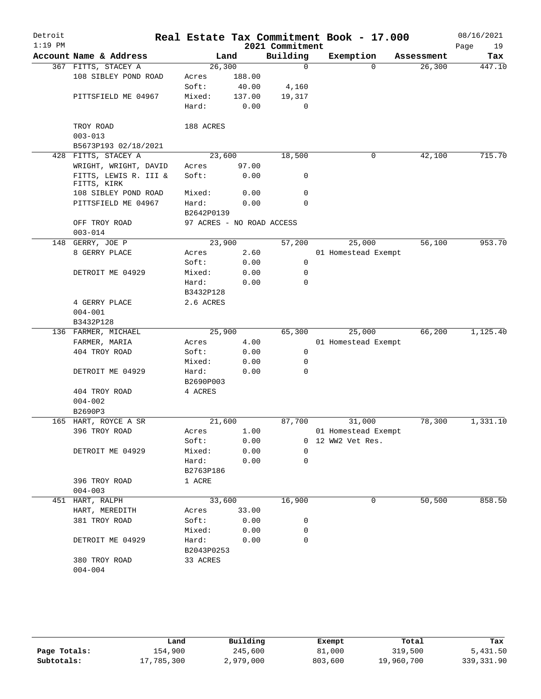| Detroit<br>$1:19$ PM |                                      |                           |        | 2021 Commitment | Real Estate Tax Commitment Book - 17.000 |            | 08/16/2021<br>Page<br>19 |
|----------------------|--------------------------------------|---------------------------|--------|-----------------|------------------------------------------|------------|--------------------------|
|                      | Account Name & Address               | Land                      |        | Building        | Exemption                                | Assessment | Tax                      |
|                      | 367 FITTS, STACEY A                  | 26,300                    |        | $\mathbf 0$     | $\Omega$                                 | 26,300     | 447.10                   |
|                      | 108 SIBLEY POND ROAD                 | Acres                     | 188.00 |                 |                                          |            |                          |
|                      |                                      | Soft:                     | 40.00  | 4,160           |                                          |            |                          |
|                      | PITTSFIELD ME 04967                  | Mixed:                    | 137.00 | 19,317          |                                          |            |                          |
|                      |                                      | Hard:                     | 0.00   | $\mathbf 0$     |                                          |            |                          |
|                      | TROY ROAD<br>$003 - 013$             | 188 ACRES                 |        |                 |                                          |            |                          |
|                      | B5673P193 02/18/2021                 |                           |        |                 |                                          |            |                          |
|                      | 428 FITTS, STACEY A                  | 23,600                    |        | 18,500          | 0                                        | 42,100     | 715.70                   |
|                      | WRIGHT, WRIGHT, DAVID                | Acres                     | 97.00  |                 |                                          |            |                          |
|                      | FITTS, LEWIS R. III &<br>FITTS, KIRK | Soft:                     | 0.00   | 0               |                                          |            |                          |
|                      | 108 SIBLEY POND ROAD                 | Mixed:                    | 0.00   | 0               |                                          |            |                          |
|                      | PITTSFIELD ME 04967                  | Hard:                     | 0.00   | $\mathbf 0$     |                                          |            |                          |
|                      |                                      | B2642P0139                |        |                 |                                          |            |                          |
|                      | OFF TROY ROAD                        | 97 ACRES - NO ROAD ACCESS |        |                 |                                          |            |                          |
|                      | $003 - 014$                          |                           |        |                 |                                          |            |                          |
| 148                  | GERRY, JOE P                         | 23,900                    |        | 57,200          | 25,000                                   | 56,100     | 953.70                   |
|                      | 8 GERRY PLACE                        | Acres                     | 2.60   |                 | 01 Homestead Exempt                      |            |                          |
|                      |                                      | Soft:                     | 0.00   | 0               |                                          |            |                          |
|                      | DETROIT ME 04929                     | Mixed:                    | 0.00   | 0               |                                          |            |                          |
|                      |                                      | Hard:                     | 0.00   | $\Omega$        |                                          |            |                          |
|                      |                                      | B3432P128                 |        |                 |                                          |            |                          |
|                      | 4 GERRY PLACE                        | 2.6 ACRES                 |        |                 |                                          |            |                          |
|                      | $004 - 001$                          |                           |        |                 |                                          |            |                          |
|                      | B3432P128                            |                           |        |                 |                                          |            |                          |
|                      | 136 FARMER, MICHAEL                  | 25,900                    |        | 65,300          | 25,000                                   | 66,200     | 1,125.40                 |
|                      | FARMER, MARIA                        | Acres                     | 4.00   |                 | 01 Homestead Exempt                      |            |                          |
|                      | 404 TROY ROAD                        | Soft:                     | 0.00   | $\mathbf 0$     |                                          |            |                          |
|                      |                                      | Mixed:                    | 0.00   | 0               |                                          |            |                          |
|                      | DETROIT ME 04929                     | Hard:                     | 0.00   | 0               |                                          |            |                          |
|                      |                                      | B2690P003                 |        |                 |                                          |            |                          |
|                      | 404 TROY ROAD                        | 4 ACRES                   |        |                 |                                          |            |                          |
|                      | $004 - 002$                          |                           |        |                 |                                          |            |                          |
|                      | B2690P3                              |                           |        |                 |                                          |            |                          |
|                      | 165 HART, ROYCE A SR                 | 21,600                    |        | 87,700          | 31,000                                   | 78,300     | 1,331.10                 |
|                      | 396 TROY ROAD                        | Acres                     | 1.00   |                 | 01 Homestead Exempt                      |            |                          |
|                      |                                      | Soft:                     | 0.00   |                 | 0 12 WW2 Vet Res.                        |            |                          |
|                      | DETROIT ME 04929                     | Mixed:                    | 0.00   | 0               |                                          |            |                          |
|                      |                                      | Hard:                     | 0.00   | 0               |                                          |            |                          |
|                      |                                      | B2763P186                 |        |                 |                                          |            |                          |
|                      | 396 TROY ROAD                        | 1 ACRE                    |        |                 |                                          |            |                          |
|                      | $004 - 003$                          |                           |        |                 |                                          |            |                          |
|                      | 451 HART, RALPH                      | 33,600                    |        | 16,900          | 0                                        | 50,500     | 858.50                   |
|                      | HART, MEREDITH                       | Acres                     | 33.00  |                 |                                          |            |                          |
|                      | 381 TROY ROAD                        | Soft:                     | 0.00   | 0               |                                          |            |                          |
|                      |                                      | Mixed:                    | 0.00   | 0               |                                          |            |                          |
|                      | DETROIT ME 04929                     | Hard:                     | 0.00   | 0               |                                          |            |                          |
|                      |                                      | B2043P0253                |        |                 |                                          |            |                          |
|                      | 380 TROY ROAD                        | 33 ACRES                  |        |                 |                                          |            |                          |
|                      | $004 - 004$                          |                           |        |                 |                                          |            |                          |

|              | Land       | Building  | Exempt  | Total      | Tax         |
|--------------|------------|-----------|---------|------------|-------------|
| Page Totals: | 154,900    | 245,600   | 81,000  | 319,500    | 5,431.50    |
| Subtotals:   | 17,785,300 | 2,979,000 | 803,600 | 19,960,700 | 339, 331.90 |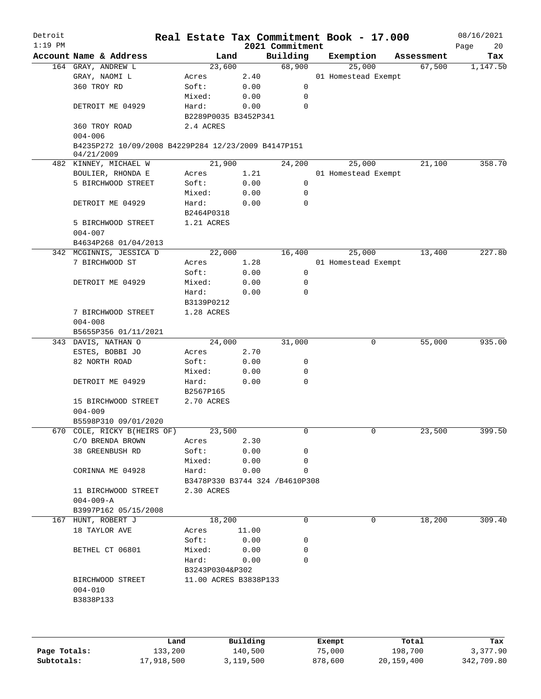| Detroit   |                                                                   | Real Estate Tax Commitment Book - 17.000 |          |                             |                     |            | 08/16/2021        |
|-----------|-------------------------------------------------------------------|------------------------------------------|----------|-----------------------------|---------------------|------------|-------------------|
| $1:19$ PM | Account Name & Address                                            | Land                                     |          | 2021 Commitment<br>Building | Exemption           | Assessment | Page<br>20<br>Tax |
|           | 164 GRAY, ANDREW L                                                | 23,600                                   |          | 68,900                      | 25,000              | 67,500     | 1,147.50          |
|           | GRAY, NAOMI L                                                     | Acres                                    | 2.40     |                             | 01 Homestead Exempt |            |                   |
|           | 360 TROY RD                                                       | Soft:                                    | 0.00     | 0                           |                     |            |                   |
|           |                                                                   | Mixed:                                   | 0.00     | 0                           |                     |            |                   |
|           | DETROIT ME 04929                                                  | Hard:                                    | 0.00     | $\mathbf 0$                 |                     |            |                   |
|           |                                                                   | B2289P0035 B3452P341                     |          |                             |                     |            |                   |
|           | 360 TROY ROAD                                                     | 2.4 ACRES                                |          |                             |                     |            |                   |
|           | $004 - 006$                                                       |                                          |          |                             |                     |            |                   |
|           | B4235P272 10/09/2008 B4229P284 12/23/2009 B4147P151<br>04/21/2009 |                                          |          |                             |                     |            |                   |
|           | 482 KINNEY, MICHAEL W                                             | 21,900                                   |          | 24,200                      | 25,000              | 21,100     | 358.70            |
|           | BOULIER, RHONDA E                                                 | Acres                                    | 1.21     |                             | 01 Homestead Exempt |            |                   |
|           | 5 BIRCHWOOD STREET                                                | Soft:                                    | 0.00     | 0                           |                     |            |                   |
|           |                                                                   | Mixed:                                   | 0.00     | 0                           |                     |            |                   |
|           | DETROIT ME 04929                                                  | Hard:                                    | 0.00     | $\mathbf 0$                 |                     |            |                   |
|           |                                                                   | B2464P0318                               |          |                             |                     |            |                   |
|           | 5 BIRCHWOOD STREET                                                | 1.21 ACRES                               |          |                             |                     |            |                   |
|           | $004 - 007$                                                       |                                          |          |                             |                     |            |                   |
|           | B4634P268 01/04/2013                                              |                                          |          |                             |                     |            |                   |
|           | 342 MCGINNIS, JESSICA D                                           | 22,000                                   |          | 16,400                      | 25,000              | 13,400     | 227.80            |
|           | 7 BIRCHWOOD ST                                                    |                                          |          |                             |                     |            |                   |
|           |                                                                   | Acres                                    | 1.28     |                             | 01 Homestead Exempt |            |                   |
|           |                                                                   | Soft:                                    | 0.00     | 0                           |                     |            |                   |
|           | DETROIT ME 04929                                                  | Mixed:                                   | 0.00     | 0                           |                     |            |                   |
|           |                                                                   | Hard:                                    | 0.00     | $\mathbf 0$                 |                     |            |                   |
|           |                                                                   | B3139P0212                               |          |                             |                     |            |                   |
|           | 7 BIRCHWOOD STREET                                                | 1.28 ACRES                               |          |                             |                     |            |                   |
|           | $004 - 008$                                                       |                                          |          |                             |                     |            |                   |
|           | B5655P356 01/11/2021                                              |                                          |          |                             |                     |            |                   |
|           | 343 DAVIS, NATHAN O                                               | 24,000                                   |          | 31,000                      | 0                   | 55,000     | 935.00            |
|           | ESTES, BOBBI JO                                                   | Acres                                    | 2.70     |                             |                     |            |                   |
|           | 82 NORTH ROAD                                                     | Soft:                                    | 0.00     | 0                           |                     |            |                   |
|           |                                                                   | Mixed:                                   | 0.00     | 0                           |                     |            |                   |
|           | DETROIT ME 04929                                                  | Hard:                                    | 0.00     | $\mathbf 0$                 |                     |            |                   |
|           |                                                                   | B2567P165                                |          |                             |                     |            |                   |
|           | 15 BIRCHWOOD STREET                                               | 2.70 ACRES                               |          |                             |                     |            |                   |
|           | $004 - 009$                                                       |                                          |          |                             |                     |            |                   |
|           | B5598P310 09/01/2020                                              |                                          |          |                             |                     |            |                   |
|           | 670 COLE, RICKY B(HEIRS OF)                                       | 23,500                                   |          | 0                           | 0                   | 23,500     | 399.50            |
|           | C/O BRENDA BROWN                                                  | Acres                                    | 2.30     |                             |                     |            |                   |
|           | 38 GREENBUSH RD                                                   | Soft:                                    | 0.00     | 0                           |                     |            |                   |
|           |                                                                   | Mixed:                                   | 0.00     | $\mathbf 0$                 |                     |            |                   |
|           | CORINNA ME 04928                                                  | Hard:                                    | 0.00     | 0                           |                     |            |                   |
|           |                                                                   | B3478P330 B3744 324 /B4610P308           |          |                             |                     |            |                   |
|           | 11 BIRCHWOOD STREET                                               | 2.30 ACRES                               |          |                             |                     |            |                   |
|           | $004 - 009 - A$                                                   |                                          |          |                             |                     |            |                   |
|           | B3997P162 05/15/2008                                              |                                          |          |                             |                     |            |                   |
|           | 167 HUNT, ROBERT J                                                | 18,200                                   |          | 0                           | 0                   | 18,200     |                   |
|           |                                                                   |                                          |          |                             |                     |            | 309.40            |
|           | 18 TAYLOR AVE                                                     | Acres                                    | 11.00    |                             |                     |            |                   |
|           |                                                                   | Soft:                                    | 0.00     | 0                           |                     |            |                   |
|           | BETHEL CT 06801                                                   | Mixed:                                   | 0.00     | 0                           |                     |            |                   |
|           |                                                                   | Hard:                                    | 0.00     | 0                           |                     |            |                   |
|           |                                                                   | B3243P0304&P302                          |          |                             |                     |            |                   |
|           | BIRCHWOOD STREET                                                  | 11.00 ACRES B3838P133                    |          |                             |                     |            |                   |
|           | $004 - 010$                                                       |                                          |          |                             |                     |            |                   |
|           | B3838P133                                                         |                                          |          |                             |                     |            |                   |
|           |                                                                   |                                          |          |                             |                     |            |                   |
|           | Land                                                              |                                          | Building |                             | Exempt              | Total      | Tax               |

|              | Land       | Building  | Exempt  | Total      | Tax        |
|--------------|------------|-----------|---------|------------|------------|
| Page Totals: | 133,200    | 140,500   | 75,000  | 198,700    | 3,377.90   |
| Subtotals:   | 17,918,500 | 3,119,500 | 878,600 | 20,159,400 | 342,709.80 |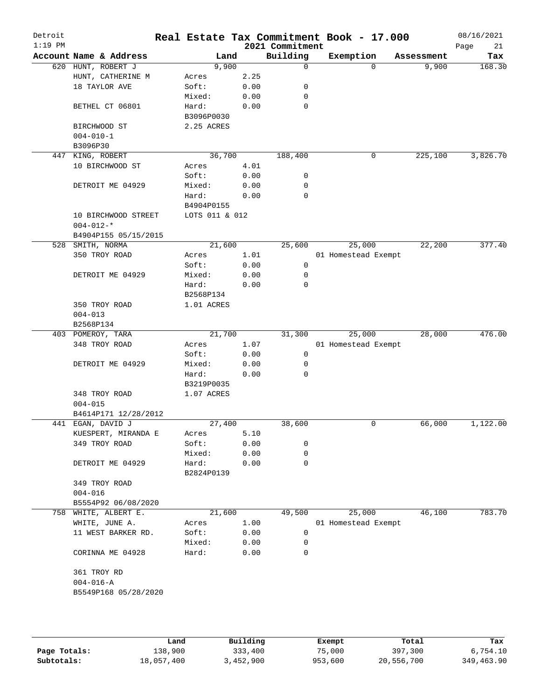| Detroit<br>$1:19$ PM |                 |                        |                |      | 2021 Commitment | Real Estate Tax Commitment Book - 17.000 |            | 08/16/2021<br>21<br>Page |
|----------------------|-----------------|------------------------|----------------|------|-----------------|------------------------------------------|------------|--------------------------|
|                      |                 | Account Name & Address | Land           |      | Building        | Exemption                                | Assessment | Tax                      |
|                      |                 | 620 HUNT, ROBERT J     | 9,900          |      | 0               | $\Omega$                                 | 9,900      | 168.30                   |
|                      |                 | HUNT, CATHERINE M      | Acres          | 2.25 |                 |                                          |            |                          |
|                      |                 | 18 TAYLOR AVE          | Soft:          | 0.00 | 0               |                                          |            |                          |
|                      |                 |                        | Mixed:         | 0.00 | 0               |                                          |            |                          |
|                      |                 | BETHEL CT 06801        | Hard:          | 0.00 | $\mathbf 0$     |                                          |            |                          |
|                      |                 |                        | B3096P0030     |      |                 |                                          |            |                          |
|                      |                 | BIRCHWOOD ST           | 2.25 ACRES     |      |                 |                                          |            |                          |
|                      | $004 - 010 - 1$ |                        |                |      |                 |                                          |            |                          |
|                      | B3096P30        |                        |                |      |                 |                                          |            |                          |
| 447                  |                 | KING, ROBERT           | 36,700         |      | 188,400         | 0                                        | 225,100    | 3,826.70                 |
|                      |                 | 10 BIRCHWOOD ST        | Acres          | 4.01 |                 |                                          |            |                          |
|                      |                 |                        | Soft:          | 0.00 | 0               |                                          |            |                          |
|                      |                 | DETROIT ME 04929       | Mixed:         | 0.00 | 0               |                                          |            |                          |
|                      |                 |                        | Hard:          | 0.00 | 0               |                                          |            |                          |
|                      |                 |                        | B4904P0155     |      |                 |                                          |            |                          |
|                      |                 | 10 BIRCHWOOD STREET    | LOTS 011 & 012 |      |                 |                                          |            |                          |
|                      | $004 - 012 -$ * |                        |                |      |                 |                                          |            |                          |
|                      |                 | B4904P155 05/15/2015   |                |      |                 |                                          |            |                          |
| 528                  |                 | SMITH, NORMA           | 21,600         |      | 25,600          | 25,000                                   | 22,200     | 377.40                   |
|                      |                 | 350 TROY ROAD          | Acres          | 1.01 |                 | 01 Homestead Exempt                      |            |                          |
|                      |                 |                        | Soft:          | 0.00 | 0               |                                          |            |                          |
|                      |                 | DETROIT ME 04929       | Mixed:         | 0.00 | 0               |                                          |            |                          |
|                      |                 |                        | Hard:          | 0.00 | 0               |                                          |            |                          |
|                      |                 |                        | B2568P134      |      |                 |                                          |            |                          |
|                      |                 | 350 TROY ROAD          | 1.01 ACRES     |      |                 |                                          |            |                          |
|                      | $004 - 013$     |                        |                |      |                 |                                          |            |                          |
|                      | B2568P134       |                        |                |      |                 |                                          |            |                          |
|                      |                 | 403 POMEROY, TARA      | 21,700         |      | 31,300          | 25,000                                   | 28,000     | 476.00                   |
|                      |                 | 348 TROY ROAD          | Acres          | 1.07 |                 | 01 Homestead Exempt                      |            |                          |
|                      |                 |                        | Soft:          | 0.00 | 0               |                                          |            |                          |
|                      |                 | DETROIT ME 04929       | Mixed:         | 0.00 | 0               |                                          |            |                          |
|                      |                 |                        | Hard:          | 0.00 | $\Omega$        |                                          |            |                          |
|                      |                 |                        | B3219P0035     |      |                 |                                          |            |                          |
|                      |                 | 348 TROY ROAD          | 1.07 ACRES     |      |                 |                                          |            |                          |
|                      | $004 - 015$     |                        |                |      |                 |                                          |            |                          |
|                      |                 | B4614P171 12/28/2012   |                |      |                 |                                          |            |                          |
| 441                  |                 | EGAN, DAVID J          | 27,400         |      | 38,600          | 0                                        | 66,000     | 1,122.00                 |
|                      |                 | KUESPERT, MIRANDA E    | Acres          | 5.10 |                 |                                          |            |                          |
|                      |                 | 349 TROY ROAD          | Soft:          | 0.00 | 0               |                                          |            |                          |
|                      |                 |                        | Mixed:         | 0.00 | 0               |                                          |            |                          |
|                      |                 | DETROIT ME 04929       | Hard:          | 0.00 | $\mathsf{O}$    |                                          |            |                          |
|                      |                 |                        | B2824P0139     |      |                 |                                          |            |                          |
|                      |                 | 349 TROY ROAD          |                |      |                 |                                          |            |                          |
|                      | $004 - 016$     |                        |                |      |                 |                                          |            |                          |
|                      |                 | B5554P92 06/08/2020    |                |      |                 |                                          |            |                          |
|                      |                 | 758 WHITE, ALBERT E.   | 21,600         |      | 49,500          | 25,000                                   | 46,100     | 783.70                   |
|                      |                 | WHITE, JUNE A.         | Acres          | 1.00 |                 | 01 Homestead Exempt                      |            |                          |
|                      |                 | 11 WEST BARKER RD.     | Soft:          |      | 0               |                                          |            |                          |
|                      |                 |                        |                | 0.00 | 0               |                                          |            |                          |
|                      |                 |                        | Mixed:         | 0.00 | 0               |                                          |            |                          |
|                      |                 | CORINNA ME 04928       | Hard:          | 0.00 |                 |                                          |            |                          |
|                      |                 |                        |                |      |                 |                                          |            |                          |
|                      |                 | 361 TROY RD            |                |      |                 |                                          |            |                          |
|                      | $004 - 016 - A$ |                        |                |      |                 |                                          |            |                          |
|                      |                 | B5549P168 05/28/2020   |                |      |                 |                                          |            |                          |
|                      |                 |                        |                |      |                 |                                          |            |                          |
|                      |                 |                        |                |      |                 |                                          |            |                          |

|              | Land       | Building  | Exempt  | Total      | Tax        |
|--------------|------------|-----------|---------|------------|------------|
| Page Totals: | 138,900    | 333,400   | 75,000  | 397,300    | 6,754.10   |
| Subtotals:   | 18,057,400 | 3,452,900 | 953,600 | 20,556,700 | 349,463.90 |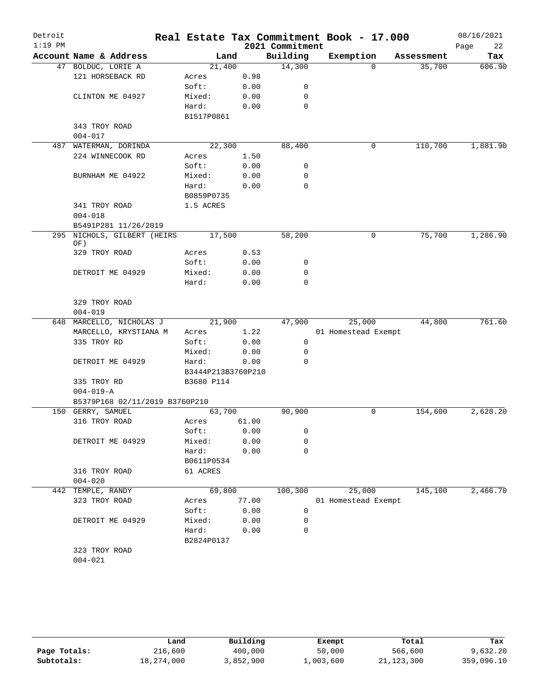| Detroit   |                                |                    |       |                 | Real Estate Tax Commitment Book - 17.000 |            | 08/16/2021 |
|-----------|--------------------------------|--------------------|-------|-----------------|------------------------------------------|------------|------------|
| $1:19$ PM |                                |                    |       | 2021 Commitment |                                          |            | 22<br>Page |
|           | Account Name & Address         | Land               |       | Building        | Exemption                                | Assessment | Tax        |
|           | 47 BOLDUC, LORIE A             | 21,400             |       | 14,300          | $\Omega$                                 | 35,700     | 606.90     |
|           | 121 HORSEBACK RD               | Acres              | 0.98  |                 |                                          |            |            |
|           |                                | Soft:              | 0.00  | 0               |                                          |            |            |
|           | CLINTON ME 04927               | Mixed:             | 0.00  | 0               |                                          |            |            |
|           |                                | Hard:              | 0.00  | $\mathbf 0$     |                                          |            |            |
|           |                                | B1517P0861         |       |                 |                                          |            |            |
|           | 343 TROY ROAD                  |                    |       |                 |                                          |            |            |
|           | $004 - 017$                    |                    |       |                 |                                          |            |            |
|           | 487 WATERMAN, DORINDA          | 22,300             |       | 88,400          | 0                                        | 110,700    | 1,881.90   |
|           | 224 WINNECOOK RD               | Acres              | 1.50  |                 |                                          |            |            |
|           |                                | Soft:              | 0.00  | 0               |                                          |            |            |
|           | BURNHAM ME 04922               | Mixed:             | 0.00  | 0               |                                          |            |            |
|           |                                | Hard:              | 0.00  | 0               |                                          |            |            |
|           |                                | B0859P0735         |       |                 |                                          |            |            |
|           | 341 TROY ROAD                  | 1.5 ACRES          |       |                 |                                          |            |            |
|           | $004 - 018$                    |                    |       |                 |                                          |            |            |
|           | B5491P281 11/26/2019           |                    |       |                 |                                          | 75,700     |            |
| 295       | NICHOLS, GILBERT (HEIRS<br>OF) | 17,500             |       | 58,200          | 0                                        |            | 1,286.90   |
|           | 329 TROY ROAD                  | Acres              | 0.53  |                 |                                          |            |            |
|           |                                | Soft:              | 0.00  | 0               |                                          |            |            |
|           | DETROIT ME 04929               | Mixed:             | 0.00  | 0               |                                          |            |            |
|           |                                | Hard:              | 0.00  | $\mathbf 0$     |                                          |            |            |
|           |                                |                    |       |                 |                                          |            |            |
|           | 329 TROY ROAD                  |                    |       |                 |                                          |            |            |
|           | $004 - 019$                    |                    |       |                 |                                          |            |            |
|           | 648 MARCELLO, NICHOLAS J       | 21,900             |       | 47,900          | 25,000                                   | 44,800     | 761.60     |
|           | MARCELLO, KRYSTIANA M          | Acres              | 1.22  |                 | 01 Homestead Exempt                      |            |            |
|           | 335 TROY RD                    | Soft:              | 0.00  | $\mathbf 0$     |                                          |            |            |
|           |                                | Mixed:             | 0.00  | 0               |                                          |            |            |
|           | DETROIT ME 04929               | Hard:              | 0.00  | 0               |                                          |            |            |
|           |                                | B3444P213B3760P210 |       |                 |                                          |            |            |
|           | 335 TROY RD                    | B3680 P114         |       |                 |                                          |            |            |
|           | $004 - 019 - A$                |                    |       |                 |                                          |            |            |
|           | B5379P168 02/11/2019 B3760P210 |                    |       |                 |                                          |            |            |
|           | 150 GERRY, SAMUEL              | 63,700             |       | 90,900          | 0                                        | 154,600    | 2,628.20   |
|           | 316 TROY ROAD                  | Acres              | 61.00 |                 |                                          |            |            |
|           |                                | Soft:              | 0.00  | 0               |                                          |            |            |
|           | DETROIT ME 04929               | Mixed:             | 0.00  | $\mathbf 0$     |                                          |            |            |
|           |                                | Hard:              | 0.00  | 0               |                                          |            |            |
|           |                                | B0611P0534         |       |                 |                                          |            |            |
|           | 316 TROY ROAD                  | 61 ACRES           |       |                 |                                          |            |            |
|           | $004 - 020$                    |                    |       |                 |                                          |            |            |
|           | 442 TEMPLE, RANDY              | 69,800             |       | 100,300         | 25,000                                   | 145,100    | 2,466.70   |
|           | 323 TROY ROAD                  | Acres              | 77.00 |                 | 01 Homestead Exempt                      |            |            |
|           |                                | Soft:              | 0.00  | 0               |                                          |            |            |
|           | DETROIT ME 04929               | Mixed:             | 0.00  | 0<br>$\Omega$   |                                          |            |            |
|           |                                | Hard:              | 0.00  |                 |                                          |            |            |
|           | 323 TROY ROAD                  | B2824P0137         |       |                 |                                          |            |            |
|           | $004 - 021$                    |                    |       |                 |                                          |            |            |
|           |                                |                    |       |                 |                                          |            |            |

|              | Land       | Building  | Exempt    | Total        | Tax        |
|--------------|------------|-----------|-----------|--------------|------------|
| Page Totals: | 216,600    | 400,000   | 50,000    | 566,600      | 9,632.20   |
| Subtotals:   | 18,274,000 | 3,852,900 | 1,003,600 | 21, 123, 300 | 359,096.10 |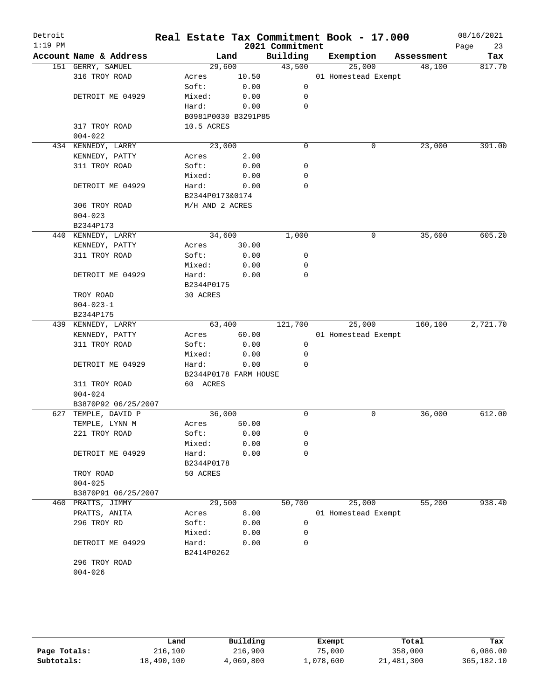| Detroit<br>$1:19$ PM |                              |                       |              | 2021 Commitment | Real Estate Tax Commitment Book - 17.000 |            | 08/16/2021<br>Page<br>23 |
|----------------------|------------------------------|-----------------------|--------------|-----------------|------------------------------------------|------------|--------------------------|
|                      | Account Name & Address       | Land                  |              | Building        | Exemption                                | Assessment | Tax                      |
|                      | 151 GERRY, SAMUEL            | 29,600                |              | 43,500          | 25,000                                   | 48,100     | 817.70                   |
|                      | 316 TROY ROAD                | Acres                 | 10.50        |                 | 01 Homestead Exempt                      |            |                          |
|                      |                              | Soft:                 | 0.00         | 0               |                                          |            |                          |
|                      | DETROIT ME 04929             | Mixed:                | 0.00         | 0               |                                          |            |                          |
|                      |                              | Hard:                 | 0.00         | 0               |                                          |            |                          |
|                      |                              | B0981P0030 B3291P85   |              |                 |                                          |            |                          |
|                      | 317 TROY ROAD                | 10.5 ACRES            |              |                 |                                          |            |                          |
|                      | $004 - 022$                  |                       |              |                 |                                          |            |                          |
|                      | 434 KENNEDY, LARRY           | 23,000                |              | $\mathbf 0$     | 0                                        | 23,000     | 391.00                   |
|                      | KENNEDY, PATTY               | Acres                 | 2.00         |                 |                                          |            |                          |
|                      | 311 TROY ROAD                | Soft:                 | 0.00         | 0               |                                          |            |                          |
|                      |                              | Mixed:                | 0.00         | 0               |                                          |            |                          |
|                      | DETROIT ME 04929             | Hard:                 | 0.00         | 0               |                                          |            |                          |
|                      |                              | B2344P0173&0174       |              |                 |                                          |            |                          |
|                      | 306 TROY ROAD                | M/H AND 2 ACRES       |              |                 |                                          |            |                          |
|                      | $004 - 023$                  |                       |              |                 |                                          |            |                          |
|                      | B2344P173                    |                       |              |                 |                                          |            |                          |
|                      | 440 KENNEDY, LARRY           | 34,600                |              | 1,000           | 0                                        | 35,600     | 605.20                   |
|                      | KENNEDY, PATTY               | Acres                 | 30.00        |                 |                                          |            |                          |
|                      | 311 TROY ROAD                | Soft:                 | 0.00         | 0               |                                          |            |                          |
|                      |                              | Mixed:                | 0.00         | 0               |                                          |            |                          |
|                      | DETROIT ME 04929             | Hard:                 | 0.00         | $\mathbf 0$     |                                          |            |                          |
|                      |                              | B2344P0175            |              |                 |                                          |            |                          |
|                      | TROY ROAD                    | 30 ACRES              |              |                 |                                          |            |                          |
|                      | $004 - 023 - 1$              |                       |              |                 |                                          |            |                          |
|                      | B2344P175                    |                       |              |                 |                                          |            |                          |
|                      | 439 KENNEDY, LARRY           | 63,400                |              | 121,700         | 25,000                                   | 160,100    | 2,721.70                 |
|                      | KENNEDY, PATTY               | Acres                 | 60.00        |                 | 01 Homestead Exempt                      |            |                          |
|                      | 311 TROY ROAD                | Soft:                 | 0.00         | 0               |                                          |            |                          |
|                      |                              | Mixed:                | 0.00         | 0               |                                          |            |                          |
|                      | DETROIT ME 04929             | Hard:                 | 0.00         | $\Omega$        |                                          |            |                          |
|                      |                              | B2344P0178 FARM HOUSE |              |                 |                                          |            |                          |
|                      | 311 TROY ROAD                | 60 ACRES              |              |                 |                                          |            |                          |
|                      | $004 - 024$                  |                       |              |                 |                                          |            |                          |
|                      | B3870P92 06/25/2007          |                       |              |                 |                                          |            |                          |
|                      | 627 TEMPLE, DAVID P          | 36,000                |              | 0               | 0                                        | 36,000     | 612.00                   |
|                      | TEMPLE, LYNN M               | Acres                 | 50.00        |                 |                                          |            |                          |
|                      | 221 TROY ROAD                | Soft:                 | 0.00         | 0               |                                          |            |                          |
|                      |                              |                       |              | 0               |                                          |            |                          |
|                      |                              | Mixed:<br>Hard:       | 0.00<br>0.00 | $\mathbf 0$     |                                          |            |                          |
|                      | DETROIT ME 04929             |                       |              |                 |                                          |            |                          |
|                      |                              | B2344P0178            |              |                 |                                          |            |                          |
|                      | TROY ROAD                    | 50 ACRES              |              |                 |                                          |            |                          |
|                      | $004 - 025$                  |                       |              |                 |                                          |            |                          |
|                      | B3870P91 06/25/2007          |                       |              |                 |                                          |            |                          |
|                      | 460 PRATTS, JIMMY            | 29,500                |              | 50,700          | 25,000                                   | 55,200     | 938.40                   |
|                      | PRATTS, ANITA                | Acres                 | 8.00         |                 | 01 Homestead Exempt                      |            |                          |
|                      | 296 TROY RD                  | Soft:                 | 0.00         | 0               |                                          |            |                          |
|                      |                              | Mixed:                | 0.00         | 0               |                                          |            |                          |
|                      |                              | Hard:                 | 0.00         | 0               |                                          |            |                          |
|                      | DETROIT ME 04929             |                       |              |                 |                                          |            |                          |
|                      |                              | B2414P0262            |              |                 |                                          |            |                          |
|                      | 296 TROY ROAD<br>$004 - 026$ |                       |              |                 |                                          |            |                          |

|              | Land       | Building  | Exempt    | Total      | Tax          |
|--------------|------------|-----------|-----------|------------|--------------|
| Page Totals: | 216,100    | 216,900   | 75,000    | 358,000    | 6,086.00     |
| Subtotals:   | 18,490,100 | 4,069,800 | 1,078,600 | 21,481,300 | 365, 182. 10 |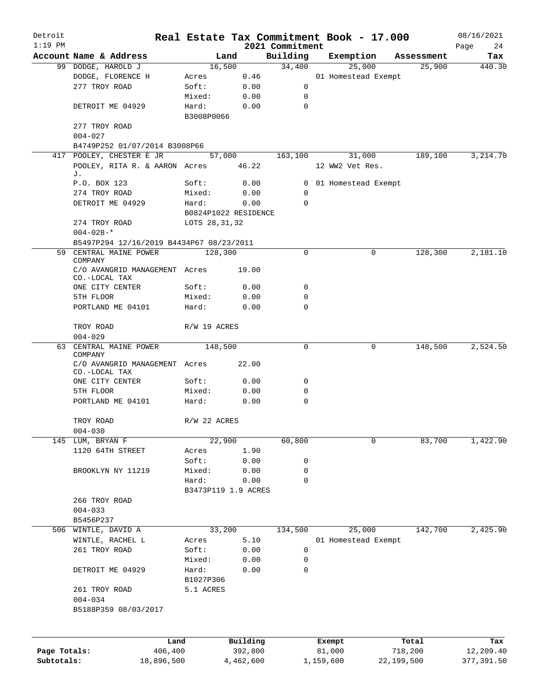| Detroit<br>$1:19$ PM |                                                |                      |           |                 | Real Estate Tax Commitment Book - 17.000 |                      | 08/16/2021    |
|----------------------|------------------------------------------------|----------------------|-----------|-----------------|------------------------------------------|----------------------|---------------|
|                      |                                                |                      |           | 2021 Commitment |                                          |                      | Page<br>24    |
|                      | Account Name & Address                         | Land                 |           | Building        | Exemption<br>25,000                      | Assessment<br>25,900 | Tax<br>440.30 |
|                      | 99 DODGE, HAROLD J                             | 16,500               |           | 34,400          |                                          |                      |               |
|                      | DODGE, FLORENCE H<br>277 TROY ROAD             | Acres                | 0.46      |                 | 01 Homestead Exempt                      |                      |               |
|                      |                                                | Soft:                | 0.00      | 0               |                                          |                      |               |
|                      |                                                | Mixed:               | 0.00      | 0               |                                          |                      |               |
|                      | DETROIT ME 04929                               | Hard:<br>B3008P0066  | 0.00      | $\mathbf 0$     |                                          |                      |               |
|                      | 277 TROY ROAD                                  |                      |           |                 |                                          |                      |               |
|                      | $004 - 027$                                    |                      |           |                 |                                          |                      |               |
|                      | B4749P252 01/07/2014 B3008P66                  |                      |           |                 |                                          |                      |               |
|                      | 417 POOLEY, CHESTER E JR                       | 57,000               |           | 163,100         | 31,000                                   | 189,100              | 3,214.70      |
|                      | POOLEY, RITA R. & AARON Acres<br>J.            |                      | 46.22     |                 | 12 WW2 Vet Res.                          |                      |               |
|                      | P.O. BOX 123                                   | Soft:                | 0.00      |                 | 0 01 Homestead Exempt                    |                      |               |
|                      | 274 TROY ROAD                                  | Mixed:               | 0.00      | 0               |                                          |                      |               |
|                      | DETROIT ME 04929                               | Hard:                | 0.00      | $\mathbf 0$     |                                          |                      |               |
|                      |                                                | B0824P1022 RESIDENCE |           |                 |                                          |                      |               |
|                      | 274 TROY ROAD                                  | LOTS 28, 31, 32      |           |                 |                                          |                      |               |
|                      | $004 - 028 -$ *                                |                      |           |                 |                                          |                      |               |
|                      | B5497P294 12/16/2019 B4434P67 08/23/2011       |                      |           |                 |                                          |                      |               |
| 59                   | CENTRAL MAINE POWER                            | 128,300              |           | 0               | 0                                        | 128,300              | 2,181.10      |
|                      | COMPANY                                        |                      |           |                 |                                          |                      |               |
|                      | C/O AVANGRID MANAGEMENT Acres<br>CO.-LOCAL TAX |                      | 19.00     |                 |                                          |                      |               |
|                      | ONE CITY CENTER                                | Soft:                | 0.00      | 0               |                                          |                      |               |
|                      | 5TH FLOOR                                      | Mixed:               | 0.00      | 0               |                                          |                      |               |
|                      | PORTLAND ME 04101                              | Hard:                | 0.00      | $\mathbf 0$     |                                          |                      |               |
|                      | TROY ROAD                                      | R/W 19 ACRES         |           |                 |                                          |                      |               |
|                      | $004 - 029$                                    |                      |           |                 |                                          |                      |               |
|                      | 63 CENTRAL MAINE POWER                         | 148,500              |           | 0               | 0                                        | 148,500              | 2,524.50      |
|                      | COMPANY<br>C/O AVANGRID MANAGEMENT Acres       |                      | 22.00     |                 |                                          |                      |               |
|                      | CO.-LOCAL TAX                                  |                      |           |                 |                                          |                      |               |
|                      | ONE CITY CENTER                                | Soft:                | 0.00      | 0               |                                          |                      |               |
|                      | 5TH FLOOR                                      | Mixed:               | 0.00      | $\mathbf 0$     |                                          |                      |               |
|                      | PORTLAND ME 04101                              | Hard:                | 0.00      | $\mathbf 0$     |                                          |                      |               |
|                      | TROY ROAD                                      | R/W 22 ACRES         |           |                 |                                          |                      |               |
|                      | $004 - 030$                                    |                      |           |                 |                                          |                      |               |
|                      | 145 LUM, BRYAN F                               | 22,900               |           | 60,800          | 0                                        | 83,700               | 1,422.90      |
|                      | 1120 64TH STREET                               | Acres                | 1.90      |                 |                                          |                      |               |
|                      |                                                | Soft:                | 0.00      | 0               |                                          |                      |               |
|                      | BROOKLYN NY 11219                              | Mixed:               | 0.00      | 0               |                                          |                      |               |
|                      |                                                | Hard:                | 0.00      | 0               |                                          |                      |               |
|                      |                                                | B3473P119 1.9 ACRES  |           |                 |                                          |                      |               |
|                      | 266 TROY ROAD                                  |                      |           |                 |                                          |                      |               |
|                      | $004 - 033$                                    |                      |           |                 |                                          |                      |               |
|                      | B5456P237                                      |                      |           |                 |                                          |                      |               |
|                      | 506 WINTLE, DAVID A                            | 33,200               |           | 134,500         | 25,000                                   | 142,700              | 2,425.90      |
|                      | WINTLE, RACHEL L                               | Acres                | 5.10      |                 | 01 Homestead Exempt                      |                      |               |
|                      |                                                |                      |           | 0               |                                          |                      |               |
|                      | 261 TROY ROAD                                  | Soft:                | 0.00      |                 |                                          |                      |               |
|                      |                                                | Mixed:               | 0.00      | 0               |                                          |                      |               |
|                      | DETROIT ME 04929                               | Hard:<br>B1027P306   | 0.00      | 0               |                                          |                      |               |
|                      |                                                | 5.1 ACRES            |           |                 |                                          |                      |               |
|                      | 261 TROY ROAD                                  |                      |           |                 |                                          |                      |               |
|                      | $004 - 034$<br>B5188P359 08/03/2017            |                      |           |                 |                                          |                      |               |
|                      |                                                |                      |           |                 |                                          |                      |               |
|                      | Land                                           |                      | Building  |                 | Exempt                                   | Total                | Tax           |
| Page Totals:         | 406,400                                        |                      | 392,800   |                 | 81,000                                   | 718,200              | 12,209.40     |
| Subtotals:           | 18,896,500                                     |                      | 4,462,600 |                 | 1,159,600                                | 22,199,500           | 377,391.50    |
|                      |                                                |                      |           |                 |                                          |                      |               |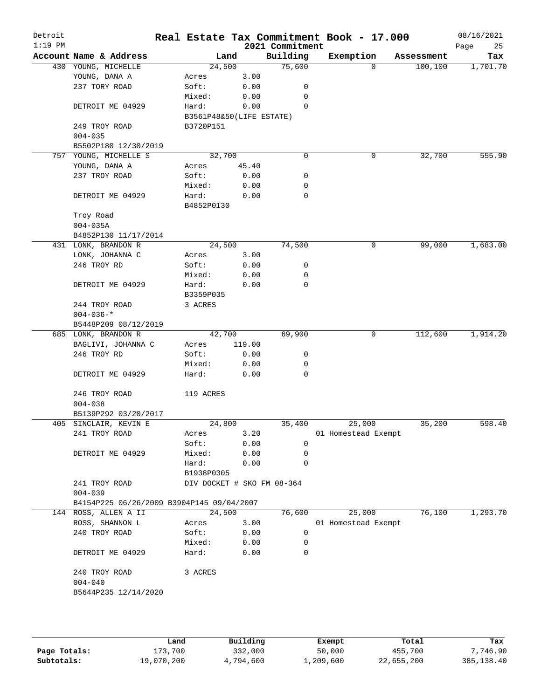| Detroit<br>$1:19$ PM |                                           |                            |        | 2021 Commitment | Real Estate Tax Commitment Book - 17.000 |          |            | 08/16/2021<br>Page<br>25 |
|----------------------|-------------------------------------------|----------------------------|--------|-----------------|------------------------------------------|----------|------------|--------------------------|
|                      | Account Name & Address                    | Land                       |        | Building        | Exemption                                |          | Assessment | Tax                      |
|                      | 430 YOUNG, MICHELLE                       | 24,500                     |        | 75,600          |                                          | $\Omega$ | 100, 100   | 1,701.70                 |
|                      | YOUNG, DANA A                             | Acres                      | 3.00   |                 |                                          |          |            |                          |
|                      | 237 TORY ROAD                             | Soft:                      | 0.00   | 0               |                                          |          |            |                          |
|                      |                                           | Mixed:                     | 0.00   | 0               |                                          |          |            |                          |
|                      | DETROIT ME 04929                          | Hard:                      | 0.00   | $\Omega$        |                                          |          |            |                          |
|                      |                                           | B3561P48&50(LIFE ESTATE)   |        |                 |                                          |          |            |                          |
|                      | 249 TROY ROAD                             | B3720P151                  |        |                 |                                          |          |            |                          |
|                      | $004 - 035$                               |                            |        |                 |                                          |          |            |                          |
|                      | B5502P180 12/30/2019                      |                            |        |                 |                                          |          |            |                          |
|                      | 757 YOUNG, MICHELLE S                     | 32,700                     |        | 0               |                                          | 0        | 32,700     | 555.90                   |
|                      | YOUNG, DANA A                             | Acres                      | 45.40  |                 |                                          |          |            |                          |
|                      | 237 TROY ROAD                             | Soft:                      | 0.00   | 0               |                                          |          |            |                          |
|                      |                                           | Mixed:                     | 0.00   | 0               |                                          |          |            |                          |
|                      | DETROIT ME 04929                          | Hard:                      | 0.00   | 0               |                                          |          |            |                          |
|                      |                                           | B4852P0130                 |        |                 |                                          |          |            |                          |
|                      | Troy Road                                 |                            |        |                 |                                          |          |            |                          |
|                      | $004 - 035A$                              |                            |        |                 |                                          |          |            |                          |
|                      | B4852P130 11/17/2014                      |                            |        |                 |                                          |          |            |                          |
|                      | 431 LONK, BRANDON R                       | 24,500                     |        | 74,500          |                                          | 0        | 99,000     | 1,683.00                 |
|                      | LONK, JOHANNA C                           | Acres                      | 3.00   |                 |                                          |          |            |                          |
|                      | 246 TROY RD                               | Soft:                      | 0.00   | 0               |                                          |          |            |                          |
|                      |                                           |                            |        | 0               |                                          |          |            |                          |
|                      |                                           | Mixed:                     | 0.00   | 0               |                                          |          |            |                          |
|                      | DETROIT ME 04929                          | Hard:                      | 0.00   |                 |                                          |          |            |                          |
|                      |                                           | B3359P035                  |        |                 |                                          |          |            |                          |
|                      | 244 TROY ROAD                             | 3 ACRES                    |        |                 |                                          |          |            |                          |
|                      | $004 - 036 -$ *                           |                            |        |                 |                                          |          |            |                          |
|                      | B5448P209 08/12/2019                      |                            |        |                 |                                          |          |            |                          |
|                      | 685 LONK, BRANDON R                       | 42,700                     |        | 69,900          |                                          | 0        | 112,600    | 1,914.20                 |
|                      | BAGLIVI, JOHANNA C                        | Acres                      | 119.00 |                 |                                          |          |            |                          |
|                      | 246 TROY RD                               | Soft:                      | 0.00   | 0               |                                          |          |            |                          |
|                      |                                           | Mixed:                     | 0.00   | 0               |                                          |          |            |                          |
|                      | DETROIT ME 04929                          | Hard:                      | 0.00   | 0               |                                          |          |            |                          |
|                      | 246 TROY ROAD                             | 119 ACRES                  |        |                 |                                          |          |            |                          |
|                      | $004 - 038$                               |                            |        |                 |                                          |          |            |                          |
|                      | B5139P292 03/20/2017                      |                            |        |                 |                                          |          |            |                          |
|                      | 405 SINCLAIR, KEVIN E                     | 24,800                     |        | 35,400          | 25,000                                   |          | 35,200     | 598.40                   |
|                      | 241 TROY ROAD                             | Acres                      | 3.20   |                 | 01 Homestead Exempt                      |          |            |                          |
|                      |                                           | Soft:                      | 0.00   | 0               |                                          |          |            |                          |
|                      | DETROIT ME 04929                          | Mixed:                     | 0.00   | $\mathbf 0$     |                                          |          |            |                          |
|                      |                                           | Hard:                      | 0.00   | 0               |                                          |          |            |                          |
|                      |                                           | B1938P0305                 |        |                 |                                          |          |            |                          |
|                      | 241 TROY ROAD                             | DIV DOCKET # SKO FM 08-364 |        |                 |                                          |          |            |                          |
|                      | $004 - 039$                               |                            |        |                 |                                          |          |            |                          |
|                      | B4154P225 06/26/2009 B3904P145 09/04/2007 |                            |        |                 |                                          |          |            |                          |
|                      | 144 ROSS, ALLEN A II                      | 24,500                     |        | 76,600          | 25,000                                   |          | 76,100     | 1,293.70                 |
|                      |                                           |                            | 3.00   |                 |                                          |          |            |                          |
|                      | ROSS, SHANNON L                           | Acres                      |        |                 | 01 Homestead Exempt                      |          |            |                          |
|                      | 240 TROY ROAD                             | Soft:                      | 0.00   | 0               |                                          |          |            |                          |
|                      |                                           | Mixed:                     | 0.00   | 0               |                                          |          |            |                          |
|                      | DETROIT ME 04929                          | Hard:                      | 0.00   | $\mathbf 0$     |                                          |          |            |                          |
|                      | 240 TROY ROAD                             | 3 ACRES                    |        |                 |                                          |          |            |                          |
|                      | $004 - 040$                               |                            |        |                 |                                          |          |            |                          |
|                      | B5644P235 12/14/2020                      |                            |        |                 |                                          |          |            |                          |
|                      |                                           |                            |        |                 |                                          |          |            |                          |
|                      |                                           |                            |        |                 |                                          |          |            |                          |
|                      |                                           |                            |        |                 |                                          |          |            |                          |
|                      |                                           |                            |        |                 |                                          |          |            |                          |

|              | Land       | Building  | Exempt    | Total      | Tax          |
|--------------|------------|-----------|-----------|------------|--------------|
| Page Totals: | 173.700    | 332,000   | 50,000    | 455,700    | 7,746.90     |
| Subtotals:   | 19,070,200 | 4,794,600 | 1,209,600 | 22,655,200 | 385, 138, 40 |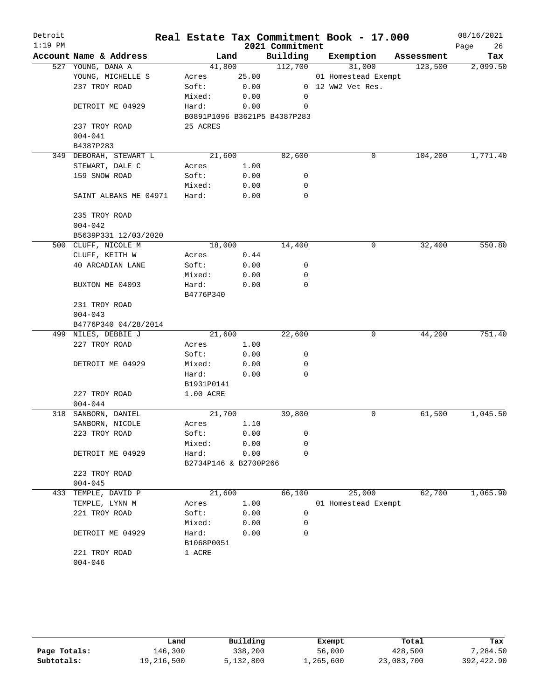| Detroit<br>$1:19$ PM |                        |                       |       | 2021 Commitment              | Real Estate Tax Commitment Book - 17.000 |            | 08/16/2021<br>Page<br>26 |
|----------------------|------------------------|-----------------------|-------|------------------------------|------------------------------------------|------------|--------------------------|
|                      | Account Name & Address | Land                  |       | Building                     | Exemption                                | Assessment | Tax                      |
|                      | 527 YOUNG, DANA A      | 41,800                |       | 112,700                      | 31,000                                   | 123,500    | 2,099.50                 |
|                      | YOUNG, MICHELLE S      | Acres                 | 25.00 |                              | 01 Homestead Exempt                      |            |                          |
|                      | 237 TROY ROAD          | Soft:                 | 0.00  |                              | 0 12 WW2 Vet Res.                        |            |                          |
|                      |                        | Mixed:                | 0.00  | 0                            |                                          |            |                          |
|                      | DETROIT ME 04929       | Hard:                 | 0.00  | 0                            |                                          |            |                          |
|                      |                        |                       |       | B0891P1096 B3621P5 B4387P283 |                                          |            |                          |
|                      | 237 TROY ROAD          | 25 ACRES              |       |                              |                                          |            |                          |
|                      | $004 - 041$            |                       |       |                              |                                          |            |                          |
|                      | B4387P283              |                       |       |                              |                                          |            |                          |
|                      | 349 DEBORAH, STEWART L | 21,600                |       | 82,600                       | 0                                        | 104,200    | 1,771.40                 |
|                      | STEWART, DALE C        | Acres                 | 1.00  |                              |                                          |            |                          |
|                      | 159 SNOW ROAD          | Soft:                 | 0.00  | 0                            |                                          |            |                          |
|                      |                        | Mixed:                | 0.00  | 0                            |                                          |            |                          |
|                      | SAINT ALBANS ME 04971  | Hard:                 | 0.00  | 0                            |                                          |            |                          |
|                      | 235 TROY ROAD          |                       |       |                              |                                          |            |                          |
|                      | $004 - 042$            |                       |       |                              |                                          |            |                          |
|                      | B5639P331 12/03/2020   |                       |       |                              |                                          |            |                          |
|                      | 500 CLUFF, NICOLE M    | 18,000                |       | 14,400                       | 0                                        | 32,400     | 550.80                   |
|                      | CLUFF, KEITH W         | Acres                 | 0.44  |                              |                                          |            |                          |
|                      | 40 ARCADIAN LANE       | Soft:                 | 0.00  | 0                            |                                          |            |                          |
|                      |                        | Mixed:                | 0.00  | $\mathbf 0$                  |                                          |            |                          |
|                      | BUXTON ME 04093        | Hard:                 | 0.00  | $\mathbf 0$                  |                                          |            |                          |
|                      |                        | B4776P340             |       |                              |                                          |            |                          |
|                      | 231 TROY ROAD          |                       |       |                              |                                          |            |                          |
|                      | $004 - 043$            |                       |       |                              |                                          |            |                          |
|                      | B4776P340 04/28/2014   |                       |       |                              |                                          |            |                          |
|                      | 499 NILES, DEBBIE J    | 21,600                |       | 22,600                       | 0                                        | 44,200     | 751.40                   |
|                      | 227 TROY ROAD          | Acres                 | 1.00  |                              |                                          |            |                          |
|                      |                        | Soft:                 | 0.00  | 0                            |                                          |            |                          |
|                      | DETROIT ME 04929       | Mixed:                | 0.00  | 0                            |                                          |            |                          |
|                      |                        | Hard:                 | 0.00  | 0                            |                                          |            |                          |
|                      |                        | B1931P0141            |       |                              |                                          |            |                          |
|                      | 227 TROY ROAD          | 1.00 ACRE             |       |                              |                                          |            |                          |
|                      | $004 - 044$            |                       |       |                              |                                          |            |                          |
| 318                  | SANBORN, DANIEL        | 21,700                |       | 39,800                       | 0                                        | 61,500     | 1,045.50                 |
|                      | SANBORN, NICOLE        | Acres                 | 1.10  |                              |                                          |            |                          |
|                      | 223 TROY ROAD          | Soft:                 | 0.00  | 0                            |                                          |            |                          |
|                      |                        | Mixed:                | 0.00  | 0                            |                                          |            |                          |
|                      | DETROIT ME 04929       | Hard:                 | 0.00  | 0                            |                                          |            |                          |
|                      |                        | B2734P146 & B2700P266 |       |                              |                                          |            |                          |
|                      | 223 TROY ROAD          |                       |       |                              |                                          |            |                          |
|                      | $004 - 045$            |                       |       |                              |                                          |            |                          |
| 433                  | TEMPLE, DAVID P        | 21,600                |       | 66,100                       | 25,000                                   | 62,700     | 1,065.90                 |
|                      | TEMPLE, LYNN M         | Acres                 | 1.00  |                              | 01 Homestead Exempt                      |            |                          |
|                      | 221 TROY ROAD          | Soft:                 | 0.00  | 0                            |                                          |            |                          |
|                      |                        | Mixed:                | 0.00  | 0                            |                                          |            |                          |
|                      | DETROIT ME 04929       | Hard:                 | 0.00  | 0                            |                                          |            |                          |
|                      |                        | B1068P0051            |       |                              |                                          |            |                          |
|                      | 221 TROY ROAD          | 1 ACRE                |       |                              |                                          |            |                          |
|                      | $004 - 046$            |                       |       |                              |                                          |            |                          |

|              | Land       | Building  | Exempt    | Total      | Tax        |
|--------------|------------|-----------|-----------|------------|------------|
| Page Totals: | 146,300    | 338,200   | 56,000    | 428,500    | 7,284.50   |
| Subtotals:   | 19,216,500 | 5,132,800 | 1,265,600 | 23,083,700 | 392,422.90 |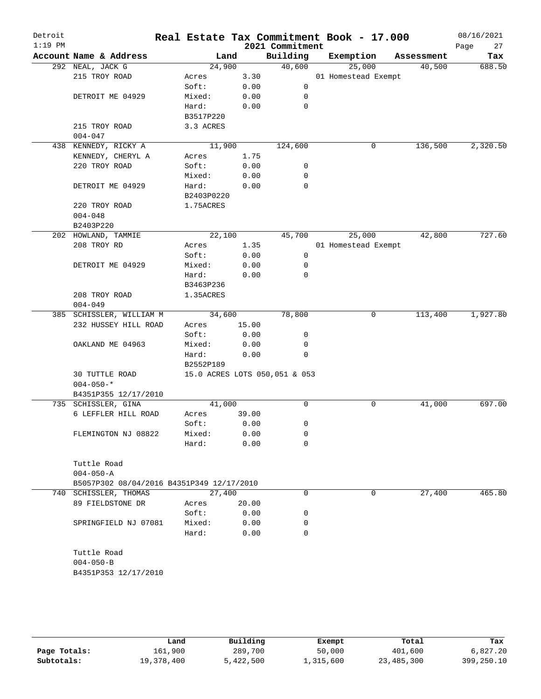| Detroit<br>$1:19$ PM |                                           |            |       |      | Real Estate Tax Commitment Book - 17.000<br>2021 Commitment |                     |            | 08/16/2021<br>27<br>Page |
|----------------------|-------------------------------------------|------------|-------|------|-------------------------------------------------------------|---------------------|------------|--------------------------|
|                      | Account Name & Address                    | Land       |       |      | Building                                                    | Exemption           | Assessment | Tax                      |
|                      | 292 NEAL, JACK G                          | 24,900     |       |      | 40,600                                                      | 25,000              | 40,500     | 688.50                   |
|                      | 215 TROY ROAD                             | Acres      |       | 3.30 |                                                             | 01 Homestead Exempt |            |                          |
|                      |                                           | Soft:      |       | 0.00 | 0                                                           |                     |            |                          |
|                      | DETROIT ME 04929                          | Mixed:     | 0.00  |      | 0                                                           |                     |            |                          |
|                      |                                           | Hard:      |       | 0.00 | $\mathbf 0$                                                 |                     |            |                          |
|                      |                                           | B3517P220  |       |      |                                                             |                     |            |                          |
|                      | 215 TROY ROAD                             | 3.3 ACRES  |       |      |                                                             |                     |            |                          |
|                      | $004 - 047$                               |            |       |      |                                                             |                     |            |                          |
|                      | 438 KENNEDY, RICKY A                      | 11,900     |       |      | 124,600                                                     | 0                   | 136,500    | 2,320.50                 |
|                      | KENNEDY, CHERYL A                         | Acres      | 1.75  |      |                                                             |                     |            |                          |
|                      | 220 TROY ROAD                             | Soft:      | 0.00  |      | 0                                                           |                     |            |                          |
|                      |                                           | Mixed:     | 0.00  |      | 0                                                           |                     |            |                          |
|                      | DETROIT ME 04929                          | Hard:      |       | 0.00 | 0                                                           |                     |            |                          |
|                      |                                           | B2403P0220 |       |      |                                                             |                     |            |                          |
|                      | 220 TROY ROAD                             | 1.75ACRES  |       |      |                                                             |                     |            |                          |
|                      | $004 - 048$                               |            |       |      |                                                             |                     |            |                          |
|                      | B2403P220                                 |            |       |      |                                                             |                     |            |                          |
|                      | 202 HOWLAND, TAMMIE                       | 22,100     |       |      | 45,700                                                      | 25,000              | 42,800     | 727.60                   |
|                      | 208 TROY RD                               | Acres      | 1.35  |      |                                                             | 01 Homestead Exempt |            |                          |
|                      |                                           | Soft:      | 0.00  |      | 0                                                           |                     |            |                          |
|                      | DETROIT ME 04929                          | Mixed:     | 0.00  |      | 0                                                           |                     |            |                          |
|                      |                                           | Hard:      |       | 0.00 | 0                                                           |                     |            |                          |
|                      |                                           | B3463P236  |       |      |                                                             |                     |            |                          |
|                      | 208 TROY ROAD                             | 1.35ACRES  |       |      |                                                             |                     |            |                          |
|                      | $004 - 049$                               |            |       |      |                                                             |                     |            |                          |
|                      | 385 SCHISSLER, WILLIAM M                  | 34,600     |       |      | 78,800                                                      | 0                   | 113,400    | 1,927.80                 |
|                      | 232 HUSSEY HILL ROAD                      | Acres      | 15.00 |      |                                                             |                     |            |                          |
|                      |                                           | Soft:      | 0.00  |      | 0                                                           |                     |            |                          |
|                      | OAKLAND ME 04963                          | Mixed:     | 0.00  |      | 0                                                           |                     |            |                          |
|                      |                                           | Hard:      | 0.00  |      | 0                                                           |                     |            |                          |
|                      |                                           | B2552P189  |       |      |                                                             |                     |            |                          |
|                      | 30 TUTTLE ROAD<br>$004 - 050 -$ *         |            |       |      | 15.0 ACRES LOTS 050,051 & 053                               |                     |            |                          |
|                      | B4351P355 12/17/2010                      |            |       |      |                                                             |                     |            |                          |
|                      | 735 SCHISSLER, GINA                       | 41,000     |       |      | 0                                                           | 0                   | 41,000     | 697.00                   |
|                      | 6 LEFFLER HILL ROAD                       | Acres      | 39.00 |      |                                                             |                     |            |                          |
|                      |                                           | Soft:      |       | 0.00 | 0                                                           |                     |            |                          |
|                      | FLEMINGTON NJ 08822                       | Mixed:     |       | 0.00 | 0                                                           |                     |            |                          |
|                      |                                           | Hard:      |       | 0.00 | 0                                                           |                     |            |                          |
|                      |                                           |            |       |      |                                                             |                     |            |                          |
|                      | Tuttle Road                               |            |       |      |                                                             |                     |            |                          |
|                      | $004 - 050 - A$                           |            |       |      |                                                             |                     |            |                          |
|                      | B5057P302 08/04/2016 B4351P349 12/17/2010 |            |       |      |                                                             |                     |            |                          |
|                      | 740 SCHISSLER, THOMAS                     | 27,400     |       |      | 0                                                           | 0                   | 27,400     | 465.80                   |
|                      | 89 FIELDSTONE DR                          | Acres      | 20.00 |      |                                                             |                     |            |                          |
|                      |                                           | Soft:      | 0.00  |      | 0                                                           |                     |            |                          |
|                      | SPRINGFIELD NJ 07081                      | Mixed:     |       | 0.00 | 0                                                           |                     |            |                          |
|                      |                                           | Hard:      |       | 0.00 | 0                                                           |                     |            |                          |
|                      |                                           |            |       |      |                                                             |                     |            |                          |
|                      | Tuttle Road                               |            |       |      |                                                             |                     |            |                          |
|                      | $004 - 050 - B$                           |            |       |      |                                                             |                     |            |                          |
|                      | B4351P353 12/17/2010                      |            |       |      |                                                             |                     |            |                          |
|                      |                                           |            |       |      |                                                             |                     |            |                          |
|                      |                                           |            |       |      |                                                             |                     |            |                          |

|              | Land       | Building  | Exempt    | Total      | Tax        |
|--------------|------------|-----------|-----------|------------|------------|
| Page Totals: | 161,900    | 289,700   | 50,000    | 401,600    | 6.827.20   |
| Subtotals:   | 19,378,400 | 5,422,500 | 1,315,600 | 23,485,300 | 399,250.10 |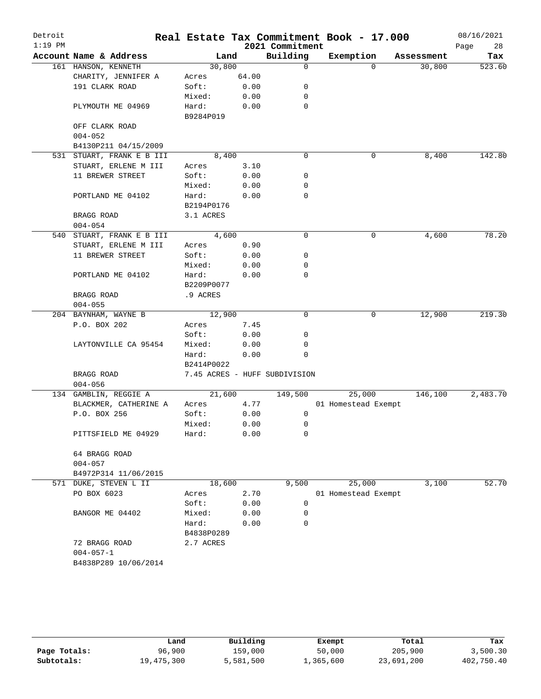| Detroit<br>$1:19$ PM |                           |            |       | 2021 Commitment               | Real Estate Tax Commitment Book - 17.000 |            | 08/16/2021<br>28<br>Page |
|----------------------|---------------------------|------------|-------|-------------------------------|------------------------------------------|------------|--------------------------|
|                      | Account Name & Address    | Land       |       | Building                      | Exemption                                | Assessment | Tax                      |
|                      | 161 HANSON, KENNETH       | 30,800     |       | $\mathbf 0$                   | $\Omega$                                 | 30,800     | 523.60                   |
|                      | CHARITY, JENNIFER A       | Acres      | 64.00 |                               |                                          |            |                          |
|                      | 191 CLARK ROAD            | Soft:      | 0.00  | 0                             |                                          |            |                          |
|                      |                           | Mixed:     | 0.00  | 0                             |                                          |            |                          |
|                      | PLYMOUTH ME 04969         | Hard:      | 0.00  | 0                             |                                          |            |                          |
|                      |                           | B9284P019  |       |                               |                                          |            |                          |
|                      | OFF CLARK ROAD            |            |       |                               |                                          |            |                          |
|                      | $004 - 052$               |            |       |                               |                                          |            |                          |
|                      | B4130P211 04/15/2009      |            |       |                               |                                          |            |                          |
|                      | 531 STUART, FRANK E B III | 8,400      |       | 0                             | 0                                        | 8,400      | 142.80                   |
|                      | STUART, ERLENE M III      | Acres      | 3.10  |                               |                                          |            |                          |
|                      | 11 BREWER STREET          | Soft:      | 0.00  | 0                             |                                          |            |                          |
|                      |                           | Mixed:     | 0.00  | 0                             |                                          |            |                          |
|                      | PORTLAND ME 04102         | Hard:      | 0.00  | 0                             |                                          |            |                          |
|                      |                           | B2194P0176 |       |                               |                                          |            |                          |
|                      | BRAGG ROAD                | 3.1 ACRES  |       |                               |                                          |            |                          |
|                      | $004 - 054$               |            |       |                               |                                          |            |                          |
|                      | 540 STUART, FRANK E B III | 4,600      |       | $\mathbf 0$                   | 0                                        | 4,600      | 78.20                    |
|                      | STUART, ERLENE M III      | Acres      | 0.90  |                               |                                          |            |                          |
|                      | 11 BREWER STREET          | Soft:      | 0.00  | 0                             |                                          |            |                          |
|                      |                           | Mixed:     | 0.00  | 0                             |                                          |            |                          |
|                      | PORTLAND ME 04102         | Hard:      | 0.00  | 0                             |                                          |            |                          |
|                      |                           | B2209P0077 |       |                               |                                          |            |                          |
|                      | BRAGG ROAD                | .9 ACRES   |       |                               |                                          |            |                          |
|                      | $004 - 055$               |            |       |                               |                                          |            |                          |
|                      | 204 BAYNHAM, WAYNE B      | 12,900     |       | $\mathbf 0$                   | 0                                        | 12,900     | 219.30                   |
|                      | P.O. BOX 202              | Acres      | 7.45  |                               |                                          |            |                          |
|                      |                           | Soft:      | 0.00  | 0                             |                                          |            |                          |
|                      | LAYTONVILLE CA 95454      | Mixed:     | 0.00  | 0                             |                                          |            |                          |
|                      |                           | Hard:      | 0.00  | 0                             |                                          |            |                          |
|                      |                           | B2414P0022 |       |                               |                                          |            |                          |
|                      | BRAGG ROAD                |            |       | 7.45 ACRES - HUFF SUBDIVISION |                                          |            |                          |
|                      | $004 - 056$               |            |       |                               |                                          |            |                          |
|                      | 134 GAMBLIN, REGGIE A     | 21,600     |       | 149,500                       | 25,000                                   | 146,100    | 2,483.70                 |
|                      | BLACKMER, CATHERINE A     | Acres      | 4.77  |                               | 01 Homestead Exempt                      |            |                          |
|                      | P.O. BOX 256              | Soft:      | 0.00  | 0                             |                                          |            |                          |
|                      |                           | Mixed:     | 0.00  | 0                             |                                          |            |                          |
|                      | PITTSFIELD ME 04929       | Hard:      | 0.00  | 0                             |                                          |            |                          |
|                      | 64 BRAGG ROAD             |            |       |                               |                                          |            |                          |
|                      | $004 - 057$               |            |       |                               |                                          |            |                          |
|                      | B4972P314 11/06/2015      |            |       |                               |                                          |            |                          |
|                      | 571 DUKE, STEVEN L II     | 18,600     |       | 9,500                         | 25,000                                   | 3,100      | 52.70                    |
|                      | PO BOX 6023               | Acres      | 2.70  |                               | 01 Homestead Exempt                      |            |                          |
|                      |                           | Soft:      | 0.00  | 0                             |                                          |            |                          |
|                      | BANGOR ME 04402           | Mixed:     | 0.00  | 0                             |                                          |            |                          |
|                      |                           | Hard:      | 0.00  | 0                             |                                          |            |                          |
|                      |                           | B4838P0289 |       |                               |                                          |            |                          |
|                      | 72 BRAGG ROAD             | 2.7 ACRES  |       |                               |                                          |            |                          |
|                      | $004 - 057 - 1$           |            |       |                               |                                          |            |                          |
|                      | B4838P289 10/06/2014      |            |       |                               |                                          |            |                          |
|                      |                           |            |       |                               |                                          |            |                          |
|                      |                           |            |       |                               |                                          |            |                          |

|              | Land       | Building  | Exempt    | Total      | Tax        |
|--------------|------------|-----------|-----------|------------|------------|
| Page Totals: | 96,900     | 159,000   | 50,000    | 205,900    | 3,500.30   |
| Subtotals:   | 19,475,300 | 5,581,500 | 1,365,600 | 23,691,200 | 402,750.40 |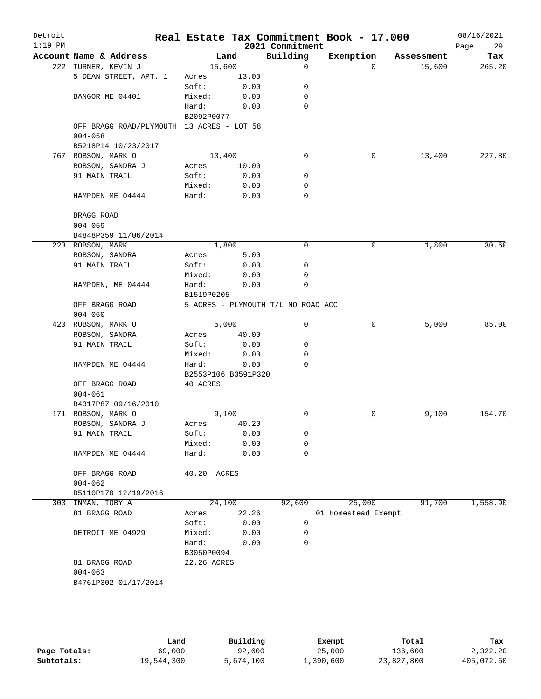| Detroit<br>$1:19$ PM |                                           |                     |                    | 2021 Commitment                    | Real Estate Tax Commitment Book - 17.000 |            | 08/16/2021<br>29<br>Page |
|----------------------|-------------------------------------------|---------------------|--------------------|------------------------------------|------------------------------------------|------------|--------------------------|
|                      | Account Name & Address                    |                     | Land               | Building                           | Exemption                                | Assessment | Tax                      |
|                      | 222 TURNER, KEVIN J                       |                     | 15,600             | 0                                  | $\Omega$                                 | 15,600     | 265.20                   |
|                      | 5 DEAN STREET, APT. 1                     | Acres               | 13.00              |                                    |                                          |            |                          |
|                      |                                           | Soft:               | 0.00               | 0                                  |                                          |            |                          |
|                      | BANGOR ME 04401                           | Mixed:              | 0.00               | 0                                  |                                          |            |                          |
|                      |                                           | Hard:               | 0.00               | 0                                  |                                          |            |                          |
|                      |                                           | B2092P0077          |                    |                                    |                                          |            |                          |
|                      | OFF BRAGG ROAD/PLYMOUTH 13 ACRES - LOT 58 |                     |                    |                                    |                                          |            |                          |
|                      | $004 - 058$                               |                     |                    |                                    |                                          |            |                          |
|                      | B5218P14 10/23/2017                       |                     |                    |                                    |                                          |            |                          |
|                      | 767 ROBSON, MARK O                        |                     | 13,400             | 0                                  | 0                                        | 13,400     | 227.80                   |
|                      | ROBSON, SANDRA J                          | Acres               | 10.00              |                                    |                                          |            |                          |
|                      | 91 MAIN TRAIL                             | Soft:               | 0.00               | 0                                  |                                          |            |                          |
|                      |                                           | Mixed:              | 0.00               | 0                                  |                                          |            |                          |
|                      | HAMPDEN ME 04444                          | Hard:               | 0.00               | 0                                  |                                          |            |                          |
|                      | BRAGG ROAD                                |                     |                    |                                    |                                          |            |                          |
|                      | $004 - 059$                               |                     |                    |                                    |                                          |            |                          |
|                      | B4848P359 11/06/2014                      |                     |                    |                                    |                                          |            |                          |
|                      | 223 ROBSON, MARK                          |                     | 1,800              | 0                                  | 0                                        | 1,800      | 30.60                    |
|                      | ROBSON, SANDRA                            | Acres               | 5.00               |                                    |                                          |            |                          |
|                      | 91 MAIN TRAIL                             | Soft:               | 0.00               | 0                                  |                                          |            |                          |
|                      |                                           | Mixed:              | 0.00               | 0                                  |                                          |            |                          |
|                      | HAMPDEN, ME 04444                         | Hard:               | 0.00               | 0                                  |                                          |            |                          |
|                      |                                           | B1519P0205          |                    |                                    |                                          |            |                          |
|                      | OFF BRAGG ROAD                            |                     |                    | 5 ACRES - PLYMOUTH T/L NO ROAD ACC |                                          |            |                          |
|                      | $004 - 060$                               |                     |                    |                                    |                                          |            |                          |
|                      | 420 ROBSON, MARK O                        |                     | $\overline{5,000}$ | 0                                  | 0                                        | 5,000      | 85.00                    |
|                      | ROBSON, SANDRA                            | Acres               | 40.00              |                                    |                                          |            |                          |
|                      | 91 MAIN TRAIL                             | Soft:               | 0.00               | 0                                  |                                          |            |                          |
|                      |                                           | Mixed:              | 0.00               | 0                                  |                                          |            |                          |
|                      | HAMPDEN ME 04444                          | Hard:               | 0.00               | $\Omega$                           |                                          |            |                          |
|                      |                                           | B2553P106 B3591P320 |                    |                                    |                                          |            |                          |
|                      | OFF BRAGG ROAD                            | 40 ACRES            |                    |                                    |                                          |            |                          |
|                      | $004 - 061$                               |                     |                    |                                    |                                          |            |                          |
|                      | B4317P87 09/16/2010                       |                     |                    |                                    |                                          |            |                          |
|                      | 171 ROBSON, MARK O                        |                     | 9,100              | 0                                  | 0                                        | 9,100      | 154.70                   |
|                      | ROBSON, SANDRA J                          | Acres               | 40.20              |                                    |                                          |            |                          |
|                      | 91 MAIN TRAIL                             | Soft:               | 0.00               | 0                                  |                                          |            |                          |
|                      |                                           | Mixed:              | 0.00               | 0                                  |                                          |            |                          |
|                      | HAMPDEN ME 04444                          | Hard:               | 0.00               | 0                                  |                                          |            |                          |
|                      |                                           |                     |                    |                                    |                                          |            |                          |
|                      | OFF BRAGG ROAD                            | 40.20 ACRES         |                    |                                    |                                          |            |                          |
|                      | $004 - 062$                               |                     |                    |                                    |                                          |            |                          |
|                      | B5110P170 12/19/2016                      |                     |                    |                                    |                                          |            |                          |
|                      | 303 INMAN, TOBY A                         |                     | 24,100             | 92,600                             | 25,000                                   | 91,700     | 1,558.90                 |
|                      | 81 BRAGG ROAD                             | Acres               | 22.26              |                                    | 01 Homestead Exempt                      |            |                          |
|                      |                                           | Soft:               | 0.00               | 0                                  |                                          |            |                          |
|                      | DETROIT ME 04929                          | Mixed:              | 0.00               | 0                                  |                                          |            |                          |
|                      |                                           | Hard:               | 0.00               | $\Omega$                           |                                          |            |                          |
|                      |                                           | B3050P0094          |                    |                                    |                                          |            |                          |
|                      | 81 BRAGG ROAD                             | 22.26 ACRES         |                    |                                    |                                          |            |                          |
|                      | $004 - 063$                               |                     |                    |                                    |                                          |            |                          |
|                      | B4761P302 01/17/2014                      |                     |                    |                                    |                                          |            |                          |
|                      |                                           |                     |                    |                                    |                                          |            |                          |
|                      |                                           |                     |                    |                                    |                                          |            |                          |

|              | Land       | Building  | Exempt    | Total      | Tax        |
|--------------|------------|-----------|-----------|------------|------------|
|              |            |           |           |            |            |
| Page Totals: | 69,000     | 92,600    | 25,000    | 136,600    | 2,322.20   |
| Subtotals:   | 19,544,300 | 5,674,100 | 1,390,600 | 23,827,800 | 405,072.60 |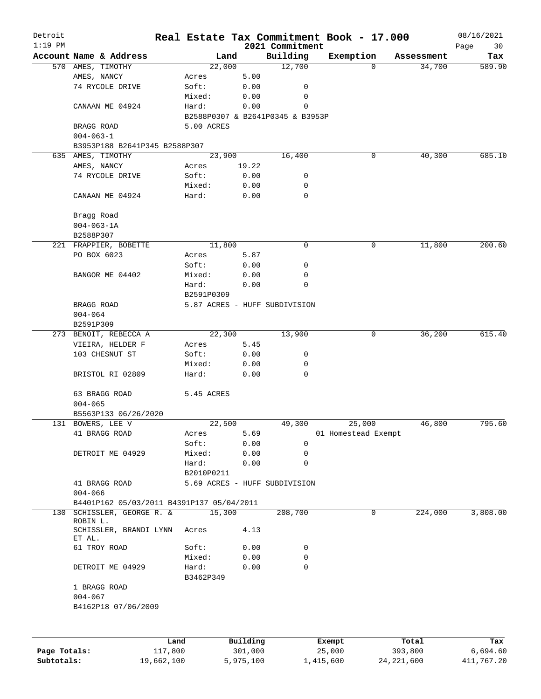| Detroit      |                                           | Real Estate Tax Commitment Book - 17.000 |          |                                  |                     |   |            | 08/16/2021        |
|--------------|-------------------------------------------|------------------------------------------|----------|----------------------------------|---------------------|---|------------|-------------------|
| $1:19$ PM    | Account Name & Address                    |                                          | Land     | 2021 Commitment<br>Building      | Exemption           |   | Assessment | Page<br>30<br>Tax |
|              | 570 AMES, TIMOTHY                         | 22,000                                   |          | 12,700                           |                     | 0 | 34,700     | 589.90            |
|              | AMES, NANCY                               | Acres                                    | 5.00     |                                  |                     |   |            |                   |
|              | 74 RYCOLE DRIVE                           | Soft:                                    | 0.00     | 0                                |                     |   |            |                   |
|              |                                           | Mixed:                                   | 0.00     | 0                                |                     |   |            |                   |
|              | CANAAN ME 04924                           | Hard:                                    | 0.00     | 0                                |                     |   |            |                   |
|              |                                           |                                          |          | B2588P0307 & B2641P0345 & B3953P |                     |   |            |                   |
|              | BRAGG ROAD                                | 5.00 ACRES                               |          |                                  |                     |   |            |                   |
|              | $004 - 063 - 1$                           |                                          |          |                                  |                     |   |            |                   |
|              | B3953P188 B2641P345 B2588P307             |                                          |          |                                  |                     |   |            |                   |
|              | 635 AMES, TIMOTHY                         | 23,900                                   |          | 16,400                           |                     | 0 | 40,300     | 685.10            |
|              | AMES, NANCY                               | Acres                                    | 19.22    |                                  |                     |   |            |                   |
|              | 74 RYCOLE DRIVE                           | Soft:                                    | 0.00     | 0                                |                     |   |            |                   |
|              |                                           | Mixed:                                   | 0.00     | 0                                |                     |   |            |                   |
|              | CANAAN ME 04924                           | Hard:                                    | 0.00     | $\mathbf 0$                      |                     |   |            |                   |
|              | Bragg Road                                |                                          |          |                                  |                     |   |            |                   |
|              | $004 - 063 - 1A$                          |                                          |          |                                  |                     |   |            |                   |
|              | B2588P307                                 |                                          |          |                                  |                     |   |            |                   |
|              | 221 FRAPPIER, BOBETTE                     | 11,800                                   |          | 0                                |                     | 0 | 11,800     | 200.60            |
|              | PO BOX 6023                               | Acres                                    | 5.87     |                                  |                     |   |            |                   |
|              |                                           | Soft:                                    | 0.00     | 0                                |                     |   |            |                   |
|              | BANGOR ME 04402                           | Mixed:                                   | 0.00     | 0                                |                     |   |            |                   |
|              |                                           | Hard:                                    | 0.00     | 0                                |                     |   |            |                   |
|              |                                           | B2591P0309                               |          |                                  |                     |   |            |                   |
|              | BRAGG ROAD                                |                                          |          | 5.87 ACRES - HUFF SUBDIVISION    |                     |   |            |                   |
|              | $004 - 064$                               |                                          |          |                                  |                     |   |            |                   |
|              | B2591P309                                 |                                          |          |                                  |                     |   |            |                   |
|              | 273 BENOIT, REBECCA A                     | 22,300                                   |          | 13,900                           |                     | 0 | 36,200     | 615.40            |
|              | VIEIRA, HELDER F                          | Acres                                    | 5.45     |                                  |                     |   |            |                   |
|              | 103 CHESNUT ST                            | Soft:                                    | 0.00     | 0                                |                     |   |            |                   |
|              |                                           | Mixed:                                   | 0.00     | 0                                |                     |   |            |                   |
|              | BRISTOL RI 02809                          | Hard:                                    | 0.00     | 0                                |                     |   |            |                   |
|              |                                           |                                          |          |                                  |                     |   |            |                   |
|              | 63 BRAGG ROAD                             | 5.45 ACRES                               |          |                                  |                     |   |            |                   |
|              | $004 - 065$                               |                                          |          |                                  |                     |   |            |                   |
|              | B5563P133 06/26/2020                      |                                          |          |                                  |                     |   |            |                   |
|              | 131 BOWERS, LEE V                         | 22,500                                   |          | 49,300                           | 25,000              |   | 46,800     | 795.60            |
|              | 41 BRAGG ROAD                             | Acres                                    | 5.69     |                                  | 01 Homestead Exempt |   |            |                   |
|              |                                           | Soft:                                    | 0.00     | 0                                |                     |   |            |                   |
|              | DETROIT ME 04929                          | Mixed:                                   | 0.00     | 0                                |                     |   |            |                   |
|              |                                           | Hard:                                    | 0.00     | $\mathbf 0$                      |                     |   |            |                   |
|              |                                           | B2010P0211                               |          |                                  |                     |   |            |                   |
|              | 41 BRAGG ROAD                             |                                          |          | 5.69 ACRES - HUFF SUBDIVISION    |                     |   |            |                   |
|              | $004 - 066$                               |                                          |          |                                  |                     |   |            |                   |
|              | B4401P162 05/03/2011 B4391P137 05/04/2011 |                                          |          |                                  |                     |   |            |                   |
| 130          | SCHISSLER, GEORGE R. &<br>ROBIN L.        | 15,300                                   |          | 208,700                          |                     | 0 | 224,000    | 3,808.00          |
|              | SCHISSLER, BRANDI LYNN<br>ET AL.          | Acres                                    | 4.13     |                                  |                     |   |            |                   |
|              | 61 TROY ROAD                              | Soft:                                    | 0.00     | 0                                |                     |   |            |                   |
|              |                                           | Mixed:                                   | 0.00     | 0                                |                     |   |            |                   |
|              | DETROIT ME 04929                          | Hard:                                    | 0.00     | 0                                |                     |   |            |                   |
|              |                                           | B3462P349                                |          |                                  |                     |   |            |                   |
|              | 1 BRAGG ROAD                              |                                          |          |                                  |                     |   |            |                   |
|              | $004 - 067$                               |                                          |          |                                  |                     |   |            |                   |
|              | B4162P18 07/06/2009                       |                                          |          |                                  |                     |   |            |                   |
|              |                                           |                                          |          |                                  |                     |   |            |                   |
|              |                                           |                                          |          |                                  |                     |   |            |                   |
|              |                                           | Land                                     | Building |                                  | Exempt              |   | Total      | Tax               |
| Page Totals: |                                           | 117,800                                  | 301,000  |                                  | 25,000              |   | 393,800    | 6,694.60          |

**Subtotals:** 19,662,100 5,975,100 1,415,600 24,221,600 411,767.20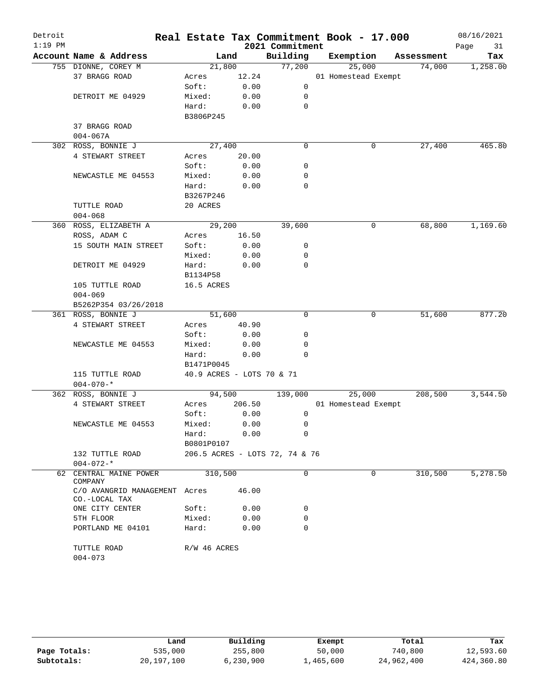| Detroit   |                                          |                           |        |                                | Real Estate Tax Commitment Book - 17.000 |            | 08/16/2021 |
|-----------|------------------------------------------|---------------------------|--------|--------------------------------|------------------------------------------|------------|------------|
| $1:19$ PM |                                          |                           |        | 2021 Commitment                |                                          |            | Page<br>31 |
|           | Account Name & Address                   |                           | Land   | Building                       | Exemption                                | Assessment | Tax        |
|           | 755 DIONNE, COREY M                      | 21,800                    |        | 77,200                         | 25,000                                   | 74,000     | 1,258.00   |
|           | 37 BRAGG ROAD                            | Acres                     | 12.24  |                                | 01 Homestead Exempt                      |            |            |
|           |                                          | Soft:                     | 0.00   | $\mathsf{O}$                   |                                          |            |            |
|           | DETROIT ME 04929                         | Mixed:                    | 0.00   | 0                              |                                          |            |            |
|           |                                          | Hard:                     | 0.00   | $\mathbf 0$                    |                                          |            |            |
|           |                                          | B3806P245                 |        |                                |                                          |            |            |
|           | 37 BRAGG ROAD                            |                           |        |                                |                                          |            |            |
|           | $004 - 067A$                             |                           |        |                                |                                          |            |            |
|           | 302 ROSS, BONNIE J                       | 27,400                    |        | $\mathbf 0$                    | 0                                        | 27,400     | 465.80     |
|           | 4 STEWART STREET                         | Acres                     | 20.00  |                                |                                          |            |            |
|           |                                          | Soft:                     | 0.00   | 0                              |                                          |            |            |
|           | NEWCASTLE ME 04553                       | Mixed:                    | 0.00   | 0<br>0                         |                                          |            |            |
|           |                                          | Hard:                     | 0.00   |                                |                                          |            |            |
|           | TUTTLE ROAD                              | B3267P246<br>20 ACRES     |        |                                |                                          |            |            |
|           | $004 - 068$                              |                           |        |                                |                                          |            |            |
|           | 360 ROSS, ELIZABETH A                    | 29,200                    |        | 39,600                         | 0                                        | 68,800     | 1,169.60   |
|           | ROSS, ADAM C                             | Acres                     | 16.50  |                                |                                          |            |            |
|           | 15 SOUTH MAIN STREET                     | Soft:                     | 0.00   | 0                              |                                          |            |            |
|           |                                          | Mixed:                    | 0.00   | 0                              |                                          |            |            |
|           | DETROIT ME 04929                         | Hard:                     | 0.00   | 0                              |                                          |            |            |
|           |                                          | B1134P58                  |        |                                |                                          |            |            |
|           | 105 TUTTLE ROAD                          | 16.5 ACRES                |        |                                |                                          |            |            |
|           | $004 - 069$                              |                           |        |                                |                                          |            |            |
|           | B5262P354 03/26/2018                     |                           |        |                                |                                          |            |            |
|           | 361 ROSS, BONNIE J                       | 51,600                    |        | $\mathbf 0$                    | 0                                        | 51,600     | 877.20     |
|           | 4 STEWART STREET                         | Acres                     | 40.90  |                                |                                          |            |            |
|           |                                          | Soft:                     | 0.00   | 0                              |                                          |            |            |
|           | NEWCASTLE ME 04553                       | Mixed:                    | 0.00   | 0                              |                                          |            |            |
|           |                                          | Hard:                     | 0.00   | $\Omega$                       |                                          |            |            |
|           |                                          | B1471P0045                |        |                                |                                          |            |            |
|           | 115 TUTTLE ROAD                          | 40.9 ACRES - LOTS 70 & 71 |        |                                |                                          |            |            |
|           | $004 - 070 -$ *                          |                           |        |                                |                                          |            |            |
|           | 362 ROSS, BONNIE J                       | 94,500                    |        | 139,000                        | 25,000                                   | 208,500    | 3,544.50   |
|           | 4 STEWART STREET                         | Acres                     | 206.50 |                                | 01 Homestead Exempt                      |            |            |
|           |                                          | Soft:                     | 0.00   | 0                              |                                          |            |            |
|           | NEWCASTLE ME 04553                       | Mixed:                    | 0.00   | 0                              |                                          |            |            |
|           |                                          | Hard:                     | 0.00   | 0                              |                                          |            |            |
|           |                                          | B0801P0107                |        |                                |                                          |            |            |
|           | 132 TUTTLE ROAD                          |                           |        | 206.5 ACRES - LOTS 72, 74 & 76 |                                          |            |            |
|           | $004 - 072 -$ *                          |                           |        |                                |                                          |            |            |
| 62        | CENTRAL MAINE POWER<br>COMPANY           | 310,500                   |        | 0                              | 0                                        | 310,500    | 5,278.50   |
|           | C/O AVANGRID MANAGEMENT<br>CO.-LOCAL TAX | Acres                     | 46.00  |                                |                                          |            |            |
|           | ONE CITY CENTER                          | Soft:                     | 0.00   | 0                              |                                          |            |            |
|           | 5TH FLOOR                                | Mixed:                    | 0.00   | 0                              |                                          |            |            |
|           | PORTLAND ME 04101                        | Hard:                     | 0.00   | 0                              |                                          |            |            |
|           | TUTTLE ROAD                              | R/W 46 ACRES              |        |                                |                                          |            |            |
|           | $004 - 073$                              |                           |        |                                |                                          |            |            |

|              | Land         | Building  | Exempt    | Total      | Tax        |
|--------------|--------------|-----------|-----------|------------|------------|
| Page Totals: | 535,000      | 255,800   | 50,000    | 740,800    | 12,593.60  |
| Subtotals:   | 20, 197, 100 | 6,230,900 | 1,465,600 | 24,962,400 | 424,360.80 |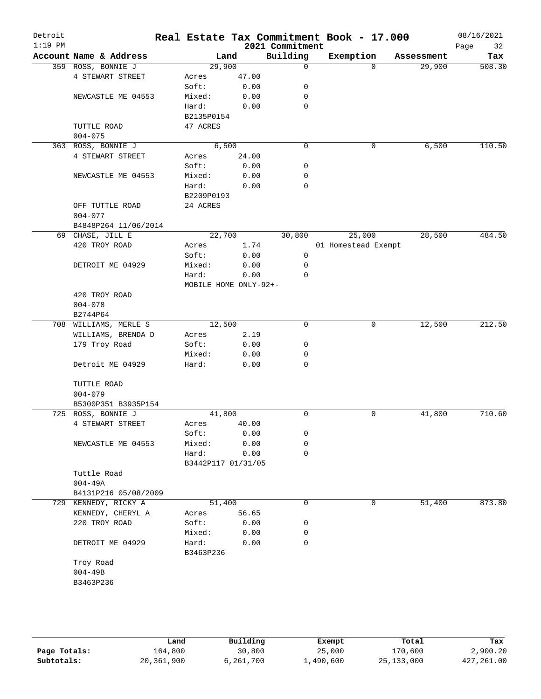| Detroit<br>$1:19$ PM |             |                        |                       |       |      | 2021 Commitment | Real Estate Tax Commitment Book - 17.000 |          |            | 08/16/2021<br>32<br>Page |
|----------------------|-------------|------------------------|-----------------------|-------|------|-----------------|------------------------------------------|----------|------------|--------------------------|
|                      |             | Account Name & Address |                       | Land  |      | Building        | Exemption                                |          | Assessment | Tax                      |
|                      |             | 359 ROSS, BONNIE J     | 29,900                |       |      | $\mathbf 0$     |                                          | $\Omega$ | 29,900     | 508.30                   |
|                      |             | 4 STEWART STREET       | Acres                 | 47.00 |      |                 |                                          |          |            |                          |
|                      |             |                        | Soft:                 |       | 0.00 | 0               |                                          |          |            |                          |
|                      |             | NEWCASTLE ME 04553     | Mixed:                |       | 0.00 | 0               |                                          |          |            |                          |
|                      |             |                        | Hard:                 |       | 0.00 | $\mathbf 0$     |                                          |          |            |                          |
|                      |             |                        | B2135P0154            |       |      |                 |                                          |          |            |                          |
|                      |             | TUTTLE ROAD            | 47 ACRES              |       |      |                 |                                          |          |            |                          |
|                      | $004 - 075$ |                        |                       |       |      |                 |                                          |          |            |                          |
|                      |             | 363 ROSS, BONNIE J     |                       | 6,500 |      | $\mathbf 0$     |                                          | 0        | 6,500      | 110.50                   |
|                      |             | 4 STEWART STREET       | Acres                 | 24.00 |      |                 |                                          |          |            |                          |
|                      |             |                        | Soft:                 |       | 0.00 | 0               |                                          |          |            |                          |
|                      |             | NEWCASTLE ME 04553     | Mixed:                |       | 0.00 | 0               |                                          |          |            |                          |
|                      |             |                        | Hard:                 |       | 0.00 | 0               |                                          |          |            |                          |
|                      |             |                        | B2209P0193            |       |      |                 |                                          |          |            |                          |
|                      |             | OFF TUTTLE ROAD        | 24 ACRES              |       |      |                 |                                          |          |            |                          |
|                      | $004 - 077$ |                        |                       |       |      |                 |                                          |          |            |                          |
|                      |             | B4848P264 11/06/2014   |                       |       |      |                 |                                          |          |            |                          |
|                      |             | 69 CHASE, JILL E       | 22,700                |       |      | 30,800          |                                          | 25,000   | 28,500     | 484.50                   |
|                      |             | 420 TROY ROAD          | Acres                 |       | 1.74 |                 | 01 Homestead Exempt                      |          |            |                          |
|                      |             |                        | Soft:                 |       | 0.00 | 0               |                                          |          |            |                          |
|                      |             | DETROIT ME 04929       | Mixed:                |       | 0.00 | 0               |                                          |          |            |                          |
|                      |             |                        | Hard:                 |       | 0.00 | 0               |                                          |          |            |                          |
|                      |             |                        | MOBILE HOME ONLY-92+- |       |      |                 |                                          |          |            |                          |
|                      |             | 420 TROY ROAD          |                       |       |      |                 |                                          |          |            |                          |
|                      | $004 - 078$ |                        |                       |       |      |                 |                                          |          |            |                          |
|                      | B2744P64    |                        |                       |       |      |                 |                                          |          |            |                          |
|                      |             | 708 WILLIAMS, MERLE S  | 12,500                |       |      | 0               |                                          | 0        | 12,500     | 212.50                   |
|                      |             | WILLIAMS, BRENDA D     | Acres                 |       | 2.19 |                 |                                          |          |            |                          |
|                      |             | 179 Troy Road          | Soft:                 |       | 0.00 | 0               |                                          |          |            |                          |
|                      |             |                        |                       |       |      |                 |                                          |          |            |                          |
|                      |             |                        | Mixed:                |       | 0.00 | 0<br>0          |                                          |          |            |                          |
|                      |             | Detroit ME 04929       | Hard:                 |       | 0.00 |                 |                                          |          |            |                          |
|                      |             | TUTTLE ROAD            |                       |       |      |                 |                                          |          |            |                          |
|                      |             |                        |                       |       |      |                 |                                          |          |            |                          |
|                      | $004 - 079$ |                        |                       |       |      |                 |                                          |          |            |                          |
|                      |             | B5300P351 B3935P154    |                       |       |      |                 |                                          |          |            |                          |
|                      |             | 725 ROSS, BONNIE J     | 41,800                |       |      | 0               |                                          | 0        | 41,800     | 710.60                   |
|                      |             | 4 STEWART STREET       | Acres                 | 40.00 |      |                 |                                          |          |            |                          |
|                      |             |                        | Soft:                 |       | 0.00 | 0               |                                          |          |            |                          |
|                      |             | NEWCASTLE ME 04553     | Mixed:                |       | 0.00 | 0               |                                          |          |            |                          |
|                      |             |                        | Hard:                 |       | 0.00 | $\mathbf 0$     |                                          |          |            |                          |
|                      |             |                        | B3442P117 01/31/05    |       |      |                 |                                          |          |            |                          |
|                      |             | Tuttle Road            |                       |       |      |                 |                                          |          |            |                          |
|                      | $004 - 49A$ |                        |                       |       |      |                 |                                          |          |            |                          |
|                      |             | B4131P216 05/08/2009   |                       |       |      |                 |                                          |          |            |                          |
|                      |             | 729 KENNEDY, RICKY A   | 51,400                |       |      | 0               |                                          | 0        | 51,400     | 873.80                   |
|                      |             | KENNEDY, CHERYL A      | Acres                 | 56.65 |      |                 |                                          |          |            |                          |
|                      |             | 220 TROY ROAD          | Soft:                 |       | 0.00 | 0               |                                          |          |            |                          |
|                      |             |                        | Mixed:                |       | 0.00 | 0               |                                          |          |            |                          |
|                      |             | DETROIT ME 04929       | Hard:                 |       | 0.00 | 0               |                                          |          |            |                          |
|                      |             |                        | B3463P236             |       |      |                 |                                          |          |            |                          |
|                      | Troy Road   |                        |                       |       |      |                 |                                          |          |            |                          |
|                      | $004 - 49B$ |                        |                       |       |      |                 |                                          |          |            |                          |
|                      | B3463P236   |                        |                       |       |      |                 |                                          |          |            |                          |
|                      |             |                        |                       |       |      |                 |                                          |          |            |                          |
|                      |             |                        |                       |       |      |                 |                                          |          |            |                          |

|              | Land       | Building  | Exempt    | Total        | Tax         |
|--------------|------------|-----------|-----------|--------------|-------------|
| Page Totals: | 164,800    | 30,800    | 25,000    | 170,600      | 2,900.20    |
| Subtotals:   | 20,361,900 | 6,261,700 | 1,490,600 | 25, 133, 000 | 427, 261.00 |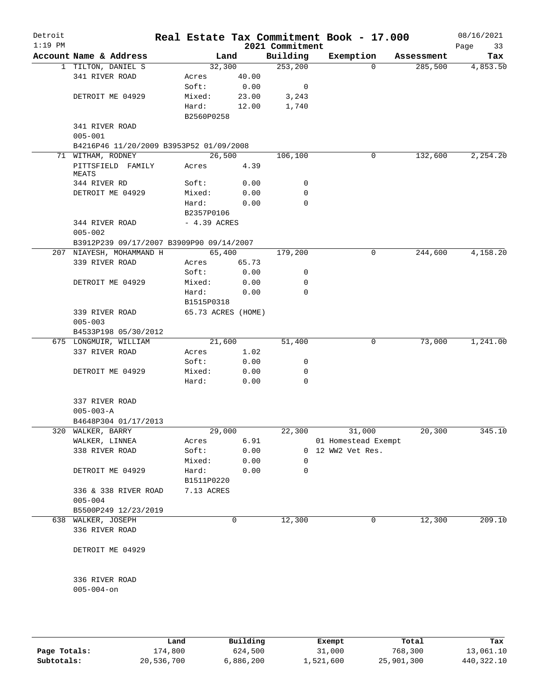| Detroit<br>$1:19$ PM |                                                              |                 |                    | 2021 Commitment | Real Estate Tax Commitment Book - 17.000 |            | 08/16/2021<br>Page<br>33 |
|----------------------|--------------------------------------------------------------|-----------------|--------------------|-----------------|------------------------------------------|------------|--------------------------|
|                      | Account Name & Address                                       |                 | Land               | Building        | Exemption                                | Assessment | Tax                      |
|                      | 1 TILTON, DANIEL S                                           |                 | 32,300             | 253, 200        | $\Omega$                                 | 285,500    | 4,853.50                 |
|                      | 341 RIVER ROAD                                               | Acres           | 40.00              |                 |                                          |            |                          |
|                      |                                                              | Soft:           | 0.00               | 0               |                                          |            |                          |
|                      | DETROIT ME 04929                                             | Mixed:          | 23.00              | 3,243           |                                          |            |                          |
|                      |                                                              | Hard:           | 12.00              | 1,740           |                                          |            |                          |
|                      |                                                              | B2560P0258      |                    |                 |                                          |            |                          |
|                      | 341 RIVER ROAD                                               |                 |                    |                 |                                          |            |                          |
|                      | $005 - 001$                                                  |                 |                    |                 |                                          |            |                          |
|                      | B4216P46 11/20/2009 B3953P52 01/09/2008<br>71 WITHAM, RODNEY |                 | 26,500             | 106,100         | 0                                        | 132,600    | 2, 254.20                |
|                      | PITTSFIELD FAMILY                                            | Acres           | 4.39               |                 |                                          |            |                          |
|                      | MEATS                                                        |                 |                    |                 |                                          |            |                          |
|                      | 344 RIVER RD                                                 | Soft:           | 0.00               | 0               |                                          |            |                          |
|                      | DETROIT ME 04929                                             | Mixed:          | 0.00               | 0               |                                          |            |                          |
|                      |                                                              | Hard:           | 0.00               | 0               |                                          |            |                          |
|                      |                                                              | B2357P0106      |                    |                 |                                          |            |                          |
|                      | 344 RIVER ROAD                                               | $-4.39$ ACRES   |                    |                 |                                          |            |                          |
|                      | $005 - 002$                                                  |                 |                    |                 |                                          |            |                          |
|                      | B3912P239 09/17/2007 B3909P90 09/14/2007                     |                 |                    |                 |                                          |            |                          |
|                      | 207 NIAYESH, MOHAMMAND H                                     |                 | 65,400             | 179,200         | 0                                        | 244,600    | 4,158.20                 |
|                      | 339 RIVER ROAD                                               | Acres           | 65.73              |                 |                                          |            |                          |
|                      |                                                              | Soft:           | 0.00<br>0.00       | 0<br>0          |                                          |            |                          |
|                      | DETROIT ME 04929                                             | Mixed:<br>Hard: | 0.00               | 0               |                                          |            |                          |
|                      |                                                              | B1515P0318      |                    |                 |                                          |            |                          |
|                      | 339 RIVER ROAD                                               |                 | 65.73 ACRES (HOME) |                 |                                          |            |                          |
|                      | $005 - 003$                                                  |                 |                    |                 |                                          |            |                          |
|                      | B4533P198 05/30/2012                                         |                 |                    |                 |                                          |            |                          |
|                      | 675 LONGMUIR, WILLIAM                                        |                 | 21,600             | 51,400          | 0                                        | 73,000     | 1,241.00                 |
|                      | 337 RIVER ROAD                                               | Acres           | 1.02               |                 |                                          |            |                          |
|                      |                                                              | Soft:           | 0.00               | 0               |                                          |            |                          |
|                      | DETROIT ME 04929                                             | Mixed:          | 0.00               | 0               |                                          |            |                          |
|                      |                                                              | Hard:           | 0.00               | 0               |                                          |            |                          |
|                      |                                                              |                 |                    |                 |                                          |            |                          |
|                      | 337 RIVER ROAD                                               |                 |                    |                 |                                          |            |                          |
|                      | $005 - 003 - A$                                              |                 |                    |                 |                                          |            |                          |
|                      | B4648P304 01/17/2013                                         |                 |                    |                 |                                          |            |                          |
| 320                  | WALKER, BARRY                                                |                 | 29,000<br>6.91     | 22,300          | 31,000                                   | 20,300     | 345.10                   |
|                      | WALKER, LINNEA<br>338 RIVER ROAD                             | Acres<br>Soft:  | 0.00               |                 | 01 Homestead Exempt<br>0 12 WW2 Vet Res. |            |                          |
|                      |                                                              | Mixed:          | 0.00               | 0               |                                          |            |                          |
|                      | DETROIT ME 04929                                             | Hard:           | 0.00               | 0               |                                          |            |                          |
|                      |                                                              | B1511P0220      |                    |                 |                                          |            |                          |
|                      | 336 & 338 RIVER ROAD                                         | 7.13 ACRES      |                    |                 |                                          |            |                          |
|                      | $005 - 004$                                                  |                 |                    |                 |                                          |            |                          |
|                      | B5500P249 12/23/2019                                         |                 |                    |                 |                                          |            |                          |
|                      | 638 WALKER, JOSEPH                                           |                 | 0                  | 12,300          | 0                                        | 12,300     | 209.10                   |
|                      | 336 RIVER ROAD                                               |                 |                    |                 |                                          |            |                          |
|                      |                                                              |                 |                    |                 |                                          |            |                          |
|                      | DETROIT ME 04929                                             |                 |                    |                 |                                          |            |                          |
|                      | 336 RIVER ROAD                                               |                 |                    |                 |                                          |            |                          |
|                      | $005 - 004 - on$                                             |                 |                    |                 |                                          |            |                          |
|                      |                                                              |                 |                    |                 |                                          |            |                          |
|                      |                                                              |                 |                    |                 |                                          |            |                          |
|                      |                                                              |                 |                    |                 |                                          |            |                          |

|              | Land       | Building  | Exempt    | Total      | Tax        |
|--------------|------------|-----------|-----------|------------|------------|
| Page Totals: | 174,800    | 624,500   | 31,000    | 768,300    | 13,061.10  |
| Subtotals:   | 20,536,700 | 6,886,200 | 1,521,600 | 25,901,300 | 440,322.10 |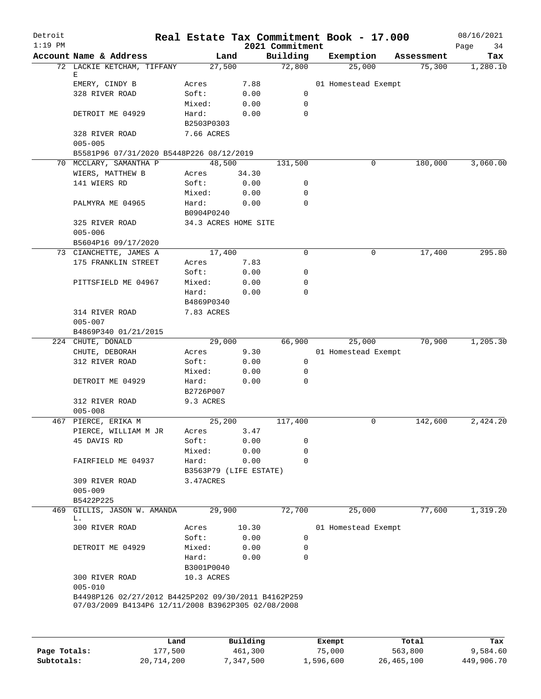| Detroit<br>$1:19$ PM |                                                                                                           | Real Estate Tax Commitment Book - 17.000 |       | 2021 Commitment         |                     |            | 08/16/2021<br>Page<br>34 |
|----------------------|-----------------------------------------------------------------------------------------------------------|------------------------------------------|-------|-------------------------|---------------------|------------|--------------------------|
|                      | Account Name & Address                                                                                    | Land                                     |       | Building                | Exemption           | Assessment | Tax                      |
|                      | 72 LACKIE KETCHAM, TIFFANY                                                                                | 27,500                                   |       | 72,800                  | 25,000              | 75,300     | 1,280.10                 |
|                      | Е                                                                                                         |                                          |       |                         |                     |            |                          |
|                      | EMERY, CINDY B                                                                                            | Acres                                    | 7.88  |                         | 01 Homestead Exempt |            |                          |
|                      | 328 RIVER ROAD                                                                                            | Soft:                                    | 0.00  | $\mathbf 0$             |                     |            |                          |
|                      |                                                                                                           | Mixed:                                   | 0.00  | $\mathbf 0$<br>$\Omega$ |                     |            |                          |
|                      | DETROIT ME 04929                                                                                          | Hard:                                    | 0.00  |                         |                     |            |                          |
|                      | 328 RIVER ROAD                                                                                            | B2503P0303<br>7.66 ACRES                 |       |                         |                     |            |                          |
|                      | $005 - 005$                                                                                               |                                          |       |                         |                     |            |                          |
|                      | B5581P96 07/31/2020 B5448P226 08/12/2019                                                                  |                                          |       |                         |                     |            |                          |
|                      | 70 MCCLARY, SAMANTHA P                                                                                    | 48,500                                   |       | 131,500                 | 0                   | 180,000    | 3,060.00                 |
|                      | WIERS, MATTHEW B                                                                                          | Acres                                    | 34.30 |                         |                     |            |                          |
|                      | 141 WIERS RD                                                                                              | Soft:                                    | 0.00  | 0                       |                     |            |                          |
|                      |                                                                                                           | Mixed:                                   | 0.00  | 0                       |                     |            |                          |
|                      | PALMYRA ME 04965                                                                                          | Hard:                                    | 0.00  | 0                       |                     |            |                          |
|                      |                                                                                                           | B0904P0240                               |       |                         |                     |            |                          |
|                      | 325 RIVER ROAD                                                                                            | 34.3 ACRES HOME SITE                     |       |                         |                     |            |                          |
|                      | $005 - 006$                                                                                               |                                          |       |                         |                     |            |                          |
|                      | B5604P16 09/17/2020                                                                                       |                                          |       |                         |                     |            |                          |
|                      | 73 CIANCHETTE, JAMES A                                                                                    | 17,400                                   |       | 0                       | 0                   | 17,400     | 295.80                   |
|                      | 175 FRANKLIN STREET                                                                                       | Acres                                    | 7.83  |                         |                     |            |                          |
|                      |                                                                                                           | Soft:                                    | 0.00  | 0                       |                     |            |                          |
|                      | PITTSFIELD ME 04967                                                                                       | Mixed:                                   | 0.00  | 0                       |                     |            |                          |
|                      |                                                                                                           | Hard:                                    | 0.00  | $\Omega$                |                     |            |                          |
|                      |                                                                                                           | B4869P0340                               |       |                         |                     |            |                          |
|                      | 314 RIVER ROAD                                                                                            | 7.83 ACRES                               |       |                         |                     |            |                          |
|                      | $005 - 007$                                                                                               |                                          |       |                         |                     |            |                          |
|                      | B4869P340 01/21/2015                                                                                      |                                          |       |                         |                     |            |                          |
|                      | 224 CHUTE, DONALD                                                                                         | 29,000                                   |       | 66,900                  | 25,000              | 70,900     | 1,205.30                 |
|                      | CHUTE, DEBORAH                                                                                            | Acres                                    | 9.30  |                         | 01 Homestead Exempt |            |                          |
|                      | 312 RIVER ROAD                                                                                            | Soft:                                    | 0.00  | 0                       |                     |            |                          |
|                      |                                                                                                           | Mixed:                                   | 0.00  | 0                       |                     |            |                          |
|                      | DETROIT ME 04929                                                                                          | Hard:<br>B2726P007                       | 0.00  | $\mathbf 0$             |                     |            |                          |
|                      |                                                                                                           |                                          |       |                         |                     |            |                          |
|                      | 312 RIVER ROAD<br>$005 - 008$                                                                             | 9.3 ACRES                                |       |                         |                     |            |                          |
|                      | 467 PIERCE, ERIKA M                                                                                       | 25,200                                   |       | 117,400                 | 0                   | 142,600    | 2,424.20                 |
|                      | PIERCE, WILLIAM M JR                                                                                      | Acres                                    | 3.47  |                         |                     |            |                          |
|                      | 45 DAVIS RD                                                                                               | Soft:                                    | 0.00  | 0                       |                     |            |                          |
|                      |                                                                                                           | Mixed:                                   | 0.00  | 0                       |                     |            |                          |
|                      | FAIRFIELD ME 04937                                                                                        | Hard:                                    | 0.00  | 0                       |                     |            |                          |
|                      |                                                                                                           | B3563P79 (LIFE ESTATE)                   |       |                         |                     |            |                          |
|                      | 309 RIVER ROAD                                                                                            | 3.47ACRES                                |       |                         |                     |            |                          |
|                      | $005 - 009$                                                                                               |                                          |       |                         |                     |            |                          |
|                      | B5422P225                                                                                                 |                                          |       |                         |                     |            |                          |
| 469                  | GILLIS, JASON W. AMANDA                                                                                   | 29,900                                   |       | 72,700                  | 25,000              | 77,600     | 1,319.20                 |
|                      | L.                                                                                                        |                                          |       |                         |                     |            |                          |
|                      | 300 RIVER ROAD                                                                                            | Acres                                    | 10.30 |                         | 01 Homestead Exempt |            |                          |
|                      |                                                                                                           | Soft:                                    | 0.00  | $\mathbf 0$             |                     |            |                          |
|                      | DETROIT ME 04929                                                                                          | Mixed:                                   | 0.00  | 0                       |                     |            |                          |
|                      |                                                                                                           | Hard:                                    | 0.00  | $\mathbf 0$             |                     |            |                          |
|                      |                                                                                                           | B3001P0040                               |       |                         |                     |            |                          |
|                      | 300 RIVER ROAD                                                                                            | 10.3 ACRES                               |       |                         |                     |            |                          |
|                      | $005 - 010$                                                                                               |                                          |       |                         |                     |            |                          |
|                      | B4498P126 02/27/2012 B4425P202 09/30/2011 B4162P259<br>07/03/2009 B4134P6 12/11/2008 B3962P305 02/08/2008 |                                          |       |                         |                     |            |                          |
|                      |                                                                                                           |                                          |       |                         |                     |            |                          |
|                      |                                                                                                           |                                          |       |                         |                     |            |                          |
|                      |                                                                                                           |                                          |       |                         |                     |            |                          |

|              | Land       | Building  | Exempt    | Total      | Tax        |
|--------------|------------|-----------|-----------|------------|------------|
| Page Totals: | 177,500    | 461,300   | 75,000    | 563,800    | 9,584.60   |
| Subtotals:   | 20,714,200 | 7,347,500 | 1,596,600 | 26,465,100 | 449,906.70 |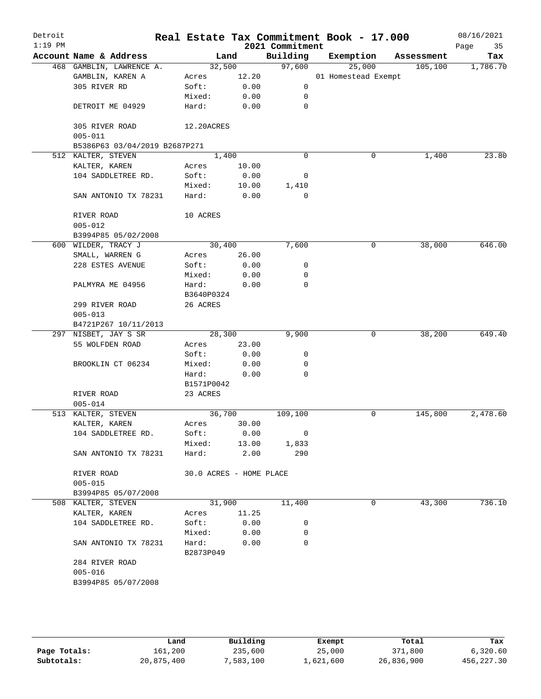| $1:19$ PM |                               |                         |        | 2021 Commitment          | Real Estate Tax Commitment Book - 17.000 |            | 08/16/2021<br>Page<br>35 |
|-----------|-------------------------------|-------------------------|--------|--------------------------|------------------------------------------|------------|--------------------------|
|           | Account Name & Address        | Land                    |        | Building                 | Exemption                                | Assessment | Tax                      |
|           | 468 GAMBLIN, LAWRENCE A.      | 32,500                  |        | 97,600                   | 25,000                                   | 105, 100   | 1,786.70                 |
|           | GAMBLIN, KAREN A              | Acres                   | 12.20  |                          | 01 Homestead Exempt                      |            |                          |
|           | 305 RIVER RD                  | Soft:                   | 0.00   | 0                        |                                          |            |                          |
|           |                               | Mixed:                  | 0.00   | 0                        |                                          |            |                          |
|           | DETROIT ME 04929              | Hard:                   | 0.00   | 0                        |                                          |            |                          |
|           | 305 RIVER ROAD                | 12.20ACRES              |        |                          |                                          |            |                          |
|           | $005 - 011$                   |                         |        |                          |                                          |            |                          |
|           | B5386P63 03/04/2019 B2687P271 |                         |        |                          |                                          |            |                          |
|           | 512 KALTER, STEVEN            | 1,400                   |        | $\Omega$                 | 0                                        | 1,400      | 23.80                    |
|           | KALTER, KAREN                 | Acres                   | 10.00  |                          |                                          |            |                          |
|           | 104 SADDLETREE RD.            | Soft:                   | 0.00   | 0                        |                                          |            |                          |
|           |                               | Mixed:                  | 10.00  | 1,410                    |                                          |            |                          |
|           | SAN ANTONIO TX 78231          | Hard:                   | 0.00   | $\Omega$                 |                                          |            |                          |
|           | RIVER ROAD                    | 10 ACRES                |        |                          |                                          |            |                          |
|           | $005 - 012$                   |                         |        |                          |                                          |            |                          |
|           | B3994P85 05/02/2008           |                         |        |                          |                                          |            |                          |
|           | 600 WILDER, TRACY J           | 30,400                  |        | 7,600                    | 0                                        | 38,000     | 646.00                   |
|           | SMALL, WARREN G               | Acres                   | 26.00  |                          |                                          |            |                          |
|           | 228 ESTES AVENUE              | Soft:                   | 0.00   | 0                        |                                          |            |                          |
|           |                               | Mixed:                  | 0.00   | 0                        |                                          |            |                          |
|           | PALMYRA ME 04956              | Hard:                   | 0.00   | $\Omega$                 |                                          |            |                          |
|           |                               | B3640P0324              |        |                          |                                          |            |                          |
|           | 299 RIVER ROAD                | 26 ACRES                |        |                          |                                          |            |                          |
|           | $005 - 013$                   |                         |        |                          |                                          |            |                          |
|           | B4721P267 10/11/2013          |                         |        |                          |                                          |            |                          |
|           | 297 NISBET, JAY S SR          | 28,300                  |        | 9,900                    | 0                                        | 38,200     | 649.40                   |
|           | 55 WOLFDEN ROAD               | Acres                   | 23.00  |                          |                                          |            |                          |
|           |                               | Soft:                   | 0.00   | 0                        |                                          |            |                          |
|           | BROOKLIN CT 06234             | Mixed:                  | 0.00   | 0                        |                                          |            |                          |
|           |                               | Hard:                   | 0.00   | 0                        |                                          |            |                          |
|           |                               | B1571P0042              |        |                          |                                          |            |                          |
|           | RIVER ROAD                    | 23 ACRES                |        |                          |                                          |            |                          |
|           | $005 - 014$                   |                         |        |                          |                                          |            |                          |
|           | 513 KALTER, STEVEN            | 36,700                  |        | 109,100                  | 0                                        | 145,800    | 2,478.60                 |
|           | KALTER, KAREN                 | Acres                   | 30.00  |                          |                                          |            |                          |
|           | 104 SADDLETREE RD.            | Soft:                   | 0.00   | $\overline{\phantom{0}}$ |                                          |            |                          |
|           |                               | Mixed:                  | 13.00  | 1,833                    |                                          |            |                          |
|           | SAN ANTONIO TX 78231          | Hard:                   | 2.00   | 290                      |                                          |            |                          |
|           | RIVER ROAD                    | 30.0 ACRES - HOME PLACE |        |                          |                                          |            |                          |
|           | $005 - 015$                   |                         |        |                          |                                          |            |                          |
|           | B3994P85 05/07/2008           |                         |        |                          |                                          |            |                          |
|           | 508 KALTER, STEVEN            |                         | 31,900 | 11,400                   | 0                                        | 43,300     | 736.10                   |
|           | KALTER, KAREN                 | Acres                   | 11.25  |                          |                                          |            |                          |
|           | 104 SADDLETREE RD.            | Soft:                   | 0.00   | 0                        |                                          |            |                          |
|           |                               | Mixed:                  | 0.00   | 0                        |                                          |            |                          |
|           | SAN ANTONIO TX 78231          | Hard:                   | 0.00   | $\Omega$                 |                                          |            |                          |
|           |                               | B2873P049               |        |                          |                                          |            |                          |
|           | 284 RIVER ROAD                |                         |        |                          |                                          |            |                          |
|           | $005 - 016$                   |                         |        |                          |                                          |            |                          |
|           |                               |                         |        |                          |                                          |            |                          |
|           | B3994P85 05/07/2008           |                         |        |                          |                                          |            |                          |

|              | Land       | Building | Exempt    | Total      | Tax          |
|--------------|------------|----------|-----------|------------|--------------|
| Page Totals: | 161,200    | 235,600  | 25,000    | 371,800    | 6,320.60     |
| Subtotals:   | 20,875,400 | ,583,100 | 1,621,600 | 26,836,900 | 456, 227, 30 |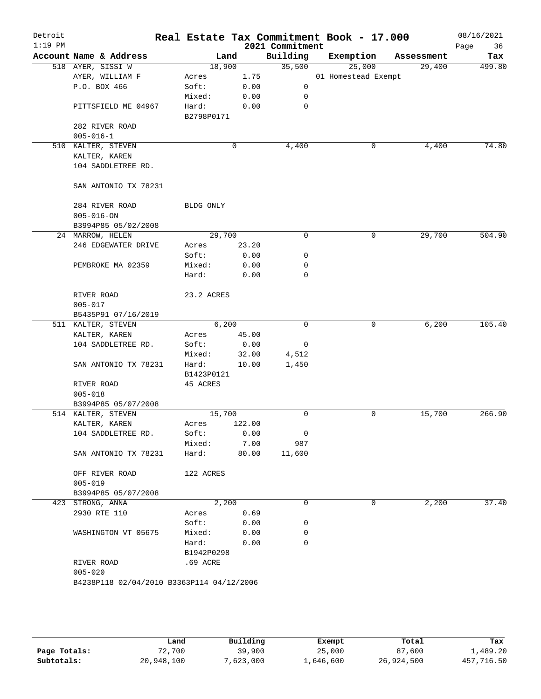| Detroit<br>$1:19$ PM |                                           |                     |        | 2021 Commitment | Real Estate Tax Commitment Book - 17.000 |            | 08/16/2021<br>36<br>Page |
|----------------------|-------------------------------------------|---------------------|--------|-----------------|------------------------------------------|------------|--------------------------|
|                      | Account Name & Address                    | Land                |        | Building        | Exemption                                | Assessment | Tax                      |
|                      | 518 AYER, SISSI W                         | 18,900              |        | 35,500          | 25,000                                   | 29,400     | 499.80                   |
|                      | AYER, WILLIAM F                           | Acres               | 1.75   |                 | 01 Homestead Exempt                      |            |                          |
|                      | P.O. BOX 466                              | Soft:               | 0.00   | 0               |                                          |            |                          |
|                      |                                           | Mixed:              | 0.00   | 0               |                                          |            |                          |
|                      | PITTSFIELD ME 04967                       | Hard:<br>B2798P0171 | 0.00   | $\mathbf 0$     |                                          |            |                          |
|                      | 282 RIVER ROAD                            |                     |        |                 |                                          |            |                          |
|                      | $005 - 016 - 1$                           |                     |        |                 |                                          |            |                          |
|                      | 510 KALTER, STEVEN                        |                     | 0      | 4,400           | 0                                        | 4,400      | 74.80                    |
|                      | KALTER, KAREN                             |                     |        |                 |                                          |            |                          |
|                      | 104 SADDLETREE RD.                        |                     |        |                 |                                          |            |                          |
|                      | SAN ANTONIO TX 78231                      |                     |        |                 |                                          |            |                          |
|                      | 284 RIVER ROAD                            | BLDG ONLY           |        |                 |                                          |            |                          |
|                      | $005 - 016 - ON$                          |                     |        |                 |                                          |            |                          |
|                      | B3994P85 05/02/2008                       |                     |        |                 |                                          |            |                          |
|                      | 24 MARROW, HELEN                          | 29,700              |        | 0               | 0                                        | 29,700     | 504.90                   |
|                      | 246 EDGEWATER DRIVE                       | Acres               | 23.20  |                 |                                          |            |                          |
|                      |                                           | Soft:               | 0.00   | 0               |                                          |            |                          |
|                      | PEMBROKE MA 02359                         |                     | 0.00   | 0               |                                          |            |                          |
|                      |                                           | Mixed:<br>Hard:     |        | $\mathbf 0$     |                                          |            |                          |
|                      |                                           |                     | 0.00   |                 |                                          |            |                          |
|                      | RIVER ROAD                                | 23.2 ACRES          |        |                 |                                          |            |                          |
|                      | $005 - 017$                               |                     |        |                 |                                          |            |                          |
|                      | B5435P91 07/16/2019                       |                     |        |                 |                                          |            |                          |
|                      | 511 KALTER, STEVEN                        | 6,200               |        | $\mathbf 0$     | 0                                        | 6,200      | 105.40                   |
|                      | KALTER, KAREN                             | Acres               | 45.00  |                 |                                          |            |                          |
|                      | 104 SADDLETREE RD.                        | Soft:               | 0.00   | 0               |                                          |            |                          |
|                      |                                           | Mixed:              | 32.00  | 4,512           |                                          |            |                          |
|                      | SAN ANTONIO TX 78231                      | Hard:               | 10.00  | 1,450           |                                          |            |                          |
|                      |                                           | B1423P0121          |        |                 |                                          |            |                          |
|                      | RIVER ROAD                                | 45 ACRES            |        |                 |                                          |            |                          |
|                      | $005 - 018$                               |                     |        |                 |                                          |            |                          |
|                      | B3994P85 05/07/2008                       |                     |        |                 |                                          |            |                          |
|                      | 514 KALTER, STEVEN                        | 15,700              |        | 0               | 0                                        | 15,700     | 266.90                   |
|                      | KALTER, KAREN                             | Acres               | 122.00 |                 |                                          |            |                          |
|                      | 104 SADDLETREE RD.                        | Soft:               | 0.00   | 0               |                                          |            |                          |
|                      |                                           | Mixed:              | 7.00   | 987             |                                          |            |                          |
|                      | SAN ANTONIO TX 78231                      | Hard:               | 80.00  | 11,600          |                                          |            |                          |
|                      | OFF RIVER ROAD                            | 122 ACRES           |        |                 |                                          |            |                          |
|                      | $005 - 019$                               |                     |        |                 |                                          |            |                          |
|                      | B3994P85 05/07/2008                       |                     |        |                 |                                          |            |                          |
|                      | 423 STRONG, ANNA                          | 2,200               |        | 0               | 0                                        | 2,200      | 37.40                    |
|                      | 2930 RTE 110                              | Acres               | 0.69   |                 |                                          |            |                          |
|                      |                                           | Soft:               | 0.00   | 0               |                                          |            |                          |
|                      | WASHINGTON VT 05675                       | Mixed:              | 0.00   | 0               |                                          |            |                          |
|                      |                                           | Hard:               | 0.00   | 0               |                                          |            |                          |
|                      |                                           | B1942P0298          |        |                 |                                          |            |                          |
|                      | RIVER ROAD                                | .69 ACRE            |        |                 |                                          |            |                          |
|                      | $005 - 020$                               |                     |        |                 |                                          |            |                          |
|                      | B4238P118 02/04/2010 B3363P114 04/12/2006 |                     |        |                 |                                          |            |                          |
|                      |                                           |                     |        |                 |                                          |            |                          |
|                      |                                           |                     |        |                 |                                          |            |                          |
|                      |                                           |                     |        |                 |                                          |            |                          |

|              | Land       | Building  | Exempt    | Total      | Tax        |
|--------------|------------|-----------|-----------|------------|------------|
| Page Totals: | 72,700     | 39,900    | 25,000    | 87,600     | 1,489.20   |
| Subtotals:   | 20,948,100 | 7,623,000 | 1,646,600 | 26,924,500 | 457,716.50 |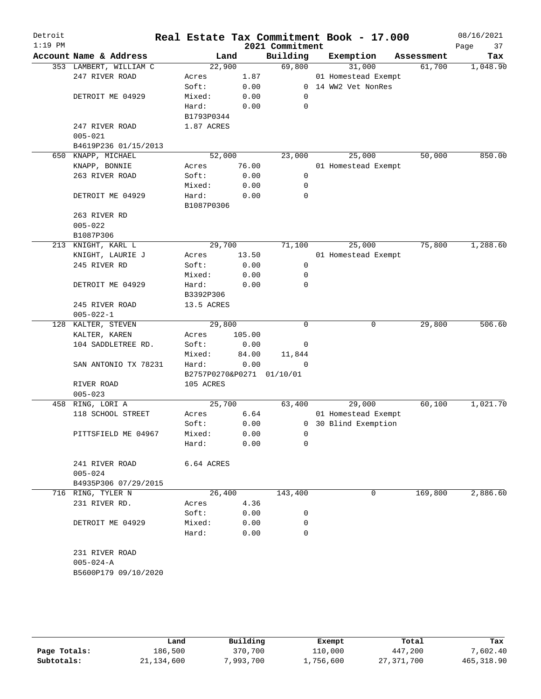| Detroit<br>$1:19$ PM |                                   |                           |        | 2021 Commitment | Real Estate Tax Commitment Book - 17.000 |            | 08/16/2021<br>37<br>Page |
|----------------------|-----------------------------------|---------------------------|--------|-----------------|------------------------------------------|------------|--------------------------|
|                      | Account Name & Address            | Land                      |        | Building        | Exemption                                | Assessment | Tax                      |
|                      | 353 LAMBERT, WILLIAM C            | 22,900                    |        | 69,800          | 31,000                                   | 61,700     | 1,048.90                 |
|                      | 247 RIVER ROAD                    | Acres                     | 1.87   |                 | 01 Homestead Exempt                      |            |                          |
|                      |                                   | Soft:                     | 0.00   |                 | 0 14 WW2 Vet NonRes                      |            |                          |
|                      | DETROIT ME 04929                  | Mixed:                    | 0.00   | $\mathbf 0$     |                                          |            |                          |
|                      |                                   | Hard:                     | 0.00   | 0               |                                          |            |                          |
|                      |                                   | B1793P0344                |        |                 |                                          |            |                          |
|                      | 247 RIVER ROAD                    | 1.87 ACRES                |        |                 |                                          |            |                          |
|                      | $005 - 021$                       |                           |        |                 |                                          |            |                          |
|                      | B4619P236 01/15/2013              |                           |        |                 |                                          |            |                          |
| 650                  | KNAPP, MICHAEL                    | 52,000                    |        | 23,000          | 25,000                                   | 50,000     | 850.00                   |
|                      | KNAPP, BONNIE                     | Acres                     | 76.00  |                 | 01 Homestead Exempt                      |            |                          |
|                      | 263 RIVER ROAD                    | Soft:                     | 0.00   | $\mathbf 0$     |                                          |            |                          |
|                      |                                   | Mixed:                    | 0.00   | 0               |                                          |            |                          |
|                      | DETROIT ME 04929                  | Hard:                     | 0.00   | 0               |                                          |            |                          |
|                      |                                   | B1087P0306                |        |                 |                                          |            |                          |
|                      | 263 RIVER RD                      |                           |        |                 |                                          |            |                          |
|                      | $005 - 022$                       |                           |        |                 |                                          |            |                          |
|                      | B1087P306                         |                           |        |                 |                                          |            |                          |
|                      | 213 KNIGHT, KARL L                | 29,700                    |        | 71,100          | 25,000                                   | 75,800     | 1,288.60                 |
|                      | KNIGHT, LAURIE J                  | Acres                     | 13.50  |                 | 01 Homestead Exempt                      |            |                          |
|                      | 245 RIVER RD                      | Soft:                     | 0.00   | 0               |                                          |            |                          |
|                      |                                   | Mixed:                    | 0.00   | 0               |                                          |            |                          |
|                      | DETROIT ME 04929                  | Hard:                     | 0.00   | $\mathbf 0$     |                                          |            |                          |
|                      |                                   | B3392P306                 |        |                 |                                          |            |                          |
|                      | 245 RIVER ROAD                    | 13.5 ACRES                |        |                 |                                          |            |                          |
|                      | $005 - 022 - 1$                   |                           |        |                 |                                          |            |                          |
|                      | 128 KALTER, STEVEN                | 29,800                    |        | $\Omega$        | 0                                        | 29,800     | 506.60                   |
|                      | KALTER, KAREN                     | Acres                     | 105.00 |                 |                                          |            |                          |
|                      | 104 SADDLETREE RD.                | Soft:                     | 0.00   | 0               |                                          |            |                          |
|                      |                                   | Mixed:                    | 84.00  | 11,844          |                                          |            |                          |
|                      | SAN ANTONIO TX 78231              | Hard:                     | 0.00   | 0               |                                          |            |                          |
|                      |                                   | B2757P0270&P0271 01/10/01 |        |                 |                                          |            |                          |
|                      | RIVER ROAD                        | 105 ACRES                 |        |                 |                                          |            |                          |
|                      | $005 - 023$                       |                           |        |                 |                                          |            |                          |
|                      | 458 RING, LORI A                  | 25,700                    |        | 63,400          | 29,000                                   | 60,100     | 1,021.70                 |
|                      | 118 SCHOOL STREET                 | Acres                     | 6.64   |                 | 01 Homestead Exempt                      |            |                          |
|                      |                                   | Soft:                     | 0.00   |                 | 0 30 Blind Exemption                     |            |                          |
|                      | PITTSFIELD ME 04967               | Mixed:                    | 0.00   | 0               |                                          |            |                          |
|                      |                                   | Hard:                     | 0.00   | 0               |                                          |            |                          |
|                      |                                   |                           |        |                 |                                          |            |                          |
|                      | 241 RIVER ROAD                    | 6.64 ACRES                |        |                 |                                          |            |                          |
|                      | $005 - 024$                       |                           |        |                 |                                          |            |                          |
|                      | B4935P306 07/29/2015              |                           |        |                 |                                          |            |                          |
|                      | 716 RING, TYLER N                 | 26,400                    |        | 143,400         | 0                                        | 169,800    | 2,886.60                 |
|                      | 231 RIVER RD.                     | Acres                     | 4.36   |                 |                                          |            |                          |
|                      |                                   | Soft:                     | 0.00   | 0               |                                          |            |                          |
|                      | DETROIT ME 04929                  | Mixed:                    | 0.00   | 0               |                                          |            |                          |
|                      |                                   | Hard:                     | 0.00   | $\mathbf 0$     |                                          |            |                          |
|                      |                                   |                           |        |                 |                                          |            |                          |
|                      | 231 RIVER ROAD<br>$005 - 024 - A$ |                           |        |                 |                                          |            |                          |
|                      | B5600P179 09/10/2020              |                           |        |                 |                                          |            |                          |
|                      |                                   |                           |        |                 |                                          |            |                          |
|                      |                                   |                           |        |                 |                                          |            |                          |
|                      |                                   |                           |        |                 |                                          |            |                          |
|                      |                                   |                           |        |                 |                                          |            |                          |

|              | Land       | Building | Exempt    | Total      | Tax         |
|--------------|------------|----------|-----------|------------|-------------|
| Page Totals: | 186,500    | 370,700  | 110,000   | 447,200    | 7,602.40    |
| Subtotals:   | 21,134,600 | ,993,700 | ⊥,756,600 | 27,371,700 | 465, 318.90 |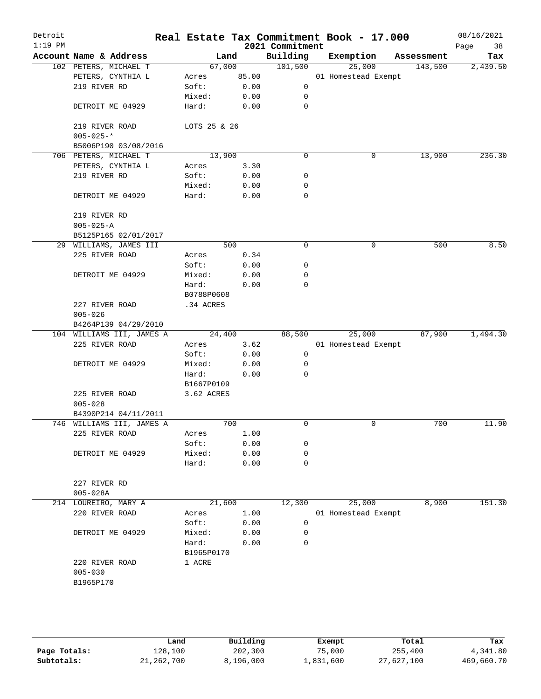| Detroit<br>$1:19$ PM |                                   |                |              | 2021 Commitment | Real Estate Tax Commitment Book - 17.000 |            | 08/16/2021<br>Page<br>38 |
|----------------------|-----------------------------------|----------------|--------------|-----------------|------------------------------------------|------------|--------------------------|
|                      | Account Name & Address            |                | Land         | Building        | Exemption                                | Assessment | Tax                      |
|                      | 102 PETERS, MICHAEL T             | 67,000         |              | 101,500         | 25,000                                   | 143,500    | 2,439.50                 |
|                      | PETERS, CYNTHIA L                 | Acres          | 85.00        |                 | 01 Homestead Exempt                      |            |                          |
|                      | 219 RIVER RD                      | Soft:          | 0.00         | 0               |                                          |            |                          |
|                      |                                   | Mixed:         | 0.00         | 0               |                                          |            |                          |
|                      | DETROIT ME 04929                  | Hard:          | 0.00         | 0               |                                          |            |                          |
|                      | 219 RIVER ROAD<br>$005 - 025 -$ * | LOTS 25 & 26   |              |                 |                                          |            |                          |
|                      | B5006P190 03/08/2016              |                |              |                 |                                          |            |                          |
|                      | 706 PETERS, MICHAEL T             | 13,900         |              | $\mathbf 0$     | 0                                        | 13,900     | 236.30                   |
|                      | PETERS, CYNTHIA L                 | Acres          | 3.30         |                 |                                          |            |                          |
|                      | 219 RIVER RD                      | Soft:          | 0.00         | 0               |                                          |            |                          |
|                      |                                   | Mixed:         | 0.00         | 0               |                                          |            |                          |
|                      | DETROIT ME 04929                  | Hard:          | 0.00         | $\mathbf 0$     |                                          |            |                          |
|                      | 219 RIVER RD                      |                |              |                 |                                          |            |                          |
|                      | $005 - 025 - A$                   |                |              |                 |                                          |            |                          |
|                      | B5125P165 02/01/2017              |                |              |                 |                                          |            |                          |
|                      | 29 WILLIAMS, JAMES III            |                | 500          | 0               | 0                                        | 500        | 8.50                     |
|                      | 225 RIVER ROAD                    | Acres          | 0.34         |                 |                                          |            |                          |
|                      |                                   | Soft:          | 0.00         | 0               |                                          |            |                          |
|                      | DETROIT ME 04929                  | Mixed:         | 0.00         | 0               |                                          |            |                          |
|                      |                                   | Hard:          | 0.00         | $\mathbf 0$     |                                          |            |                          |
|                      |                                   | B0788P0608     |              |                 |                                          |            |                          |
|                      | 227 RIVER ROAD<br>$005 - 026$     | .34 ACRES      |              |                 |                                          |            |                          |
|                      | B4264P139 04/29/2010              |                |              |                 |                                          |            |                          |
|                      | 104 WILLIAMS III, JAMES A         | 24,400         |              | 88,500          | 25,000                                   | 87,900     | 1,494.30                 |
|                      | 225 RIVER ROAD                    | Acres          | 3.62         |                 | 01 Homestead Exempt                      |            |                          |
|                      |                                   | Soft:          | 0.00         | 0               |                                          |            |                          |
|                      | DETROIT ME 04929                  | Mixed:         | 0.00         | 0               |                                          |            |                          |
|                      |                                   | Hard:          | 0.00         | 0               |                                          |            |                          |
|                      |                                   | B1667P0109     |              |                 |                                          |            |                          |
|                      | 225 RIVER ROAD                    | 3.62 ACRES     |              |                 |                                          |            |                          |
|                      | $005 - 028$                       |                |              |                 |                                          |            |                          |
|                      | B4390P214 04/11/2011              |                |              |                 |                                          |            |                          |
|                      | 746 WILLIAMS III, JAMES A         |                | 700          | $\mathbf 0$     | 0                                        | 700        | 11.90                    |
|                      | 225 RIVER ROAD                    | Acres          | 1.00         |                 |                                          |            |                          |
|                      |                                   | Soft:          | 0.00         | 0               |                                          |            |                          |
|                      | DETROIT ME 04929                  | Mixed:         | 0.00         | 0               |                                          |            |                          |
|                      |                                   | Hard:          | 0.00         | $\mathbf 0$     |                                          |            |                          |
|                      | 227 RIVER RD                      |                |              |                 |                                          |            |                          |
|                      | $005 - 028A$                      |                |              |                 |                                          |            |                          |
|                      | 214 LOUREIRO, MARY A              | 21,600         |              | 12,300          | 25,000                                   | 8,900      | 151.30                   |
|                      | 220 RIVER ROAD                    | Acres<br>Soft: | 1.00<br>0.00 | 0               | 01 Homestead Exempt                      |            |                          |
|                      | DETROIT ME 04929                  | Mixed:         | 0.00         | 0               |                                          |            |                          |
|                      |                                   | Hard:          | 0.00         | 0               |                                          |            |                          |
|                      |                                   | B1965P0170     |              |                 |                                          |            |                          |
|                      | 220 RIVER ROAD                    | 1 ACRE         |              |                 |                                          |            |                          |
|                      | $005 - 030$                       |                |              |                 |                                          |            |                          |
|                      | B1965P170                         |                |              |                 |                                          |            |                          |
|                      |                                   |                |              |                 |                                          |            |                          |
|                      |                                   |                |              |                 |                                          |            |                          |
|                      |                                   |                |              |                 |                                          |            |                          |
|                      |                                   |                |              |                 |                                          |            |                          |

|              | Land         | Building  | Exempt    | Total      | Tax        |
|--------------|--------------|-----------|-----------|------------|------------|
| Page Totals: | 128,100      | 202,300   | 75,000    | 255,400    | 4,341.80   |
| Subtotals:   | 21, 262, 700 | 8,196,000 | 1,831,600 | 27,627,100 | 469,660.70 |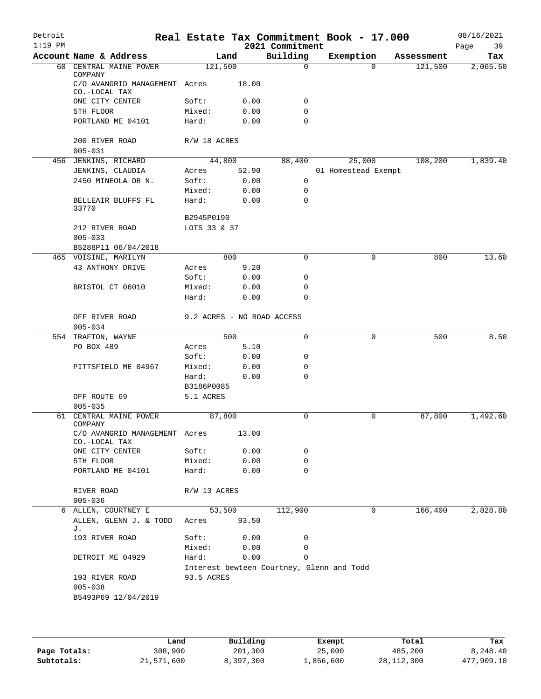| Detroit<br>$1:19$ PM |                                                           |                            |       | 2021 Commitment                           | Real Estate Tax Commitment Book - 17.000 |            | 08/16/2021<br>39<br>Page |
|----------------------|-----------------------------------------------------------|----------------------------|-------|-------------------------------------------|------------------------------------------|------------|--------------------------|
|                      | Account Name & Address                                    |                            | Land  | Building                                  | Exemption                                | Assessment | Tax                      |
| 60                   | CENTRAL MAINE POWER                                       | 121,500                    |       | $\mathbf 0$                               | $\Omega$                                 | 121,500    | 2,065.50                 |
|                      | COMPANY<br>C/O AVANGRID MANAGEMENT Acres<br>CO.-LOCAL TAX |                            | 18.00 |                                           |                                          |            |                          |
|                      | ONE CITY CENTER                                           | Soft:                      | 0.00  | 0                                         |                                          |            |                          |
|                      | 5TH FLOOR                                                 | Mixed:                     | 0.00  | 0                                         |                                          |            |                          |
|                      | PORTLAND ME 04101                                         | Hard:                      | 0.00  | $\mathbf 0$                               |                                          |            |                          |
|                      | 200 RIVER ROAD<br>$005 - 031$                             | R/W 18 ACRES               |       |                                           |                                          |            |                          |
|                      | 456 JENKINS, RICHARD                                      | 44,800                     |       | 88,400                                    | 25,000                                   | 108,200    | 1,839.40                 |
|                      | JENKINS, CLAUDIA                                          | Acres                      | 52.90 |                                           | 01 Homestead Exempt                      |            |                          |
|                      | 2450 MINEOLA DR N.                                        | Soft:                      | 0.00  | 0                                         |                                          |            |                          |
|                      |                                                           | Mixed:                     | 0.00  | 0                                         |                                          |            |                          |
|                      | BELLEAIR BLUFFS FL<br>33770                               | Hard:                      | 0.00  | $\mathbf 0$                               |                                          |            |                          |
|                      |                                                           | B2945P0190                 |       |                                           |                                          |            |                          |
|                      | 212 RIVER ROAD                                            | LOTS 33 & 37               |       |                                           |                                          |            |                          |
|                      | $005 - 033$                                               |                            |       |                                           |                                          |            |                          |
|                      | B5288P11 06/04/2018                                       |                            |       |                                           |                                          |            |                          |
|                      | 465 VOISINE, MARILYN                                      |                            | 800   | $\Omega$                                  | $\Omega$                                 | 800        | 13.60                    |
|                      | 43 ANTHONY DRIVE                                          | Acres                      | 9.20  |                                           |                                          |            |                          |
|                      |                                                           | Soft:                      | 0.00  | 0                                         |                                          |            |                          |
|                      | BRISTOL CT 06010                                          | Mixed:                     | 0.00  | 0                                         |                                          |            |                          |
|                      |                                                           | Hard:                      | 0.00  | 0                                         |                                          |            |                          |
|                      | OFF RIVER ROAD<br>$005 - 034$                             | 9.2 ACRES - NO ROAD ACCESS |       |                                           |                                          |            |                          |
|                      | 554 TRAFTON, WAYNE                                        |                            | 500   | $\mathbf 0$                               | 0                                        | 500        | 8.50                     |
|                      | PO BOX 489                                                | Acres                      | 5.10  |                                           |                                          |            |                          |
|                      |                                                           | Soft:                      | 0.00  | 0                                         |                                          |            |                          |
|                      | PITTSFIELD ME 04967                                       | Mixed:                     | 0.00  | 0                                         |                                          |            |                          |
|                      |                                                           | Hard:                      |       | $\Omega$                                  |                                          |            |                          |
|                      |                                                           |                            | 0.00  |                                           |                                          |            |                          |
|                      |                                                           | B3186P0085                 |       |                                           |                                          |            |                          |
|                      | OFF ROUTE 69                                              | 5.1 ACRES                  |       |                                           |                                          |            |                          |
|                      | $005 - 035$                                               |                            |       |                                           |                                          |            |                          |
| 61                   | CENTRAL MAINE POWER<br>COMPANY                            | 87,800                     |       | 0                                         | 0                                        | 87,800     | 1,492.60                 |
|                      | C/O AVANGRID MANAGEMENT Acres<br>CO.-LOCAL TAX            |                            | 13.00 |                                           |                                          |            |                          |
|                      | ONE CITY CENTER                                           | Soft:                      | 0.00  | 0                                         |                                          |            |                          |
|                      |                                                           |                            |       | 0                                         |                                          |            |                          |
|                      | 5TH FLOOR                                                 | Mixed:                     | 0.00  | 0                                         |                                          |            |                          |
|                      | PORTLAND ME 04101                                         | Hard:                      | 0.00  |                                           |                                          |            |                          |
|                      | RIVER ROAD<br>$005 - 036$                                 | R/W 13 ACRES               |       |                                           |                                          |            |                          |
|                      | 6 ALLEN, COURTNEY E                                       | 53,500                     |       | 112,900                                   | 0                                        | 166,400    | 2,828.80                 |
|                      | ALLEN, GLENN J. & TODD<br>J.                              | Acres                      | 93.50 |                                           |                                          |            |                          |
|                      | 193 RIVER ROAD                                            | Soft:                      | 0.00  | 0                                         |                                          |            |                          |
|                      |                                                           | Mixed:                     | 0.00  | 0                                         |                                          |            |                          |
|                      | DETROIT ME 04929                                          | Hard:                      | 0.00  | 0                                         |                                          |            |                          |
|                      |                                                           |                            |       | Interest bewteen Courtney, Glenn and Todd |                                          |            |                          |
|                      | 193 RIVER ROAD                                            | 93.5 ACRES                 |       |                                           |                                          |            |                          |
|                      | $005 - 038$                                               |                            |       |                                           |                                          |            |                          |
|                      | B5493P69 12/04/2019                                       |                            |       |                                           |                                          |            |                          |
|                      |                                                           |                            |       |                                           |                                          |            |                          |
|                      |                                                           |                            |       |                                           |                                          |            |                          |

|              | Land       | Building  | Exempt    | Total        | Tax        |
|--------------|------------|-----------|-----------|--------------|------------|
| Page Totals: | 308,900    | 201,300   | 25,000    | 485,200      | 8,248.40   |
| Subtotals:   | 21,571,600 | 8,397,300 | 1,856,600 | 28, 112, 300 | 477,909.10 |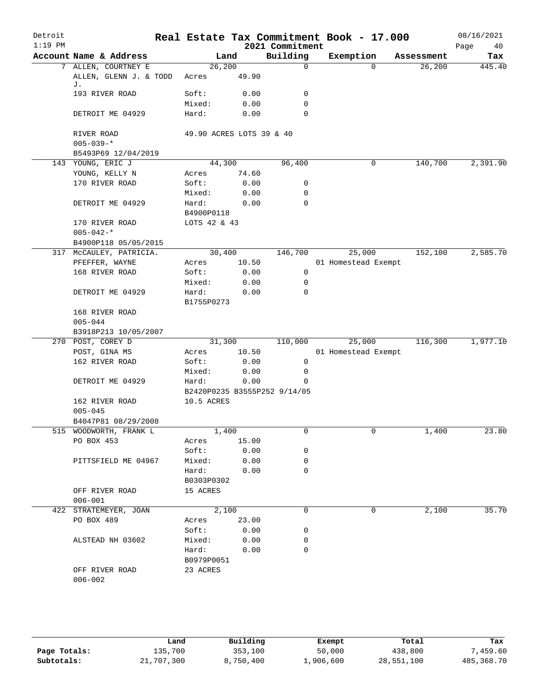| Detroit<br>$1:19$ PM |                              |                          |       | 2021 Commitment              | Real Estate Tax Commitment Book - 17.000 |            | 08/16/2021<br>Page<br>40 |
|----------------------|------------------------------|--------------------------|-------|------------------------------|------------------------------------------|------------|--------------------------|
|                      | Account Name & Address       | Land                     |       | Building                     | Exemption                                | Assessment | Tax                      |
|                      | 7 ALLEN, COURTNEY E          | 26,200                   |       | $\mathbf 0$                  | $\Omega$                                 | 26,200     | 445.40                   |
|                      | ALLEN, GLENN J. & TODD<br>J. | Acres                    | 49.90 |                              |                                          |            |                          |
|                      | 193 RIVER ROAD               | Soft:                    | 0.00  | 0                            |                                          |            |                          |
|                      |                              | Mixed:                   | 0.00  | 0                            |                                          |            |                          |
|                      | DETROIT ME 04929             | Hard:                    | 0.00  | $\Omega$                     |                                          |            |                          |
|                      | RIVER ROAD                   | 49.90 ACRES LOTS 39 & 40 |       |                              |                                          |            |                          |
|                      | $005 - 039 -$ *              |                          |       |                              |                                          |            |                          |
|                      | B5493P69 12/04/2019          |                          |       |                              |                                          |            |                          |
|                      | 143 YOUNG, ERIC J            | 44,300                   |       | 96,400                       | 0                                        | 140,700    | 2,391.90                 |
|                      | YOUNG, KELLY N               | Acres                    | 74.60 |                              |                                          |            |                          |
|                      | 170 RIVER ROAD               | Soft:                    | 0.00  | 0                            |                                          |            |                          |
|                      |                              | Mixed:                   | 0.00  | 0                            |                                          |            |                          |
|                      | DETROIT ME 04929             | Hard:<br>B4900P0118      | 0.00  | 0                            |                                          |            |                          |
|                      | 170 RIVER ROAD               | LOTS 42 & 43             |       |                              |                                          |            |                          |
|                      | $005 - 042 -$ *              |                          |       |                              |                                          |            |                          |
|                      | B4900P118 05/05/2015         |                          |       |                              |                                          |            |                          |
|                      | 317 MCCAULEY, PATRICIA.      | 30,400                   |       | 146,700                      | 25,000                                   | 152,100    | 2,585.70                 |
|                      | PFEFFER, WAYNE               | Acres                    | 10.50 |                              | 01 Homestead Exempt                      |            |                          |
|                      | 168 RIVER ROAD               | Soft:                    | 0.00  | 0                            |                                          |            |                          |
|                      |                              | Mixed:                   | 0.00  | 0                            |                                          |            |                          |
|                      | DETROIT ME 04929             | Hard:                    | 0.00  | 0                            |                                          |            |                          |
|                      |                              | B1755P0273               |       |                              |                                          |            |                          |
|                      | 168 RIVER ROAD               |                          |       |                              |                                          |            |                          |
|                      | $005 - 044$                  |                          |       |                              |                                          |            |                          |
|                      | B3918P213 10/05/2007         |                          |       |                              |                                          |            |                          |
|                      | 270 POST, COREY D            | 31,300                   |       | 110,000                      | 25,000                                   | 116,300    | 1,977.10                 |
|                      | POST, GINA MS                | Acres                    | 10.50 |                              | 01 Homestead Exempt                      |            |                          |
|                      | 162 RIVER ROAD               | Soft:                    | 0.00  | 0                            |                                          |            |                          |
|                      |                              | Mixed:                   | 0.00  | 0                            |                                          |            |                          |
|                      | DETROIT ME 04929             | Hard:                    | 0.00  | 0                            |                                          |            |                          |
|                      |                              |                          |       | B2420P0235 B3555P252 9/14/05 |                                          |            |                          |
|                      | 162 RIVER ROAD               | 10.5 ACRES               |       |                              |                                          |            |                          |
|                      | $005 - 045$                  |                          |       |                              |                                          |            |                          |
|                      | B4047P81 08/29/2008          |                          |       |                              |                                          |            |                          |
|                      | 515 WOODWORTH, FRANK L       | 1,400                    |       | 0                            | 0                                        | 1,400      | 23.80                    |
|                      | PO BOX 453                   | Acres                    | 15.00 |                              |                                          |            |                          |
|                      |                              | Soft:                    | 0.00  | 0                            |                                          |            |                          |
|                      | PITTSFIELD ME 04967          | Mixed:                   | 0.00  | 0                            |                                          |            |                          |
|                      |                              | Hard:                    | 0.00  | 0                            |                                          |            |                          |
|                      |                              | B0303P0302               |       |                              |                                          |            |                          |
|                      | OFF RIVER ROAD               | 15 ACRES                 |       |                              |                                          |            |                          |
|                      | $006 - 001$                  |                          |       |                              |                                          |            |                          |
|                      | 422 STRATEMEYER, JOAN        | 2,100                    |       | 0                            | 0                                        | 2,100      | 35.70                    |
|                      | PO BOX 489                   | Acres                    | 23.00 |                              |                                          |            |                          |
|                      |                              | Soft:                    | 0.00  | 0                            |                                          |            |                          |
|                      | ALSTEAD NH 03602             | Mixed:                   | 0.00  | 0                            |                                          |            |                          |
|                      |                              | Hard:                    | 0.00  | 0                            |                                          |            |                          |
|                      |                              | B0979P0051               |       |                              |                                          |            |                          |
|                      | OFF RIVER ROAD               | 23 ACRES                 |       |                              |                                          |            |                          |
|                      | $006 - 002$                  |                          |       |                              |                                          |            |                          |
|                      |                              |                          |       |                              |                                          |            |                          |

|              | Land       | Building  | Exempt    | Total      | Tax        |
|--------------|------------|-----------|-----------|------------|------------|
| Page Totals: | 135,700    | 353,100   | 50,000    | 438,800    | 459.60"    |
| Subtotals:   | 21,707,300 | 8,750,400 | 1,906,600 | 28,551,100 | 485,368.70 |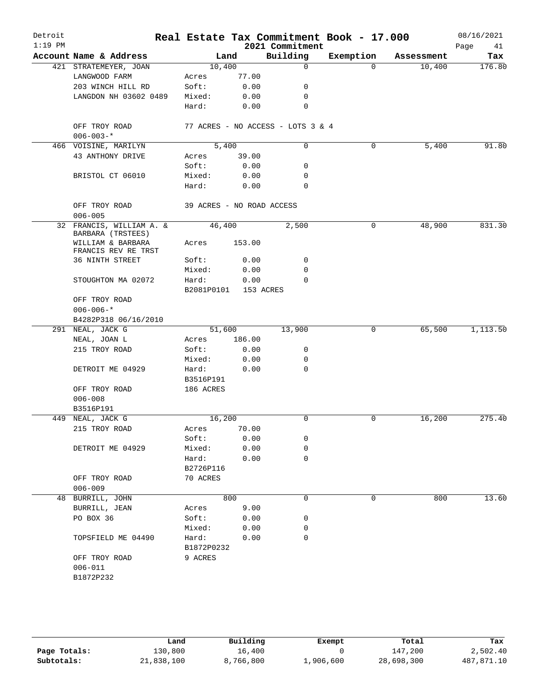| Detroit<br>$1:19$ PM |                                                               |                           |        | Real Estate Tax Commitment Book - 17.000<br>2021 Commitment |           |            | 08/16/2021<br>Page<br>41 |
|----------------------|---------------------------------------------------------------|---------------------------|--------|-------------------------------------------------------------|-----------|------------|--------------------------|
|                      | Account Name & Address                                        |                           | Land   | Building                                                    | Exemption | Assessment | Tax                      |
|                      | 421 STRATEMEYER, JOAN                                         | 10,400                    |        | $\mathbf 0$                                                 | $\Omega$  | 10,400     | 176.80                   |
|                      | LANGWOOD FARM                                                 | Acres                     | 77.00  |                                                             |           |            |                          |
|                      | 203 WINCH HILL RD                                             | Soft:                     | 0.00   | 0                                                           |           |            |                          |
|                      | LANGDON NH 03602 0489                                         | Mixed:                    | 0.00   | 0                                                           |           |            |                          |
|                      |                                                               | Hard:                     | 0.00   | 0                                                           |           |            |                          |
|                      | OFF TROY ROAD<br>$006 - 003 -$ *                              |                           |        | 77 ACRES - NO ACCESS - LOTS 3 & 4                           |           |            |                          |
|                      | 466 VOISINE, MARILYN                                          | 5.400                     |        | 0                                                           | 0         | 5,400      | 91.80                    |
|                      | 43 ANTHONY DRIVE                                              | Acres                     | 39.00  |                                                             |           |            |                          |
|                      |                                                               | Soft:                     | 0.00   | 0                                                           |           |            |                          |
|                      | BRISTOL CT 06010                                              | Mixed:                    | 0.00   | 0                                                           |           |            |                          |
|                      |                                                               | Hard:                     | 0.00   | $\Omega$                                                    |           |            |                          |
|                      | OFF TROY ROAD                                                 | 39 ACRES - NO ROAD ACCESS |        |                                                             |           |            |                          |
|                      | $006 - 005$                                                   |                           |        |                                                             |           |            |                          |
|                      | 32 FRANCIS, WILLIAM A. &                                      | 46,400                    |        | 2,500                                                       | 0         | 48,900     | 831.30                   |
|                      | BARBARA (TRSTEES)<br>WILLIAM & BARBARA<br>FRANCIS REV RE TRST | Acres                     | 153.00 |                                                             |           |            |                          |
|                      | 36 NINTH STREET                                               | Soft:                     | 0.00   | 0                                                           |           |            |                          |
|                      |                                                               | Mixed:                    | 0.00   | 0                                                           |           |            |                          |
|                      | STOUGHTON MA 02072                                            | Hard:                     | 0.00   | $\Omega$                                                    |           |            |                          |
|                      |                                                               | B2081P0101                |        | 153 ACRES                                                   |           |            |                          |
|                      | OFF TROY ROAD                                                 |                           |        |                                                             |           |            |                          |
|                      | $006 - 006 -$ *                                               |                           |        |                                                             |           |            |                          |
|                      | B4282P318 06/16/2010                                          |                           |        |                                                             |           |            |                          |
|                      | 291 NEAL, JACK G                                              | 51,600                    |        | 13,900                                                      | 0         | 65,500     | 1,113.50                 |
|                      | NEAL, JOAN L                                                  | Acres                     | 186.00 |                                                             |           |            |                          |
|                      | 215 TROY ROAD                                                 | Soft:                     | 0.00   | 0                                                           |           |            |                          |
|                      |                                                               | Mixed:                    | 0.00   | 0                                                           |           |            |                          |
|                      | DETROIT ME 04929                                              | Hard:                     | 0.00   | $\mathbf 0$                                                 |           |            |                          |
|                      |                                                               | B3516P191                 |        |                                                             |           |            |                          |
|                      | OFF TROY ROAD                                                 | 186 ACRES                 |        |                                                             |           |            |                          |
|                      | $006 - 008$                                                   |                           |        |                                                             |           |            |                          |
|                      | B3516P191                                                     |                           |        |                                                             |           |            |                          |
|                      | 449 NEAL, JACK G                                              | 16,200                    |        | 0                                                           | 0         | 16,200     | 275.40                   |
|                      | 215 TROY ROAD                                                 | Acres                     | 70.00  |                                                             |           |            |                          |
|                      |                                                               | Soft:                     | 0.00   | 0                                                           |           |            |                          |
|                      | DETROIT ME 04929                                              | Mixed:                    | 0.00   | 0                                                           |           |            |                          |
|                      |                                                               | Hard:<br>B2726P116        | 0.00   | 0                                                           |           |            |                          |
|                      | OFF TROY ROAD                                                 | 70 ACRES                  |        |                                                             |           |            |                          |
|                      | $006 - 009$                                                   |                           |        |                                                             |           |            |                          |
|                      | 48 BURRILL, JOHN                                              |                           | 800    | 0                                                           | 0         | 800        | 13.60                    |
|                      | BURRILL, JEAN                                                 | Acres                     | 9.00   |                                                             |           |            |                          |
|                      | PO BOX 36                                                     | Soft:                     | 0.00   | 0                                                           |           |            |                          |
|                      |                                                               | Mixed:                    | 0.00   | 0                                                           |           |            |                          |
|                      | TOPSFIELD ME 04490                                            | Hard:                     | 0.00   | 0                                                           |           |            |                          |
|                      |                                                               | B1872P0232                |        |                                                             |           |            |                          |
|                      | OFF TROY ROAD                                                 | 9 ACRES                   |        |                                                             |           |            |                          |
|                      | $006 - 011$                                                   |                           |        |                                                             |           |            |                          |
|                      | B1872P232                                                     |                           |        |                                                             |           |            |                          |
|                      |                                                               |                           |        |                                                             |           |            |                          |

|              | Land       | Building  | Exempt    | Total      | Tax        |
|--------------|------------|-----------|-----------|------------|------------|
| Page Totals: | 130,800    | 16,400    |           | 147,200    | 2,502.40   |
| Subtotals:   | 21,838,100 | 8,766,800 | 1,906,600 | 28,698,300 | 487,871.10 |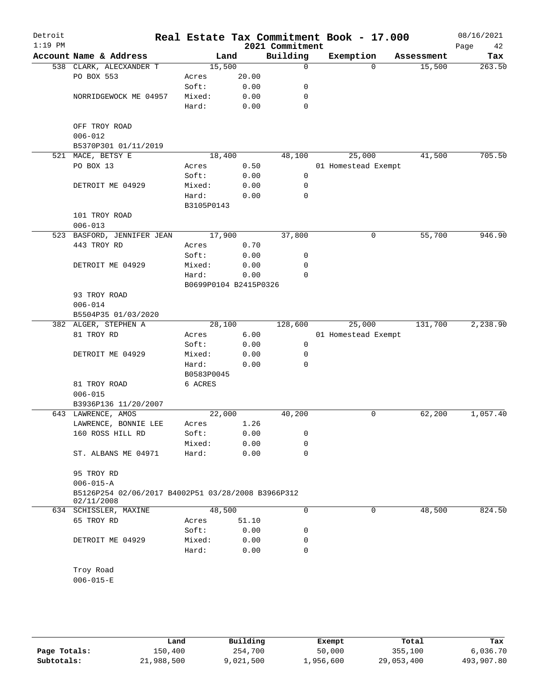| Detroit<br>$1:19$ PM |                                                    |                       |       | 2021 Commitment  | Real Estate Tax Commitment Book - 17.000 |            | 08/16/2021<br>Page<br>42 |
|----------------------|----------------------------------------------------|-----------------------|-------|------------------|------------------------------------------|------------|--------------------------|
|                      | Account Name & Address                             | Land                  |       | Building         | Exemption                                | Assessment | Tax                      |
|                      | 538 CLARK, ALECXANDER T                            | 15,500                |       | $\mathbf 0$      | $\Omega$                                 | 15,500     | 263.50                   |
|                      | PO BOX 553                                         | Acres                 | 20.00 |                  |                                          |            |                          |
|                      |                                                    | Soft:                 | 0.00  | 0                |                                          |            |                          |
|                      | NORRIDGEWOCK ME 04957                              | Mixed:                | 0.00  | 0                |                                          |            |                          |
|                      |                                                    | Hard:                 | 0.00  | $\mathbf 0$      |                                          |            |                          |
|                      |                                                    |                       |       |                  |                                          |            |                          |
|                      | OFF TROY ROAD                                      |                       |       |                  |                                          |            |                          |
|                      | $006 - 012$                                        |                       |       |                  |                                          |            |                          |
|                      | B5370P301 01/11/2019                               |                       |       |                  |                                          |            |                          |
|                      | 521 MACE, BETSY E                                  | 18,400                |       | 48,100           | 25,000                                   | 41,500     | 705.50                   |
|                      | PO BOX 13                                          | Acres                 | 0.50  |                  | 01 Homestead Exempt                      |            |                          |
|                      |                                                    | Soft:                 | 0.00  | 0                |                                          |            |                          |
|                      | DETROIT ME 04929                                   | Mixed:                | 0.00  | 0<br>$\mathbf 0$ |                                          |            |                          |
|                      |                                                    | Hard:<br>B3105P0143   | 0.00  |                  |                                          |            |                          |
|                      | 101 TROY ROAD                                      |                       |       |                  |                                          |            |                          |
|                      | $006 - 013$                                        |                       |       |                  |                                          |            |                          |
|                      | 523 BASFORD, JENNIFER JEAN                         | 17,900                |       | 37,800           | 0                                        | 55,700     | 946.90                   |
|                      | 443 TROY RD                                        | Acres                 | 0.70  |                  |                                          |            |                          |
|                      |                                                    | Soft:                 | 0.00  | 0                |                                          |            |                          |
|                      | DETROIT ME 04929                                   | Mixed:                | 0.00  | 0                |                                          |            |                          |
|                      |                                                    | Hard:                 | 0.00  | 0                |                                          |            |                          |
|                      |                                                    | B0699P0104 B2415P0326 |       |                  |                                          |            |                          |
|                      | 93 TROY ROAD                                       |                       |       |                  |                                          |            |                          |
|                      | $006 - 014$                                        |                       |       |                  |                                          |            |                          |
|                      | B5504P35 01/03/2020                                |                       |       |                  |                                          |            |                          |
|                      | 382 ALGER, STEPHEN A                               | 28,100                |       | 128,600          | 25,000                                   | 131,700    | 2,238.90                 |
|                      | 81 TROY RD                                         | Acres                 | 6.00  |                  | 01 Homestead Exempt                      |            |                          |
|                      |                                                    | Soft:                 | 0.00  | 0                |                                          |            |                          |
|                      | DETROIT ME 04929                                   | Mixed:                | 0.00  | 0                |                                          |            |                          |
|                      |                                                    | Hard:                 | 0.00  | $\Omega$         |                                          |            |                          |
|                      |                                                    | B0583P0045            |       |                  |                                          |            |                          |
|                      | 81 TROY ROAD                                       | 6 ACRES               |       |                  |                                          |            |                          |
|                      | $006 - 015$                                        |                       |       |                  |                                          |            |                          |
|                      | B3936P136 11/20/2007<br>643 LAWRENCE, AMOS         | 22,000                |       | 40,200           | 0                                        | 62,200     | 1,057.40                 |
|                      | LAWRENCE, BONNIE LEE                               | Acres                 | 1.26  |                  |                                          |            |                          |
|                      | 160 ROSS HILL RD                                   | Soft:                 | 0.00  | 0                |                                          |            |                          |
|                      |                                                    | Mixed:                | 0.00  | 0                |                                          |            |                          |
|                      | ST. ALBANS ME 04971                                | Hard:                 | 0.00  | $\mathbf 0$      |                                          |            |                          |
|                      |                                                    |                       |       |                  |                                          |            |                          |
|                      | 95 TROY RD                                         |                       |       |                  |                                          |            |                          |
|                      | $006 - 015 - A$                                    |                       |       |                  |                                          |            |                          |
|                      | B5126P254 02/06/2017 B4002P51 03/28/2008 B3966P312 |                       |       |                  |                                          |            |                          |
|                      | 02/11/2008                                         |                       |       |                  |                                          |            |                          |
|                      | 634 SCHISSLER, MAXINE                              | 48,500                |       | 0                | 0                                        | 48,500     | 824.50                   |
|                      | 65 TROY RD                                         | Acres                 | 51.10 |                  |                                          |            |                          |
|                      |                                                    | Soft:                 | 0.00  | 0                |                                          |            |                          |
|                      | DETROIT ME 04929                                   | Mixed:                | 0.00  | 0                |                                          |            |                          |
|                      |                                                    | Hard:                 | 0.00  | $\mathbf 0$      |                                          |            |                          |
|                      | Troy Road                                          |                       |       |                  |                                          |            |                          |
|                      | $006 - 015 - E$                                    |                       |       |                  |                                          |            |                          |
|                      |                                                    |                       |       |                  |                                          |            |                          |
|                      |                                                    |                       |       |                  |                                          |            |                          |
|                      |                                                    |                       |       |                  |                                          |            |                          |

|              | Land       | Building | Exempt    | Total      | Tax        |
|--------------|------------|----------|-----------|------------|------------|
| Page Totals: | 150,400    | 254,700  | 50,000    | 355,100    | 6,036.70   |
| Subtotals:   | 21,988,500 | ,021,500 | 1,956,600 | 29,053,400 | 493,907.80 |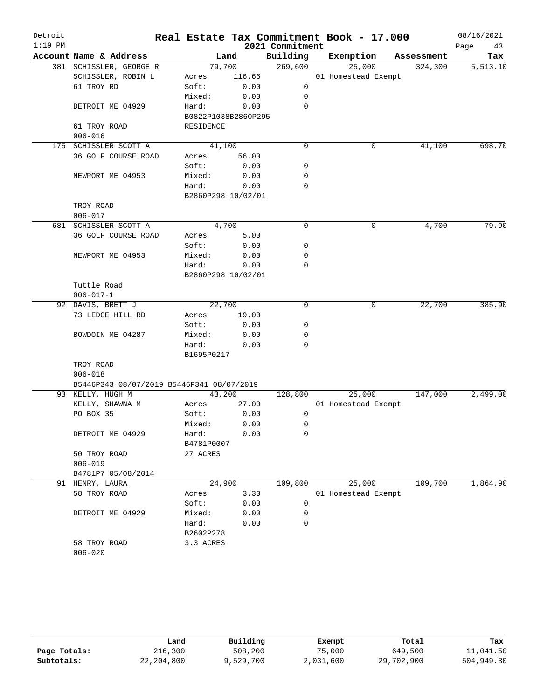| Detroit   |                                           |                     |        |                 | Real Estate Tax Commitment Book - 17.000 |            | 08/16/2021 |
|-----------|-------------------------------------------|---------------------|--------|-----------------|------------------------------------------|------------|------------|
| $1:19$ PM |                                           |                     |        | 2021 Commitment |                                          |            | Page<br>43 |
|           | Account Name & Address                    |                     | Land   | Building        | Exemption                                | Assessment | Tax        |
|           | 381 SCHISSLER, GEORGE R                   | 79,700              |        | 269,600         | 25,000                                   | 324,300    | 5,513.10   |
|           | SCHISSLER, ROBIN L                        | Acres               | 116.66 |                 | 01 Homestead Exempt                      |            |            |
|           | 61 TROY RD                                | Soft:               | 0.00   | $\mathbf 0$     |                                          |            |            |
|           |                                           | Mixed:              | 0.00   | $\mathbf 0$     |                                          |            |            |
|           | DETROIT ME 04929                          | Hard:               | 0.00   | $\mathbf 0$     |                                          |            |            |
|           |                                           | B0822P1038B2860P295 |        |                 |                                          |            |            |
|           | 61 TROY ROAD                              | RESIDENCE           |        |                 |                                          |            |            |
|           | $006 - 016$                               |                     |        |                 |                                          |            |            |
|           | 175 SCHISSLER SCOTT A                     | 41,100              |        | $\mathbf 0$     | 0                                        | 41,100     | 698.70     |
|           | 36 GOLF COURSE ROAD                       | Acres               | 56.00  |                 |                                          |            |            |
|           |                                           | Soft:               | 0.00   | 0               |                                          |            |            |
|           | NEWPORT ME 04953                          | Mixed:              | 0.00   | $\mathbf 0$     |                                          |            |            |
|           |                                           | Hard:               | 0.00   | $\mathbf 0$     |                                          |            |            |
|           |                                           | B2860P298 10/02/01  |        |                 |                                          |            |            |
|           | TROY ROAD                                 |                     |        |                 |                                          |            |            |
|           | $006 - 017$                               |                     |        |                 |                                          |            |            |
|           | 681 SCHISSLER SCOTT A                     | 4,700               |        | 0               | 0                                        | 4,700      | 79.90      |
|           | 36 GOLF COURSE ROAD                       | Acres               | 5.00   |                 |                                          |            |            |
|           |                                           | Soft:               | 0.00   | 0               |                                          |            |            |
|           | NEWPORT ME 04953                          | Mixed:              | 0.00   | $\mathbf 0$     |                                          |            |            |
|           |                                           | Hard:               | 0.00   | $\mathbf 0$     |                                          |            |            |
|           |                                           | B2860P298 10/02/01  |        |                 |                                          |            |            |
|           | Tuttle Road                               |                     |        |                 |                                          |            |            |
|           | $006 - 017 - 1$                           |                     |        |                 |                                          |            |            |
|           | 92 DAVIS, BRETT J                         | 22,700              |        | $\mathbf 0$     | 0                                        | 22,700     | 385.90     |
|           | 73 LEDGE HILL RD                          | Acres               | 19.00  |                 |                                          |            |            |
|           |                                           | Soft:               | 0.00   | 0               |                                          |            |            |
|           | BOWDOIN ME 04287                          | Mixed:              | 0.00   | 0               |                                          |            |            |
|           |                                           | Hard:               | 0.00   | $\mathbf 0$     |                                          |            |            |
|           |                                           | B1695P0217          |        |                 |                                          |            |            |
|           | TROY ROAD                                 |                     |        |                 |                                          |            |            |
|           | $006 - 018$                               |                     |        |                 |                                          |            |            |
|           | B5446P343 08/07/2019 B5446P341 08/07/2019 |                     |        |                 |                                          |            |            |
|           | 93 KELLY, HUGH M                          | 43,200              |        | 128,800         | 25,000                                   | 147,000    | 2,499.00   |
|           | KELLY, SHAWNA M                           | Acres               | 27.00  |                 | 01 Homestead Exempt                      |            |            |
|           | PO BOX 35                                 | Soft:               | 0.00   | 0               |                                          |            |            |
|           |                                           | Mixed:              | 0.00   | 0               |                                          |            |            |
|           | DETROIT ME 04929                          | Hard:               | 0.00   | 0               |                                          |            |            |
|           |                                           | B4781P0007          |        |                 |                                          |            |            |
|           | 50 TROY ROAD                              | 27 ACRES            |        |                 |                                          |            |            |
|           | $006 - 019$                               |                     |        |                 |                                          |            |            |
|           | B4781P7 05/08/2014                        |                     |        |                 |                                          |            |            |
|           | 91 HENRY, LAURA                           | 24,900              |        | 109,800         | 25,000                                   | 109,700    | 1,864.90   |
|           | 58 TROY ROAD                              |                     | 3.30   |                 | 01 Homestead Exempt                      |            |            |
|           |                                           | Acres<br>Soft:      | 0.00   | 0               |                                          |            |            |
|           |                                           |                     |        |                 |                                          |            |            |
|           | DETROIT ME 04929                          | Mixed:              | 0.00   | 0<br>0          |                                          |            |            |
|           |                                           | Hard:               | 0.00   |                 |                                          |            |            |
|           |                                           | B2602P278           |        |                 |                                          |            |            |
|           | 58 TROY ROAD                              | 3.3 ACRES           |        |                 |                                          |            |            |
|           | $006 - 020$                               |                     |        |                 |                                          |            |            |

|              | Land         | Building  | Exempt    | Total      | Tax        |
|--------------|--------------|-----------|-----------|------------|------------|
| Page Totals: | 216,300      | 508,200   | 75,000    | 649,500    | 11,041.50  |
| Subtotals:   | 22, 204, 800 | 9,529,700 | 2,031,600 | 29,702,900 | 504,949.30 |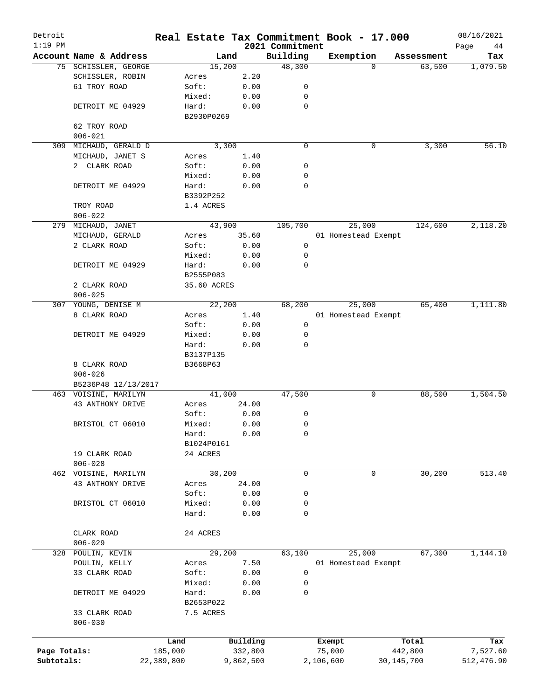| Detroit<br>$1:19$ PM |                        |            |             |           | 2021 Commitment | Real Estate Tax Commitment Book - 17.000 |              | 08/16/2021<br>Page<br>44 |
|----------------------|------------------------|------------|-------------|-----------|-----------------|------------------------------------------|--------------|--------------------------|
|                      | Account Name & Address |            | Land        |           | Building        | Exemption                                | Assessment   | Tax                      |
|                      | 75 SCHISSLER, GEORGE   |            | 15,200      |           | 48,300          | $\Omega$                                 | 63,500       | 1,079.50                 |
|                      | SCHISSLER, ROBIN       |            | Acres       | 2.20      |                 |                                          |              |                          |
|                      | 61 TROY ROAD           |            | Soft:       | 0.00      | 0               |                                          |              |                          |
|                      |                        |            | Mixed:      | 0.00      | 0               |                                          |              |                          |
|                      | DETROIT ME 04929       |            | Hard:       | 0.00      | $\mathbf 0$     |                                          |              |                          |
|                      |                        |            | B2930P0269  |           |                 |                                          |              |                          |
|                      | 62 TROY ROAD           |            |             |           |                 |                                          |              |                          |
|                      |                        |            |             |           |                 |                                          |              |                          |
|                      | $006 - 021$            |            |             |           |                 |                                          |              | 56.10                    |
| 309                  | MICHAUD, GERALD D      |            | 3,300       |           | $\mathbf 0$     | 0                                        | 3,300        |                          |
|                      | MICHAUD, JANET S       |            | Acres       | 1.40      |                 |                                          |              |                          |
|                      | 2 CLARK ROAD           |            | Soft:       | 0.00      | 0               |                                          |              |                          |
|                      |                        |            | Mixed:      | 0.00      | $\mathbf 0$     |                                          |              |                          |
|                      | DETROIT ME 04929       |            | Hard:       | 0.00      | $\mathbf 0$     |                                          |              |                          |
|                      |                        |            | B3392P252   |           |                 |                                          |              |                          |
|                      | TROY ROAD              |            | 1.4 ACRES   |           |                 |                                          |              |                          |
|                      | $006 - 022$            |            |             |           |                 |                                          |              |                          |
|                      | 279 MICHAUD, JANET     |            | 43,900      |           | 105,700         | 25,000                                   | 124,600      | 2,118.20                 |
|                      | MICHAUD, GERALD        |            | Acres       | 35.60     |                 | 01 Homestead Exempt                      |              |                          |
|                      | 2 CLARK ROAD           |            | Soft:       | 0.00      | 0               |                                          |              |                          |
|                      |                        |            | Mixed:      | 0.00      | 0               |                                          |              |                          |
|                      | DETROIT ME 04929       |            | Hard:       | 0.00      | $\mathbf 0$     |                                          |              |                          |
|                      |                        |            | B2555P083   |           |                 |                                          |              |                          |
|                      | 2 CLARK ROAD           |            | 35.60 ACRES |           |                 |                                          |              |                          |
|                      | $006 - 025$            |            |             |           |                 |                                          |              |                          |
| 307                  | YOUNG, DENISE M        |            | 22,200      |           | 68,200          | 25,000                                   | 65,400       | 1,111.80                 |
|                      |                        |            |             |           |                 |                                          |              |                          |
|                      | 8 CLARK ROAD           |            | Acres       | 1.40      |                 | 01 Homestead Exempt                      |              |                          |
|                      |                        |            | Soft:       | 0.00      | 0               |                                          |              |                          |
|                      | DETROIT ME 04929       |            | Mixed:      | 0.00      | 0               |                                          |              |                          |
|                      |                        |            | Hard:       | 0.00      | $\mathbf 0$     |                                          |              |                          |
|                      |                        |            | B3137P135   |           |                 |                                          |              |                          |
|                      | 8 CLARK ROAD           |            | B3668P63    |           |                 |                                          |              |                          |
|                      | $006 - 026$            |            |             |           |                 |                                          |              |                          |
|                      | B5236P48 12/13/2017    |            |             |           |                 |                                          |              |                          |
|                      | 463 VOISINE, MARILYN   |            | 41,000      |           | 47,500          | 0                                        | 88,500       | 1,504.50                 |
|                      | 43 ANTHONY DRIVE       |            | Acres       | 24.00     |                 |                                          |              |                          |
|                      |                        |            | Soft:       | 0.00      | 0               |                                          |              |                          |
|                      | BRISTOL CT 06010       |            | Mixed:      | 0.00      | $\mathbf 0$     |                                          |              |                          |
|                      |                        |            | Hard:       | 0.00      | $\mathbf 0$     |                                          |              |                          |
|                      |                        |            | B1024P0161  |           |                 |                                          |              |                          |
|                      | 19 CLARK ROAD          |            | 24 ACRES    |           |                 |                                          |              |                          |
|                      | $006 - 028$            |            |             |           |                 |                                          |              |                          |
| 462                  | VOISINE, MARILYN       |            | 30, 200     |           | 0               | 0                                        | 30,200       | 513.40                   |
|                      | 43 ANTHONY DRIVE       |            | Acres       | 24.00     |                 |                                          |              |                          |
|                      |                        |            | Soft:       | 0.00      | 0               |                                          |              |                          |
|                      | BRISTOL CT 06010       |            | Mixed:      | 0.00      | 0               |                                          |              |                          |
|                      |                        |            | Hard:       | 0.00      | 0               |                                          |              |                          |
|                      |                        |            |             |           |                 |                                          |              |                          |
|                      |                        |            |             |           |                 |                                          |              |                          |
|                      | CLARK ROAD             |            | 24 ACRES    |           |                 |                                          |              |                          |
|                      | $006 - 029$            |            |             |           |                 |                                          |              |                          |
| 328                  | POULIN, KEVIN          |            | 29,200      |           | 63,100          | 25,000                                   | 67,300       | 1,144.10                 |
|                      | POULIN, KELLY          |            | Acres       | 7.50      |                 | 01 Homestead Exempt                      |              |                          |
|                      | 33 CLARK ROAD          |            | Soft:       | 0.00      | 0               |                                          |              |                          |
|                      |                        |            | Mixed:      | 0.00      | 0               |                                          |              |                          |
|                      | DETROIT ME 04929       |            | Hard:       | 0.00      | 0               |                                          |              |                          |
|                      |                        |            | B2653P022   |           |                 |                                          |              |                          |
|                      | 33 CLARK ROAD          |            | 7.5 ACRES   |           |                 |                                          |              |                          |
|                      | $006 - 030$            |            |             |           |                 |                                          |              |                          |
|                      |                        |            |             |           |                 |                                          |              |                          |
|                      |                        | Land       |             | Building  |                 | Exempt                                   | Total        | Tax                      |
| Page Totals:         |                        | 185,000    |             | 332,800   |                 | 75,000                                   | 442,800      | 7,527.60                 |
| Subtotals:           |                        | 22,389,800 |             | 9,862,500 |                 | 2,106,600                                | 30, 145, 700 | 512,476.90               |
|                      |                        |            |             |           |                 |                                          |              |                          |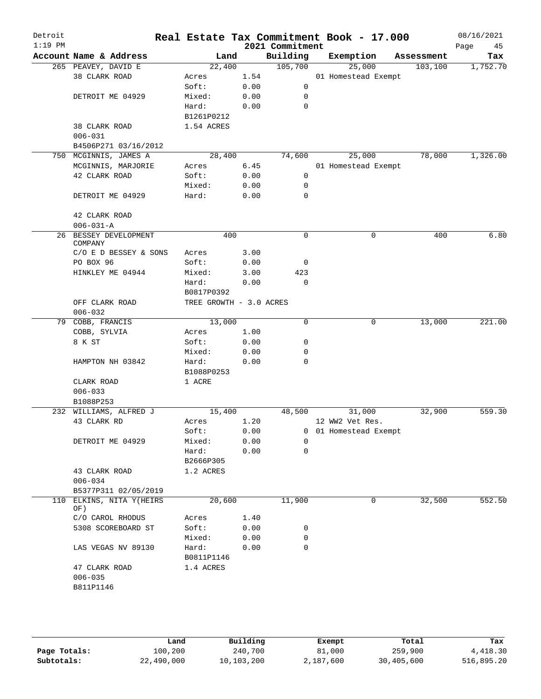| Detroit<br>$1:19$ PM |                              |                         |      | 2021 Commitment | Real Estate Tax Commitment Book - 17.000 |            | 08/16/2021<br>Page<br>45 |
|----------------------|------------------------------|-------------------------|------|-----------------|------------------------------------------|------------|--------------------------|
|                      | Account Name & Address       | Land                    |      | Building        | Exemption                                | Assessment | Tax                      |
|                      | 265 PEAVEY, DAVID E          | 22,400                  |      | 105,700         | 25,000                                   | 103, 100   | 1,752.70                 |
|                      | 38 CLARK ROAD                | Acres                   | 1.54 |                 | 01 Homestead Exempt                      |            |                          |
|                      |                              | Soft:                   | 0.00 | $\mathbf 0$     |                                          |            |                          |
|                      | DETROIT ME 04929             | Mixed:                  | 0.00 | 0               |                                          |            |                          |
|                      |                              | Hard:                   | 0.00 | 0               |                                          |            |                          |
|                      |                              | B1261P0212              |      |                 |                                          |            |                          |
|                      | 38 CLARK ROAD                | 1.54 ACRES              |      |                 |                                          |            |                          |
|                      | $006 - 031$                  |                         |      |                 |                                          |            |                          |
|                      | B4506P271 03/16/2012         |                         |      |                 |                                          |            |                          |
|                      | 750 MCGINNIS, JAMES A        | 28,400                  |      | 74,600          | 25,000                                   | 78,000     | 1,326.00                 |
|                      | MCGINNIS, MARJORIE           | Acres                   | 6.45 |                 | 01 Homestead Exempt                      |            |                          |
|                      | 42 CLARK ROAD                | Soft:                   | 0.00 | 0               |                                          |            |                          |
|                      |                              | Mixed:                  | 0.00 | 0               |                                          |            |                          |
|                      | DETROIT ME 04929             | Hard:                   | 0.00 | 0               |                                          |            |                          |
|                      |                              |                         |      |                 |                                          |            |                          |
|                      | 42 CLARK ROAD                |                         |      |                 |                                          |            |                          |
|                      | $006 - 031 - A$              |                         |      |                 |                                          |            |                          |
| 26                   | BESSEY DEVELOPMENT           | 400                     |      | 0               | 0                                        | 400        | 6.80                     |
|                      | COMPANY                      |                         |      |                 |                                          |            |                          |
|                      | $C/O$ E D BESSEY & SONS      | Acres                   | 3.00 |                 |                                          |            |                          |
|                      | PO BOX 96                    | Soft:                   | 0.00 | 0               |                                          |            |                          |
|                      | HINKLEY ME 04944             | Mixed:                  | 3.00 | 423             |                                          |            |                          |
|                      |                              | Hard:                   | 0.00 | 0               |                                          |            |                          |
|                      |                              | B0817P0392              |      |                 |                                          |            |                          |
|                      | OFF CLARK ROAD               | TREE GROWTH - 3.0 ACRES |      |                 |                                          |            |                          |
|                      | $006 - 032$                  |                         |      |                 |                                          |            |                          |
|                      | 79 COBB, FRANCIS             | 13,000                  |      | $\mathbf 0$     | 0                                        | 13,000     | 221.00                   |
|                      | COBB, SYLVIA                 | Acres                   | 1.00 |                 |                                          |            |                          |
|                      | 8 K ST                       | Soft:                   | 0.00 | 0               |                                          |            |                          |
|                      |                              | Mixed:                  | 0.00 | 0               |                                          |            |                          |
|                      | HAMPTON NH 03842             | Hard:                   | 0.00 | 0               |                                          |            |                          |
|                      |                              | B1088P0253              |      |                 |                                          |            |                          |
|                      | CLARK ROAD                   | 1 ACRE                  |      |                 |                                          |            |                          |
|                      | $006 - 033$                  |                         |      |                 |                                          |            |                          |
|                      | B1088P253                    |                         |      |                 |                                          |            |                          |
|                      | 232 WILLIAMS, ALFRED J       | 15,400                  |      | 48,500          | 31,000                                   | 32,900     | 559.30                   |
|                      | 43 CLARK RD                  | Acres                   | 1.20 |                 | 12 WW2 Vet Res.                          |            |                          |
|                      |                              | Soft:                   | 0.00 | 0               | 01 Homestead Exempt                      |            |                          |
|                      | DETROIT ME 04929             | Mixed:                  | 0.00 | 0               |                                          |            |                          |
|                      |                              | Hard:                   | 0.00 | 0               |                                          |            |                          |
|                      |                              | B2666P305               |      |                 |                                          |            |                          |
|                      | 43 CLARK ROAD                | 1.2 ACRES               |      |                 |                                          |            |                          |
|                      | $006 - 034$                  |                         |      |                 |                                          |            |                          |
|                      |                              |                         |      |                 |                                          |            |                          |
|                      | B5377P311 02/05/2019         |                         |      | 11,900          |                                          |            | 552.50                   |
| 110                  | ELKINS, NITA Y (HEIRS<br>OF) | 20,600                  |      |                 | 0                                        | 32,500     |                          |
|                      | C/O CAROL RHODUS             | Acres                   | 1.40 |                 |                                          |            |                          |
|                      | 5308 SCOREBOARD ST           | Soft:                   | 0.00 | 0               |                                          |            |                          |
|                      |                              | Mixed:                  | 0.00 | 0               |                                          |            |                          |
|                      | LAS VEGAS NV 89130           | Hard:                   | 0.00 | 0               |                                          |            |                          |
|                      |                              | B0811P1146              |      |                 |                                          |            |                          |
|                      |                              |                         |      |                 |                                          |            |                          |
|                      | 47 CLARK ROAD                | 1.4 ACRES               |      |                 |                                          |            |                          |
|                      | $006 - 035$                  |                         |      |                 |                                          |            |                          |
|                      | B811P1146                    |                         |      |                 |                                          |            |                          |
|                      |                              |                         |      |                 |                                          |            |                          |
|                      |                              |                         |      |                 |                                          |            |                          |
|                      |                              |                         |      |                 |                                          |            |                          |
|                      |                              |                         |      |                 |                                          |            |                          |

|              | Land       | Building   | Exempt    | Total      | Tax        |
|--------------|------------|------------|-----------|------------|------------|
| Page Totals: | 100,200    | 240,700    | 81,000    | 259,900    | 4,418.30   |
| Subtotals:   | 22,490,000 | 10,103,200 | 2,187,600 | 30,405,600 | 516,895.20 |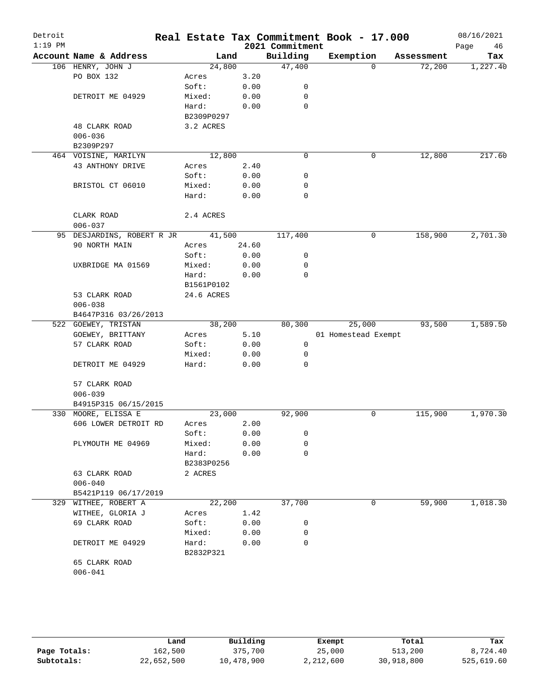| Detroit<br>$1:19$ PM |                                   |                    |       | 2021 Commitment | Real Estate Tax Commitment Book - 17.000 |            | 08/16/2021<br>46<br>Page |
|----------------------|-----------------------------------|--------------------|-------|-----------------|------------------------------------------|------------|--------------------------|
|                      | Account Name & Address            | Land               |       | Building        | Exemption                                | Assessment | Tax                      |
|                      | 106 HENRY, JOHN J                 | 24,800             |       | 47,400          | $\Omega$                                 | 72,200     | 1,227.40                 |
|                      | PO BOX 132                        | Acres              | 3.20  |                 |                                          |            |                          |
|                      |                                   | Soft:              | 0.00  | 0               |                                          |            |                          |
|                      | DETROIT ME 04929                  | Mixed:             | 0.00  | $\mathbf 0$     |                                          |            |                          |
|                      |                                   | Hard:              | 0.00  | 0               |                                          |            |                          |
|                      |                                   | B2309P0297         |       |                 |                                          |            |                          |
|                      | 48 CLARK ROAD                     | 3.2 ACRES          |       |                 |                                          |            |                          |
|                      | $006 - 036$                       |                    |       |                 |                                          |            |                          |
|                      | B2309P297                         |                    |       |                 |                                          |            |                          |
|                      | 464 VOISINE, MARILYN              | 12,800             |       | 0               | 0                                        | 12,800     | 217.60                   |
|                      | 43 ANTHONY DRIVE                  | Acres              | 2.40  |                 |                                          |            |                          |
|                      |                                   | Soft:              | 0.00  | 0               |                                          |            |                          |
|                      | BRISTOL CT 06010                  | Mixed:             | 0.00  | 0               |                                          |            |                          |
|                      |                                   | Hard:              | 0.00  | 0               |                                          |            |                          |
|                      | CLARK ROAD                        | 2.4 ACRES          |       |                 |                                          |            |                          |
|                      | $006 - 037$                       |                    |       |                 |                                          |            |                          |
|                      | 95 DESJARDINS, ROBERT R JR 41,500 |                    |       | 117,400         | 0                                        | 158,900    | 2,701.30                 |
|                      | 90 NORTH MAIN                     | Acres              | 24.60 |                 |                                          |            |                          |
|                      |                                   | Soft:              | 0.00  | 0               |                                          |            |                          |
|                      | UXBRIDGE MA 01569                 | Mixed:             | 0.00  | 0               |                                          |            |                          |
|                      |                                   | Hard:              | 0.00  | 0               |                                          |            |                          |
|                      |                                   | B1561P0102         |       |                 |                                          |            |                          |
|                      | 53 CLARK ROAD                     | 24.6 ACRES         |       |                 |                                          |            |                          |
|                      | $006 - 038$                       |                    |       |                 |                                          |            |                          |
|                      | B4647P316 03/26/2013              |                    |       |                 |                                          |            |                          |
|                      | 522 GOEWEY, TRISTAN               | 38,200             |       | 80,300          | 25,000                                   | 93,500     | 1,589.50                 |
|                      | GOEWEY, BRITTANY                  | Acres              | 5.10  |                 | 01 Homestead Exempt                      |            |                          |
|                      | 57 CLARK ROAD                     | Soft:              | 0.00  | 0               |                                          |            |                          |
|                      |                                   | Mixed:             | 0.00  | 0               |                                          |            |                          |
|                      | DETROIT ME 04929                  | Hard:              | 0.00  | $\Omega$        |                                          |            |                          |
|                      | 57 CLARK ROAD                     |                    |       |                 |                                          |            |                          |
|                      | $006 - 039$                       |                    |       |                 |                                          |            |                          |
|                      | B4915P315 06/15/2015              |                    |       |                 |                                          |            |                          |
|                      | 330 MOORE, ELISSA E               | 23,000             |       | 92,900          | 0                                        | 115,900    | 1,970.30                 |
|                      | 606 LOWER DETROIT RD              | Acres              | 2.00  |                 |                                          |            |                          |
|                      |                                   | Soft:              | 0.00  | 0               |                                          |            |                          |
|                      | PLYMOUTH ME 04969                 | Mixed:             | 0.00  | 0               |                                          |            |                          |
|                      |                                   | Hard:              | 0.00  | $\mathbf 0$     |                                          |            |                          |
|                      |                                   | B2383P0256         |       |                 |                                          |            |                          |
|                      | 63 CLARK ROAD                     | 2 ACRES            |       |                 |                                          |            |                          |
|                      | $006 - 040$                       |                    |       |                 |                                          |            |                          |
|                      | B5421P119 06/17/2019              |                    |       |                 |                                          |            |                          |
|                      | 329 WITHEE, ROBERT A              | 22,200             |       | 37,700          | 0                                        | 59,900     | 1,018.30                 |
|                      | WITHEE, GLORIA J                  | Acres              | 1.42  |                 |                                          |            |                          |
|                      | 69 CLARK ROAD                     | Soft:              | 0.00  | 0               |                                          |            |                          |
|                      |                                   | Mixed:             | 0.00  | 0               |                                          |            |                          |
|                      | DETROIT ME 04929                  | Hard:<br>B2832P321 | 0.00  | 0               |                                          |            |                          |
|                      | 65 CLARK ROAD                     |                    |       |                 |                                          |            |                          |
|                      | $006 - 041$                       |                    |       |                 |                                          |            |                          |
|                      |                                   |                    |       |                 |                                          |            |                          |

|              | Land       | Building   | Exempt    | Total      | Tax        |
|--------------|------------|------------|-----------|------------|------------|
| Page Totals: | 162,500    | 375,700    | 25,000    | 513,200    | 8,724.40   |
| Subtotals:   | 22,652,500 | 10,478,900 | 2,212,600 | 30,918,800 | 525,619.60 |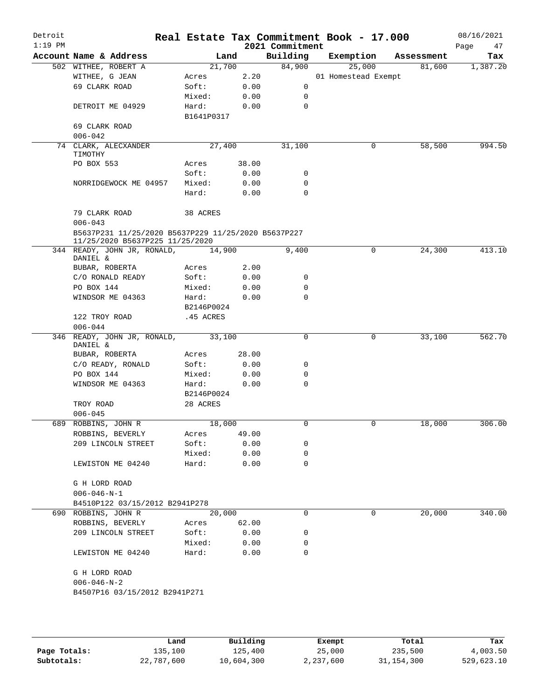| Detroit<br>$1:19$ PM |                                                                                        |                     |       | 2021 Commitment | Real Estate Tax Commitment Book - 17.000 |            | 08/16/2021<br>Page<br>47 |
|----------------------|----------------------------------------------------------------------------------------|---------------------|-------|-----------------|------------------------------------------|------------|--------------------------|
|                      | Account Name & Address                                                                 | Land                |       | Building        | Exemption                                | Assessment | Tax                      |
|                      | 502 WITHEE, ROBERT A                                                                   | 21,700              |       | 84,900          | 25,000                                   | 81,600     | 1,387.20                 |
|                      | WITHEE, G JEAN                                                                         | Acres               | 2.20  |                 | 01 Homestead Exempt                      |            |                          |
|                      | 69 CLARK ROAD                                                                          | Soft:               | 0.00  | 0               |                                          |            |                          |
|                      |                                                                                        | Mixed:              | 0.00  | 0               |                                          |            |                          |
|                      | DETROIT ME 04929                                                                       | Hard:               | 0.00  | $\mathbf 0$     |                                          |            |                          |
|                      |                                                                                        | B1641P0317          |       |                 |                                          |            |                          |
|                      | 69 CLARK ROAD                                                                          |                     |       |                 |                                          |            |                          |
|                      | $006 - 042$                                                                            |                     |       |                 |                                          |            |                          |
|                      | 74 CLARK, ALECXANDER<br>TIMOTHY                                                        | 27,400              |       | 31,100          | 0                                        | 58,500     | 994.50                   |
|                      | PO BOX 553                                                                             | Acres               | 38.00 |                 |                                          |            |                          |
|                      |                                                                                        | Soft:               | 0.00  | 0               |                                          |            |                          |
|                      | NORRIDGEWOCK ME 04957                                                                  | Mixed:              | 0.00  | 0               |                                          |            |                          |
|                      |                                                                                        | Hard:               | 0.00  | $\mathbf 0$     |                                          |            |                          |
|                      | 79 CLARK ROAD<br>$006 - 043$                                                           | 38 ACRES            |       |                 |                                          |            |                          |
|                      | B5637P231 11/25/2020 B5637P229 11/25/2020 B5637P227<br>11/25/2020 B5637P225 11/25/2020 |                     |       |                 |                                          |            |                          |
|                      | 344 READY, JOHN JR, RONALD,<br>DANIEL &                                                | 14,900              |       | 9,400           | 0                                        | 24,300     | 413.10                   |
|                      | BUBAR, ROBERTA                                                                         | Acres               | 2.00  |                 |                                          |            |                          |
|                      | C/O RONALD READY                                                                       | Soft:               | 0.00  | 0               |                                          |            |                          |
|                      | PO BOX 144                                                                             | Mixed:              | 0.00  | 0               |                                          |            |                          |
|                      | WINDSOR ME 04363                                                                       | Hard:<br>B2146P0024 | 0.00  | 0               |                                          |            |                          |
|                      | 122 TROY ROAD                                                                          | .45 ACRES           |       |                 |                                          |            |                          |
|                      | $006 - 044$                                                                            |                     |       |                 |                                          |            |                          |
|                      | 346 READY, JOHN JR, RONALD,<br>DANIEL &                                                | 33,100              |       | 0               | 0                                        | 33,100     | 562.70                   |
|                      | BUBAR, ROBERTA                                                                         | Acres               | 28.00 |                 |                                          |            |                          |
|                      | C/O READY, RONALD                                                                      | Soft:               | 0.00  | 0               |                                          |            |                          |
|                      | PO BOX 144                                                                             | Mixed:              | 0.00  | 0               |                                          |            |                          |
|                      | WINDSOR ME 04363                                                                       | Hard:               | 0.00  | 0               |                                          |            |                          |
|                      |                                                                                        | B2146P0024          |       |                 |                                          |            |                          |
|                      | TROY ROAD                                                                              | 28 ACRES            |       |                 |                                          |            |                          |
|                      | $006 - 045$                                                                            |                     |       |                 |                                          |            |                          |
|                      | 689 ROBBINS, JOHN R                                                                    | 18,000              |       | 0               | 0                                        | 18,000     | 306.00                   |
|                      | ROBBINS, BEVERLY                                                                       | Acres               | 49.00 |                 |                                          |            |                          |
|                      | 209 LINCOLN STREET                                                                     | Soft:               | 0.00  | 0               |                                          |            |                          |
|                      |                                                                                        | Mixed:              | 0.00  | 0               |                                          |            |                          |
|                      | LEWISTON ME 04240                                                                      | Hard:               | 0.00  | 0               |                                          |            |                          |
|                      |                                                                                        |                     |       |                 |                                          |            |                          |
|                      | G H LORD ROAD                                                                          |                     |       |                 |                                          |            |                          |
|                      | $006 - 046 - N - 1$                                                                    |                     |       |                 |                                          |            |                          |
|                      | B4510P122 03/15/2012 B2941P278                                                         |                     |       |                 |                                          |            |                          |
|                      | 690 ROBBINS, JOHN R                                                                    | 20,000              |       | 0               | 0                                        | 20,000     | 340.00                   |
|                      | ROBBINS, BEVERLY                                                                       | Acres               | 62.00 |                 |                                          |            |                          |
|                      | 209 LINCOLN STREET                                                                     | Soft:               | 0.00  | 0               |                                          |            |                          |
|                      |                                                                                        | Mixed:              | 0.00  | 0               |                                          |            |                          |
|                      | LEWISTON ME 04240                                                                      | Hard:               | 0.00  | $\Omega$        |                                          |            |                          |
|                      | G H LORD ROAD                                                                          |                     |       |                 |                                          |            |                          |
|                      | $006 - 046 - N - 2$                                                                    |                     |       |                 |                                          |            |                          |
|                      |                                                                                        |                     |       |                 |                                          |            |                          |
|                      | B4507P16 03/15/2012 B2941P271                                                          |                     |       |                 |                                          |            |                          |
|                      |                                                                                        |                     |       |                 |                                          |            |                          |
|                      |                                                                                        |                     |       |                 |                                          |            |                          |

|              | Land       | Building   | Exempt    | Total        | Tax        |
|--------------|------------|------------|-----------|--------------|------------|
| Page Totals: | 135,100    | 125,400    | 25,000    | 235,500      | 4,003.50   |
| Subtotals:   | 22,787,600 | 10,604,300 | 2,237,600 | 31, 154, 300 | 529,623.10 |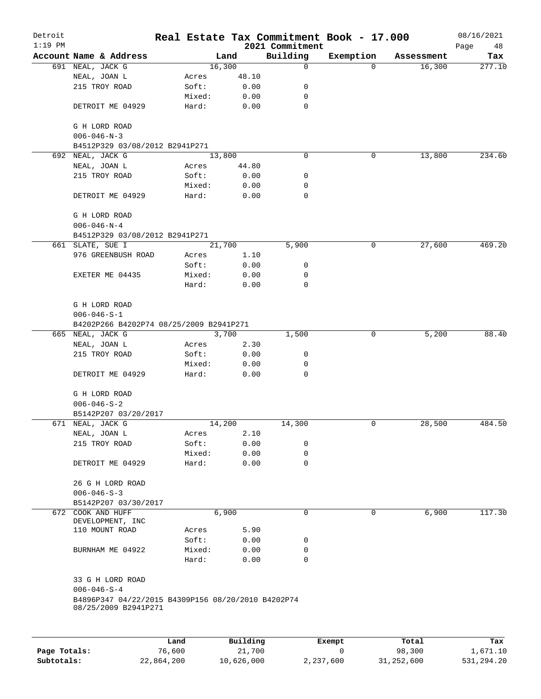| Detroit<br>$1:19$ PM |                                                                            |        |          | 2021 Commitment | Real Estate Tax Commitment Book - 17.000 |            | 08/16/2021<br>Page<br>48 |
|----------------------|----------------------------------------------------------------------------|--------|----------|-----------------|------------------------------------------|------------|--------------------------|
|                      | Account Name & Address                                                     |        | Land     | Building        | Exemption                                | Assessment | Tax                      |
|                      | 691 NEAL, JACK G                                                           |        | 16,300   | $\mathbf 0$     | $\mathbf 0$                              | 16,300     | 277.10                   |
|                      | NEAL, JOAN L                                                               | Acres  | 48.10    |                 |                                          |            |                          |
|                      | 215 TROY ROAD                                                              | Soft:  | 0.00     | 0               |                                          |            |                          |
|                      |                                                                            | Mixed: | 0.00     | 0               |                                          |            |                          |
|                      | DETROIT ME 04929                                                           | Hard:  | 0.00     | $\mathbf 0$     |                                          |            |                          |
|                      | G H LORD ROAD<br>$006 - 046 - N - 3$                                       |        |          |                 |                                          |            |                          |
|                      | B4512P329 03/08/2012 B2941P271                                             |        |          |                 |                                          |            |                          |
|                      | 692 NEAL, JACK G                                                           |        | 13,800   | $\mathbf 0$     | 0                                        | 13,800     | 234.60                   |
|                      | NEAL, JOAN L                                                               | Acres  | 44.80    |                 |                                          |            |                          |
|                      | 215 TROY ROAD                                                              | Soft:  | 0.00     | 0               |                                          |            |                          |
|                      |                                                                            | Mixed: | 0.00     | 0               |                                          |            |                          |
|                      | DETROIT ME 04929                                                           | Hard:  | 0.00     | $\mathbf 0$     |                                          |            |                          |
|                      | G H LORD ROAD<br>$006 - 046 - N - 4$                                       |        |          |                 |                                          |            |                          |
|                      | B4512P329 03/08/2012 B2941P271                                             |        |          |                 |                                          |            |                          |
|                      | 661 SLATE, SUE I                                                           |        | 21,700   | 5,900           | 0                                        | 27,600     | 469.20                   |
|                      | 976 GREENBUSH ROAD                                                         | Acres  | 1.10     |                 |                                          |            |                          |
|                      |                                                                            | Soft:  | 0.00     | 0               |                                          |            |                          |
|                      | EXETER ME 04435                                                            | Mixed: | 0.00     | 0               |                                          |            |                          |
|                      |                                                                            | Hard:  | 0.00     | 0               |                                          |            |                          |
|                      | G H LORD ROAD                                                              |        |          |                 |                                          |            |                          |
|                      | $006 - 046 - S - 1$                                                        |        |          |                 |                                          |            |                          |
|                      | B4202P266 B4202P74 08/25/2009 B2941P271                                    |        |          |                 |                                          |            |                          |
|                      | 665 NEAL, JACK G                                                           |        | 3,700    | 1,500           | 0                                        | 5,200      | 88.40                    |
|                      | NEAL, JOAN L                                                               | Acres  | 2.30     |                 |                                          |            |                          |
|                      | 215 TROY ROAD                                                              | Soft:  | 0.00     | 0               |                                          |            |                          |
|                      |                                                                            | Mixed: | 0.00     | 0               |                                          |            |                          |
|                      | DETROIT ME 04929                                                           | Hard:  | 0.00     | 0               |                                          |            |                          |
|                      | G H LORD ROAD                                                              |        |          |                 |                                          |            |                          |
|                      | $006 - 046 - S - 2$                                                        |        |          |                 |                                          |            |                          |
|                      | B5142P207 03/20/2017                                                       |        |          |                 |                                          |            |                          |
|                      | 671 NEAL, JACK G                                                           |        | 14,200   | 14,300          | 0                                        | 28,500     | 484.50                   |
|                      | NEAL, JOAN L                                                               | Acres  | 2.10     |                 |                                          |            |                          |
|                      | 215 TROY ROAD                                                              | Soft:  | 0.00     | 0               |                                          |            |                          |
|                      |                                                                            | Mixed: | 0.00     | 0               |                                          |            |                          |
|                      | DETROIT ME 04929                                                           | Hard:  | 0.00     | $\mathbf 0$     |                                          |            |                          |
|                      | 26 G H LORD ROAD                                                           |        |          |                 |                                          |            |                          |
|                      | $006 - 046 - S - 3$                                                        |        |          |                 |                                          |            |                          |
|                      | B5142P207 03/30/2017                                                       |        |          |                 |                                          |            |                          |
|                      | 672 COOK AND HUFF<br>DEVELOPMENT, INC                                      |        | 6,900    | 0               | 0                                        | 6,900      | 117.30                   |
|                      | 110 MOUNT ROAD                                                             | Acres  | 5.90     |                 |                                          |            |                          |
|                      |                                                                            | Soft:  | 0.00     | 0               |                                          |            |                          |
|                      | BURNHAM ME 04922                                                           | Mixed: | 0.00     | 0               |                                          |            |                          |
|                      |                                                                            | Hard:  | 0.00     | $\mathbf 0$     |                                          |            |                          |
|                      | 33 G H LORD ROAD                                                           |        |          |                 |                                          |            |                          |
|                      | $006 - 046 - S - 4$                                                        |        |          |                 |                                          |            |                          |
|                      | B4896P347 04/22/2015 B4309P156 08/20/2010 B4202P74<br>08/25/2009 B2941P271 |        |          |                 |                                          |            |                          |
|                      |                                                                            |        |          |                 |                                          |            |                          |
|                      |                                                                            | Land   | Building |                 | Exempt                                   | Total      | Tax                      |
|                      |                                                                            |        |          |                 |                                          |            |                          |

**Page Totals:** 26,600 21,700 0 98,300 1,671.10 **Subtotals:** 22,864,200 10,626,000 2,237,600 31,252,600 531,294.20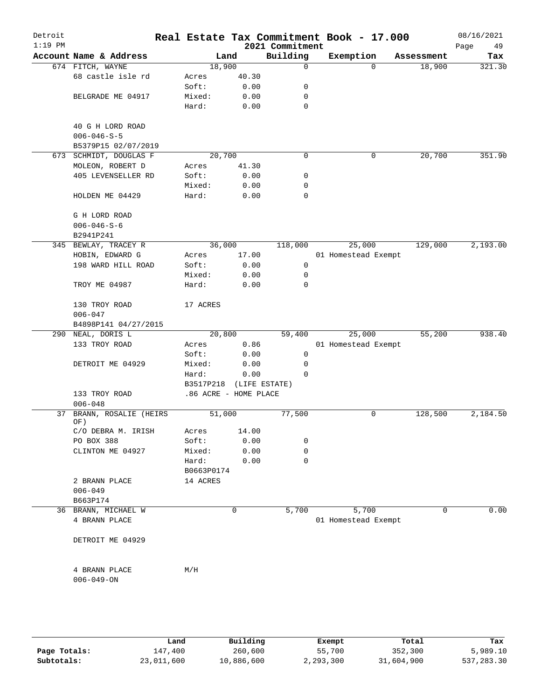| Detroit<br>$1:19$ PM |                                         |                       |       | 2021 Commitment | Real Estate Tax Commitment Book - 17.000 |            | 08/16/2021<br>Page<br>49 |
|----------------------|-----------------------------------------|-----------------------|-------|-----------------|------------------------------------------|------------|--------------------------|
|                      | Account Name & Address                  | Land                  |       | Building        | Exemption                                | Assessment | Tax                      |
|                      | 674 FITCH, WAYNE                        | 18,900                |       | 0               | $\Omega$                                 | 18,900     | 321.30                   |
|                      | 68 castle isle rd                       | Acres                 | 40.30 |                 |                                          |            |                          |
|                      |                                         | Soft:                 | 0.00  | 0               |                                          |            |                          |
|                      | BELGRADE ME 04917                       | Mixed:                | 0.00  | 0               |                                          |            |                          |
|                      |                                         | Hard:                 | 0.00  | 0               |                                          |            |                          |
|                      |                                         |                       |       |                 |                                          |            |                          |
|                      | 40 G H LORD ROAD<br>$006 - 046 - S - 5$ |                       |       |                 |                                          |            |                          |
|                      | B5379P15 02/07/2019                     |                       |       |                 |                                          |            |                          |
|                      | 673 SCHMIDT, DOUGLAS F                  | 20,700                |       | 0               | 0                                        | 20,700     | 351.90                   |
|                      | MOLEON, ROBERT D                        | Acres                 | 41.30 |                 |                                          |            |                          |
|                      | 405 LEVENSELLER RD                      | Soft:                 | 0.00  | 0               |                                          |            |                          |
|                      |                                         | Mixed:                | 0.00  | 0               |                                          |            |                          |
|                      | HOLDEN ME 04429                         | Hard:                 | 0.00  | 0               |                                          |            |                          |
|                      | G H LORD ROAD                           |                       |       |                 |                                          |            |                          |
|                      | $006 - 046 - S - 6$                     |                       |       |                 |                                          |            |                          |
|                      | B2941P241                               |                       |       |                 |                                          |            |                          |
|                      | 345 BEWLAY, TRACEY R                    | 36,000                |       | 118,000         | 25,000                                   | 129,000    | 2,193.00                 |
|                      | HOBIN, EDWARD G                         | Acres                 | 17.00 |                 | 01 Homestead Exempt                      |            |                          |
|                      | 198 WARD HILL ROAD                      | Soft:                 | 0.00  | 0               |                                          |            |                          |
|                      |                                         | Mixed:                | 0.00  | 0               |                                          |            |                          |
|                      | TROY ME 04987                           | Hard:                 | 0.00  | 0               |                                          |            |                          |
|                      | 130 TROY ROAD                           | 17 ACRES              |       |                 |                                          |            |                          |
|                      | $006 - 047$                             |                       |       |                 |                                          |            |                          |
|                      | B4898P141 04/27/2015                    |                       |       |                 |                                          |            |                          |
|                      | 290 NEAL, DORIS L                       | 20,800                |       | 59,400          | 25,000                                   | 55,200     | 938.40                   |
|                      | 133 TROY ROAD                           | Acres                 | 0.86  |                 | 01 Homestead Exempt                      |            |                          |
|                      |                                         | Soft:                 | 0.00  | $\mathsf{O}$    |                                          |            |                          |
|                      | DETROIT ME 04929                        | Mixed:                | 0.00  | 0               |                                          |            |                          |
|                      |                                         | Hard:                 | 0.00  | $\Omega$        |                                          |            |                          |
|                      |                                         | B3517P218             |       | (LIFE ESTATE)   |                                          |            |                          |
|                      | 133 TROY ROAD                           | .86 ACRE - HOME PLACE |       |                 |                                          |            |                          |
|                      | $006 - 048$                             |                       |       |                 |                                          |            |                          |
| 37                   | BRANN, ROSALIE (HEIRS<br>OF)            | 51,000                |       | 77,500          | 0                                        | 128,500    | 2,184.50                 |
|                      | C/O DEBRA M. IRISH                      | Acres                 | 14.00 |                 |                                          |            |                          |
|                      | PO BOX 388                              | Soft:                 | 0.00  | 0               |                                          |            |                          |
|                      | CLINTON ME 04927                        | Mixed:                | 0.00  | 0               |                                          |            |                          |
|                      |                                         | Hard:                 | 0.00  | 0               |                                          |            |                          |
|                      |                                         | B0663P0174            |       |                 |                                          |            |                          |
|                      | 2 BRANN PLACE                           | 14 ACRES              |       |                 |                                          |            |                          |
|                      | $006 - 049$                             |                       |       |                 |                                          |            |                          |
|                      | B663P174                                |                       |       |                 |                                          |            |                          |
|                      | 36 BRANN, MICHAEL W                     |                       | 0     | 5,700           | 5,700                                    | $\Omega$   | 0.00                     |
|                      | 4 BRANN PLACE                           |                       |       |                 | 01 Homestead Exempt                      |            |                          |
|                      | DETROIT ME 04929                        |                       |       |                 |                                          |            |                          |
|                      | 4 BRANN PLACE                           | M/H                   |       |                 |                                          |            |                          |
|                      | $006 - 049 - ON$                        |                       |       |                 |                                          |            |                          |
|                      |                                         |                       |       |                 |                                          |            |                          |
|                      |                                         |                       |       |                 |                                          |            |                          |

|              | Land       | Building   | Exempt    | Total      | Tax          |
|--------------|------------|------------|-----------|------------|--------------|
| Page Totals: | 147,400    | 260,600    | 55,700    | 352,300    | 5,989.10     |
| Subtotals:   | 23,011,600 | 10,886,600 | 2,293,300 | 31,604,900 | 537, 283, 30 |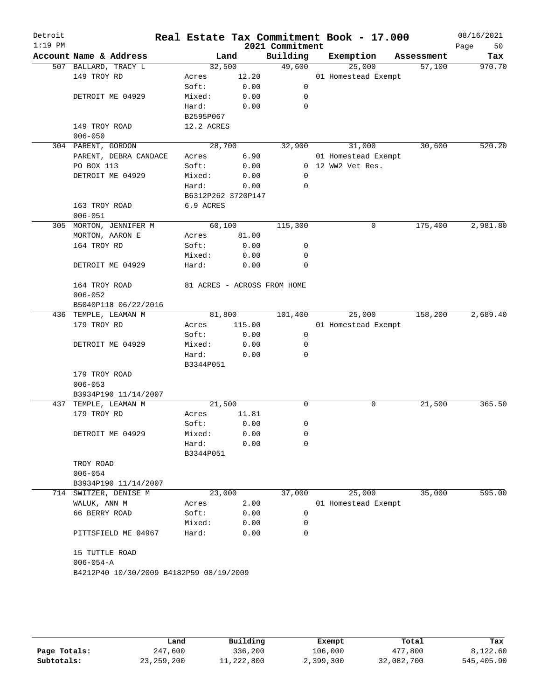| Detroit<br>$1:19$ PM |                                         |                    |        | 2021 Commitment             | Real Estate Tax Commitment Book - 17.000 |            | 08/16/2021<br>Page<br>50 |
|----------------------|-----------------------------------------|--------------------|--------|-----------------------------|------------------------------------------|------------|--------------------------|
|                      | Account Name & Address                  |                    | Land   | Building                    | Exemption                                | Assessment | Tax                      |
|                      | 507 BALLARD, TRACY L                    | 32,500             |        | 49,600                      | 25,000                                   | 57,100     | 970.70                   |
|                      | 149 TROY RD                             | Acres              | 12.20  |                             | 01 Homestead Exempt                      |            |                          |
|                      |                                         | Soft:              | 0.00   | $\mathbf 0$                 |                                          |            |                          |
|                      | DETROIT ME 04929                        | Mixed:             | 0.00   | 0                           |                                          |            |                          |
|                      |                                         | Hard:              | 0.00   | $\Omega$                    |                                          |            |                          |
|                      |                                         | B2595P067          |        |                             |                                          |            |                          |
|                      | 149 TROY ROAD                           | 12.2 ACRES         |        |                             |                                          |            |                          |
|                      | $006 - 050$                             |                    |        |                             |                                          |            |                          |
|                      | 304 PARENT, GORDON                      | 28,700             |        | 32,900                      | 31,000                                   | 30,600     | 520.20                   |
|                      | PARENT, DEBRA CANDACE                   | Acres              | 6.90   |                             | 01 Homestead Exempt                      |            |                          |
|                      | PO BOX 113                              | Soft:              | 0.00   |                             | 0 12 WW2 Vet Res.                        |            |                          |
|                      | DETROIT ME 04929                        | Mixed:             | 0.00   | 0                           |                                          |            |                          |
|                      |                                         | Hard:              | 0.00   | $\Omega$                    |                                          |            |                          |
|                      |                                         | B6312P262 3720P147 |        |                             |                                          |            |                          |
|                      | 163 TROY ROAD                           | 6.9 ACRES          |        |                             |                                          |            |                          |
|                      | $006 - 051$                             |                    |        |                             |                                          |            |                          |
|                      | 305 MORTON, JENNIFER M                  | 60,100             |        | 115,300                     | 0                                        | 175,400    | 2,981.80                 |
|                      | MORTON, AARON E                         | Acres              | 81.00  |                             |                                          |            |                          |
|                      | 164 TROY RD                             | Soft:              | 0.00   | 0                           |                                          |            |                          |
|                      |                                         | Mixed:             | 0.00   | 0                           |                                          |            |                          |
|                      | DETROIT ME 04929                        | Hard:              | 0.00   | 0                           |                                          |            |                          |
|                      | 164 TROY ROAD                           |                    |        | 81 ACRES - ACROSS FROM HOME |                                          |            |                          |
|                      | $006 - 052$                             |                    |        |                             |                                          |            |                          |
|                      | B5040P118 06/22/2016                    |                    |        |                             |                                          |            |                          |
|                      | 436 TEMPLE, LEAMAN M                    | 81,800             |        | 101,400                     | 25,000                                   | 158,200    | 2,689.40                 |
|                      | 179 TROY RD                             | Acres              | 115.00 |                             | 01 Homestead Exempt                      |            |                          |
|                      |                                         | Soft:              | 0.00   | 0                           |                                          |            |                          |
|                      | DETROIT ME 04929                        | Mixed:             | 0.00   | 0                           |                                          |            |                          |
|                      |                                         | Hard:<br>B3344P051 | 0.00   | $\Omega$                    |                                          |            |                          |
|                      | 179 TROY ROAD                           |                    |        |                             |                                          |            |                          |
|                      | $006 - 053$                             |                    |        |                             |                                          |            |                          |
|                      | B3934P190 11/14/2007                    |                    |        |                             |                                          |            |                          |
| 437                  | TEMPLE, LEAMAN M                        | 21,500             |        | 0                           | 0                                        | 21,500     | 365.50                   |
|                      | 179 TROY RD                             | Acres              | 11.81  |                             |                                          |            |                          |
|                      |                                         | Soft:              | 0.00   | 0                           |                                          |            |                          |
|                      | DETROIT ME 04929                        | Mixed:             | 0.00   | 0                           |                                          |            |                          |
|                      |                                         | Hard:<br>B3344P051 | 0.00   | 0                           |                                          |            |                          |
|                      | TROY ROAD                               |                    |        |                             |                                          |            |                          |
|                      | $006 - 054$                             |                    |        |                             |                                          |            |                          |
|                      | B3934P190 11/14/2007                    |                    |        |                             |                                          |            |                          |
|                      | 714 SWITZER, DENISE M                   | 23,000             |        | 37,000                      | 25,000                                   | 35,000     | 595.00                   |
|                      | WALUK, ANN M                            | Acres              | 2.00   |                             | 01 Homestead Exempt                      |            |                          |
|                      | 66 BERRY ROAD                           | Soft:              | 0.00   | 0                           |                                          |            |                          |
|                      |                                         | Mixed:             | 0.00   | 0                           |                                          |            |                          |
|                      | PITTSFIELD ME 04967                     | Hard:              | 0.00   | $\mathbf 0$                 |                                          |            |                          |
|                      | 15 TUTTLE ROAD                          |                    |        |                             |                                          |            |                          |
|                      | $006 - 054 - A$                         |                    |        |                             |                                          |            |                          |
|                      | B4212P40 10/30/2009 B4182P59 08/19/2009 |                    |        |                             |                                          |            |                          |
|                      |                                         |                    |        |                             |                                          |            |                          |
|                      |                                         |                    |        |                             |                                          |            |                          |

|              | Land         | Building   | Exempt    | Total      | Tax        |
|--------------|--------------|------------|-----------|------------|------------|
| Page Totals: | 247,600      | 336,200    | 106,000   | 477,800    | 8,122.60   |
| Subtotals:   | 23, 259, 200 | 11,222,800 | 2,399,300 | 32,082,700 | 545,405.90 |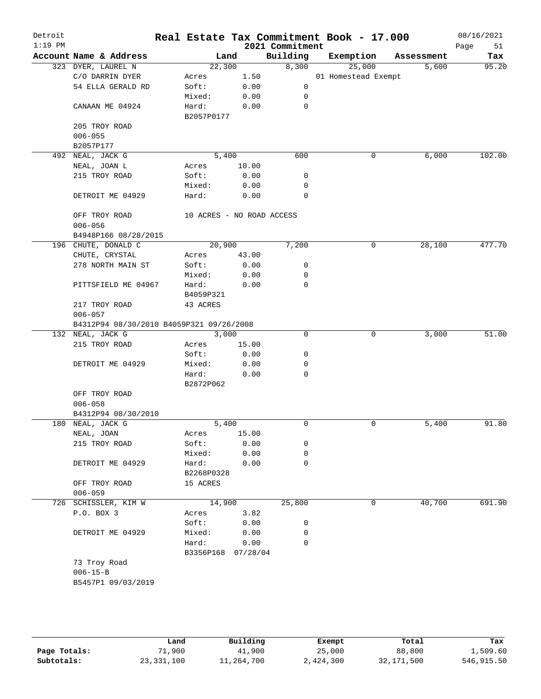|                                      |                                                                                                                                   |                                                            | 2021 Commitment                                                                                                                                              | Real Estate Tax Commitment Book - 17.000                                                                  |            | 08/16/2021<br>Page<br>51                         |
|--------------------------------------|-----------------------------------------------------------------------------------------------------------------------------------|------------------------------------------------------------|--------------------------------------------------------------------------------------------------------------------------------------------------------------|-----------------------------------------------------------------------------------------------------------|------------|--------------------------------------------------|
| Account Name & Address               |                                                                                                                                   |                                                            |                                                                                                                                                              | Exemption                                                                                                 | Assessment | Tax                                              |
| 323 DYER, LAUREL N                   |                                                                                                                                   |                                                            | 8,300                                                                                                                                                        | 25,000                                                                                                    | 5,600      | 95.20                                            |
| C/O DARRIN DYER                      | Acres                                                                                                                             | 1.50                                                       |                                                                                                                                                              |                                                                                                           |            |                                                  |
| 54 ELLA GERALD RD                    | Soft:                                                                                                                             | 0.00                                                       | 0                                                                                                                                                            |                                                                                                           |            |                                                  |
|                                      | Mixed:                                                                                                                            | 0.00                                                       | 0                                                                                                                                                            |                                                                                                           |            |                                                  |
| CANAAN ME 04924                      | Hard:                                                                                                                             | 0.00                                                       | 0                                                                                                                                                            |                                                                                                           |            |                                                  |
|                                      |                                                                                                                                   |                                                            |                                                                                                                                                              |                                                                                                           |            |                                                  |
| 205 TROY ROAD                        |                                                                                                                                   |                                                            |                                                                                                                                                              |                                                                                                           |            |                                                  |
| $006 - 055$                          |                                                                                                                                   |                                                            |                                                                                                                                                              |                                                                                                           |            |                                                  |
| B2057P177                            |                                                                                                                                   |                                                            |                                                                                                                                                              |                                                                                                           |            |                                                  |
|                                      |                                                                                                                                   |                                                            | 600                                                                                                                                                          | 0                                                                                                         |            | 102.00                                           |
| NEAL, JOAN L                         | Acres                                                                                                                             | 10.00                                                      |                                                                                                                                                              |                                                                                                           |            |                                                  |
| 215 TROY ROAD                        | Soft:                                                                                                                             | 0.00                                                       | 0                                                                                                                                                            |                                                                                                           |            |                                                  |
|                                      | Mixed:                                                                                                                            | 0.00                                                       | 0                                                                                                                                                            |                                                                                                           |            |                                                  |
| DETROIT ME 04929                     | Hard:                                                                                                                             | 0.00                                                       | 0                                                                                                                                                            |                                                                                                           |            |                                                  |
| OFF TROY ROAD                        |                                                                                                                                   |                                                            |                                                                                                                                                              |                                                                                                           |            |                                                  |
| $006 - 056$                          |                                                                                                                                   |                                                            |                                                                                                                                                              |                                                                                                           |            |                                                  |
| B4948P166 08/28/2015                 |                                                                                                                                   |                                                            |                                                                                                                                                              |                                                                                                           |            |                                                  |
|                                      |                                                                                                                                   |                                                            |                                                                                                                                                              | 0                                                                                                         |            | 477.70                                           |
| CHUTE, CRYSTAL                       | Acres                                                                                                                             | 43.00                                                      |                                                                                                                                                              |                                                                                                           |            |                                                  |
| 278 NORTH MAIN ST                    | Soft:                                                                                                                             | 0.00                                                       | 0                                                                                                                                                            |                                                                                                           |            |                                                  |
|                                      | Mixed:                                                                                                                            | 0.00                                                       | 0                                                                                                                                                            |                                                                                                           |            |                                                  |
| PITTSFIELD ME 04967                  | Hard:                                                                                                                             | 0.00                                                       | 0                                                                                                                                                            |                                                                                                           |            |                                                  |
|                                      |                                                                                                                                   |                                                            |                                                                                                                                                              |                                                                                                           |            |                                                  |
| $006 - 057$                          |                                                                                                                                   |                                                            |                                                                                                                                                              |                                                                                                           |            |                                                  |
|                                      |                                                                                                                                   |                                                            |                                                                                                                                                              |                                                                                                           |            |                                                  |
| 132 NEAL, JACK G                     |                                                                                                                                   | 3,000                                                      |                                                                                                                                                              | 0                                                                                                         | 3,000      | 51.00                                            |
| 215 TROY ROAD                        | Acres                                                                                                                             | 15.00                                                      |                                                                                                                                                              |                                                                                                           |            |                                                  |
|                                      | Soft:                                                                                                                             | 0.00                                                       | 0                                                                                                                                                            |                                                                                                           |            |                                                  |
| DETROIT ME 04929                     | Mixed:                                                                                                                            | 0.00                                                       | 0                                                                                                                                                            |                                                                                                           |            |                                                  |
|                                      | Hard:                                                                                                                             | 0.00                                                       | 0                                                                                                                                                            |                                                                                                           |            |                                                  |
|                                      | B2872P062                                                                                                                         |                                                            |                                                                                                                                                              |                                                                                                           |            |                                                  |
| OFF TROY ROAD                        |                                                                                                                                   |                                                            |                                                                                                                                                              |                                                                                                           |            |                                                  |
| $006 - 058$                          |                                                                                                                                   |                                                            |                                                                                                                                                              |                                                                                                           |            |                                                  |
| B4312P94 08/30/2010                  |                                                                                                                                   |                                                            |                                                                                                                                                              |                                                                                                           |            |                                                  |
| 180 NEAL, JACK G                     |                                                                                                                                   |                                                            | 0                                                                                                                                                            | $\mathbf 0$                                                                                               | 5,400      | 91.80                                            |
| NEAL, JOAN                           | Acres                                                                                                                             | 15.00                                                      |                                                                                                                                                              |                                                                                                           |            |                                                  |
| 215 TROY ROAD                        | Soft:                                                                                                                             | 0.00                                                       | 0                                                                                                                                                            |                                                                                                           |            |                                                  |
|                                      | Mixed:                                                                                                                            | 0.00                                                       | 0                                                                                                                                                            |                                                                                                           |            |                                                  |
| DETROIT ME 04929                     | Hard:                                                                                                                             | 0.00                                                       | 0                                                                                                                                                            |                                                                                                           |            |                                                  |
|                                      |                                                                                                                                   |                                                            |                                                                                                                                                              |                                                                                                           |            |                                                  |
| OFF TROY ROAD                        | 15 ACRES                                                                                                                          |                                                            |                                                                                                                                                              |                                                                                                           |            |                                                  |
|                                      |                                                                                                                                   |                                                            |                                                                                                                                                              |                                                                                                           |            | 691.90                                           |
|                                      |                                                                                                                                   |                                                            |                                                                                                                                                              |                                                                                                           |            |                                                  |
|                                      |                                                                                                                                   |                                                            |                                                                                                                                                              |                                                                                                           |            |                                                  |
|                                      |                                                                                                                                   |                                                            |                                                                                                                                                              |                                                                                                           |            |                                                  |
|                                      |                                                                                                                                   |                                                            |                                                                                                                                                              |                                                                                                           |            |                                                  |
|                                      |                                                                                                                                   |                                                            |                                                                                                                                                              |                                                                                                           |            |                                                  |
|                                      |                                                                                                                                   |                                                            |                                                                                                                                                              |                                                                                                           |            |                                                  |
| 73 Troy Road                         |                                                                                                                                   |                                                            |                                                                                                                                                              |                                                                                                           |            |                                                  |
|                                      |                                                                                                                                   |                                                            |                                                                                                                                                              |                                                                                                           |            |                                                  |
| $006 - 15 - B$<br>B5457P1 09/03/2019 |                                                                                                                                   |                                                            |                                                                                                                                                              |                                                                                                           |            |                                                  |
|                                      | 492 NEAL, JACK G<br>196 CHUTE, DONALD C<br>217 TROY ROAD<br>$006 - 059$<br>726 SCHISSLER, KIM W<br>P.O. BOX 3<br>DETROIT ME 04929 | B4059P321<br>43 ACRES<br>Acres<br>Soft:<br>Mixed:<br>Hard: | Land<br>22,300<br>B2057P0177<br>5,400<br>20,900<br>B4312P94 08/30/2010 B4059P321 09/26/2008<br>5,400<br>B2268P0328<br>14,900<br>3.82<br>0.00<br>0.00<br>0.00 | Building<br>10 ACRES - NO ROAD ACCESS<br>7,200<br>0<br>25,800<br>0<br>0<br>$\Omega$<br>B3356P168 07/28/04 | 0          | 01 Homestead Exempt<br>6,000<br>28,100<br>40,700 |

|              | Land         | Building   | Exempt    | Total      | Tax        |
|--------------|--------------|------------|-----------|------------|------------|
| Page Totals: | 71,900       | 41,900     | 25,000    | 88,800     | 1,509.60   |
| Subtotals:   | 23, 331, 100 | 11,264,700 | 2,424,300 | 32,171,500 | 546,915.50 |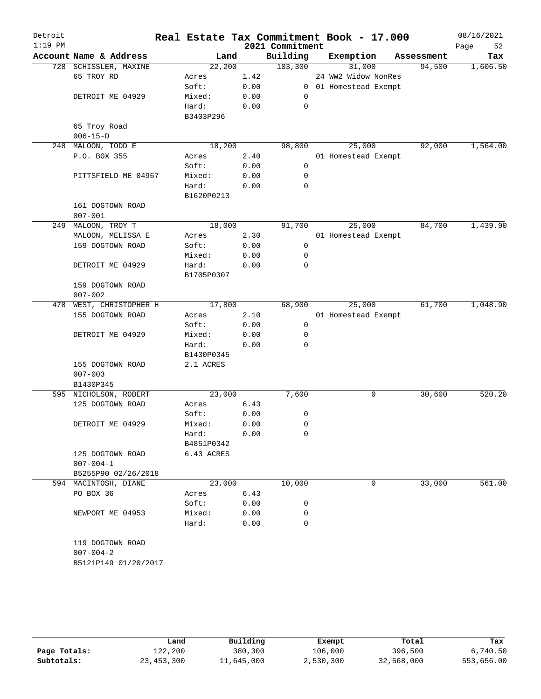| Detroit<br>$1:19$ PM |                         | Real Estate Tax Commitment Book - 17.000 |      | 2021 Commitment |                       |            | 08/16/2021<br>52<br>Page |
|----------------------|-------------------------|------------------------------------------|------|-----------------|-----------------------|------------|--------------------------|
|                      | Account Name & Address  | Land                                     |      | Building        | Exemption             | Assessment | Tax                      |
|                      | 728 SCHISSLER, MAXINE   | 22,200                                   |      | 103,300         | 31,000                | 94,500     | 1,606.50                 |
|                      | 65 TROY RD              | Acres                                    | 1.42 |                 | 24 WW2 Widow NonRes   |            |                          |
|                      |                         | Soft:                                    | 0.00 |                 | 0 01 Homestead Exempt |            |                          |
|                      | DETROIT ME 04929        | Mixed:                                   | 0.00 | 0               |                       |            |                          |
|                      |                         | Hard:                                    | 0.00 | $\mathbf 0$     |                       |            |                          |
|                      |                         | B3403P296                                |      |                 |                       |            |                          |
|                      | 65 Troy Road            |                                          |      |                 |                       |            |                          |
|                      | $006 - 15 - D$          |                                          |      |                 |                       |            |                          |
| 248                  | MALOON, TODD E          | 18,200                                   |      | 98,800          | 25,000                | 92,000     | 1,564.00                 |
|                      | P.O. BOX 355            | Acres                                    | 2.40 |                 | 01 Homestead Exempt   |            |                          |
|                      |                         | Soft:                                    | 0.00 | $\mathbf 0$     |                       |            |                          |
|                      | PITTSFIELD ME 04967     | Mixed:                                   | 0.00 | 0               |                       |            |                          |
|                      |                         | Hard:                                    | 0.00 | 0               |                       |            |                          |
|                      |                         | B1620P0213                               |      |                 |                       |            |                          |
|                      | 161 DOGTOWN ROAD        |                                          |      |                 |                       |            |                          |
|                      | $007 - 001$             |                                          |      |                 |                       |            |                          |
|                      | 249 MALOON, TROY T      | 18,000                                   |      | 91,700          | 25,000                | 84,700     | 1,439.90                 |
|                      | MALOON, MELISSA E       | Acres                                    | 2.30 |                 | 01 Homestead Exempt   |            |                          |
|                      | 159 DOGTOWN ROAD        | Soft:                                    | 0.00 | $\mathsf{O}$    |                       |            |                          |
|                      |                         | Mixed:                                   | 0.00 | 0               |                       |            |                          |
|                      | DETROIT ME 04929        | Hard:                                    | 0.00 | $\mathbf 0$     |                       |            |                          |
|                      |                         | B1705P0307                               |      |                 |                       |            |                          |
|                      | 159 DOGTOWN ROAD        |                                          |      |                 |                       |            |                          |
|                      | $007 - 002$             |                                          |      |                 |                       |            |                          |
|                      | 478 WEST, CHRISTOPHER H | 17,800                                   |      | 68,900          | 25,000                | 61,700     | 1,048.90                 |
|                      | 155 DOGTOWN ROAD        | Acres                                    | 2.10 |                 | 01 Homestead Exempt   |            |                          |
|                      |                         | Soft:                                    | 0.00 | $\mathsf{O}$    |                       |            |                          |
|                      | DETROIT ME 04929        | Mixed:                                   | 0.00 | 0               |                       |            |                          |
|                      |                         | Hard:                                    | 0.00 | 0               |                       |            |                          |
|                      |                         | B1430P0345                               |      |                 |                       |            |                          |
|                      | 155 DOGTOWN ROAD        | 2.1 ACRES                                |      |                 |                       |            |                          |
|                      | $007 - 003$             |                                          |      |                 |                       |            |                          |
|                      | B1430P345               |                                          |      |                 |                       |            |                          |
|                      | 595 NICHOLSON, ROBERT   | 23,000                                   |      | 7,600           | 0                     | 30,600     | 520.20                   |
|                      | 125 DOGTOWN ROAD        | Acres                                    | 6.43 |                 |                       |            |                          |
|                      |                         | Soft:                                    | 0.00 | 0               |                       |            |                          |
|                      | DETROIT ME 04929        | Mixed:                                   | 0.00 | $\mathbf 0$     |                       |            |                          |
|                      |                         | Hard:                                    | 0.00 | 0               |                       |            |                          |
|                      |                         | B4851P0342                               |      |                 |                       |            |                          |
|                      | 125 DOGTOWN ROAD        | 6.43 ACRES                               |      |                 |                       |            |                          |
|                      | $007 - 004 - 1$         |                                          |      |                 |                       |            |                          |
|                      | B5255P90 02/26/2018     |                                          |      |                 |                       |            |                          |
|                      | 594 MACINTOSH, DIANE    | 23,000                                   |      | 10,000          | 0                     | 33,000     | 561.00                   |
|                      | PO BOX 36               | Acres                                    | 6.43 |                 |                       |            |                          |
|                      |                         | Soft:                                    | 0.00 | 0               |                       |            |                          |
|                      | NEWPORT ME 04953        | Mixed:                                   | 0.00 | 0               |                       |            |                          |
|                      |                         | Hard:                                    | 0.00 | 0               |                       |            |                          |
|                      |                         |                                          |      |                 |                       |            |                          |
|                      | 119 DOGTOWN ROAD        |                                          |      |                 |                       |            |                          |
|                      | $007 - 004 - 2$         |                                          |      |                 |                       |            |                          |
|                      | B5121P149 01/20/2017    |                                          |      |                 |                       |            |                          |
|                      |                         |                                          |      |                 |                       |            |                          |
|                      |                         |                                          |      |                 |                       |            |                          |
|                      |                         |                                          |      |                 |                       |            |                          |

|              | Land         | Building   | Exempt    | Total      | Tax        |  |
|--------------|--------------|------------|-----------|------------|------------|--|
| Page Totals: | 122,200      | 380,300    | 106,000   | 396,500    | 6,740.50   |  |
| Subtotals:   | 23, 453, 300 | 11,645,000 | 2,530,300 | 32,568,000 | 553,656.00 |  |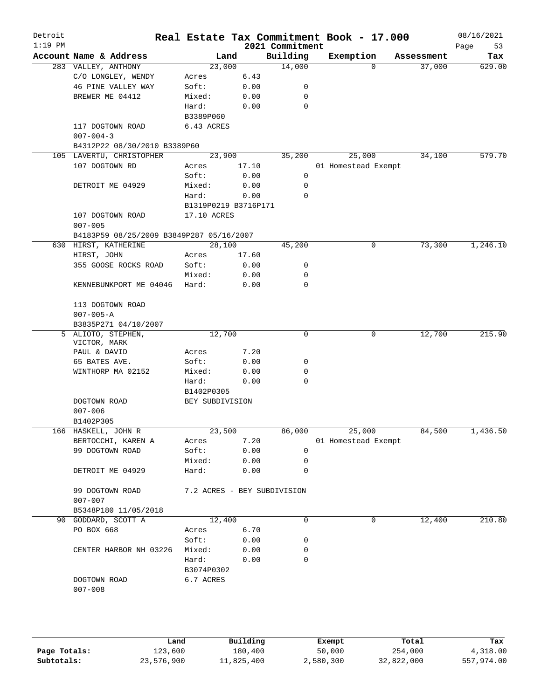| Detroit<br>$1:19$ PM |                                          |                             |       | 2021 Commitment | Real Estate Tax Commitment Book - 17.000 |            | 08/16/2021<br>Page<br>53 |
|----------------------|------------------------------------------|-----------------------------|-------|-----------------|------------------------------------------|------------|--------------------------|
|                      | Account Name & Address                   | Land                        |       | Building        | Exemption                                | Assessment | Tax                      |
|                      | 283 VALLEY, ANTHONY                      | 23,000                      |       | 14,000          | $\Omega$                                 | 37,000     | 629.00                   |
|                      | C/O LONGLEY, WENDY                       | Acres                       | 6.43  |                 |                                          |            |                          |
|                      | 46 PINE VALLEY WAY                       | Soft:                       | 0.00  | 0               |                                          |            |                          |
|                      | BREWER ME 04412                          | Mixed:                      | 0.00  | 0               |                                          |            |                          |
|                      |                                          | Hard:                       | 0.00  | 0               |                                          |            |                          |
|                      |                                          | B3389P060                   |       |                 |                                          |            |                          |
|                      | 117 DOGTOWN ROAD                         | 6.43 ACRES                  |       |                 |                                          |            |                          |
|                      | $007 - 004 - 3$                          |                             |       |                 |                                          |            |                          |
|                      | B4312P22 08/30/2010 B3389P60             |                             |       |                 |                                          |            |                          |
|                      | 105 LAVERTU, CHRISTOPHER                 | 23,900                      |       | 35,200          | 25,000                                   | 34,100     | 579.70                   |
|                      | 107 DOGTOWN RD                           | Acres                       | 17.10 |                 | 01 Homestead Exempt                      |            |                          |
|                      |                                          | Soft:                       | 0.00  | 0               |                                          |            |                          |
|                      | DETROIT ME 04929                         | Mixed:                      | 0.00  | $\mathbf 0$     |                                          |            |                          |
|                      |                                          | Hard:                       | 0.00  | 0               |                                          |            |                          |
|                      |                                          | B1319P0219 B3716P171        |       |                 |                                          |            |                          |
|                      | 107 DOGTOWN ROAD                         | 17.10 ACRES                 |       |                 |                                          |            |                          |
|                      | $007 - 005$                              |                             |       |                 |                                          |            |                          |
|                      | B4183P59 08/25/2009 B3849P287 05/16/2007 |                             |       |                 |                                          |            |                          |
|                      | 630 HIRST, KATHERINE                     | 28,100                      |       | 45,200          | 0                                        | 73,300     | 1,246.10                 |
|                      | HIRST, JOHN                              | Acres                       | 17.60 |                 |                                          |            |                          |
|                      | 355 GOOSE ROCKS ROAD                     | Soft:                       | 0.00  | 0               |                                          |            |                          |
|                      |                                          | Mixed:                      | 0.00  | 0               |                                          |            |                          |
|                      | KENNEBUNKPORT ME 04046                   | Hard:                       | 0.00  | $\Omega$        |                                          |            |                          |
|                      | 113 DOGTOWN ROAD                         |                             |       |                 |                                          |            |                          |
|                      | $007 - 005 - A$                          |                             |       |                 |                                          |            |                          |
|                      | B3835P271 04/10/2007                     |                             |       |                 |                                          |            |                          |
|                      | 5 ALIOTO, STEPHEN,                       | 12,700                      |       | 0               | 0                                        | 12,700     | 215.90                   |
|                      | VICTOR, MARK                             |                             |       |                 |                                          |            |                          |
|                      | PAUL & DAVID                             | Acres                       | 7.20  |                 |                                          |            |                          |
|                      | 65 BATES AVE.                            | Soft:                       | 0.00  | 0               |                                          |            |                          |
|                      | WINTHORP MA 02152                        | Mixed:                      | 0.00  | 0<br>0          |                                          |            |                          |
|                      |                                          | Hard:<br>B1402P0305         | 0.00  |                 |                                          |            |                          |
|                      |                                          |                             |       |                 |                                          |            |                          |
|                      | DOGTOWN ROAD                             | BEY SUBDIVISION             |       |                 |                                          |            |                          |
|                      | $007 - 006$<br>B1402P305                 |                             |       |                 |                                          |            |                          |
|                      | 166 HASKELL, JOHN R                      | 23,500                      |       | 86,000          | 25,000                                   | 84,500     | 1,436.50                 |
|                      | BERTOCCHI, KAREN A                       | Acres                       | 7.20  |                 | 01 Homestead Exempt                      |            |                          |
|                      | 99 DOGTOWN ROAD                          | Soft:                       | 0.00  | 0               |                                          |            |                          |
|                      |                                          | Mixed:                      | 0.00  | 0               |                                          |            |                          |
|                      | DETROIT ME 04929                         | Hard:                       | 0.00  | 0               |                                          |            |                          |
|                      |                                          |                             |       |                 |                                          |            |                          |
|                      | 99 DOGTOWN ROAD                          | 7.2 ACRES - BEY SUBDIVISION |       |                 |                                          |            |                          |
|                      | $007 - 007$                              |                             |       |                 |                                          |            |                          |
|                      | B5348P180 11/05/2018                     |                             |       |                 |                                          |            |                          |
|                      | 90 GODDARD, SCOTT A                      | 12,400                      |       | 0               | 0                                        | 12,400     | 210.80                   |
|                      | PO BOX 668                               | Acres                       | 6.70  |                 |                                          |            |                          |
|                      |                                          | Soft:                       | 0.00  | 0               |                                          |            |                          |
|                      | CENTER HARBOR NH 03226                   | Mixed:                      | 0.00  | 0               |                                          |            |                          |
|                      |                                          | Hard:                       | 0.00  | 0               |                                          |            |                          |
|                      |                                          | B3074P0302                  |       |                 |                                          |            |                          |
|                      | DOGTOWN ROAD                             | 6.7 ACRES                   |       |                 |                                          |            |                          |
|                      | $007 - 008$                              |                             |       |                 |                                          |            |                          |
|                      |                                          |                             |       |                 |                                          |            |                          |
|                      |                                          |                             |       |                 |                                          |            |                          |
|                      |                                          |                             |       |                 |                                          |            |                          |

|              | Land       | Building   | Exempt    | Total      | Tax        |  |
|--------------|------------|------------|-----------|------------|------------|--|
| Page Totals: | 123,600    | 180,400    | 50,000    | 254,000    | 4,318.00   |  |
| Subtotals:   | 23,576,900 | 11,825,400 | 2,580,300 | 32,822,000 | 557,974.00 |  |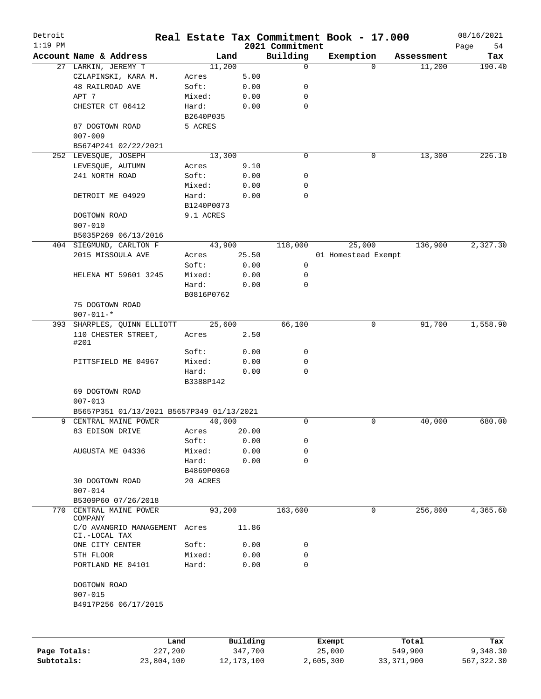| Detroit<br>$1:19$ PM |                                           |            |          | 2021 Commitment | Real Estate Tax Commitment Book - 17.000 |            | 08/16/2021<br>Page<br>54 |
|----------------------|-------------------------------------------|------------|----------|-----------------|------------------------------------------|------------|--------------------------|
|                      | Account Name & Address                    | Land       |          | Building        | Exemption                                | Assessment | Tax                      |
|                      | 27 LARKIN, JEREMY T                       | 11,200     |          | $\mathbf 0$     | $\Omega$                                 | 11,200     | 190.40                   |
|                      | CZLAPINSKI, KARA M.                       | Acres      | 5.00     |                 |                                          |            |                          |
|                      | 48 RAILROAD AVE                           | Soft:      | 0.00     | 0               |                                          |            |                          |
|                      | APT 7                                     | Mixed:     | 0.00     | 0               |                                          |            |                          |
|                      | CHESTER CT 06412                          | Hard:      | 0.00     | $\mathbf 0$     |                                          |            |                          |
|                      |                                           | B2640P035  |          |                 |                                          |            |                          |
|                      | 87 DOGTOWN ROAD                           | 5 ACRES    |          |                 |                                          |            |                          |
|                      | $007 - 009$                               |            |          |                 |                                          |            |                          |
|                      | B5674P241 02/22/2021                      |            |          |                 |                                          |            |                          |
|                      | 252 LEVESQUE, JOSEPH                      | 13,300     |          | $\mathbf 0$     | 0                                        | 13,300     | 226.10                   |
|                      | LEVESQUE, AUTUMN                          | Acres      | 9.10     |                 |                                          |            |                          |
|                      | 241 NORTH ROAD                            |            |          |                 |                                          |            |                          |
|                      |                                           | Soft:      | 0.00     | 0               |                                          |            |                          |
|                      |                                           | Mixed:     | 0.00     | 0               |                                          |            |                          |
|                      | DETROIT ME 04929                          | Hard:      | 0.00     | $\mathbf 0$     |                                          |            |                          |
|                      |                                           | B1240P0073 |          |                 |                                          |            |                          |
|                      | DOGTOWN ROAD                              | 9.1 ACRES  |          |                 |                                          |            |                          |
|                      | $007 - 010$                               |            |          |                 |                                          |            |                          |
|                      | B5035P269 06/13/2016                      |            |          |                 |                                          |            |                          |
|                      | 404 SIEGMUND, CARLTON F                   | 43,900     |          | 118,000         | 25,000                                   | 136,900    | 2,327.30                 |
|                      | 2015 MISSOULA AVE                         | Acres      | 25.50    |                 | 01 Homestead Exempt                      |            |                          |
|                      |                                           | Soft:      | 0.00     | 0               |                                          |            |                          |
|                      | HELENA MT 59601 3245                      | Mixed:     | 0.00     | 0               |                                          |            |                          |
|                      |                                           | Hard:      | 0.00     | 0               |                                          |            |                          |
|                      |                                           | B0816P0762 |          |                 |                                          |            |                          |
|                      | 75 DOGTOWN ROAD                           |            |          |                 |                                          |            |                          |
|                      | $007 - 011 -$ *                           |            |          |                 |                                          |            |                          |
|                      | 393 SHARPLES, QUINN ELLIOTT               | 25,600     |          | 66,100          | 0                                        | 91,700     | 1,558.90                 |
|                      | 110 CHESTER STREET,                       | Acres      | 2.50     |                 |                                          |            |                          |
|                      | #201                                      |            |          |                 |                                          |            |                          |
|                      |                                           | Soft:      | 0.00     | 0               |                                          |            |                          |
|                      | PITTSFIELD ME 04967                       | Mixed:     | 0.00     | 0               |                                          |            |                          |
|                      |                                           | Hard:      | 0.00     | 0               |                                          |            |                          |
|                      |                                           | B3388P142  |          |                 |                                          |            |                          |
|                      | 69 DOGTOWN ROAD                           |            |          |                 |                                          |            |                          |
|                      | $007 - 013$                               |            |          |                 |                                          |            |                          |
|                      | B5657P351 01/13/2021 B5657P349 01/13/2021 |            |          |                 |                                          |            |                          |
| 9                    | CENTRAL MAINE POWER                       | 40,000     |          | 0               | 0                                        | 40,000     | 680.00                   |
|                      |                                           |            |          |                 |                                          |            |                          |
|                      | 83 EDISON DRIVE                           | Acres      | 20.00    |                 |                                          |            |                          |
|                      |                                           | Soft:      | 0.00     | 0               |                                          |            |                          |
|                      | AUGUSTA ME 04336                          | Mixed:     | 0.00     | 0               |                                          |            |                          |
|                      |                                           | Hard:      | 0.00     | 0               |                                          |            |                          |
|                      |                                           | B4869P0060 |          |                 |                                          |            |                          |
|                      | <b>30 DOGTOWN ROAD</b>                    | 20 ACRES   |          |                 |                                          |            |                          |
|                      | $007 - 014$                               |            |          |                 |                                          |            |                          |
|                      | B5309P60 07/26/2018                       |            |          |                 |                                          |            |                          |
| 770                  | CENTRAL MAINE POWER                       | 93,200     |          | 163,600         | 0                                        | 256,800    | 4,365.60                 |
|                      | COMPANY                                   |            |          |                 |                                          |            |                          |
|                      | C/O AVANGRID MANAGEMENT<br>CI.-LOCAL TAX  | Acres      | 11.86    |                 |                                          |            |                          |
|                      | ONE CITY CENTER                           | Soft:      | 0.00     | 0               |                                          |            |                          |
|                      |                                           |            |          |                 |                                          |            |                          |
|                      | 5TH FLOOR                                 | Mixed:     | 0.00     | 0               |                                          |            |                          |
|                      | PORTLAND ME 04101                         | Hard:      | 0.00     | 0               |                                          |            |                          |
|                      |                                           |            |          |                 |                                          |            |                          |
|                      | DOGTOWN ROAD                              |            |          |                 |                                          |            |                          |
|                      | $007 - 015$                               |            |          |                 |                                          |            |                          |
|                      | B4917P256 06/17/2015                      |            |          |                 |                                          |            |                          |
|                      |                                           |            |          |                 |                                          |            |                          |
|                      |                                           |            |          |                 |                                          |            |                          |
|                      |                                           | Land       | Building |                 | Exempt                                   | Total      | Tax                      |

|              | Land       | Building   | Exempt    | Total      | Tax        |
|--------------|------------|------------|-----------|------------|------------|
| Page Totals: | 227,200    | 347,700    | 25,000    | 549,900    | 9,348.30   |
| Subtotals:   | 23,804,100 | 12,173,100 | 2,605,300 | 33,371,900 | 567,322.30 |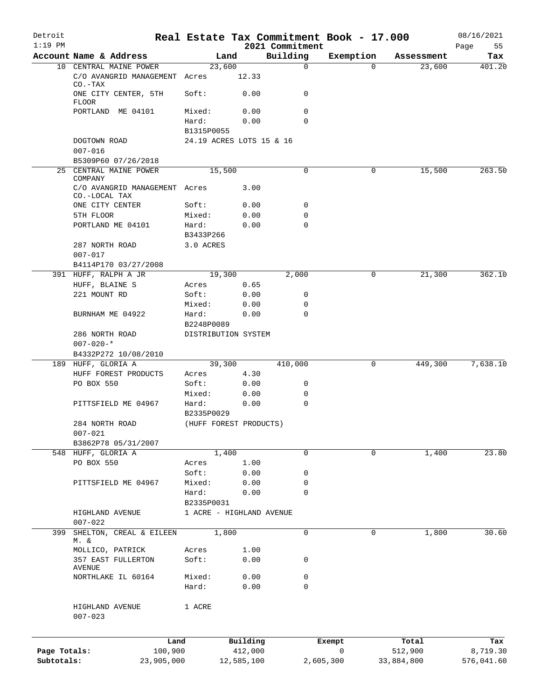| Detroit<br>$1:19$ PM |                                                           |                          |              | 2021 Commitment | Real Estate Tax Commitment Book - 17.000 |            | 08/16/2021<br>55<br>Page |
|----------------------|-----------------------------------------------------------|--------------------------|--------------|-----------------|------------------------------------------|------------|--------------------------|
|                      | Account Name & Address                                    | Land                     |              | Building        | Exemption                                | Assessment | Tax                      |
|                      | 10 CENTRAL MAINE POWER                                    | 23,600                   |              | 0               | $\Omega$                                 | 23,600     | 401.20                   |
|                      | C/O AVANGRID MANAGEMENT Acres<br>$CO - TAX$               |                          | 12.33        |                 |                                          |            |                          |
|                      | ONE CITY CENTER, 5TH<br>FLOOR                             | Soft:                    | 0.00         | 0               |                                          |            |                          |
|                      | PORTLAND ME 04101                                         | Mixed:                   | 0.00         | 0               |                                          |            |                          |
|                      |                                                           | Hard:<br>B1315P0055      | 0.00         | 0               |                                          |            |                          |
|                      | DOGTOWN ROAD<br>$007 - 016$                               | 24.19 ACRES LOTS 15 & 16 |              |                 |                                          |            |                          |
|                      | B5309P60 07/26/2018                                       |                          |              |                 |                                          |            |                          |
|                      | 25 CENTRAL MAINE POWER                                    | 15,500                   |              | 0               | 0                                        | 15,500     | 263.50                   |
|                      | COMPANY<br>C/O AVANGRID MANAGEMENT Acres<br>CO.-LOCAL TAX |                          | 3.00         |                 |                                          |            |                          |
|                      | ONE CITY CENTER                                           | Soft:                    | 0.00         | 0               |                                          |            |                          |
|                      | 5TH FLOOR                                                 | Mixed:                   | 0.00         | 0               |                                          |            |                          |
|                      | PORTLAND ME 04101                                         | Hard:                    | 0.00         | 0               |                                          |            |                          |
|                      |                                                           | B3433P266                |              |                 |                                          |            |                          |
|                      | 287 NORTH ROAD                                            | 3.0 ACRES                |              |                 |                                          |            |                          |
|                      | $007 - 017$                                               |                          |              |                 |                                          |            |                          |
|                      | B4114P170 03/27/2008                                      |                          |              |                 |                                          |            |                          |
|                      | 391 HUFF, RALPH A JR                                      | 19,300                   |              | 2,000           | 0                                        | 21,300     | 362.10                   |
|                      | HUFF, BLAINE S<br>221 MOUNT RD                            | Acres<br>Soft:           | 0.65<br>0.00 | 0               |                                          |            |                          |
|                      |                                                           | Mixed:                   | 0.00         | 0               |                                          |            |                          |
|                      | BURNHAM ME 04922                                          | Hard:                    | 0.00         | 0               |                                          |            |                          |
|                      |                                                           | B2248P0089               |              |                 |                                          |            |                          |
|                      | 286 NORTH ROAD                                            | DISTRIBUTION SYSTEM      |              |                 |                                          |            |                          |
|                      | $007 - 020 -$ *                                           |                          |              |                 |                                          |            |                          |
|                      | B4332P272 10/08/2010                                      |                          |              |                 |                                          |            |                          |
|                      | 189 HUFF, GLORIA A                                        | 39,300                   |              | 410,000         | 0                                        | 449,300    | 7,638.10                 |
|                      | HUFF FOREST PRODUCTS                                      | Acres                    | 4.30         |                 |                                          |            |                          |
|                      | PO BOX 550                                                | Soft:                    | 0.00         | 0               |                                          |            |                          |
|                      |                                                           | Mixed:                   | 0.00         | 0               |                                          |            |                          |
|                      | PITTSFIELD ME 04967                                       | Hard:                    | 0.00         | 0               |                                          |            |                          |
|                      |                                                           | B2335P0029               |              |                 |                                          |            |                          |
|                      | 284 NORTH ROAD<br>$007 - 021$                             | (HUFF FOREST PRODUCTS)   |              |                 |                                          |            |                          |
|                      | B3862P78 05/31/2007                                       |                          |              |                 |                                          |            |                          |
|                      | 548 HUFF, GLORIA A                                        | 1,400                    |              | $\mathbf 0$     | $\mathbf 0$                              | 1,400      | 23.80                    |
|                      | PO BOX 550                                                | Acres                    | 1.00         |                 |                                          |            |                          |
|                      |                                                           | Soft:                    | 0.00         | 0               |                                          |            |                          |
|                      | PITTSFIELD ME 04967                                       | Mixed:                   | 0.00         | 0               |                                          |            |                          |
|                      |                                                           | Hard:                    | 0.00         | 0               |                                          |            |                          |
|                      |                                                           | B2335P0031               |              |                 |                                          |            |                          |
|                      | HIGHLAND AVENUE<br>$007 - 022$                            | 1 ACRE - HIGHLAND AVENUE |              |                 |                                          |            |                          |
| 399                  | SHELTON, CREAL & EILEEN                                   | 1,800                    |              | $\mathbf 0$     | 0                                        | 1,800      | 30.60                    |
|                      | M. &                                                      |                          |              |                 |                                          |            |                          |
|                      | MOLLICO, PATRICK                                          | Acres                    | 1.00         |                 |                                          |            |                          |
|                      | 357 EAST FULLERTON                                        | Soft:                    | 0.00         | 0               |                                          |            |                          |
|                      | AVENUE<br>NORTHLAKE IL 60164                              | Mixed:                   | 0.00         | 0               |                                          |            |                          |
|                      |                                                           | Hard:                    | 0.00         | 0               |                                          |            |                          |
|                      | HIGHLAND AVENUE                                           | 1 ACRE                   |              |                 |                                          |            |                          |
|                      | $007 - 023$                                               |                          |              |                 |                                          |            |                          |
|                      | Land                                                      |                          | Building     |                 | Exempt                                   | Total      | Tax                      |
| Page Totals:         | 100,900                                                   |                          | 412,000      |                 | 0                                        | 512,900    | 8,719.30                 |
| Subtotals:           | 23,905,000                                                |                          | 12,585,100   |                 | 2,605,300                                | 33,884,800 | 576,041.60               |
|                      |                                                           |                          |              |                 |                                          |            |                          |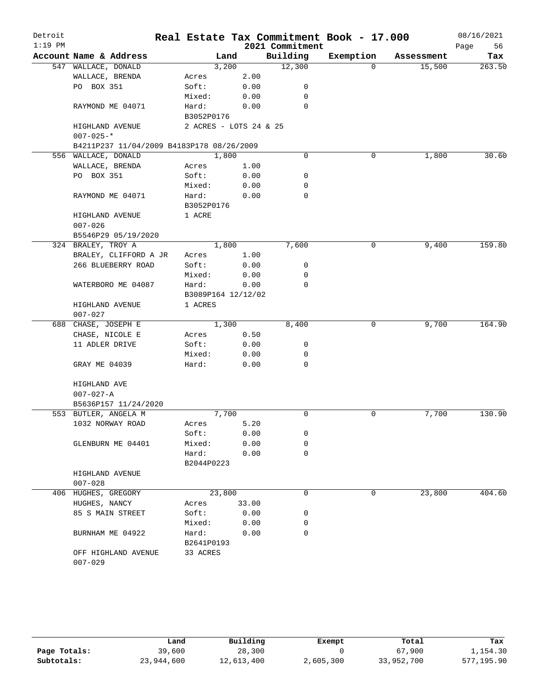| Detroit   |                                           |                        |        |       |                 | Real Estate Tax Commitment Book - 17.000 |            | 08/16/2021 |
|-----------|-------------------------------------------|------------------------|--------|-------|-----------------|------------------------------------------|------------|------------|
| $1:19$ PM |                                           |                        |        |       | 2021 Commitment |                                          |            | Page<br>56 |
|           | Account Name & Address                    |                        | Land   |       | Building        | Exemption                                | Assessment | Tax        |
|           | 547 WALLACE, DONALD                       |                        | 3,200  |       | 12,300          | $\Omega$                                 | 15,500     | 263.50     |
|           | WALLACE, BRENDA                           | Acres                  |        | 2.00  |                 |                                          |            |            |
|           | PO BOX 351                                | Soft:                  |        | 0.00  | 0               |                                          |            |            |
|           |                                           | Mixed:                 |        | 0.00  | 0               |                                          |            |            |
|           | RAYMOND ME 04071                          | Hard:                  |        | 0.00  | 0               |                                          |            |            |
|           |                                           | B3052P0176             |        |       |                 |                                          |            |            |
|           | HIGHLAND AVENUE                           | 2 ACRES - LOTS 24 & 25 |        |       |                 |                                          |            |            |
|           | $007 - 025 -$ *                           |                        |        |       |                 |                                          |            |            |
|           | B4211P237 11/04/2009 B4183P178 08/26/2009 |                        |        |       | $\mathbf 0$     |                                          |            |            |
|           | 556 WALLACE, DONALD                       |                        | 1,800  |       |                 | 0                                        | 1,800      | 30.60      |
|           | WALLACE, BRENDA                           | Acres                  |        | 1.00  |                 |                                          |            |            |
|           | PO BOX 351                                | Soft:                  |        | 0.00  | 0<br>0          |                                          |            |            |
|           |                                           | Mixed:                 |        | 0.00  | 0               |                                          |            |            |
|           | RAYMOND ME 04071                          | Hard:<br>B3052P0176    |        | 0.00  |                 |                                          |            |            |
|           | HIGHLAND AVENUE                           | 1 ACRE                 |        |       |                 |                                          |            |            |
|           | $007 - 026$                               |                        |        |       |                 |                                          |            |            |
|           | B5546P29 05/19/2020                       |                        |        |       |                 |                                          |            |            |
|           | 324 BRALEY, TROY A                        |                        | 1,800  |       | 7,600           | 0                                        | 9,400      | 159.80     |
|           | BRALEY, CLIFFORD A JR                     | Acres                  |        | 1.00  |                 |                                          |            |            |
|           | 266 BLUEBERRY ROAD                        | Soft:                  |        | 0.00  | 0               |                                          |            |            |
|           |                                           | Mixed:                 |        | 0.00  | 0               |                                          |            |            |
|           | WATERBORO ME 04087                        | Hard:                  |        | 0.00  | $\mathbf 0$     |                                          |            |            |
|           |                                           | B3089P164 12/12/02     |        |       |                 |                                          |            |            |
|           | HIGHLAND AVENUE                           | 1 ACRES                |        |       |                 |                                          |            |            |
|           | $007 - 027$                               |                        |        |       |                 |                                          |            |            |
|           | 688 CHASE, JOSEPH E                       |                        | 1,300  |       | 8,400           | 0                                        | 9,700      | 164.90     |
|           | CHASE, NICOLE E                           | Acres                  |        | 0.50  |                 |                                          |            |            |
|           | 11 ADLER DRIVE                            | Soft:                  |        | 0.00  | 0               |                                          |            |            |
|           |                                           | Mixed:                 |        | 0.00  | 0               |                                          |            |            |
|           | GRAY ME 04039                             | Hard:                  |        | 0.00  | 0               |                                          |            |            |
|           |                                           |                        |        |       |                 |                                          |            |            |
|           | HIGHLAND AVE                              |                        |        |       |                 |                                          |            |            |
|           | $007 - 027 - A$                           |                        |        |       |                 |                                          |            |            |
|           | B5636P157 11/24/2020                      |                        |        |       |                 |                                          |            |            |
|           | 553 BUTLER, ANGELA M                      |                        | 7,700  |       | 0               | 0                                        | 7,700      | 130.90     |
|           | 1032 NORWAY ROAD                          | Acres                  |        | 5.20  |                 |                                          |            |            |
|           |                                           | Soft:                  |        | 0.00  | 0               |                                          |            |            |
|           | GLENBURN ME 04401                         | Mixed:                 |        | 0.00  | 0               |                                          |            |            |
|           |                                           | Hard:                  |        | 0.00  | $\mathbf 0$     |                                          |            |            |
|           |                                           | B2044P0223             |        |       |                 |                                          |            |            |
|           | HIGHLAND AVENUE                           |                        |        |       |                 |                                          |            |            |
|           | $007 - 028$                               |                        |        |       |                 |                                          |            |            |
|           | 406 HUGHES, GREGORY                       |                        | 23,800 |       | 0               | 0                                        | 23,800     | 404.60     |
|           | HUGHES, NANCY                             | Acres                  |        | 33.00 |                 |                                          |            |            |
|           | 85 S MAIN STREET                          | Soft:                  |        | 0.00  | 0               |                                          |            |            |
|           |                                           | Mixed:                 |        | 0.00  | 0               |                                          |            |            |
|           | BURNHAM ME 04922                          | Hard:                  |        | 0.00  | 0               |                                          |            |            |
|           |                                           | B2641P0193             |        |       |                 |                                          |            |            |
|           | OFF HIGHLAND AVENUE                       | 33 ACRES               |        |       |                 |                                          |            |            |
|           | $007 - 029$                               |                        |        |       |                 |                                          |            |            |

|              | Land       | Building   | Exempt    | Total      | Tax        |
|--------------|------------|------------|-----------|------------|------------|
| Page Totals: | 39,600     | 28,300     |           | 67,900     | 1,154.30   |
| Subtotals:   | 23,944,600 | 12,613,400 | 2,605,300 | 33,952,700 | 577,195.90 |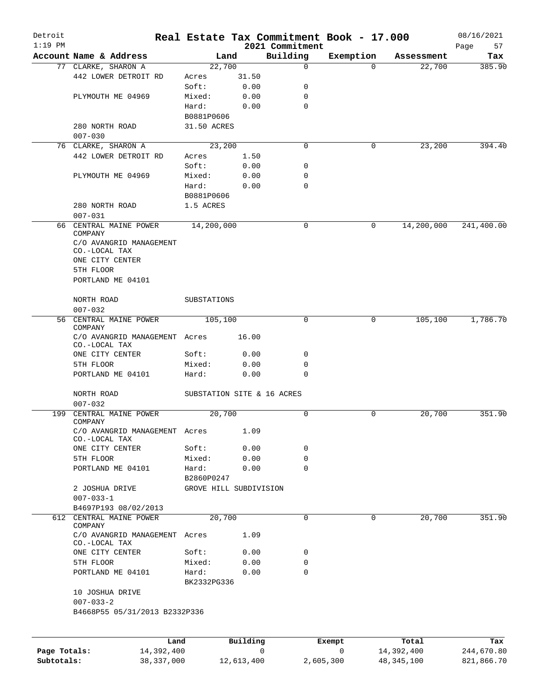| Detroit<br>$1:19$ PM |                                                |                            |          | 2021 Commitment | Real Estate Tax Commitment Book - 17.000 |            | 08/16/2021<br>57 |
|----------------------|------------------------------------------------|----------------------------|----------|-----------------|------------------------------------------|------------|------------------|
|                      | Account Name & Address                         | Land                       |          | Building        | Exemption                                | Assessment | Page<br>Tax      |
|                      | 77 CLARKE, SHARON A                            | 22,700                     |          | $\mathbf 0$     | $\Omega$                                 | 22,700     | 385.90           |
|                      | 442 LOWER DETROIT RD                           | Acres                      | 31.50    |                 |                                          |            |                  |
|                      |                                                | Soft:                      | 0.00     | 0               |                                          |            |                  |
|                      | PLYMOUTH ME 04969                              | Mixed:                     | 0.00     | 0               |                                          |            |                  |
|                      |                                                | Hard:                      | 0.00     | 0               |                                          |            |                  |
|                      |                                                | B0881P0606                 |          |                 |                                          |            |                  |
|                      | 280 NORTH ROAD                                 | 31.50 ACRES                |          |                 |                                          |            |                  |
|                      | $007 - 030$                                    |                            |          |                 |                                          |            |                  |
|                      | 76 CLARKE, SHARON A                            | 23,200                     |          | $\Omega$        | 0                                        | 23,200     | 394.40           |
|                      | 442 LOWER DETROIT RD                           | Acres                      | 1.50     |                 |                                          |            |                  |
|                      |                                                | Soft:                      | 0.00     | 0               |                                          |            |                  |
|                      | PLYMOUTH ME 04969                              | Mixed:                     | 0.00     | 0               |                                          |            |                  |
|                      |                                                | Hard:                      | 0.00     | 0               |                                          |            |                  |
|                      |                                                | B0881P0606                 |          |                 |                                          |            |                  |
|                      | 280 NORTH ROAD                                 | 1.5 ACRES                  |          |                 |                                          |            |                  |
|                      | $007 - 031$                                    |                            |          |                 |                                          |            |                  |
| 66                   | CENTRAL MAINE POWER                            | 14,200,000                 |          | 0               | 0                                        | 14,200,000 | 241,400.00       |
|                      | COMPANY                                        |                            |          |                 |                                          |            |                  |
|                      | C/O AVANGRID MANAGEMENT                        |                            |          |                 |                                          |            |                  |
|                      | CO.-LOCAL TAX                                  |                            |          |                 |                                          |            |                  |
|                      | ONE CITY CENTER                                |                            |          |                 |                                          |            |                  |
|                      | 5TH FLOOR                                      |                            |          |                 |                                          |            |                  |
|                      | PORTLAND ME 04101                              |                            |          |                 |                                          |            |                  |
|                      |                                                |                            |          |                 |                                          |            |                  |
|                      | NORTH ROAD                                     | SUBSTATIONS                |          |                 |                                          |            |                  |
| 56                   | $007 - 032$<br>CENTRAL MAINE POWER             |                            |          | $\mathbf 0$     | 0                                        |            | 1,786.70         |
|                      | COMPANY                                        | 105,100                    |          |                 |                                          | 105,100    |                  |
|                      | C/O AVANGRID MANAGEMENT Acres                  |                            | 16.00    |                 |                                          |            |                  |
|                      | CO.-LOCAL TAX                                  |                            |          |                 |                                          |            |                  |
|                      | ONE CITY CENTER                                | Soft:                      | 0.00     | 0               |                                          |            |                  |
|                      | 5TH FLOOR                                      | Mixed:                     | 0.00     | 0               |                                          |            |                  |
|                      | PORTLAND ME 04101                              | Hard:                      | 0.00     | $\Omega$        |                                          |            |                  |
|                      |                                                |                            |          |                 |                                          |            |                  |
|                      | NORTH ROAD                                     | SUBSTATION SITE & 16 ACRES |          |                 |                                          |            |                  |
|                      | $007 - 032$                                    |                            |          |                 |                                          |            |                  |
| 199                  | CENTRAL MAINE POWER                            | 20,700                     |          | 0               | 0                                        | 20,700     | 351.90           |
|                      | COMPANY                                        |                            |          |                 |                                          |            |                  |
|                      | C/O AVANGRID MANAGEMENT Acres<br>CO.-LOCAL TAX |                            | 1.09     |                 |                                          |            |                  |
|                      | ONE CITY CENTER                                | Soft:                      | 0.00     | 0               |                                          |            |                  |
|                      | 5TH FLOOR                                      | Mixed:                     | 0.00     | 0               |                                          |            |                  |
|                      | PORTLAND ME 04101                              | Hard:                      | 0.00     | $\Omega$        |                                          |            |                  |
|                      |                                                | B2860P0247                 |          |                 |                                          |            |                  |
|                      | 2 JOSHUA DRIVE                                 | GROVE HILL SUBDIVISION     |          |                 |                                          |            |                  |
|                      | $007 - 033 - 1$                                |                            |          |                 |                                          |            |                  |
|                      | B4697P193 08/02/2013                           |                            |          |                 |                                          |            |                  |
|                      | 612 CENTRAL MAINE POWER                        | 20,700                     |          | 0               | 0                                        | 20,700     | 351.90           |
|                      | COMPANY                                        |                            |          |                 |                                          |            |                  |
|                      | C/O AVANGRID MANAGEMENT Acres                  |                            | 1.09     |                 |                                          |            |                  |
|                      | CO.-LOCAL TAX                                  |                            |          |                 |                                          |            |                  |
|                      | ONE CITY CENTER                                | Soft:                      | 0.00     | 0               |                                          |            |                  |
|                      | 5TH FLOOR                                      | Mixed:                     | 0.00     | 0               |                                          |            |                  |
|                      | PORTLAND ME 04101                              | Hard:                      | 0.00     | 0               |                                          |            |                  |
|                      |                                                | BK2332PG336                |          |                 |                                          |            |                  |
|                      | 10 JOSHUA DRIVE                                |                            |          |                 |                                          |            |                  |
|                      | $007 - 033 - 2$                                |                            |          |                 |                                          |            |                  |
|                      | B4668P55 05/31/2013 B2332P336                  |                            |          |                 |                                          |            |                  |
|                      |                                                |                            |          |                 |                                          |            |                  |
|                      |                                                |                            |          |                 |                                          |            |                  |
|                      | Land                                           |                            | Building |                 | Exempt                                   | Total      | Tax              |
| Page Totals:         | 14,392,400                                     |                            |          | 0               | 0                                        | 14,392,400 | 244,670.80       |

**Subtotals:** 38,337,000 12,613,400 2,605,300 48,345,100 821,866.70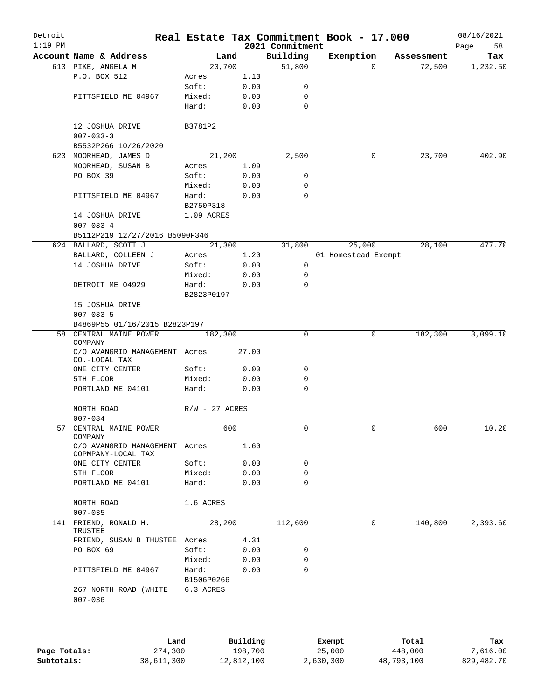| Detroit<br>$1:19$ PM |                                                     |                     |       | 2021 Commitment | Real Estate Tax Commitment Book - 17.000 |            | 08/16/2021<br>58<br>Page |
|----------------------|-----------------------------------------------------|---------------------|-------|-----------------|------------------------------------------|------------|--------------------------|
|                      | Account Name & Address                              | Land                |       | Building        | Exemption                                | Assessment | Tax                      |
|                      | 613 PIKE, ANGELA M                                  | 20,700              |       | 51,800          | $\Omega$                                 | 72,500     | 1,232.50                 |
|                      | P.O. BOX 512                                        | Acres               | 1.13  |                 |                                          |            |                          |
|                      |                                                     | Soft:               | 0.00  | 0               |                                          |            |                          |
|                      | PITTSFIELD ME 04967                                 | Mixed:              | 0.00  | $\mathbf 0$     |                                          |            |                          |
|                      |                                                     | Hard:               | 0.00  | $\mathbf 0$     |                                          |            |                          |
|                      | 12 JOSHUA DRIVE                                     | B3781P2             |       |                 |                                          |            |                          |
|                      | $007 - 033 - 3$                                     |                     |       |                 |                                          |            |                          |
|                      | B5532P266 10/26/2020                                |                     |       |                 |                                          |            |                          |
|                      | 623 MOORHEAD, JAMES D                               | 21,200              |       | 2,500           | 0                                        | 23,700     | 402.90                   |
|                      | MOORHEAD, SUSAN B                                   | Acres               | 1.09  |                 |                                          |            |                          |
|                      | PO BOX 39                                           | Soft:               | 0.00  | 0               |                                          |            |                          |
|                      |                                                     | Mixed:              | 0.00  | 0               |                                          |            |                          |
|                      | PITTSFIELD ME 04967                                 | Hard:<br>B2750P318  | 0.00  | $\mathbf 0$     |                                          |            |                          |
|                      | 14 JOSHUA DRIVE                                     | 1.09 ACRES          |       |                 |                                          |            |                          |
|                      | $007 - 033 - 4$                                     |                     |       |                 |                                          |            |                          |
|                      | B5112P219 12/27/2016 B5090P346                      |                     |       |                 |                                          |            |                          |
|                      | 624 BALLARD, SCOTT J                                | 21,300              |       | 31,800          | 25,000                                   | 28,100     | 477.70                   |
|                      |                                                     |                     |       |                 |                                          |            |                          |
|                      | BALLARD, COLLEEN J                                  | Acres               | 1.20  |                 | 01 Homestead Exempt                      |            |                          |
|                      | 14 JOSHUA DRIVE                                     | Soft:               | 0.00  | 0               |                                          |            |                          |
|                      |                                                     | Mixed:              | 0.00  | 0               |                                          |            |                          |
|                      | DETROIT ME 04929                                    | Hard:<br>B2823P0197 | 0.00  | $\mathbf 0$     |                                          |            |                          |
|                      | 15 JOSHUA DRIVE                                     |                     |       |                 |                                          |            |                          |
|                      | $007 - 033 - 5$                                     |                     |       |                 |                                          |            |                          |
|                      | B4869P55 01/16/2015 B2823P197                       |                     |       |                 |                                          |            |                          |
|                      | 58 CENTRAL MAINE POWER                              | 182,300             |       | 0               | 0                                        | 182,300    | 3,099.10                 |
|                      | COMPANY                                             |                     |       |                 |                                          |            |                          |
|                      | C/O AVANGRID MANAGEMENT Acres<br>CO.-LOCAL TAX      |                     | 27.00 |                 |                                          |            |                          |
|                      | ONE CITY CENTER                                     | Soft:               | 0.00  | 0               |                                          |            |                          |
|                      | 5TH FLOOR                                           | Mixed:              | 0.00  | 0               |                                          |            |                          |
|                      | PORTLAND ME 04101                                   | Hard:               | 0.00  | 0               |                                          |            |                          |
|                      | NORTH ROAD                                          | $R/W - 27$ ACRES    |       |                 |                                          |            |                          |
|                      | $007 - 034$                                         |                     |       |                 |                                          |            |                          |
|                      | 57 CENTRAL MAINE POWER<br>COMPANY                   | 600                 |       |                 |                                          | 600        | 10.20                    |
|                      | C/O AVANGRID MANAGEMENT Acres<br>COPMPANY-LOCAL TAX |                     | 1.60  |                 |                                          |            |                          |
|                      | ONE CITY CENTER                                     | Soft:               | 0.00  | 0               |                                          |            |                          |
|                      | 5TH FLOOR                                           | Mixed:              | 0.00  | 0               |                                          |            |                          |
|                      | PORTLAND ME 04101                                   | Hard:               | 0.00  | $\Omega$        |                                          |            |                          |
|                      | NORTH ROAD                                          | 1.6 ACRES           |       |                 |                                          |            |                          |
|                      | $007 - 035$                                         |                     |       |                 |                                          |            |                          |
|                      | 141 FRIEND, RONALD H.                               | 28,200              |       | 112,600         | 0                                        | 140,800    | 2,393.60                 |
|                      | TRUSTEE                                             |                     |       |                 |                                          |            |                          |
|                      | FRIEND, SUSAN B THUSTEE Acres                       |                     | 4.31  |                 |                                          |            |                          |
|                      | PO BOX 69                                           | Soft:               | 0.00  | 0               |                                          |            |                          |
|                      |                                                     | Mixed:              | 0.00  | $\mathbf 0$     |                                          |            |                          |
|                      | PITTSFIELD ME 04967                                 | Hard:               | 0.00  | $\Omega$        |                                          |            |                          |
|                      |                                                     | B1506P0266          |       |                 |                                          |            |                          |
|                      | 267 NORTH ROAD (WHITE                               | 6.3 ACRES           |       |                 |                                          |            |                          |

|              | Land       | Building   | Exempt    | Total      | Tax        |
|--------------|------------|------------|-----------|------------|------------|
| Page Totals: | 274,300    | 198,700    | 25,000    | 448,000    | 7,616.00   |
| Subtotals:   | 38,611,300 | 12,812,100 | 2,630,300 | 48,793,100 | 829,482.70 |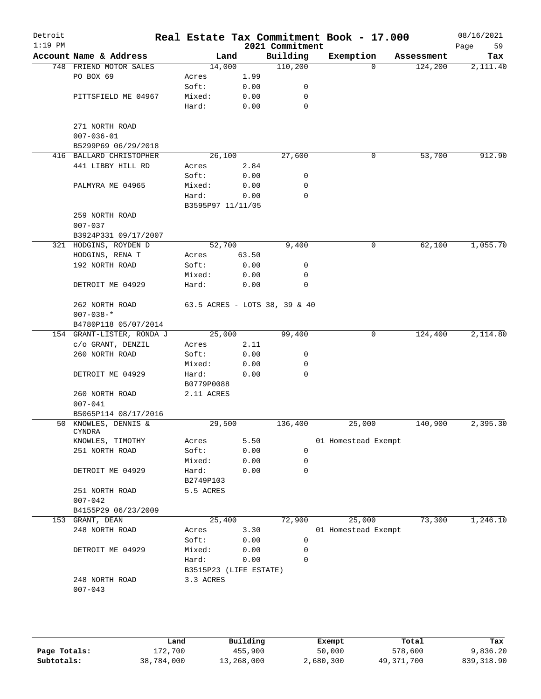| Detroit<br>$1:19$ PM |                                |                        |       | 2021 Commitment               | Real Estate Tax Commitment Book - 17.000 |            | 08/16/2021<br>59<br>Page |
|----------------------|--------------------------------|------------------------|-------|-------------------------------|------------------------------------------|------------|--------------------------|
|                      | Account Name & Address         | Land                   |       | Building                      | Exemption                                | Assessment | Tax                      |
|                      | 748 FRIEND MOTOR SALES         | 14,000                 |       | 110,200                       | $\mathbf 0$                              | 124,200    | 2,111.40                 |
|                      | PO BOX 69                      | Acres                  | 1.99  |                               |                                          |            |                          |
|                      |                                | Soft:                  | 0.00  | 0                             |                                          |            |                          |
|                      | PITTSFIELD ME 04967            | Mixed:                 | 0.00  | 0                             |                                          |            |                          |
|                      |                                | Hard:                  | 0.00  | 0                             |                                          |            |                          |
|                      | 271 NORTH ROAD                 |                        |       |                               |                                          |            |                          |
|                      | $007 - 036 - 01$               |                        |       |                               |                                          |            |                          |
|                      | B5299P69 06/29/2018            |                        |       |                               |                                          |            |                          |
|                      | 416 BALLARD CHRISTOPHER        | 26,100                 |       | 27,600                        | $\mathbf 0$                              | 53,700     | 912.90                   |
|                      | 441 LIBBY HILL RD              | Acres                  | 2.84  |                               |                                          |            |                          |
|                      |                                | Soft:                  | 0.00  | 0                             |                                          |            |                          |
|                      | PALMYRA ME 04965               | Mixed:                 | 0.00  | 0                             |                                          |            |                          |
|                      |                                | Hard:                  | 0.00  | $\mathbf 0$                   |                                          |            |                          |
|                      |                                | B3595P97 11/11/05      |       |                               |                                          |            |                          |
|                      | 259 NORTH ROAD                 |                        |       |                               |                                          |            |                          |
|                      | $007 - 037$                    |                        |       |                               |                                          |            |                          |
|                      | B3924P331 09/17/2007           |                        |       |                               |                                          |            |                          |
|                      | 321 HODGINS, ROYDEN D          | 52,700                 |       | 9,400                         | 0                                        | 62,100     | 1,055.70                 |
|                      | HODGINS, RENA T                | Acres                  | 63.50 |                               |                                          |            |                          |
|                      | 192 NORTH ROAD                 | Soft:                  | 0.00  | 0                             |                                          |            |                          |
|                      |                                | Mixed:                 | 0.00  | 0                             |                                          |            |                          |
|                      | DETROIT ME 04929               | Hard:                  | 0.00  | 0                             |                                          |            |                          |
|                      | 262 NORTH ROAD                 |                        |       | 63.5 ACRES - LOTS 38, 39 & 40 |                                          |            |                          |
|                      | $007 - 038 - *$                |                        |       |                               |                                          |            |                          |
|                      | B4780P118 05/07/2014           |                        |       |                               |                                          |            |                          |
|                      | 154 GRANT-LISTER, RONDA J      | 25,000                 |       | 99,400                        | 0                                        | 124,400    | 2,114.80                 |
|                      | c/o GRANT, DENZIL              | Acres                  | 2.11  |                               |                                          |            |                          |
|                      | 260 NORTH ROAD                 | Soft:                  | 0.00  | 0                             |                                          |            |                          |
|                      |                                | Mixed:                 | 0.00  | 0                             |                                          |            |                          |
|                      | DETROIT ME 04929               | Hard:                  | 0.00  | 0                             |                                          |            |                          |
|                      |                                | B0779P0088             |       |                               |                                          |            |                          |
|                      | 260 NORTH ROAD                 | 2.11 ACRES             |       |                               |                                          |            |                          |
|                      | $007 - 041$                    |                        |       |                               |                                          |            |                          |
|                      | B5065P114 08/17/2016           |                        |       |                               |                                          |            |                          |
|                      | 50 KNOWLES, DENNIS &<br>CYNDRA | 29,500                 |       | 136,400                       | 25,000                                   | 140,900    | 2,395.30                 |
|                      | KNOWLES, TIMOTHY               | Acres                  | 5.50  |                               | 01 Homestead Exempt                      |            |                          |
|                      | 251 NORTH ROAD                 | Soft:                  | 0.00  | 0                             |                                          |            |                          |
|                      |                                | Mixed:                 | 0.00  | 0                             |                                          |            |                          |
|                      | DETROIT ME 04929               | Hard:                  | 0.00  | 0                             |                                          |            |                          |
|                      |                                | B2749P103              |       |                               |                                          |            |                          |
|                      | 251 NORTH ROAD                 | 5.5 ACRES              |       |                               |                                          |            |                          |
|                      | $007 - 042$                    |                        |       |                               |                                          |            |                          |
|                      | B4155P29 06/23/2009            |                        |       |                               |                                          |            |                          |
|                      | 153 GRANT, DEAN                | 25,400                 |       | 72,900                        | 25,000                                   | 73,300     | 1,246.10                 |
|                      | 248 NORTH ROAD                 | Acres                  | 3.30  |                               | 01 Homestead Exempt                      |            |                          |
|                      |                                | Soft:                  | 0.00  | 0                             |                                          |            |                          |
|                      | DETROIT ME 04929               | Mixed:                 | 0.00  | 0                             |                                          |            |                          |
|                      |                                | Hard:                  | 0.00  | 0                             |                                          |            |                          |
|                      |                                | B3515P23 (LIFE ESTATE) |       |                               |                                          |            |                          |
|                      | 248 NORTH ROAD                 | 3.3 ACRES              |       |                               |                                          |            |                          |
|                      | $007 - 043$                    |                        |       |                               |                                          |            |                          |
|                      |                                |                        |       |                               |                                          |            |                          |

|              | Land       | Building   | Exempt    | Total      | Tax        |
|--------------|------------|------------|-----------|------------|------------|
| Page Totals: | 172,700    | 455,900    | 50,000    | 578,600    | 9,836.20   |
| Subtotals:   | 38,784,000 | 13,268,000 | 2,680,300 | 49,371,700 | 839,318.90 |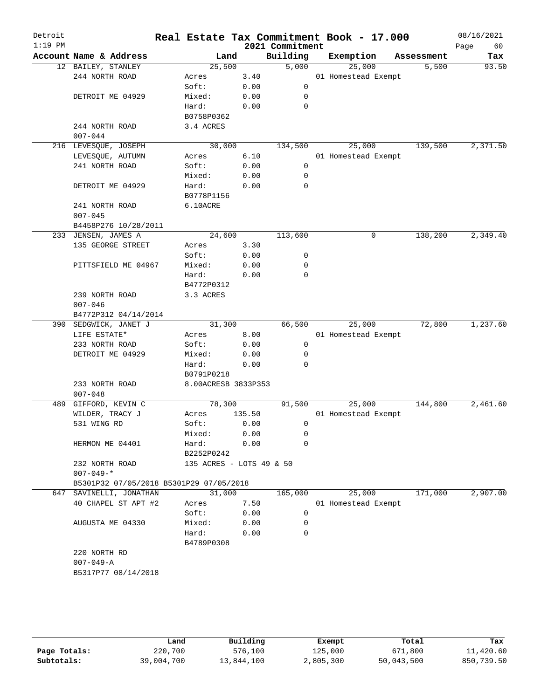| Detroit<br>$1:19$ PM |                                         |                          |        | 2021 Commitment | Real Estate Tax Commitment Book - 17.000 |            | 08/16/2021<br>60 |
|----------------------|-----------------------------------------|--------------------------|--------|-----------------|------------------------------------------|------------|------------------|
|                      | Account Name & Address                  | Land                     |        | Building        | Exemption                                | Assessment | Page<br>Tax      |
|                      | 12 BAILEY, STANLEY                      | 25,500                   |        | 5,000           | 25,000                                   | 5,500      | 93.50            |
|                      | 244 NORTH ROAD                          | Acres                    | 3.40   |                 | 01 Homestead Exempt                      |            |                  |
|                      |                                         | Soft:                    | 0.00   | 0               |                                          |            |                  |
|                      | DETROIT ME 04929                        | Mixed:                   | 0.00   | 0               |                                          |            |                  |
|                      |                                         | Hard:                    | 0.00   | $\mathbf 0$     |                                          |            |                  |
|                      |                                         | B0758P0362               |        |                 |                                          |            |                  |
|                      | 244 NORTH ROAD                          | 3.4 ACRES                |        |                 |                                          |            |                  |
|                      | $007 - 044$                             |                          |        |                 |                                          |            |                  |
|                      | 216 LEVESQUE, JOSEPH                    | 30,000                   |        | 134,500         | 25,000                                   | 139,500    | 2,371.50         |
|                      | LEVESQUE, AUTUMN                        | Acres                    | 6.10   |                 | 01 Homestead Exempt                      |            |                  |
|                      | 241 NORTH ROAD                          | Soft:                    | 0.00   | $\mathbf 0$     |                                          |            |                  |
|                      |                                         | Mixed:                   | 0.00   | 0               |                                          |            |                  |
|                      | DETROIT ME 04929                        | Hard:                    | 0.00   | 0               |                                          |            |                  |
|                      |                                         | B0778P1156               |        |                 |                                          |            |                  |
|                      | 241 NORTH ROAD                          | 6.10ACRE                 |        |                 |                                          |            |                  |
|                      | $007 - 045$                             |                          |        |                 |                                          |            |                  |
|                      | B4458P276 10/28/2011                    |                          |        |                 |                                          |            |                  |
|                      | 233 JENSEN, JAMES A                     | 24,600                   |        | 113,600         | 0                                        | 138,200    | 2,349.40         |
|                      | 135 GEORGE STREET                       | Acres                    | 3.30   |                 |                                          |            |                  |
|                      |                                         | Soft:                    | 0.00   | 0               |                                          |            |                  |
|                      | PITTSFIELD ME 04967                     | Mixed:                   | 0.00   | 0               |                                          |            |                  |
|                      |                                         | Hard:                    | 0.00   | $\mathbf 0$     |                                          |            |                  |
|                      |                                         | B4772P0312               |        |                 |                                          |            |                  |
|                      | 239 NORTH ROAD                          | 3.3 ACRES                |        |                 |                                          |            |                  |
|                      | $007 - 046$                             |                          |        |                 |                                          |            |                  |
|                      | B4772P312 04/14/2014                    |                          |        |                 |                                          |            |                  |
|                      | 390 SEDGWICK, JANET J                   | 31,300                   |        | 66,500          | 25,000                                   | 72,800     | 1,237.60         |
|                      | LIFE ESTATE*                            | Acres                    | 8.00   |                 | 01 Homestead Exempt                      |            |                  |
|                      | 233 NORTH ROAD                          | Soft:                    | 0.00   | 0               |                                          |            |                  |
|                      | DETROIT ME 04929                        | Mixed:                   | 0.00   | 0               |                                          |            |                  |
|                      |                                         | Hard:                    | 0.00   | $\Omega$        |                                          |            |                  |
|                      |                                         | B0791P0218               |        |                 |                                          |            |                  |
|                      | 233 NORTH ROAD                          | 8.00ACRESB 3833P353      |        |                 |                                          |            |                  |
|                      | $007 - 048$                             |                          |        |                 |                                          |            |                  |
| 489                  | GIFFORD, KEVIN C                        | 78,300                   |        | 91,500          | 25,000                                   | 144,800    | 2,461.60         |
|                      | WILDER, TRACY J                         | Acres                    | 135.50 |                 | 01 Homestead Exempt                      |            |                  |
|                      | 531 WING RD                             | Soft:                    | 0.00   | 0               |                                          |            |                  |
|                      |                                         | Mixed:                   | 0.00   | 0               |                                          |            |                  |
|                      | HERMON ME 04401                         | Hard:                    | 0.00   | 0               |                                          |            |                  |
|                      |                                         | B2252P0242               |        |                 |                                          |            |                  |
|                      | 232 NORTH ROAD                          | 135 ACRES - LOTS 49 & 50 |        |                 |                                          |            |                  |
|                      | $007 - 049 -$ *                         |                          |        |                 |                                          |            |                  |
|                      | B5301P32 07/05/2018 B5301P29 07/05/2018 |                          |        |                 |                                          |            |                  |
|                      | 647 SAVINELLI, JONATHAN                 | 31,000                   |        | 165,000         | 25,000                                   | 171,000    | 2,907.00         |
|                      | 40 CHAPEL ST APT #2                     | Acres                    | 7.50   |                 | 01 Homestead Exempt                      |            |                  |
|                      |                                         | Soft:                    | 0.00   | 0               |                                          |            |                  |
|                      | AUGUSTA ME 04330                        | Mixed:                   | 0.00   | 0               |                                          |            |                  |
|                      |                                         | Hard:                    | 0.00   | 0               |                                          |            |                  |
|                      |                                         | B4789P0308               |        |                 |                                          |            |                  |
|                      | 220 NORTH RD                            |                          |        |                 |                                          |            |                  |
|                      | $007 - 049 - A$                         |                          |        |                 |                                          |            |                  |
|                      | B5317P77 08/14/2018                     |                          |        |                 |                                          |            |                  |
|                      |                                         |                          |        |                 |                                          |            |                  |
|                      |                                         |                          |        |                 |                                          |            |                  |
|                      |                                         |                          |        |                 |                                          |            |                  |

|              | Land       | Building   | Exempt    | Total      | Tax        |
|--------------|------------|------------|-----------|------------|------------|
| Page Totals: | 220,700    | 576,100    | 125,000   | 671,800    | 11,420.60  |
| Subtotals:   | 39,004,700 | 13,844,100 | 2,805,300 | 50,043,500 | 850,739.50 |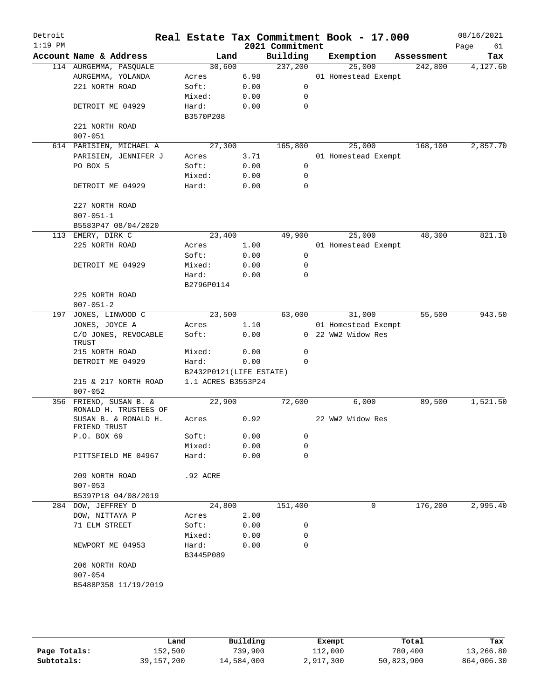| Detroit<br>$1:19$ PM |                                      |                         |      | 2021 Commitment | Real Estate Tax Commitment Book - 17.000 |            | 08/16/2021<br>Page<br>61 |
|----------------------|--------------------------------------|-------------------------|------|-----------------|------------------------------------------|------------|--------------------------|
|                      | Account Name & Address               | Land                    |      | Building        | Exemption                                | Assessment | Tax                      |
|                      | 114 AURGEMMA, PASQUALE               | 30,600                  |      | 237,200         | 25,000                                   | 242,800    | 4,127.60                 |
|                      | AURGEMMA, YOLANDA                    | Acres                   | 6.98 |                 | 01 Homestead Exempt                      |            |                          |
|                      | 221 NORTH ROAD                       | Soft:                   | 0.00 | 0               |                                          |            |                          |
|                      |                                      | Mixed:                  | 0.00 | 0               |                                          |            |                          |
|                      | DETROIT ME 04929                     | Hard:                   | 0.00 | $\mathbf 0$     |                                          |            |                          |
|                      |                                      | B3570P208               |      |                 |                                          |            |                          |
|                      | 221 NORTH ROAD<br>$007 - 051$        |                         |      |                 |                                          |            |                          |
|                      | 614 PARISIEN, MICHAEL A              | 27,300                  |      | 165,800         | 25,000                                   | 168,100    | 2,857.70                 |
|                      | PARISIEN, JENNIFER J                 | Acres                   | 3.71 |                 | 01 Homestead Exempt                      |            |                          |
|                      | PO BOX 5                             | Soft:                   | 0.00 | 0               |                                          |            |                          |
|                      |                                      | Mixed:                  | 0.00 | 0               |                                          |            |                          |
|                      | DETROIT ME 04929                     | Hard:                   | 0.00 | $\mathbf 0$     |                                          |            |                          |
|                      |                                      |                         |      |                 |                                          |            |                          |
|                      | 227 NORTH ROAD                       |                         |      |                 |                                          |            |                          |
|                      | $007 - 051 - 1$                      |                         |      |                 |                                          |            |                          |
|                      | B5583P47 08/04/2020                  |                         |      |                 |                                          |            |                          |
|                      | 113 EMERY, DIRK C                    | 23,400                  |      | 49,900          | 25,000                                   | 48,300     | 821.10                   |
|                      | 225 NORTH ROAD                       | Acres                   | 1.00 |                 | 01 Homestead Exempt                      |            |                          |
|                      |                                      | Soft:                   | 0.00 | 0               |                                          |            |                          |
|                      | DETROIT ME 04929                     | Mixed:                  | 0.00 | 0               |                                          |            |                          |
|                      |                                      | Hard:                   | 0.00 | $\mathbf 0$     |                                          |            |                          |
|                      |                                      | B2796P0114              |      |                 |                                          |            |                          |
|                      | 225 NORTH ROAD                       |                         |      |                 |                                          |            |                          |
|                      | $007 - 051 - 2$                      |                         |      |                 |                                          |            |                          |
| 197                  | JONES, LINWOOD C                     | 23,500                  |      | 63,000          | 31,000                                   | 55,500     | 943.50                   |
|                      | JONES, JOYCE A                       | Acres                   | 1.10 |                 | 01 Homestead Exempt                      |            |                          |
|                      | C/O JONES, REVOCABLE<br>TRUST        | Soft:                   | 0.00 |                 | 0 22 WW2 Widow Res                       |            |                          |
|                      | 215 NORTH ROAD                       | Mixed:                  | 0.00 | 0               |                                          |            |                          |
|                      | DETROIT ME 04929                     | Hard:                   | 0.00 | 0               |                                          |            |                          |
|                      |                                      | B2432P0121(LIFE ESTATE) |      |                 |                                          |            |                          |
|                      | 215 & 217 NORTH ROAD                 | 1.1 ACRES B3553P24      |      |                 |                                          |            |                          |
|                      | $007 - 052$                          |                         |      |                 |                                          |            |                          |
|                      | 356 FRIEND, SUSAN B. &               | 22,900                  |      | 72,600          | 6,000                                    | 89,500     | 1,521.50                 |
|                      | RONALD H. TRUSTEES OF                |                         |      |                 |                                          |            |                          |
|                      | SUSAN B. & RONALD H.<br>FRIEND TRUST | Acres                   | 0.92 |                 | 22 WW2 Widow Res                         |            |                          |
|                      | P.O. BOX 69                          | Soft:                   | 0.00 | 0               |                                          |            |                          |
|                      |                                      | Mixed:                  | 0.00 | 0               |                                          |            |                          |
|                      | PITTSFIELD ME 04967                  | Hard:                   | 0.00 | 0               |                                          |            |                          |
|                      |                                      |                         |      |                 |                                          |            |                          |
|                      | 209 NORTH ROAD                       | .92 ACRE                |      |                 |                                          |            |                          |
|                      | $007 - 053$                          |                         |      |                 |                                          |            |                          |
|                      | B5397P18 04/08/2019                  |                         |      |                 |                                          |            |                          |
|                      | 284 DOW, JEFFREY D                   | 24,800                  |      | 151,400         | 0                                        | 176,200    | 2,995.40                 |
|                      | DOW, NITTAYA P                       | Acres                   | 2.00 |                 |                                          |            |                          |
|                      | 71 ELM STREET                        | Soft:                   | 0.00 | 0               |                                          |            |                          |
|                      |                                      | Mixed:                  | 0.00 | 0               |                                          |            |                          |
|                      | NEWPORT ME 04953                     | Hard:                   | 0.00 | 0               |                                          |            |                          |
|                      |                                      | B3445P089               |      |                 |                                          |            |                          |
|                      | 206 NORTH ROAD                       |                         |      |                 |                                          |            |                          |
|                      | $007 - 054$                          |                         |      |                 |                                          |            |                          |
|                      | B5488P358 11/19/2019                 |                         |      |                 |                                          |            |                          |
|                      |                                      |                         |      |                 |                                          |            |                          |
|                      |                                      |                         |      |                 |                                          |            |                          |
|                      |                                      |                         |      |                 |                                          |            |                          |
|                      |                                      |                         |      |                 |                                          |            |                          |

|              | Land         | Building   | Exempt    | Total      | Tax        |
|--------------|--------------|------------|-----------|------------|------------|
| Page Totals: | 152,500      | 739,900    | 112,000   | 780,400    | 13,266.80  |
| Subtotals:   | 39, 157, 200 | 14,584,000 | 2,917,300 | 50,823,900 | 864,006.30 |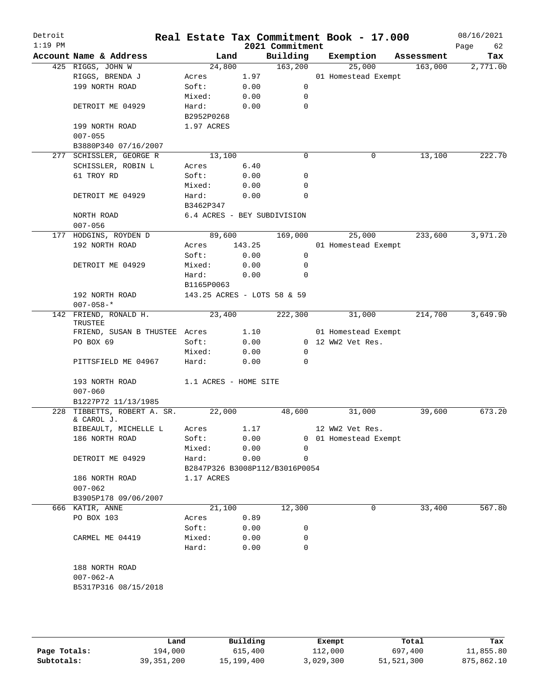| Detroit<br>$1:19$ PM |                                       |                                |        | 2021 Commitment | Real Estate Tax Commitment Book - 17.000 |            | 08/16/2021<br>Page<br>62 |
|----------------------|---------------------------------------|--------------------------------|--------|-----------------|------------------------------------------|------------|--------------------------|
|                      | Account Name & Address                | Land                           |        | Building        | Exemption                                | Assessment | Tax                      |
|                      | 425 RIGGS, JOHN W                     | 24,800                         |        | 163,200         | 25,000                                   | 163,000    | 2,771.00                 |
|                      | RIGGS, BRENDA J                       | Acres                          | 1.97   |                 | 01 Homestead Exempt                      |            |                          |
|                      | 199 NORTH ROAD                        | Soft:                          | 0.00   | 0               |                                          |            |                          |
|                      |                                       | Mixed:                         | 0.00   | $\mathbf 0$     |                                          |            |                          |
|                      | DETROIT ME 04929                      | Hard:                          | 0.00   | $\mathbf 0$     |                                          |            |                          |
|                      |                                       | B2952P0268                     |        |                 |                                          |            |                          |
|                      | 199 NORTH ROAD                        | 1.97 ACRES                     |        |                 |                                          |            |                          |
|                      | $007 - 055$                           |                                |        |                 |                                          |            |                          |
|                      | B3880P340 07/16/2007                  |                                |        |                 |                                          |            |                          |
|                      | 277 SCHISSLER, GEORGE R               | 13,100                         |        | $\Omega$        | 0                                        | 13,100     | 222.70                   |
|                      | SCHISSLER, ROBIN L                    | Acres                          | 6.40   |                 |                                          |            |                          |
|                      | 61 TROY RD                            | Soft:                          | 0.00   | 0               |                                          |            |                          |
|                      |                                       | Mixed:                         | 0.00   | $\mathbf 0$     |                                          |            |                          |
|                      | DETROIT ME 04929                      | Hard:                          | 0.00   | $\mathbf 0$     |                                          |            |                          |
|                      |                                       | B3462P347                      |        |                 |                                          |            |                          |
|                      | NORTH ROAD                            | 6.4 ACRES - BEY SUBDIVISION    |        |                 |                                          |            |                          |
|                      | $007 - 056$                           |                                |        |                 |                                          |            |                          |
|                      | 177 HODGINS, ROYDEN D                 | 89,600                         |        | 169,000         | 25,000                                   | 233,600    | 3,971.20                 |
|                      | 192 NORTH ROAD                        | Acres                          | 143.25 |                 | 01 Homestead Exempt                      |            |                          |
|                      |                                       |                                |        |                 |                                          |            |                          |
|                      |                                       | Soft:                          | 0.00   | 0               |                                          |            |                          |
|                      | DETROIT ME 04929                      | Mixed:                         | 0.00   | 0               |                                          |            |                          |
|                      |                                       | Hard:                          | 0.00   | $\mathbf 0$     |                                          |            |                          |
|                      |                                       | B1165P0063                     |        |                 |                                          |            |                          |
|                      | 192 NORTH ROAD                        | 143.25 ACRES - LOTS 58 & 59    |        |                 |                                          |            |                          |
|                      | $007 - 058 -$ *                       |                                |        |                 |                                          |            |                          |
|                      | 142 FRIEND, RONALD H.<br>TRUSTEE      | 23,400                         |        | 222,300         | 31,000                                   | 214,700    | 3,649.90                 |
|                      | FRIEND, SUSAN B THUSTEE Acres         |                                | 1.10   |                 | 01 Homestead Exempt                      |            |                          |
|                      | PO BOX 69                             | Soft:                          | 0.00   |                 | 0 12 WW2 Vet Res.                        |            |                          |
|                      |                                       | Mixed:                         | 0.00   | $\mathbf 0$     |                                          |            |                          |
|                      | PITTSFIELD ME 04967                   | Hard:                          | 0.00   | $\Omega$        |                                          |            |                          |
|                      | 193 NORTH ROAD                        | 1.1 ACRES - HOME SITE          |        |                 |                                          |            |                          |
|                      | $007 - 060$                           |                                |        |                 |                                          |            |                          |
|                      | B1227P72 11/13/1985                   |                                |        |                 |                                          |            |                          |
| 228                  | TIBBETTS, ROBERT A. SR.<br>& CAROL J. | 22,000                         |        | 48,600          | 31,000                                   | 39,600     | 673.20                   |
|                      | BIBEAULT, MICHELLE L Acres 1.17       |                                |        |                 | 12 WW2 Vet Res.                          |            |                          |
|                      | 186 NORTH ROAD                        | Soft:                          | 0.00   |                 | 0 01 Homestead Exempt                    |            |                          |
|                      |                                       | Mixed:                         | 0.00   | 0               |                                          |            |                          |
|                      | DETROIT ME 04929                      | Hard:                          | 0.00   | 0               |                                          |            |                          |
|                      |                                       | B2847P326 B3008P112/B3016P0054 |        |                 |                                          |            |                          |
|                      | 186 NORTH ROAD                        | 1.17 ACRES                     |        |                 |                                          |            |                          |
|                      | $007 - 062$                           |                                |        |                 |                                          |            |                          |
|                      | B3905P178 09/06/2007                  |                                |        |                 |                                          |            |                          |
|                      | 666 KATIR, ANNE                       | 21,100                         |        | 12,300          | 0                                        | 33,400     | 567.80                   |
|                      | PO BOX 103                            | Acres                          | 0.89   |                 |                                          |            |                          |
|                      |                                       | Soft:                          | 0.00   | 0               |                                          |            |                          |
|                      | CARMEL ME 04419                       | Mixed:                         | 0.00   | 0               |                                          |            |                          |
|                      |                                       | Hard:                          | 0.00   | 0               |                                          |            |                          |
|                      | 188 NORTH ROAD                        |                                |        |                 |                                          |            |                          |
|                      | $007 - 062 - A$                       |                                |        |                 |                                          |            |                          |
|                      | B5317P316 08/15/2018                  |                                |        |                 |                                          |            |                          |
|                      |                                       |                                |        |                 |                                          |            |                          |
|                      |                                       |                                |        |                 |                                          |            |                          |
|                      |                                       |                                |        |                 |                                          |            |                          |
|                      |                                       |                                |        |                 |                                          |            |                          |

|              | Land         | Building   | Exempt    | Total      | Tax        |
|--------------|--------------|------------|-----------|------------|------------|
| Page Totals: | 194,000      | 615,400    | 112,000   | 697,400    | 11,855.80  |
| Subtotals:   | 39, 351, 200 | 15,199,400 | 3,029,300 | 51,521,300 | 875,862.10 |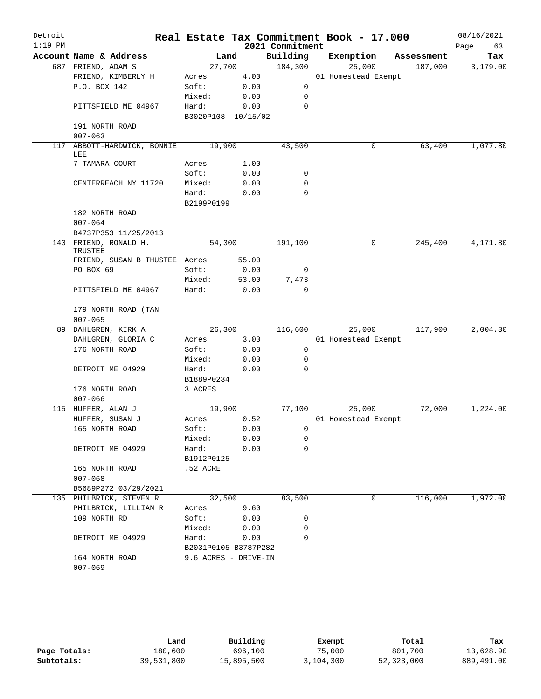| Detroit<br>$1:19$ PM |                                    |                      |       | 2021 Commitment | Real Estate Tax Commitment Book - 17.000 |            | 08/16/2021<br>Page<br>63 |
|----------------------|------------------------------------|----------------------|-------|-----------------|------------------------------------------|------------|--------------------------|
|                      | Account Name & Address             | Land                 |       | Building        | Exemption                                | Assessment | Tax                      |
|                      | 687 FRIEND, ADAM S                 | 27,700               |       | 184,300         | 25,000                                   | 187,000    | 3,179.00                 |
|                      | FRIEND, KIMBERLY H                 | Acres                | 4.00  |                 | 01 Homestead Exempt                      |            |                          |
|                      | P.O. BOX 142                       | Soft:                | 0.00  | 0               |                                          |            |                          |
|                      |                                    | Mixed:               | 0.00  | 0               |                                          |            |                          |
|                      | PITTSFIELD ME 04967                | Hard:                | 0.00  | $\mathbf 0$     |                                          |            |                          |
|                      |                                    | B3020P108 10/15/02   |       |                 |                                          |            |                          |
|                      | 191 NORTH ROAD<br>$007 - 063$      |                      |       |                 |                                          |            |                          |
|                      | 117 ABBOTT-HARDWICK, BONNIE<br>LEE | 19,900               |       | 43,500          | 0                                        | 63,400     | 1,077.80                 |
|                      | 7 TAMARA COURT                     | Acres                | 1.00  |                 |                                          |            |                          |
|                      |                                    | Soft:                | 0.00  | 0               |                                          |            |                          |
|                      | CENTERREACH NY 11720               | Mixed:               | 0.00  | 0               |                                          |            |                          |
|                      |                                    | Hard:                | 0.00  | 0               |                                          |            |                          |
|                      |                                    | B2199P0199           |       |                 |                                          |            |                          |
|                      | 182 NORTH ROAD                     |                      |       |                 |                                          |            |                          |
|                      | $007 - 064$                        |                      |       |                 |                                          |            |                          |
|                      | B4737P353 11/25/2013               |                      |       |                 |                                          |            |                          |
|                      | 140 FRIEND, RONALD H.              | 54,300               |       | 191,100         | 0                                        | 245,400    | 4,171.80                 |
|                      | TRUSTEE                            |                      |       |                 |                                          |            |                          |
|                      | FRIEND, SUSAN B THUSTEE Acres      |                      | 55.00 |                 |                                          |            |                          |
|                      | PO BOX 69                          | Soft:                | 0.00  | 0               |                                          |            |                          |
|                      |                                    | Mixed:               | 53.00 | 7,473           |                                          |            |                          |
|                      | PITTSFIELD ME 04967                | Hard:                | 0.00  | 0               |                                          |            |                          |
|                      | 179 NORTH ROAD (TAN<br>$007 - 065$ |                      |       |                 |                                          |            |                          |
|                      | 89 DAHLGREN, KIRK A                | 26,300               |       | 116,600         | 25,000                                   | 117,900    | 2,004.30                 |
|                      | DAHLGREN, GLORIA C                 | Acres                | 3.00  |                 | 01 Homestead Exempt                      |            |                          |
|                      | 176 NORTH ROAD                     | Soft:                | 0.00  | 0               |                                          |            |                          |
|                      |                                    | Mixed:               | 0.00  | 0               |                                          |            |                          |
|                      | DETROIT ME 04929                   | Hard:                | 0.00  | 0               |                                          |            |                          |
|                      |                                    | B1889P0234           |       |                 |                                          |            |                          |
|                      | 176 NORTH ROAD                     | 3 ACRES              |       |                 |                                          |            |                          |
|                      | $007 - 066$                        |                      |       |                 |                                          |            |                          |
|                      | 115 HUFFER, ALAN J                 | 19,900               |       | 77,100          | 25,000                                   | 72,000     | 1,224.00                 |
|                      | HUFFER, SUSAN J                    | Acres                | 0.52  |                 | 01 Homestead Exempt                      |            |                          |
|                      | 165 NORTH ROAD                     | Soft:                | 0.00  | $\overline{0}$  |                                          |            |                          |
|                      |                                    | Mixed:               | 0.00  | 0               |                                          |            |                          |
|                      | DETROIT ME 04929                   | Hard:                | 0.00  | $\mathbf 0$     |                                          |            |                          |
|                      |                                    | B1912P0125           |       |                 |                                          |            |                          |
|                      | 165 NORTH ROAD                     | .52 ACRE             |       |                 |                                          |            |                          |
|                      | $007 - 068$                        |                      |       |                 |                                          |            |                          |
|                      | B5689P272 03/29/2021               |                      |       |                 |                                          |            |                          |
|                      | 135 PHILBRICK, STEVEN R            | 32,500               |       | 83,500          | 0                                        | 116,000    | 1,972.00                 |
|                      | PHILBRICK, LILLIAN R               | Acres                | 9.60  |                 |                                          |            |                          |
|                      | 109 NORTH RD                       | Soft:                | 0.00  | 0               |                                          |            |                          |
|                      |                                    | Mixed:               | 0.00  | 0               |                                          |            |                          |
|                      | DETROIT ME 04929                   | Hard:                | 0.00  | 0               |                                          |            |                          |
|                      |                                    | B2031P0105 B3787P282 |       |                 |                                          |            |                          |
|                      | 164 NORTH ROAD                     | 9.6 ACRES - DRIVE-IN |       |                 |                                          |            |                          |
|                      | $007 - 069$                        |                      |       |                 |                                          |            |                          |

|              | Land       | Building   | Exempt    | Total      | Tax        |
|--------------|------------|------------|-----------|------------|------------|
| Page Totals: | 180,600    | 696,100    | 75,000    | 801,700    | 13,628.90  |
| Subtotals:   | 39,531,800 | 15,895,500 | 3,104,300 | 52,323,000 | 889,491.00 |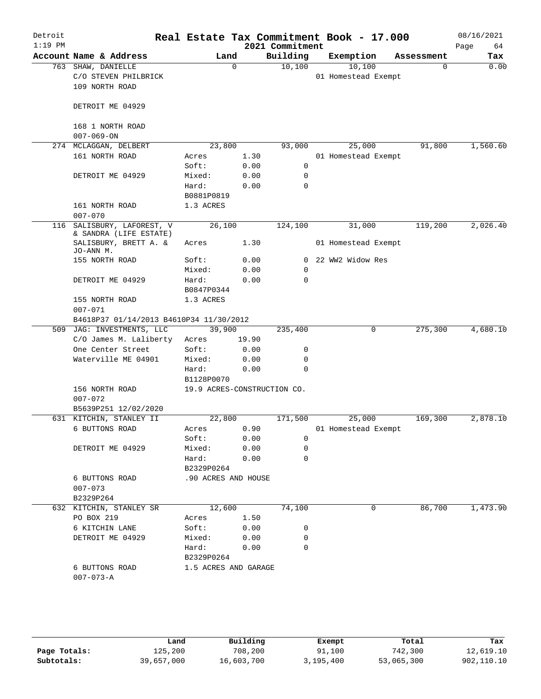| Account Name & Address                                       |                     | Land  | Building                                                  |                                              | Exemption                     | Assessment |          |
|--------------------------------------------------------------|---------------------|-------|-----------------------------------------------------------|----------------------------------------------|-------------------------------|------------|----------|
|                                                              |                     |       |                                                           |                                              |                               |            | Tax      |
| 763 SHAW, DANIELLE<br>C/O STEVEN PHILBRICK<br>109 NORTH ROAD |                     | 0     | 10,100                                                    |                                              | 10,100<br>01 Homestead Exempt | 0          | 0.00     |
|                                                              |                     |       |                                                           |                                              |                               |            |          |
| DETROIT ME 04929                                             |                     |       |                                                           |                                              |                               |            |          |
| 168 1 NORTH ROAD                                             |                     |       |                                                           |                                              |                               |            |          |
|                                                              |                     |       |                                                           |                                              |                               |            |          |
| 274 MCLAGGAN, DELBERT                                        | 23,800              |       | 93,000                                                    |                                              | 25,000                        | 91,800     | 1,560.60 |
| 161 NORTH ROAD                                               | Acres               | 1.30  |                                                           |                                              | 01 Homestead Exempt           |            |          |
|                                                              | Soft:               | 0.00  | 0                                                         |                                              |                               |            |          |
| DETROIT ME 04929                                             | Mixed:              | 0.00  | 0                                                         |                                              |                               |            |          |
|                                                              | Hard:               | 0.00  | 0                                                         |                                              |                               |            |          |
|                                                              | B0881P0819          |       |                                                           |                                              |                               |            |          |
| 161 NORTH ROAD                                               | 1.3 ACRES           |       |                                                           |                                              |                               |            |          |
|                                                              |                     |       |                                                           |                                              |                               |            |          |
| SALISBURY, LAFOREST, V<br>& SANDRA (LIFE ESTATE)             | 26,100              |       | 124,100                                                   |                                              | 31,000                        | 119,200    | 2,026.40 |
| SALISBURY, BRETT A. &                                        | Acres               | 1.30  |                                                           |                                              | 01 Homestead Exempt           |            |          |
| 155 NORTH ROAD                                               | Soft:               | 0.00  |                                                           |                                              | 0 22 WW2 Widow Res            |            |          |
|                                                              | Mixed:              | 0.00  | 0                                                         |                                              |                               |            |          |
| DETROIT ME 04929                                             | Hard:<br>B0847P0344 | 0.00  | $\Omega$                                                  |                                              |                               |            |          |
| 155 NORTH ROAD                                               | 1.3 ACRES           |       |                                                           |                                              |                               |            |          |
| B4618P37 01/14/2013 B4610P34 11/30/2012                      |                     |       |                                                           |                                              |                               |            |          |
| 509 JAG: INVESTMENTS, LLC                                    | 39,900              |       | 235,400                                                   |                                              | 0                             | 275,300    | 4,680.10 |
| C/O James M. Laliberty                                       | Acres               | 19.90 |                                                           |                                              |                               |            |          |
| One Center Street                                            | Soft:               | 0.00  | 0                                                         |                                              |                               |            |          |
| Waterville ME 04901                                          | Mixed:              | 0.00  | 0                                                         |                                              |                               |            |          |
|                                                              | Hard:               | 0.00  | 0                                                         |                                              |                               |            |          |
|                                                              | B1128P0070          |       |                                                           |                                              |                               |            |          |
| 156 NORTH ROAD                                               |                     |       | 19.9 ACRES-CONSTRUCTION CO.                               |                                              |                               |            |          |
| B5639P251 12/02/2020                                         |                     |       |                                                           |                                              |                               |            |          |
| 631 KITCHIN, STANLEY II                                      | 22,800              |       | 171,500                                                   |                                              | 25,000                        | 169,300    | 2,878.10 |
| 6 BUTTONS ROAD                                               | Acres 0.90          |       |                                                           |                                              | 01 Homestead Exempt           |            |          |
|                                                              | Soft:               | 0.00  | 0                                                         |                                              |                               |            |          |
| DETROIT ME 04929                                             | Mixed:              | 0.00  | 0                                                         |                                              |                               |            |          |
|                                                              | Hard:<br>B2329P0264 | 0.00  | 0                                                         |                                              |                               |            |          |
| 6 BUTTONS ROAD                                               | .90 ACRES AND HOUSE |       |                                                           |                                              |                               |            |          |
|                                                              |                     |       |                                                           |                                              |                               |            |          |
| 632 KITCHIN, STANLEY SR                                      |                     |       | 74,100                                                    |                                              | 0                             | 86,700     | 1,473.90 |
| PO BOX 219                                                   |                     | 1.50  |                                                           |                                              |                               |            |          |
| 6 KITCHIN LANE                                               |                     |       | 0                                                         |                                              |                               |            |          |
| DETROIT ME 04929                                             |                     |       | 0                                                         |                                              |                               |            |          |
|                                                              |                     |       | 0                                                         |                                              |                               |            |          |
| 6 BUTTONS ROAD                                               |                     |       |                                                           |                                              |                               |            |          |
|                                                              |                     |       |                                                           |                                              |                               |            |          |
|                                                              |                     |       | 12,600<br>Acres<br>Soft:<br>Mixed:<br>Hard:<br>B2329P0264 | 0.00<br>0.00<br>0.00<br>1.5 ACRES AND GARAGE |                               |            |          |

|              | Land       | Building   | Exempt    | Total      | Tax        |
|--------------|------------|------------|-----------|------------|------------|
| Page Totals: | 125,200    | 708,200    | 91,100    | 742,300    | 12,619.10  |
| Subtotals:   | 39,657,000 | 16,603,700 | 3,195,400 | 53,065,300 | 902,110.10 |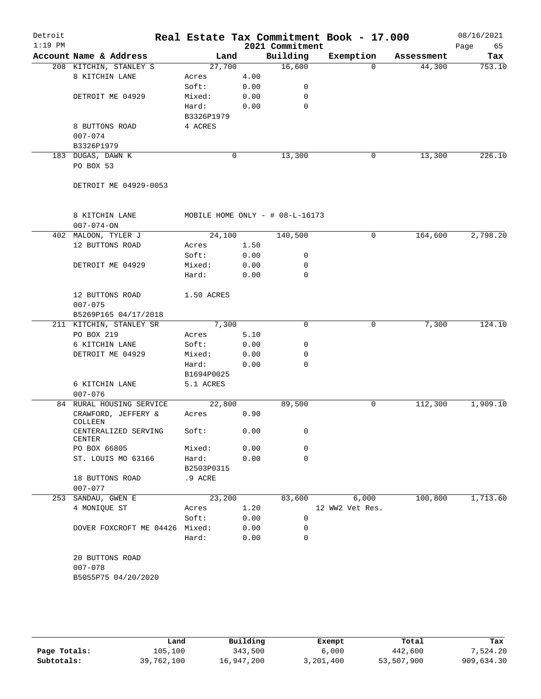| Detroit<br>$1:19$ PM |                                |            |      | 2021 Commitment                    | Real Estate Tax Commitment Book - 17.000 |            | 08/16/2021<br>Page<br>65 |
|----------------------|--------------------------------|------------|------|------------------------------------|------------------------------------------|------------|--------------------------|
|                      | Account Name & Address         | Land       |      | Building                           | Exemption                                | Assessment | Tax                      |
|                      | 208 KITCHIN, STANLEY S         | 27,700     |      | 16,600                             | $\Omega$                                 | 44,300     | 753.10                   |
|                      | 8 KITCHIN LANE                 | Acres      | 4.00 |                                    |                                          |            |                          |
|                      |                                | Soft:      | 0.00 | 0                                  |                                          |            |                          |
|                      | DETROIT ME 04929               | Mixed:     | 0.00 | 0                                  |                                          |            |                          |
|                      |                                | Hard:      | 0.00 | $\mathbf 0$                        |                                          |            |                          |
|                      |                                | B3326P1979 |      |                                    |                                          |            |                          |
|                      | 8 BUTTONS ROAD                 | 4 ACRES    |      |                                    |                                          |            |                          |
|                      | $007 - 074$                    |            |      |                                    |                                          |            |                          |
|                      | B3326P1979                     |            |      |                                    |                                          |            |                          |
|                      | 183 DUGAS, DAWN K              |            | 0    | 13,300                             | 0                                        | 13,300     | 226.10                   |
|                      | PO BOX 53                      |            |      |                                    |                                          |            |                          |
|                      |                                |            |      |                                    |                                          |            |                          |
|                      | DETROIT ME 04929-0053          |            |      |                                    |                                          |            |                          |
|                      | 8 KITCHIN LANE                 |            |      | MOBILE HOME ONLY - $\#$ 08-L-16173 |                                          |            |                          |
|                      | $007 - 074 - ON$               |            |      |                                    |                                          |            |                          |
|                      | 402 MALOON, TYLER J            | 24,100     |      | 140,500                            | $\mathbf 0$                              | 164,600    | 2,798.20                 |
|                      | 12 BUTTONS ROAD                | Acres      | 1.50 |                                    |                                          |            |                          |
|                      |                                | Soft:      | 0.00 | 0                                  |                                          |            |                          |
|                      | DETROIT ME 04929               | Mixed:     | 0.00 | 0                                  |                                          |            |                          |
|                      |                                | Hard:      | 0.00 | $\mathbf 0$                        |                                          |            |                          |
|                      |                                |            |      |                                    |                                          |            |                          |
|                      | 12 BUTTONS ROAD                | 1.50 ACRES |      |                                    |                                          |            |                          |
|                      | $007 - 075$                    |            |      |                                    |                                          |            |                          |
|                      | B5269P165 04/17/2018           |            |      |                                    |                                          |            |                          |
|                      | 211 KITCHIN, STANLEY SR        | 7,300      |      | 0                                  | 0                                        | 7,300      | 124.10                   |
|                      | PO BOX 219                     | Acres      | 5.10 |                                    |                                          |            |                          |
|                      | 6 KITCHIN LANE                 | Soft:      | 0.00 | 0                                  |                                          |            |                          |
|                      | DETROIT ME 04929               | Mixed:     | 0.00 | 0                                  |                                          |            |                          |
|                      |                                | Hard:      | 0.00 | $\Omega$                           |                                          |            |                          |
|                      |                                | B1694P0025 |      |                                    |                                          |            |                          |
|                      | 6 KITCHIN LANE                 | 5.1 ACRES  |      |                                    |                                          |            |                          |
|                      | $007 - 076$                    |            |      |                                    |                                          |            |                          |
|                      | 84 RURAL HOUSING SERVICE       | 22,800     |      | 89,500                             | 0                                        | 112,300    | 1,909.10                 |
|                      | CRAWFORD, JEFFERY &            | Acres      | 0.90 |                                    |                                          |            |                          |
|                      | COLLEEN                        |            |      |                                    |                                          |            |                          |
|                      | CENTERALIZED SERVING<br>CENTER | Soft:      | 0.00 | 0                                  |                                          |            |                          |
|                      | PO BOX 66805                   | Mixed:     | 0.00 | 0                                  |                                          |            |                          |
|                      | ST. LOUIS MO 63166             | Hard:      | 0.00 | 0                                  |                                          |            |                          |
|                      |                                | B2503P0315 |      |                                    |                                          |            |                          |
|                      | 18 BUTTONS ROAD                | .9 ACRE    |      |                                    |                                          |            |                          |
|                      | $007 - 077$                    |            |      |                                    |                                          |            |                          |
|                      | 253 SANDAU, GWEN E             | 23,200     |      | 83,600                             | 6,000                                    | 100,800    | 1,713.60                 |
|                      | 4 MONIQUE ST                   | Acres      | 1.20 |                                    | 12 WW2 Vet Res.                          |            |                          |
|                      |                                | Soft:      | 0.00 | 0                                  |                                          |            |                          |
|                      | DOVER FOXCROFT ME 04426        | Mixed:     | 0.00 | 0                                  |                                          |            |                          |
|                      |                                | Hard:      | 0.00 | 0                                  |                                          |            |                          |
|                      | 20 BUTTONS ROAD<br>$007 - 078$ |            |      |                                    |                                          |            |                          |
|                      |                                |            |      |                                    |                                          |            |                          |
|                      | B5055P75 04/20/2020            |            |      |                                    |                                          |            |                          |
|                      |                                |            |      |                                    |                                          |            |                          |

|              | Land       | Building   | Exempt    | Total      | Tax        |
|--------------|------------|------------|-----------|------------|------------|
| Page Totals: | 105,100    | 343,500    | 6,000     | 442,600    | 7.524.20   |
| Subtotals:   | 39,762,100 | 16,947,200 | 3,201,400 | 53,507,900 | 909,634.30 |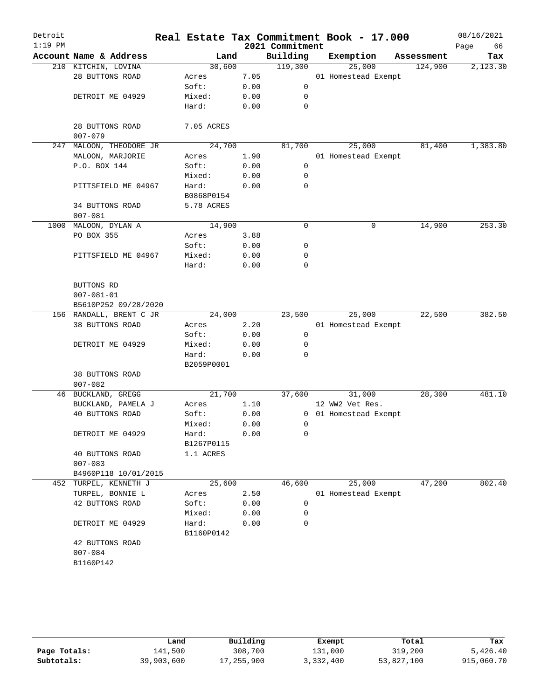| Detroit   |                                |                     |      |                 | Real Estate Tax Commitment Book - 17.000 |            | 08/16/2021 |
|-----------|--------------------------------|---------------------|------|-----------------|------------------------------------------|------------|------------|
| $1:19$ PM |                                |                     |      | 2021 Commitment |                                          |            | 66<br>Page |
|           | Account Name & Address         | Land                |      | Building        | Exemption                                | Assessment | Tax        |
|           | 210 KITCHIN, LOVINA            | 30,600              |      | 119,300         | 25,000                                   | 124,900    | 2,123.30   |
|           | 28 BUTTONS ROAD                | Acres               | 7.05 |                 | 01 Homestead Exempt                      |            |            |
|           |                                | Soft:               | 0.00 | $\mathsf{O}$    |                                          |            |            |
|           | DETROIT ME 04929               | Mixed:              | 0.00 | 0               |                                          |            |            |
|           |                                | Hard:               | 0.00 | $\mathbf 0$     |                                          |            |            |
|           | 28 BUTTONS ROAD<br>$007 - 079$ | 7.05 ACRES          |      |                 |                                          |            |            |
| 247       | MALOON, THEODORE JR            | 24,700              |      | 81,700          | 25,000                                   | 81,400     | 1,383.80   |
|           | MALOON, MARJORIE               | Acres               | 1.90 |                 | 01 Homestead Exempt                      |            |            |
|           | P.O. BOX 144                   | Soft:               | 0.00 | $\mathbf 0$     |                                          |            |            |
|           |                                | Mixed:              | 0.00 | 0               |                                          |            |            |
|           | PITTSFIELD ME 04967            | Hard:               | 0.00 | 0               |                                          |            |            |
|           |                                | B0868P0154          |      |                 |                                          |            |            |
|           | 34 BUTTONS ROAD<br>$007 - 081$ | 5.78 ACRES          |      |                 |                                          |            |            |
|           | 1000 MALOON, DYLAN A           | 14,900              |      | $\mathbf 0$     | 0                                        | 14,900     | 253.30     |
|           | PO BOX 355                     | Acres               | 3.88 |                 |                                          |            |            |
|           |                                | Soft:               | 0.00 | 0               |                                          |            |            |
|           | PITTSFIELD ME 04967            | Mixed:              | 0.00 | 0               |                                          |            |            |
|           |                                | Hard:               | 0.00 | $\mathbf 0$     |                                          |            |            |
|           | BUTTONS RD<br>$007 - 081 - 01$ |                     |      |                 |                                          |            |            |
|           | B5610P252 09/28/2020           |                     |      |                 |                                          |            |            |
|           | 156 RANDALL, BRENT C JR        | 24,000              |      | 23,500          | 25,000                                   | 22,500     | 382.50     |
|           | 38 BUTTONS ROAD                | Acres               | 2.20 |                 | 01 Homestead Exempt                      |            |            |
|           |                                | Soft:               | 0.00 | 0               |                                          |            |            |
|           | DETROIT ME 04929               | Mixed:              | 0.00 | 0               |                                          |            |            |
|           |                                | Hard:<br>B2059P0001 | 0.00 | $\Omega$        |                                          |            |            |
|           | 38 BUTTONS ROAD                |                     |      |                 |                                          |            |            |
|           | $007 - 082$                    |                     |      |                 |                                          |            |            |
|           | 46 BUCKLAND, GREGG             | 21,700              |      | 37,600          | 31,000                                   | 28,300     | 481.10     |
|           | BUCKLAND, PAMELA J             | Acres               | 1.10 |                 | 12 WW2 Vet Res.                          |            |            |
|           | 40 BUTTONS ROAD                | Soft:               | 0.00 |                 | 0 01 Homestead Exempt                    |            |            |
|           |                                | Mixed:              | 0.00 | 0               |                                          |            |            |
|           | DETROIT ME 04929               | Hard:               | 0.00 | 0               |                                          |            |            |
|           |                                | B1267P0115          |      |                 |                                          |            |            |
|           | 40 BUTTONS ROAD<br>$007 - 083$ | 1.1 ACRES           |      |                 |                                          |            |            |
|           | B4960P118 10/01/2015           |                     |      |                 |                                          |            |            |
| 452       | TURPEL, KENNETH J              | 25,600              |      | 46,600          | 25,000                                   | 47,200     | 802.40     |
|           | TURPEL, BONNIE L               | Acres               | 2.50 |                 | 01 Homestead Exempt                      |            |            |
|           | 42 BUTTONS ROAD                | Soft:               | 0.00 | 0               |                                          |            |            |
|           |                                | Mixed:              | 0.00 | 0               |                                          |            |            |
|           | DETROIT ME 04929               | Hard:<br>B1160P0142 | 0.00 | 0               |                                          |            |            |
|           | 42 BUTTONS ROAD                |                     |      |                 |                                          |            |            |
|           | $007 - 084$                    |                     |      |                 |                                          |            |            |
|           | B1160P142                      |                     |      |                 |                                          |            |            |
|           |                                |                     |      |                 |                                          |            |            |

|              | Land       | Building   | Exempt    | Total      | Tax        |
|--------------|------------|------------|-----------|------------|------------|
| Page Totals: | 141,500    | 308,700    | 131,000   | 319,200    | 5,426.40   |
| Subtotals:   | 39,903,600 | 17,255,900 | 3,332,400 | 53,827,100 | 915,060.70 |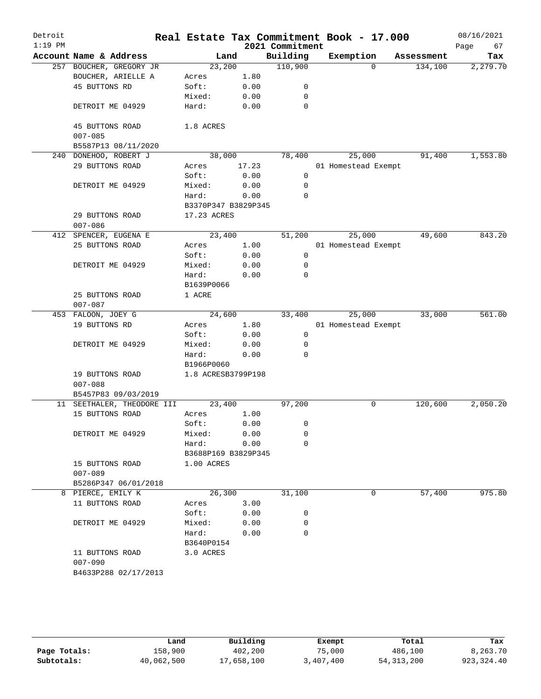| Detroit<br>$1:19$ PM |                                    |        |             |                     | 2021 Commitment | Real Estate Tax Commitment Book - 17.000 |            | 08/16/2021<br>67<br>Page |
|----------------------|------------------------------------|--------|-------------|---------------------|-----------------|------------------------------------------|------------|--------------------------|
|                      | Account Name & Address             |        | Land        |                     | Building        | Exemption                                | Assessment | Tax                      |
|                      | 257 BOUCHER, GREGORY JR            |        | 23,200      |                     | 110,900         | $\Omega$                                 | 134,100    | 2,279.70                 |
|                      | BOUCHER, ARIELLE A                 | Acres  |             | 1.80                |                 |                                          |            |                          |
|                      | 45 BUTTONS RD                      | Soft:  |             | 0.00                | 0               |                                          |            |                          |
|                      |                                    | Mixed: |             | 0.00                | 0               |                                          |            |                          |
|                      | DETROIT ME 04929                   | Hard:  |             | 0.00                | $\mathbf 0$     |                                          |            |                          |
|                      | 45 BUTTONS ROAD                    |        | 1.8 ACRES   |                     |                 |                                          |            |                          |
|                      | $007 - 085$<br>B5587P13 08/11/2020 |        |             |                     |                 |                                          |            |                          |
|                      | 240 DONEHOO, ROBERT J              |        | 38,000      |                     | 78,400          | 25,000                                   | 91,400     | 1,553.80                 |
|                      | 29 BUTTONS ROAD                    | Acres  |             | 17.23               |                 | 01 Homestead Exempt                      |            |                          |
|                      |                                    | Soft:  |             | 0.00                | $\mathsf{O}$    |                                          |            |                          |
|                      | DETROIT ME 04929                   | Mixed: |             | 0.00                | $\mathbf 0$     |                                          |            |                          |
|                      |                                    | Hard:  |             | 0.00                | $\Omega$        |                                          |            |                          |
|                      |                                    |        |             | B3370P347 B3829P345 |                 |                                          |            |                          |
|                      | 29 BUTTONS ROAD                    |        | 17.23 ACRES |                     |                 |                                          |            |                          |
|                      | $007 - 086$                        |        |             |                     |                 |                                          |            |                          |
|                      | 412 SPENCER, EUGENA E              |        | 23,400      |                     | 51,200          | 25,000                                   | 49,600     | 843.20                   |
|                      | 25 BUTTONS ROAD                    | Acres  |             | 1.00                |                 | 01 Homestead Exempt                      |            |                          |
|                      |                                    | Soft:  |             | 0.00                | 0               |                                          |            |                          |
|                      |                                    | Mixed: |             | 0.00                | 0               |                                          |            |                          |
|                      | DETROIT ME 04929                   |        |             |                     | $\mathbf 0$     |                                          |            |                          |
|                      |                                    | Hard:  |             | 0.00                |                 |                                          |            |                          |
|                      |                                    |        | B1639P0066  |                     |                 |                                          |            |                          |
|                      | 25 BUTTONS ROAD<br>$007 - 087$     | 1 ACRE |             |                     |                 |                                          |            |                          |
|                      | 453 FALOON, JOEY G                 |        | 24,600      |                     | 33,400          | 25,000                                   | 33,000     | 561.00                   |
|                      | 19 BUTTONS RD                      | Acres  |             | 1.80                |                 | 01 Homestead Exempt                      |            |                          |
|                      |                                    | Soft:  |             | 0.00                | 0               |                                          |            |                          |
|                      | DETROIT ME 04929                   | Mixed: |             | 0.00                | 0               |                                          |            |                          |
|                      |                                    | Hard:  |             | 0.00                | $\Omega$        |                                          |            |                          |
|                      |                                    |        | B1966P0060  |                     |                 |                                          |            |                          |
|                      | 19 BUTTONS ROAD<br>$007 - 088$     |        |             | 1.8 ACRESB3799P198  |                 |                                          |            |                          |
|                      | B5457P83 09/03/2019                |        |             |                     |                 |                                          |            |                          |
|                      | 11 SEETHALER, THEODORE III         |        | 23,400      |                     | 97,200          | 0                                        | 120,600    | 2,050.20                 |
|                      | 15 BUTTONS ROAD                    | Acres  |             | 1.00                |                 |                                          |            |                          |
|                      |                                    | Soft:  |             | 0.00                | 0               |                                          |            |                          |
|                      | DETROIT ME 04929                   | Mixed: |             | 0.00                | 0               |                                          |            |                          |
|                      |                                    | Hard:  |             | 0.00                | 0               |                                          |            |                          |
|                      |                                    |        |             | B3688P169 B3829P345 |                 |                                          |            |                          |
|                      | 15 BUTTONS ROAD                    |        | 1.00 ACRES  |                     |                 |                                          |            |                          |
|                      | $007 - 089$                        |        |             |                     |                 |                                          |            |                          |
|                      | B5286P347 06/01/2018               |        |             |                     |                 |                                          |            |                          |
|                      | 8 PIERCE, EMILY K                  |        | 26,300      |                     | 31,100          | 0                                        | 57,400     | 975.80                   |
|                      | 11 BUTTONS ROAD                    | Acres  |             | 3.00                |                 |                                          |            |                          |
|                      |                                    | Soft:  |             | 0.00                | 0               |                                          |            |                          |
|                      | DETROIT ME 04929                   | Mixed: |             | 0.00                | 0               |                                          |            |                          |
|                      |                                    | Hard:  |             | 0.00                | 0               |                                          |            |                          |
|                      |                                    |        | B3640P0154  |                     |                 |                                          |            |                          |
|                      | 11 BUTTONS ROAD                    |        | 3.0 ACRES   |                     |                 |                                          |            |                          |
|                      | $007 - 090$                        |        |             |                     |                 |                                          |            |                          |
|                      | B4633P288 02/17/2013               |        |             |                     |                 |                                          |            |                          |
|                      |                                    |        |             |                     |                 |                                          |            |                          |
|                      |                                    |        |             |                     |                 |                                          |            |                          |

|              | Land       | Building   | Exempt    | Total        | Tax          |
|--------------|------------|------------|-----------|--------------|--------------|
| Page Totals: | 158,900    | 402,200    | 75,000    | 486,100      | 8,263.70     |
| Subtotals:   | 40,062,500 | 17,658,100 | 3,407,400 | 54, 313, 200 | 923, 324, 40 |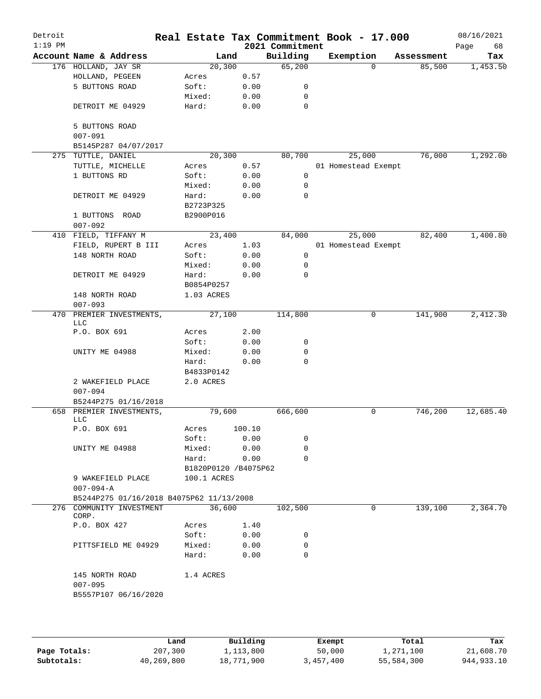| Detroit<br>$1:19$ PM |                                          |                      |        | 2021 Commitment | Real Estate Tax Commitment Book - 17.000 |            | 08/16/2021<br>68<br>Page |
|----------------------|------------------------------------------|----------------------|--------|-----------------|------------------------------------------|------------|--------------------------|
|                      | Account Name & Address                   | Land                 |        | Building        | Exemption                                | Assessment | Tax                      |
|                      | 176 HOLLAND, JAY SR                      | 20, 300              |        | 65,200          | $\Omega$                                 | 85,500     | 1,453.50                 |
|                      | HOLLAND, PEGEEN                          | Acres                | 0.57   |                 |                                          |            |                          |
|                      | 5 BUTTONS ROAD                           | Soft:                | 0.00   | 0               |                                          |            |                          |
|                      |                                          | Mixed:               | 0.00   | 0               |                                          |            |                          |
|                      | DETROIT ME 04929                         | Hard:                | 0.00   | $\mathbf 0$     |                                          |            |                          |
|                      | 5 BUTTONS ROAD                           |                      |        |                 |                                          |            |                          |
|                      | $007 - 091$                              |                      |        |                 |                                          |            |                          |
|                      | B5145P287 04/07/2017                     |                      |        |                 |                                          |            |                          |
|                      | 275 TUTTLE, DANIEL                       | 20,300               |        | 80,700          | 25,000                                   | 76,000     | 1,292.00                 |
|                      | TUTTLE, MICHELLE                         | Acres                | 0.57   |                 | 01 Homestead Exempt                      |            |                          |
|                      | 1 BUTTONS RD                             | Soft:                | 0.00   | 0               |                                          |            |                          |
|                      |                                          | Mixed:               | 0.00   | 0               |                                          |            |                          |
|                      | DETROIT ME 04929                         | Hard:                | 0.00   | 0               |                                          |            |                          |
|                      |                                          | B2723P325            |        |                 |                                          |            |                          |
|                      | 1 BUTTONS ROAD<br>$007 - 092$            | B2900P016            |        |                 |                                          |            |                          |
|                      | 410 FIELD, TIFFANY M                     | 23,400               |        | 84,000          | 25,000                                   | 82,400     | 1,400.80                 |
|                      | FIELD, RUPERT B III                      | Acres                | 1.03   |                 | 01 Homestead Exempt                      |            |                          |
|                      | 148 NORTH ROAD                           | Soft:                | 0.00   | 0               |                                          |            |                          |
|                      |                                          | Mixed:               | 0.00   | 0               |                                          |            |                          |
|                      | DETROIT ME 04929                         | Hard:                | 0.00   | $\mathbf 0$     |                                          |            |                          |
|                      |                                          | B0854P0257           |        |                 |                                          |            |                          |
|                      | 148 NORTH ROAD<br>$007 - 093$            | 1.03 ACRES           |        |                 |                                          |            |                          |
| 470                  | PREMIER INVESTMENTS,<br><b>LLC</b>       | 27,100               |        | 114,800         | 0                                        | 141,900    | 2,412.30                 |
|                      | P.O. BOX 691                             | Acres                | 2.00   |                 |                                          |            |                          |
|                      |                                          | Soft:                | 0.00   | 0               |                                          |            |                          |
|                      | UNITY ME 04988                           | Mixed:               | 0.00   | 0               |                                          |            |                          |
|                      |                                          | Hard:                | 0.00   | 0               |                                          |            |                          |
|                      |                                          | B4833P0142           |        |                 |                                          |            |                          |
|                      | 2 WAKEFIELD PLACE<br>$007 - 094$         | 2.0 ACRES            |        |                 |                                          |            |                          |
|                      | B5244P275 01/16/2018                     |                      |        |                 |                                          |            |                          |
| 658                  | PREMIER INVESTMENTS,<br>LLC              | 79,600               |        | 666,600         | 0                                        | 746,200    | 12,685.40                |
|                      | P.O. BOX 691                             | Acres                | 100.10 |                 |                                          |            |                          |
|                      |                                          | Soft:                | 0.00   | 0               |                                          |            |                          |
|                      | UNITY ME 04988                           | Mixed:               | 0.00   | 0               |                                          |            |                          |
|                      |                                          | Hard:                | 0.00   | $\Omega$        |                                          |            |                          |
|                      |                                          | B1820P0120 /B4075P62 |        |                 |                                          |            |                          |
|                      | 9 WAKEFIELD PLACE<br>$007 - 094 - A$     | 100.1 ACRES          |        |                 |                                          |            |                          |
|                      | B5244P275 01/16/2018 B4075P62 11/13/2008 |                      |        |                 |                                          |            |                          |
|                      | 276 COMMUNITY INVESTMENT<br>CORP.        | 36,600               |        | 102,500         | 0                                        | 139,100    | 2,364.70                 |
|                      | P.O. BOX 427                             | Acres                | 1.40   |                 |                                          |            |                          |
|                      |                                          | Soft:                | 0.00   | 0               |                                          |            |                          |
|                      | PITTSFIELD ME 04929                      | Mixed:               | 0.00   | 0               |                                          |            |                          |
|                      |                                          | Hard:                | 0.00   | $\Omega$        |                                          |            |                          |
|                      | 145 NORTH ROAD<br>$007 - 095$            | 1.4 ACRES            |        |                 |                                          |            |                          |
|                      | B5557P107 06/16/2020                     |                      |        |                 |                                          |            |                          |
|                      |                                          |                      |        |                 |                                          |            |                          |

|              | Land       | Building   | Exempt    | Total      | Tax        |
|--------------|------------|------------|-----------|------------|------------|
| Page Totals: | 207,300    | 1,113,800  | 50,000    | 1,271,100  | 21,608.70  |
| Subtotals:   | 40,269,800 | 18,771,900 | 3,457,400 | 55,584,300 | 944,933.10 |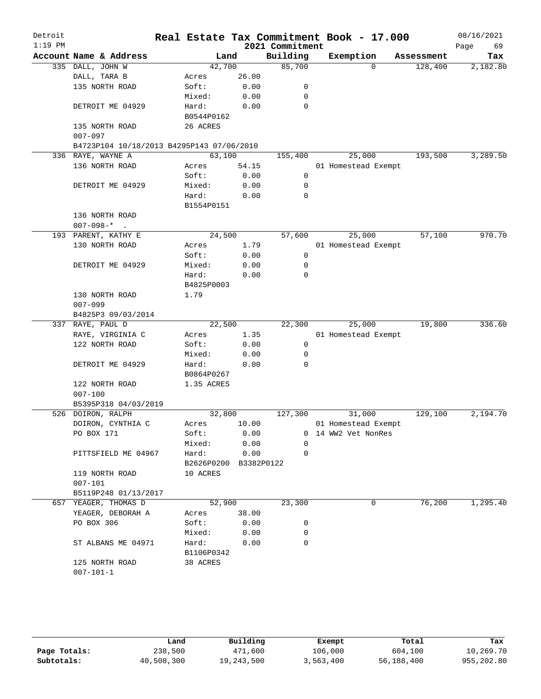| Account Name & Address<br>335 DALL, JOHN W<br>DALL, TARA B<br>135 NORTH ROAD<br>DETROIT ME 04929<br>135 NORTH ROAD<br>$007 - 097$<br>B4723P104 10/18/2013 B4295P143 07/06/2010<br>336 RAYE, WAYNE A<br>136 NORTH ROAD<br>DETROIT ME 04929 |                                                                                                                                   | Land<br>42,700<br>Acres<br>Soft:<br>Mixed:<br>Hard:<br>B0544P0162<br>26 ACRES<br>63,100                                                                   | 26.00<br>0.00<br>0.00<br>0.00                                      | 2021 Commitment<br>Building<br>85,700<br>0<br>0<br>$\Omega$                                                |                                                                                                                                                                                            | Exemption<br>0      | Assessment<br>128,400 | Page<br>69<br>Tax<br>2,182.80                                                                                |
|-------------------------------------------------------------------------------------------------------------------------------------------------------------------------------------------------------------------------------------------|-----------------------------------------------------------------------------------------------------------------------------------|-----------------------------------------------------------------------------------------------------------------------------------------------------------|--------------------------------------------------------------------|------------------------------------------------------------------------------------------------------------|--------------------------------------------------------------------------------------------------------------------------------------------------------------------------------------------|---------------------|-----------------------|--------------------------------------------------------------------------------------------------------------|
|                                                                                                                                                                                                                                           |                                                                                                                                   |                                                                                                                                                           |                                                                    |                                                                                                            |                                                                                                                                                                                            |                     |                       |                                                                                                              |
|                                                                                                                                                                                                                                           |                                                                                                                                   |                                                                                                                                                           |                                                                    |                                                                                                            |                                                                                                                                                                                            |                     |                       |                                                                                                              |
|                                                                                                                                                                                                                                           |                                                                                                                                   |                                                                                                                                                           |                                                                    |                                                                                                            |                                                                                                                                                                                            |                     |                       |                                                                                                              |
|                                                                                                                                                                                                                                           |                                                                                                                                   |                                                                                                                                                           |                                                                    |                                                                                                            |                                                                                                                                                                                            |                     |                       |                                                                                                              |
|                                                                                                                                                                                                                                           |                                                                                                                                   |                                                                                                                                                           |                                                                    |                                                                                                            |                                                                                                                                                                                            |                     |                       |                                                                                                              |
|                                                                                                                                                                                                                                           |                                                                                                                                   |                                                                                                                                                           |                                                                    |                                                                                                            |                                                                                                                                                                                            |                     |                       |                                                                                                              |
|                                                                                                                                                                                                                                           |                                                                                                                                   |                                                                                                                                                           |                                                                    |                                                                                                            |                                                                                                                                                                                            |                     |                       |                                                                                                              |
|                                                                                                                                                                                                                                           |                                                                                                                                   |                                                                                                                                                           |                                                                    |                                                                                                            |                                                                                                                                                                                            |                     |                       |                                                                                                              |
|                                                                                                                                                                                                                                           |                                                                                                                                   |                                                                                                                                                           |                                                                    |                                                                                                            |                                                                                                                                                                                            |                     |                       |                                                                                                              |
|                                                                                                                                                                                                                                           |                                                                                                                                   |                                                                                                                                                           |                                                                    |                                                                                                            |                                                                                                                                                                                            |                     |                       |                                                                                                              |
|                                                                                                                                                                                                                                           |                                                                                                                                   |                                                                                                                                                           |                                                                    |                                                                                                            |                                                                                                                                                                                            |                     |                       |                                                                                                              |
|                                                                                                                                                                                                                                           |                                                                                                                                   |                                                                                                                                                           |                                                                    | 155,400                                                                                                    |                                                                                                                                                                                            | 25,000              | 193,500               | 3,289.50                                                                                                     |
|                                                                                                                                                                                                                                           |                                                                                                                                   | Acres                                                                                                                                                     | 54.15                                                              |                                                                                                            |                                                                                                                                                                                            | 01 Homestead Exempt |                       |                                                                                                              |
|                                                                                                                                                                                                                                           |                                                                                                                                   | Soft:                                                                                                                                                     | 0.00                                                               | $\mathbf 0$                                                                                                |                                                                                                                                                                                            |                     |                       |                                                                                                              |
|                                                                                                                                                                                                                                           |                                                                                                                                   | Mixed:                                                                                                                                                    | 0.00                                                               | 0                                                                                                          |                                                                                                                                                                                            |                     |                       |                                                                                                              |
|                                                                                                                                                                                                                                           |                                                                                                                                   | Hard:                                                                                                                                                     | 0.00                                                               | 0                                                                                                          |                                                                                                                                                                                            |                     |                       |                                                                                                              |
|                                                                                                                                                                                                                                           |                                                                                                                                   |                                                                                                                                                           |                                                                    |                                                                                                            |                                                                                                                                                                                            |                     |                       |                                                                                                              |
|                                                                                                                                                                                                                                           |                                                                                                                                   |                                                                                                                                                           |                                                                    |                                                                                                            |                                                                                                                                                                                            |                     |                       |                                                                                                              |
|                                                                                                                                                                                                                                           |                                                                                                                                   |                                                                                                                                                           |                                                                    |                                                                                                            |                                                                                                                                                                                            |                     |                       |                                                                                                              |
|                                                                                                                                                                                                                                           |                                                                                                                                   |                                                                                                                                                           |                                                                    |                                                                                                            |                                                                                                                                                                                            |                     |                       | 970.70                                                                                                       |
| 130 NORTH ROAD                                                                                                                                                                                                                            |                                                                                                                                   |                                                                                                                                                           |                                                                    |                                                                                                            |                                                                                                                                                                                            |                     |                       |                                                                                                              |
|                                                                                                                                                                                                                                           |                                                                                                                                   | Soft:                                                                                                                                                     |                                                                    |                                                                                                            |                                                                                                                                                                                            |                     |                       |                                                                                                              |
| DETROIT ME 04929                                                                                                                                                                                                                          |                                                                                                                                   | Mixed:                                                                                                                                                    |                                                                    | 0                                                                                                          |                                                                                                                                                                                            |                     |                       |                                                                                                              |
|                                                                                                                                                                                                                                           |                                                                                                                                   | Hard:                                                                                                                                                     |                                                                    | $\mathbf 0$                                                                                                |                                                                                                                                                                                            |                     |                       |                                                                                                              |
|                                                                                                                                                                                                                                           |                                                                                                                                   |                                                                                                                                                           |                                                                    |                                                                                                            |                                                                                                                                                                                            |                     |                       |                                                                                                              |
| 130 NORTH ROAD                                                                                                                                                                                                                            |                                                                                                                                   | 1.79                                                                                                                                                      |                                                                    |                                                                                                            |                                                                                                                                                                                            |                     |                       |                                                                                                              |
| $007 - 099$                                                                                                                                                                                                                               |                                                                                                                                   |                                                                                                                                                           |                                                                    |                                                                                                            |                                                                                                                                                                                            |                     |                       |                                                                                                              |
|                                                                                                                                                                                                                                           |                                                                                                                                   |                                                                                                                                                           |                                                                    |                                                                                                            |                                                                                                                                                                                            |                     |                       |                                                                                                              |
| 337 RAYE, PAUL D                                                                                                                                                                                                                          |                                                                                                                                   |                                                                                                                                                           |                                                                    | 22,300                                                                                                     |                                                                                                                                                                                            | 25,000              | 19,800                | 336.60                                                                                                       |
| RAYE, VIRGINIA C                                                                                                                                                                                                                          |                                                                                                                                   | Acres                                                                                                                                                     |                                                                    |                                                                                                            |                                                                                                                                                                                            |                     |                       |                                                                                                              |
| 122 NORTH ROAD                                                                                                                                                                                                                            |                                                                                                                                   | Soft:                                                                                                                                                     |                                                                    | 0                                                                                                          |                                                                                                                                                                                            |                     |                       |                                                                                                              |
|                                                                                                                                                                                                                                           |                                                                                                                                   | Mixed:                                                                                                                                                    |                                                                    | 0                                                                                                          |                                                                                                                                                                                            |                     |                       |                                                                                                              |
| DETROIT ME 04929                                                                                                                                                                                                                          |                                                                                                                                   | Hard:                                                                                                                                                     |                                                                    | 0                                                                                                          |                                                                                                                                                                                            |                     |                       |                                                                                                              |
|                                                                                                                                                                                                                                           |                                                                                                                                   |                                                                                                                                                           |                                                                    |                                                                                                            |                                                                                                                                                                                            |                     |                       |                                                                                                              |
| 122 NORTH ROAD                                                                                                                                                                                                                            |                                                                                                                                   |                                                                                                                                                           |                                                                    |                                                                                                            |                                                                                                                                                                                            |                     |                       |                                                                                                              |
| $007 - 100$                                                                                                                                                                                                                               |                                                                                                                                   |                                                                                                                                                           |                                                                    |                                                                                                            |                                                                                                                                                                                            |                     |                       |                                                                                                              |
|                                                                                                                                                                                                                                           |                                                                                                                                   |                                                                                                                                                           |                                                                    |                                                                                                            |                                                                                                                                                                                            |                     |                       |                                                                                                              |
| 526 DOIRON, RALPH                                                                                                                                                                                                                         |                                                                                                                                   |                                                                                                                                                           |                                                                    | 127,300                                                                                                    |                                                                                                                                                                                            | 31,000              | 129,100               | 2,194.70                                                                                                     |
|                                                                                                                                                                                                                                           |                                                                                                                                   | Acres                                                                                                                                                     |                                                                    |                                                                                                            |                                                                                                                                                                                            |                     |                       |                                                                                                              |
| PO BOX 171                                                                                                                                                                                                                                |                                                                                                                                   | Soft:                                                                                                                                                     |                                                                    |                                                                                                            |                                                                                                                                                                                            |                     |                       |                                                                                                              |
|                                                                                                                                                                                                                                           |                                                                                                                                   | Mixed:                                                                                                                                                    |                                                                    | 0                                                                                                          |                                                                                                                                                                                            |                     |                       |                                                                                                              |
|                                                                                                                                                                                                                                           |                                                                                                                                   | Hard:                                                                                                                                                     |                                                                    | 0                                                                                                          |                                                                                                                                                                                            |                     |                       |                                                                                                              |
|                                                                                                                                                                                                                                           |                                                                                                                                   |                                                                                                                                                           |                                                                    |                                                                                                            |                                                                                                                                                                                            |                     |                       |                                                                                                              |
| 119 NORTH ROAD                                                                                                                                                                                                                            |                                                                                                                                   |                                                                                                                                                           |                                                                    |                                                                                                            |                                                                                                                                                                                            |                     |                       |                                                                                                              |
| $007 - 101$                                                                                                                                                                                                                               |                                                                                                                                   |                                                                                                                                                           |                                                                    |                                                                                                            |                                                                                                                                                                                            |                     |                       |                                                                                                              |
|                                                                                                                                                                                                                                           |                                                                                                                                   |                                                                                                                                                           |                                                                    |                                                                                                            |                                                                                                                                                                                            |                     |                       |                                                                                                              |
|                                                                                                                                                                                                                                           |                                                                                                                                   |                                                                                                                                                           |                                                                    |                                                                                                            |                                                                                                                                                                                            | 0                   |                       | 1,295.40                                                                                                     |
|                                                                                                                                                                                                                                           |                                                                                                                                   |                                                                                                                                                           |                                                                    |                                                                                                            |                                                                                                                                                                                            |                     |                       |                                                                                                              |
|                                                                                                                                                                                                                                           |                                                                                                                                   |                                                                                                                                                           |                                                                    |                                                                                                            |                                                                                                                                                                                            |                     |                       |                                                                                                              |
|                                                                                                                                                                                                                                           |                                                                                                                                   |                                                                                                                                                           |                                                                    | 0                                                                                                          |                                                                                                                                                                                            |                     |                       |                                                                                                              |
|                                                                                                                                                                                                                                           |                                                                                                                                   |                                                                                                                                                           |                                                                    |                                                                                                            |                                                                                                                                                                                            |                     |                       |                                                                                                              |
|                                                                                                                                                                                                                                           |                                                                                                                                   |                                                                                                                                                           |                                                                    |                                                                                                            |                                                                                                                                                                                            |                     |                       |                                                                                                              |
|                                                                                                                                                                                                                                           |                                                                                                                                   |                                                                                                                                                           |                                                                    |                                                                                                            |                                                                                                                                                                                            |                     |                       |                                                                                                              |
|                                                                                                                                                                                                                                           |                                                                                                                                   |                                                                                                                                                           |                                                                    |                                                                                                            |                                                                                                                                                                                            |                     |                       |                                                                                                              |
|                                                                                                                                                                                                                                           |                                                                                                                                   |                                                                                                                                                           |                                                                    |                                                                                                            |                                                                                                                                                                                            |                     |                       |                                                                                                              |
|                                                                                                                                                                                                                                           | 136 NORTH ROAD<br>$007-098-$ *.<br>193 PARENT, KATHY E<br>657 YEAGER, THOMAS D<br>PO BOX 306<br>125 NORTH ROAD<br>$007 - 101 - 1$ | B4825P3 09/03/2014<br>B5395P318 04/03/2019<br>DOIRON, CYNTHIA C<br>PITTSFIELD ME 04967<br>B5119P248 01/13/2017<br>YEAGER, DEBORAH A<br>ST ALBANS ME 04971 | Acres<br>10 ACRES<br>Acres<br>Soft:<br>Mixed:<br>Hard:<br>38 ACRES | B1554P0151<br>24,500<br>B4825P0003<br>22,500<br>B0864P0267<br>1.35 ACRES<br>32,800<br>52,900<br>B1106P0342 | 1.79<br>$\mathbf 0$<br>0.00<br>0.00<br>0.00<br>1.35<br>0.00<br>0.00<br>0.00<br>10.00<br>0.00<br>0.00<br>0.00<br>B2626P0200 B3382P0122<br>23,300<br>38.00<br>0.00<br>0<br>0.00<br>0<br>0.00 | 57,600              | 25,000                | 57,100<br>01 Homestead Exempt<br>01 Homestead Exempt<br>01 Homestead Exempt<br>0 14 WW2 Vet NonRes<br>76,200 |

|              | Land       | Building   | Exempt    | Total      | Tax        |
|--------------|------------|------------|-----------|------------|------------|
| Page Totals: | 238,500    | 471,600    | 106,000   | 604,100    | 10,269.70  |
| Subtotals:   | 40,508,300 | 19,243,500 | 3,563,400 | 56,188,400 | 955,202.80 |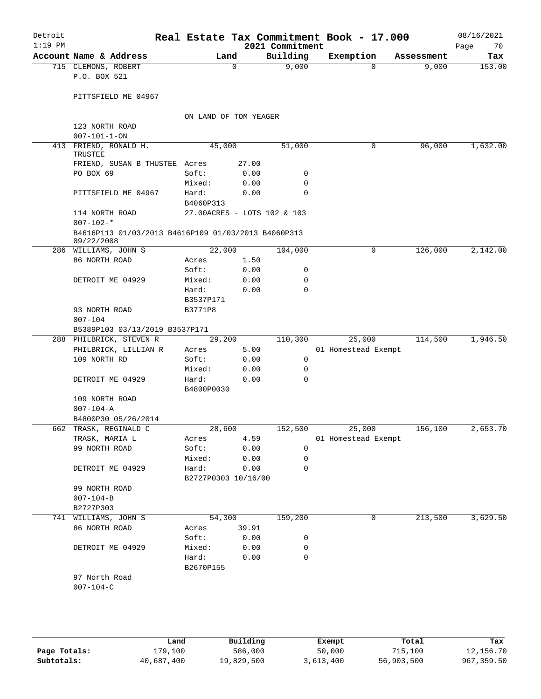| Building<br>Account Name & Address<br>Exemption<br>Land<br>Assessment<br>9,000<br>9,000<br>715 CLEMONS, ROBERT<br>0<br>0<br>P.O. BOX 521<br>PITTSFIELD ME 04967<br>ON LAND OF TOM YEAGER<br>123 NORTH ROAD<br>$007 - 101 - 1 - ON$<br>45,000<br>51,000<br>413 FRIEND, RONALD H.<br>0<br>96,000<br>TRUSTEE<br>27.00<br>FRIEND, SUSAN B THUSTEE<br>Acres<br>PO BOX 69<br>Soft:<br>0.00<br>0<br>0.00<br>$\mathbf 0$<br>Mixed:<br>0.00<br>$\mathbf 0$<br>PITTSFIELD ME 04967<br>Hard:<br>B4060P313<br>27.00ACRES - LOTS 102 & 103<br>114 NORTH ROAD<br>$007 - 102 -$ *<br>B4616P113 01/03/2013 B4616P109 01/03/2013 B4060P313<br>09/22/2008<br>126,000<br>286 WILLIAMS, JOHN S<br>22,000<br>104,000<br>0<br>86 NORTH ROAD<br>1.50<br>Acres<br>Soft:<br>0.00<br>0<br>0.00<br>$\mathbf 0$<br>DETROIT ME 04929<br>Mixed:<br>$\Omega$<br>Hard:<br>0.00<br>B3537P171<br>93 NORTH ROAD<br>B3771P8<br>$007 - 104$<br>B5389P103 03/13/2019 B3537P171<br>110,300<br>25,000<br>29,200<br>114,500<br>288 PHILBRICK, STEVEN R<br>5.00<br>PHILBRICK, LILLIAN R<br>01 Homestead Exempt<br>Acres<br>109 NORTH RD<br>0.00<br>0<br>Soft:<br>Mixed:<br>0.00<br>$\mathbf 0$<br>0.00<br>$\mathbf 0$<br>DETROIT ME 04929<br>Hard:<br>B4800P0030<br>109 NORTH ROAD<br>$007 - 104 - A$<br>B4800P30 05/26/2014<br>662 TRASK, REGINALD C<br>28,600<br>152,500<br>25,000<br>156,100<br>4.59<br>TRASK, MARIA L<br>01 Homestead Exempt<br>Acres<br>0.00<br>99 NORTH ROAD<br>Soft:<br>0<br>0.00<br>Mixed:<br>0<br>DETROIT ME 04929<br>Hard:<br>0.00<br>$\mathbf 0$<br>B2727P0303 10/16/00<br>99 NORTH ROAD<br>$007 - 104 - B$<br>B2727P303<br>54,300<br>159,200<br>213,500<br>741 WILLIAMS, JOHN S<br>0<br>86 NORTH ROAD<br>Acres 39.91<br>Soft:<br>0.00<br>0<br>DETROIT ME 04929<br>Mixed:<br>0.00<br>0<br>Hard:<br>0.00<br>0<br>B2670P155<br>97 North Road<br>$007 - 104 - C$ | Detroit<br>$1:19$ PM |  | 2021 Commitment | Real Estate Tax Commitment Book - 17.000 | 08/16/2021<br>Page<br>70 |
|------------------------------------------------------------------------------------------------------------------------------------------------------------------------------------------------------------------------------------------------------------------------------------------------------------------------------------------------------------------------------------------------------------------------------------------------------------------------------------------------------------------------------------------------------------------------------------------------------------------------------------------------------------------------------------------------------------------------------------------------------------------------------------------------------------------------------------------------------------------------------------------------------------------------------------------------------------------------------------------------------------------------------------------------------------------------------------------------------------------------------------------------------------------------------------------------------------------------------------------------------------------------------------------------------------------------------------------------------------------------------------------------------------------------------------------------------------------------------------------------------------------------------------------------------------------------------------------------------------------------------------------------------------------------------------------------------------------------------------------------------------------------------------------------------------------------------------------------|----------------------|--|-----------------|------------------------------------------|--------------------------|
|                                                                                                                                                                                                                                                                                                                                                                                                                                                                                                                                                                                                                                                                                                                                                                                                                                                                                                                                                                                                                                                                                                                                                                                                                                                                                                                                                                                                                                                                                                                                                                                                                                                                                                                                                                                                                                                |                      |  |                 |                                          | Tax                      |
| 1,632.00                                                                                                                                                                                                                                                                                                                                                                                                                                                                                                                                                                                                                                                                                                                                                                                                                                                                                                                                                                                                                                                                                                                                                                                                                                                                                                                                                                                                                                                                                                                                                                                                                                                                                                                                                                                                                                       |                      |  |                 |                                          | 153.00                   |
|                                                                                                                                                                                                                                                                                                                                                                                                                                                                                                                                                                                                                                                                                                                                                                                                                                                                                                                                                                                                                                                                                                                                                                                                                                                                                                                                                                                                                                                                                                                                                                                                                                                                                                                                                                                                                                                |                      |  |                 |                                          |                          |
|                                                                                                                                                                                                                                                                                                                                                                                                                                                                                                                                                                                                                                                                                                                                                                                                                                                                                                                                                                                                                                                                                                                                                                                                                                                                                                                                                                                                                                                                                                                                                                                                                                                                                                                                                                                                                                                |                      |  |                 |                                          |                          |
|                                                                                                                                                                                                                                                                                                                                                                                                                                                                                                                                                                                                                                                                                                                                                                                                                                                                                                                                                                                                                                                                                                                                                                                                                                                                                                                                                                                                                                                                                                                                                                                                                                                                                                                                                                                                                                                |                      |  |                 |                                          |                          |
|                                                                                                                                                                                                                                                                                                                                                                                                                                                                                                                                                                                                                                                                                                                                                                                                                                                                                                                                                                                                                                                                                                                                                                                                                                                                                                                                                                                                                                                                                                                                                                                                                                                                                                                                                                                                                                                |                      |  |                 |                                          |                          |
|                                                                                                                                                                                                                                                                                                                                                                                                                                                                                                                                                                                                                                                                                                                                                                                                                                                                                                                                                                                                                                                                                                                                                                                                                                                                                                                                                                                                                                                                                                                                                                                                                                                                                                                                                                                                                                                |                      |  |                 |                                          |                          |
|                                                                                                                                                                                                                                                                                                                                                                                                                                                                                                                                                                                                                                                                                                                                                                                                                                                                                                                                                                                                                                                                                                                                                                                                                                                                                                                                                                                                                                                                                                                                                                                                                                                                                                                                                                                                                                                |                      |  |                 |                                          |                          |
|                                                                                                                                                                                                                                                                                                                                                                                                                                                                                                                                                                                                                                                                                                                                                                                                                                                                                                                                                                                                                                                                                                                                                                                                                                                                                                                                                                                                                                                                                                                                                                                                                                                                                                                                                                                                                                                |                      |  |                 |                                          |                          |
|                                                                                                                                                                                                                                                                                                                                                                                                                                                                                                                                                                                                                                                                                                                                                                                                                                                                                                                                                                                                                                                                                                                                                                                                                                                                                                                                                                                                                                                                                                                                                                                                                                                                                                                                                                                                                                                |                      |  |                 |                                          |                          |
|                                                                                                                                                                                                                                                                                                                                                                                                                                                                                                                                                                                                                                                                                                                                                                                                                                                                                                                                                                                                                                                                                                                                                                                                                                                                                                                                                                                                                                                                                                                                                                                                                                                                                                                                                                                                                                                |                      |  |                 |                                          |                          |
| 2,142.00<br>1,946.50                                                                                                                                                                                                                                                                                                                                                                                                                                                                                                                                                                                                                                                                                                                                                                                                                                                                                                                                                                                                                                                                                                                                                                                                                                                                                                                                                                                                                                                                                                                                                                                                                                                                                                                                                                                                                           |                      |  |                 |                                          |                          |
|                                                                                                                                                                                                                                                                                                                                                                                                                                                                                                                                                                                                                                                                                                                                                                                                                                                                                                                                                                                                                                                                                                                                                                                                                                                                                                                                                                                                                                                                                                                                                                                                                                                                                                                                                                                                                                                |                      |  |                 |                                          |                          |
|                                                                                                                                                                                                                                                                                                                                                                                                                                                                                                                                                                                                                                                                                                                                                                                                                                                                                                                                                                                                                                                                                                                                                                                                                                                                                                                                                                                                                                                                                                                                                                                                                                                                                                                                                                                                                                                |                      |  |                 |                                          |                          |
|                                                                                                                                                                                                                                                                                                                                                                                                                                                                                                                                                                                                                                                                                                                                                                                                                                                                                                                                                                                                                                                                                                                                                                                                                                                                                                                                                                                                                                                                                                                                                                                                                                                                                                                                                                                                                                                |                      |  |                 |                                          |                          |
|                                                                                                                                                                                                                                                                                                                                                                                                                                                                                                                                                                                                                                                                                                                                                                                                                                                                                                                                                                                                                                                                                                                                                                                                                                                                                                                                                                                                                                                                                                                                                                                                                                                                                                                                                                                                                                                |                      |  |                 |                                          |                          |
|                                                                                                                                                                                                                                                                                                                                                                                                                                                                                                                                                                                                                                                                                                                                                                                                                                                                                                                                                                                                                                                                                                                                                                                                                                                                                                                                                                                                                                                                                                                                                                                                                                                                                                                                                                                                                                                |                      |  |                 |                                          |                          |
|                                                                                                                                                                                                                                                                                                                                                                                                                                                                                                                                                                                                                                                                                                                                                                                                                                                                                                                                                                                                                                                                                                                                                                                                                                                                                                                                                                                                                                                                                                                                                                                                                                                                                                                                                                                                                                                |                      |  |                 |                                          |                          |
|                                                                                                                                                                                                                                                                                                                                                                                                                                                                                                                                                                                                                                                                                                                                                                                                                                                                                                                                                                                                                                                                                                                                                                                                                                                                                                                                                                                                                                                                                                                                                                                                                                                                                                                                                                                                                                                |                      |  |                 |                                          |                          |
|                                                                                                                                                                                                                                                                                                                                                                                                                                                                                                                                                                                                                                                                                                                                                                                                                                                                                                                                                                                                                                                                                                                                                                                                                                                                                                                                                                                                                                                                                                                                                                                                                                                                                                                                                                                                                                                |                      |  |                 |                                          |                          |
|                                                                                                                                                                                                                                                                                                                                                                                                                                                                                                                                                                                                                                                                                                                                                                                                                                                                                                                                                                                                                                                                                                                                                                                                                                                                                                                                                                                                                                                                                                                                                                                                                                                                                                                                                                                                                                                |                      |  |                 |                                          |                          |
| 2,653.70<br>3,629.50                                                                                                                                                                                                                                                                                                                                                                                                                                                                                                                                                                                                                                                                                                                                                                                                                                                                                                                                                                                                                                                                                                                                                                                                                                                                                                                                                                                                                                                                                                                                                                                                                                                                                                                                                                                                                           |                      |  |                 |                                          |                          |
|                                                                                                                                                                                                                                                                                                                                                                                                                                                                                                                                                                                                                                                                                                                                                                                                                                                                                                                                                                                                                                                                                                                                                                                                                                                                                                                                                                                                                                                                                                                                                                                                                                                                                                                                                                                                                                                |                      |  |                 |                                          |                          |
|                                                                                                                                                                                                                                                                                                                                                                                                                                                                                                                                                                                                                                                                                                                                                                                                                                                                                                                                                                                                                                                                                                                                                                                                                                                                                                                                                                                                                                                                                                                                                                                                                                                                                                                                                                                                                                                |                      |  |                 |                                          |                          |
|                                                                                                                                                                                                                                                                                                                                                                                                                                                                                                                                                                                                                                                                                                                                                                                                                                                                                                                                                                                                                                                                                                                                                                                                                                                                                                                                                                                                                                                                                                                                                                                                                                                                                                                                                                                                                                                |                      |  |                 |                                          |                          |
|                                                                                                                                                                                                                                                                                                                                                                                                                                                                                                                                                                                                                                                                                                                                                                                                                                                                                                                                                                                                                                                                                                                                                                                                                                                                                                                                                                                                                                                                                                                                                                                                                                                                                                                                                                                                                                                |                      |  |                 |                                          |                          |
|                                                                                                                                                                                                                                                                                                                                                                                                                                                                                                                                                                                                                                                                                                                                                                                                                                                                                                                                                                                                                                                                                                                                                                                                                                                                                                                                                                                                                                                                                                                                                                                                                                                                                                                                                                                                                                                |                      |  |                 |                                          |                          |
|                                                                                                                                                                                                                                                                                                                                                                                                                                                                                                                                                                                                                                                                                                                                                                                                                                                                                                                                                                                                                                                                                                                                                                                                                                                                                                                                                                                                                                                                                                                                                                                                                                                                                                                                                                                                                                                |                      |  |                 |                                          |                          |
|                                                                                                                                                                                                                                                                                                                                                                                                                                                                                                                                                                                                                                                                                                                                                                                                                                                                                                                                                                                                                                                                                                                                                                                                                                                                                                                                                                                                                                                                                                                                                                                                                                                                                                                                                                                                                                                |                      |  |                 |                                          |                          |
|                                                                                                                                                                                                                                                                                                                                                                                                                                                                                                                                                                                                                                                                                                                                                                                                                                                                                                                                                                                                                                                                                                                                                                                                                                                                                                                                                                                                                                                                                                                                                                                                                                                                                                                                                                                                                                                |                      |  |                 |                                          |                          |
|                                                                                                                                                                                                                                                                                                                                                                                                                                                                                                                                                                                                                                                                                                                                                                                                                                                                                                                                                                                                                                                                                                                                                                                                                                                                                                                                                                                                                                                                                                                                                                                                                                                                                                                                                                                                                                                |                      |  |                 |                                          |                          |
|                                                                                                                                                                                                                                                                                                                                                                                                                                                                                                                                                                                                                                                                                                                                                                                                                                                                                                                                                                                                                                                                                                                                                                                                                                                                                                                                                                                                                                                                                                                                                                                                                                                                                                                                                                                                                                                |                      |  |                 |                                          |                          |
|                                                                                                                                                                                                                                                                                                                                                                                                                                                                                                                                                                                                                                                                                                                                                                                                                                                                                                                                                                                                                                                                                                                                                                                                                                                                                                                                                                                                                                                                                                                                                                                                                                                                                                                                                                                                                                                |                      |  |                 |                                          |                          |
|                                                                                                                                                                                                                                                                                                                                                                                                                                                                                                                                                                                                                                                                                                                                                                                                                                                                                                                                                                                                                                                                                                                                                                                                                                                                                                                                                                                                                                                                                                                                                                                                                                                                                                                                                                                                                                                |                      |  |                 |                                          |                          |
|                                                                                                                                                                                                                                                                                                                                                                                                                                                                                                                                                                                                                                                                                                                                                                                                                                                                                                                                                                                                                                                                                                                                                                                                                                                                                                                                                                                                                                                                                                                                                                                                                                                                                                                                                                                                                                                |                      |  |                 |                                          |                          |
|                                                                                                                                                                                                                                                                                                                                                                                                                                                                                                                                                                                                                                                                                                                                                                                                                                                                                                                                                                                                                                                                                                                                                                                                                                                                                                                                                                                                                                                                                                                                                                                                                                                                                                                                                                                                                                                |                      |  |                 |                                          |                          |
|                                                                                                                                                                                                                                                                                                                                                                                                                                                                                                                                                                                                                                                                                                                                                                                                                                                                                                                                                                                                                                                                                                                                                                                                                                                                                                                                                                                                                                                                                                                                                                                                                                                                                                                                                                                                                                                |                      |  |                 |                                          |                          |
|                                                                                                                                                                                                                                                                                                                                                                                                                                                                                                                                                                                                                                                                                                                                                                                                                                                                                                                                                                                                                                                                                                                                                                                                                                                                                                                                                                                                                                                                                                                                                                                                                                                                                                                                                                                                                                                |                      |  |                 |                                          |                          |
|                                                                                                                                                                                                                                                                                                                                                                                                                                                                                                                                                                                                                                                                                                                                                                                                                                                                                                                                                                                                                                                                                                                                                                                                                                                                                                                                                                                                                                                                                                                                                                                                                                                                                                                                                                                                                                                |                      |  |                 |                                          |                          |
|                                                                                                                                                                                                                                                                                                                                                                                                                                                                                                                                                                                                                                                                                                                                                                                                                                                                                                                                                                                                                                                                                                                                                                                                                                                                                                                                                                                                                                                                                                                                                                                                                                                                                                                                                                                                                                                |                      |  |                 |                                          |                          |
|                                                                                                                                                                                                                                                                                                                                                                                                                                                                                                                                                                                                                                                                                                                                                                                                                                                                                                                                                                                                                                                                                                                                                                                                                                                                                                                                                                                                                                                                                                                                                                                                                                                                                                                                                                                                                                                |                      |  |                 |                                          |                          |
|                                                                                                                                                                                                                                                                                                                                                                                                                                                                                                                                                                                                                                                                                                                                                                                                                                                                                                                                                                                                                                                                                                                                                                                                                                                                                                                                                                                                                                                                                                                                                                                                                                                                                                                                                                                                                                                |                      |  |                 |                                          |                          |
|                                                                                                                                                                                                                                                                                                                                                                                                                                                                                                                                                                                                                                                                                                                                                                                                                                                                                                                                                                                                                                                                                                                                                                                                                                                                                                                                                                                                                                                                                                                                                                                                                                                                                                                                                                                                                                                |                      |  |                 |                                          |                          |
|                                                                                                                                                                                                                                                                                                                                                                                                                                                                                                                                                                                                                                                                                                                                                                                                                                                                                                                                                                                                                                                                                                                                                                                                                                                                                                                                                                                                                                                                                                                                                                                                                                                                                                                                                                                                                                                |                      |  |                 |                                          |                          |
|                                                                                                                                                                                                                                                                                                                                                                                                                                                                                                                                                                                                                                                                                                                                                                                                                                                                                                                                                                                                                                                                                                                                                                                                                                                                                                                                                                                                                                                                                                                                                                                                                                                                                                                                                                                                                                                |                      |  |                 |                                          |                          |

|              | Land       | Building   | Exempt    | Total      | Tax        |
|--------------|------------|------------|-----------|------------|------------|
| Page Totals: | 179,100    | 586,000    | 50,000    | 715,100    | 12,156.70  |
| Subtotals:   | 40,687,400 | 19,829,500 | 3,613,400 | 56,903,500 | 967,359.50 |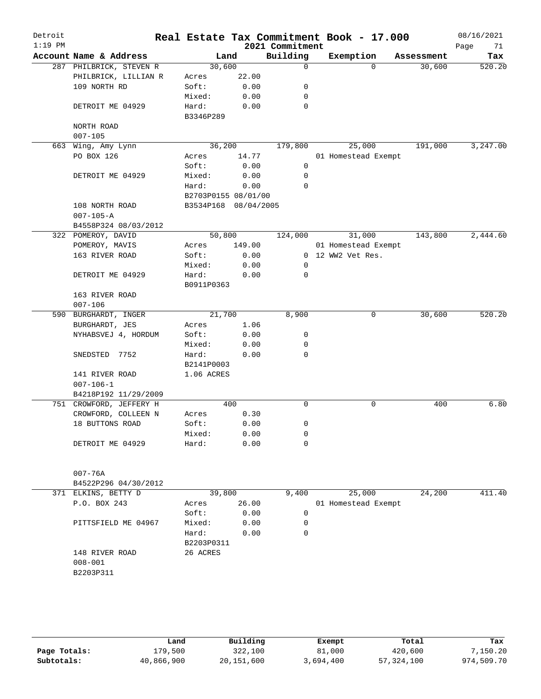| Detroit<br>$1:19$ PM |                         |                      |        | 2021 Commitment | Real Estate Tax Commitment Book - 17.000 |            | 08/16/2021<br>71<br>Page |
|----------------------|-------------------------|----------------------|--------|-----------------|------------------------------------------|------------|--------------------------|
|                      | Account Name & Address  | Land                 |        | Building        | Exemption                                | Assessment | Tax                      |
|                      | 287 PHILBRICK, STEVEN R | 30,600               |        | $\Omega$        | $\Omega$                                 | 30,600     | 520.20                   |
|                      | PHILBRICK, LILLIAN R    | Acres                | 22.00  |                 |                                          |            |                          |
|                      | 109 NORTH RD            | Soft:                | 0.00   | 0               |                                          |            |                          |
|                      |                         | Mixed:               | 0.00   | 0               |                                          |            |                          |
|                      | DETROIT ME 04929        | Hard:                | 0.00   | 0               |                                          |            |                          |
|                      |                         | B3346P289            |        |                 |                                          |            |                          |
|                      | NORTH ROAD              |                      |        |                 |                                          |            |                          |
|                      | $007 - 105$             |                      |        |                 |                                          |            |                          |
|                      | 663 Wing, Amy Lynn      | 36,200               |        | 179,800         | 25,000                                   | 191,000    | 3,247.00                 |
|                      | PO BOX 126              | Acres                | 14.77  |                 | 01 Homestead Exempt                      |            |                          |
|                      |                         | Soft:                | 0.00   | 0               |                                          |            |                          |
|                      | DETROIT ME 04929        | Mixed:               | 0.00   | 0               |                                          |            |                          |
|                      |                         | Hard:                | 0.00   | $\Omega$        |                                          |            |                          |
|                      |                         | B2703P0155 08/01/00  |        |                 |                                          |            |                          |
|                      | 108 NORTH ROAD          | B3534P168 08/04/2005 |        |                 |                                          |            |                          |
|                      |                         |                      |        |                 |                                          |            |                          |
|                      | $007 - 105 - A$         |                      |        |                 |                                          |            |                          |
|                      | B4558P324 08/03/2012    |                      |        |                 |                                          |            |                          |
|                      | 322 POMEROY, DAVID      | 50,800               |        | 124,000         | 31,000                                   | 143,800    | 2,444.60                 |
|                      | POMEROY, MAVIS          | Acres                | 149.00 |                 | 01 Homestead Exempt                      |            |                          |
|                      | 163 RIVER ROAD          | Soft:                | 0.00   |                 | 0 12 WW2 Vet Res.                        |            |                          |
|                      |                         | Mixed:               | 0.00   | 0               |                                          |            |                          |
|                      | DETROIT ME 04929        | Hard:                | 0.00   | 0               |                                          |            |                          |
|                      |                         | B0911P0363           |        |                 |                                          |            |                          |
|                      | 163 RIVER ROAD          |                      |        |                 |                                          |            |                          |
|                      | $007 - 106$             |                      |        |                 |                                          |            |                          |
|                      | 590 BURGHARDT, INGER    | 21,700               |        | 8,900           | $\mathsf{O}$                             | 30,600     | 520.20                   |
|                      | BURGHARDT, JES          | Acres                | 1.06   |                 |                                          |            |                          |
|                      | NYHABSVEJ 4, HORDUM     | Soft:                | 0.00   | 0               |                                          |            |                          |
|                      |                         | Mixed:               | 0.00   | 0               |                                          |            |                          |
|                      | SNEDSTED 7752           | Hard:                | 0.00   | 0               |                                          |            |                          |
|                      |                         | B2141P0003           |        |                 |                                          |            |                          |
|                      | 141 RIVER ROAD          | 1.06 ACRES           |        |                 |                                          |            |                          |
|                      | $007 - 106 - 1$         |                      |        |                 |                                          |            |                          |
|                      | B4218P192 11/29/2009    |                      |        |                 |                                          |            |                          |
|                      | 751 CROWFORD, JEFFERY H |                      | 400    | 0               | 0                                        | 400        | 6.80                     |
|                      |                         |                      |        |                 |                                          |            |                          |
|                      | CROWFORD, COLLEEN N     | Acres                | 0.30   |                 |                                          |            |                          |
|                      | 18 BUTTONS ROAD         | Soft:                | 0.00   | 0               |                                          |            |                          |
|                      |                         | Mixed:               | 0.00   | 0               |                                          |            |                          |
|                      | DETROIT ME 04929        | Hard:                | 0.00   | 0               |                                          |            |                          |
|                      |                         |                      |        |                 |                                          |            |                          |
|                      |                         |                      |        |                 |                                          |            |                          |
|                      | $007 - 76A$             |                      |        |                 |                                          |            |                          |
|                      | B4522P296 04/30/2012    |                      |        |                 |                                          |            |                          |
|                      | 371 ELKINS, BETTY D     | 39,800               |        | 9,400           | 25,000                                   | 24,200     | 411.40                   |
|                      | P.O. BOX 243            | Acres                | 26.00  |                 | 01 Homestead Exempt                      |            |                          |
|                      |                         | Soft:                | 0.00   | 0               |                                          |            |                          |
|                      | PITTSFIELD ME 04967     | Mixed:               | 0.00   | 0               |                                          |            |                          |
|                      |                         | Hard:                | 0.00   | 0               |                                          |            |                          |
|                      |                         | B2203P0311           |        |                 |                                          |            |                          |
|                      | 148 RIVER ROAD          | 26 ACRES             |        |                 |                                          |            |                          |
|                      | $008 - 001$             |                      |        |                 |                                          |            |                          |
|                      | B2203P311               |                      |        |                 |                                          |            |                          |
|                      |                         |                      |        |                 |                                          |            |                          |
|                      |                         |                      |        |                 |                                          |            |                          |
|                      |                         |                      |        |                 |                                          |            |                          |
|                      |                         |                      |        |                 |                                          |            |                          |
|                      |                         |                      |        |                 |                                          |            |                          |

|              | Land       | Building     | Exempt    | Total        | Tax        |
|--------------|------------|--------------|-----------|--------------|------------|
| Page Totals: | L79,500    | 322,100      | 81,000    | 420,600      | 7,150.20   |
| Subtotals:   | 40,866,900 | 20, 151, 600 | 3,694,400 | 57, 324, 100 | 974,509.70 |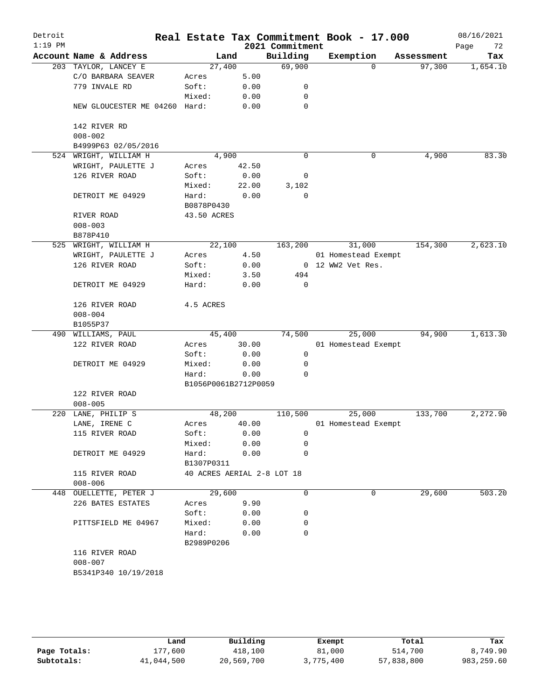| Detroit<br>$1:19$ PM |                               |                            |       | 2021 Commitment | Real Estate Tax Commitment Book - 17.000 |            | 08/16/2021<br>72<br>Page |
|----------------------|-------------------------------|----------------------------|-------|-----------------|------------------------------------------|------------|--------------------------|
|                      | Account Name & Address        | Land                       |       | Building        | Exemption                                | Assessment | Tax                      |
|                      | 203 TAYLOR, LANCEY E          | 27,400                     |       | 69,900          | 0                                        | 97,300     | 1,654.10                 |
|                      | C/O BARBARA SEAVER            | Acres                      | 5.00  |                 |                                          |            |                          |
|                      | 779 INVALE RD                 | Soft:                      | 0.00  | 0               |                                          |            |                          |
|                      |                               | Mixed:                     | 0.00  | 0               |                                          |            |                          |
|                      | NEW GLOUCESTER ME 04260 Hard: |                            | 0.00  | 0               |                                          |            |                          |
|                      | 142 RIVER RD<br>$008 - 002$   |                            |       |                 |                                          |            |                          |
|                      | B4999P63 02/05/2016           |                            |       |                 |                                          |            |                          |
|                      | 524 WRIGHT, WILLIAM H         | 4,900                      |       | $\mathbf 0$     | 0                                        | 4,900      | 83.30                    |
|                      | WRIGHT, PAULETTE J            | Acres                      | 42.50 |                 |                                          |            |                          |
|                      | 126 RIVER ROAD                | Soft:                      | 0.00  | 0               |                                          |            |                          |
|                      |                               | Mixed:                     | 22.00 | 3,102           |                                          |            |                          |
|                      | DETROIT ME 04929              | Hard:<br>B0878P0430        | 0.00  | $\mathbf 0$     |                                          |            |                          |
|                      | RIVER ROAD                    | 43.50 ACRES                |       |                 |                                          |            |                          |
|                      | $008 - 003$                   |                            |       |                 |                                          |            |                          |
|                      | B878P410                      |                            |       |                 |                                          |            |                          |
|                      | 525 WRIGHT, WILLIAM H         | 22,100                     |       | 163,200         | 31,000                                   | 154,300    | 2,623.10                 |
|                      | WRIGHT, PAULETTE J            | Acres                      | 4.50  |                 | 01 Homestead Exempt                      |            |                          |
|                      | 126 RIVER ROAD                | Soft:                      | 0.00  |                 | 0 12 WW2 Vet Res.                        |            |                          |
|                      |                               | Mixed:                     | 3.50  | 494             |                                          |            |                          |
|                      | DETROIT ME 04929              | Hard:                      | 0.00  | $\mathbf 0$     |                                          |            |                          |
|                      | 126 RIVER ROAD                | 4.5 ACRES                  |       |                 |                                          |            |                          |
|                      | $008 - 004$                   |                            |       |                 |                                          |            |                          |
|                      | B1055P37                      |                            |       |                 |                                          |            |                          |
|                      | 490 WILLIAMS, PAUL            | 45,400                     |       | 74,500          | 25,000                                   | 94,900     | 1,613.30                 |
|                      | 122 RIVER ROAD                | Acres                      | 30.00 |                 | 01 Homestead Exempt                      |            |                          |
|                      |                               | Soft:                      | 0.00  | 0               |                                          |            |                          |
|                      | DETROIT ME 04929              | Mixed:                     | 0.00  | 0               |                                          |            |                          |
|                      |                               | Hard:                      | 0.00  | 0               |                                          |            |                          |
|                      |                               | B1056P0061B2712P0059       |       |                 |                                          |            |                          |
|                      | 122 RIVER ROAD                |                            |       |                 |                                          |            |                          |
|                      | $008 - 005$                   |                            |       |                 |                                          |            |                          |
| 220                  | LANE, PHILIP S                | 48,200                     |       | 110,500         | 25,000                                   | 133,700    | 2,272.90                 |
|                      | LANE, IRENE C                 | Acres                      | 40.00 |                 | 01 Homestead Exempt                      |            |                          |
|                      | 115 RIVER ROAD                | Soft:                      | 0.00  | 0               |                                          |            |                          |
|                      |                               | Mixed:                     | 0.00  | 0               |                                          |            |                          |
|                      | DETROIT ME 04929              | Hard:<br>B1307P0311        | 0.00  | 0               |                                          |            |                          |
|                      | 115 RIVER ROAD<br>$008 - 006$ | 40 ACRES AERIAL 2-8 LOT 18 |       |                 |                                          |            |                          |
|                      | 448 OUELLETTE, PETER J        | 29,600                     |       | 0               | 0                                        | 29,600     | 503.20                   |
|                      | 226 BATES ESTATES             | Acres                      | 9.90  |                 |                                          |            |                          |
|                      |                               | Soft:                      | 0.00  | 0               |                                          |            |                          |
|                      | PITTSFIELD ME 04967           | Mixed:                     | 0.00  | 0               |                                          |            |                          |
|                      |                               | Hard:                      | 0.00  | 0               |                                          |            |                          |
|                      |                               | B2989P0206                 |       |                 |                                          |            |                          |
|                      | 116 RIVER ROAD                |                            |       |                 |                                          |            |                          |
|                      | $008 - 007$                   |                            |       |                 |                                          |            |                          |
|                      | B5341P340 10/19/2018          |                            |       |                 |                                          |            |                          |
|                      |                               |                            |       |                 |                                          |            |                          |
|                      |                               |                            |       |                 |                                          |            |                          |

|              | Land       | Building   | Exempt    | Total      | Tax         |
|--------------|------------|------------|-----------|------------|-------------|
| Page Totals: | 177.600    | 418,100    | 81,000    | 514,700    | 8,749.90    |
| Subtotals:   | 41,044,500 | 20,569,700 | 3,775,400 | 57,838,800 | 983, 259.60 |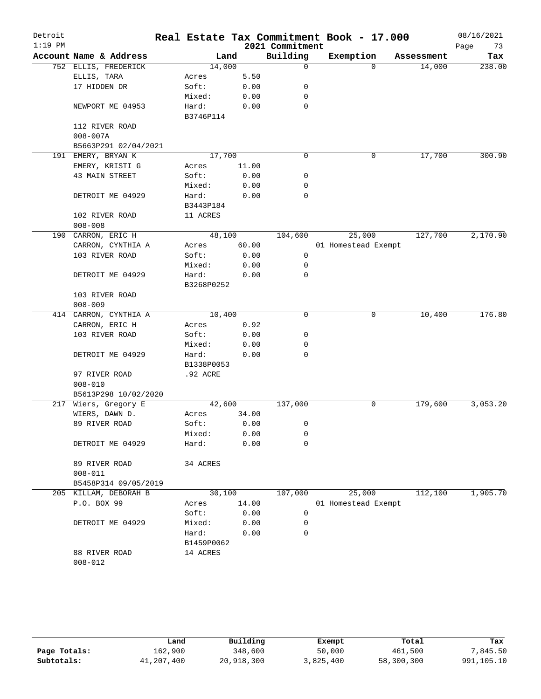| Detroit   |                                      |            |       |                 | Real Estate Tax Commitment Book - 17.000 |          |            | 08/16/2021 |
|-----------|--------------------------------------|------------|-------|-----------------|------------------------------------------|----------|------------|------------|
| $1:19$ PM |                                      |            |       | 2021 Commitment |                                          |          |            | Page<br>73 |
|           | Account Name & Address               | Land       |       | Building        | Exemption                                |          | Assessment | Tax        |
|           | 752 ELLIS, FREDERICK                 | 14,000     |       | $\Omega$        |                                          | $\Omega$ | 14,000     | 238.00     |
|           | ELLIS, TARA                          | Acres      | 5.50  |                 |                                          |          |            |            |
|           | 17 HIDDEN DR                         | Soft:      | 0.00  | 0               |                                          |          |            |            |
|           |                                      | Mixed:     | 0.00  | 0               |                                          |          |            |            |
|           | NEWPORT ME 04953                     | Hard:      | 0.00  | 0               |                                          |          |            |            |
|           |                                      | B3746P114  |       |                 |                                          |          |            |            |
|           | 112 RIVER ROAD                       |            |       |                 |                                          |          |            |            |
|           | $008 - 007A$                         |            |       |                 |                                          |          |            |            |
|           | B5663P291 02/04/2021                 |            |       |                 |                                          |          |            |            |
|           | 191 EMERY, BRYAN K                   | 17,700     |       | 0               |                                          | 0        | 17,700     | 300.90     |
|           | EMERY, KRISTI G                      | Acres      | 11.00 |                 |                                          |          |            |            |
|           | 43 MAIN STREET                       | Soft:      | 0.00  | 0               |                                          |          |            |            |
|           |                                      | Mixed:     | 0.00  | 0               |                                          |          |            |            |
|           | DETROIT ME 04929                     | Hard:      | 0.00  | 0               |                                          |          |            |            |
|           |                                      | B3443P184  |       |                 |                                          |          |            |            |
|           | 102 RIVER ROAD                       | 11 ACRES   |       |                 |                                          |          |            |            |
|           | $008 - 008$                          |            |       |                 |                                          |          |            |            |
|           | 190 CARRON, ERIC H                   | 48,100     |       | 104,600         | 25,000                                   |          | 127,700    | 2,170.90   |
|           | CARRON, CYNTHIA A                    | Acres      | 60.00 |                 | 01 Homestead Exempt                      |          |            |            |
|           | 103 RIVER ROAD                       | Soft:      | 0.00  | 0               |                                          |          |            |            |
|           |                                      | Mixed:     | 0.00  | 0               |                                          |          |            |            |
|           |                                      |            |       | 0               |                                          |          |            |            |
|           | DETROIT ME 04929                     | Hard:      | 0.00  |                 |                                          |          |            |            |
|           |                                      | B3268P0252 |       |                 |                                          |          |            |            |
|           | 103 RIVER ROAD                       |            |       |                 |                                          |          |            |            |
|           | $008 - 009$<br>414 CARRON, CYNTHIA A | 10,400     |       | 0               |                                          | 0        | 10,400     | 176.80     |
|           |                                      |            |       |                 |                                          |          |            |            |
|           | CARRON, ERIC H<br>103 RIVER ROAD     | Acres      | 0.92  |                 |                                          |          |            |            |
|           |                                      | Soft:      | 0.00  | 0               |                                          |          |            |            |
|           |                                      | Mixed:     | 0.00  | 0               |                                          |          |            |            |
|           | DETROIT ME 04929                     | Hard:      | 0.00  | 0               |                                          |          |            |            |
|           |                                      | B1338P0053 |       |                 |                                          |          |            |            |
|           | 97 RIVER ROAD                        | .92 ACRE   |       |                 |                                          |          |            |            |
|           | $008 - 010$                          |            |       |                 |                                          |          |            |            |
|           | B5613P298 10/02/2020                 |            |       |                 |                                          |          |            |            |
| 217       | Wiers, Gregory E                     | 42,600     |       | 137,000         |                                          | 0        | 179,600    | 3,053.20   |
|           | WIERS, DAWN D.                       | Acres      | 34.00 |                 |                                          |          |            |            |
|           | 89 RIVER ROAD                        | Soft:      | 0.00  | 0               |                                          |          |            |            |
|           |                                      | Mixed:     | 0.00  | 0               |                                          |          |            |            |
|           | DETROIT ME 04929                     | Hard:      | 0.00  | 0               |                                          |          |            |            |
|           |                                      |            |       |                 |                                          |          |            |            |
|           | 89 RIVER ROAD                        | 34 ACRES   |       |                 |                                          |          |            |            |
|           | $008 - 011$                          |            |       |                 |                                          |          |            |            |
|           | B5458P314 09/05/2019                 |            |       |                 |                                          |          |            |            |
|           | 205 KILLAM, DEBORAH B                | 30,100     |       | 107,000         | 25,000                                   |          | 112,100    | 1,905.70   |
|           | P.O. BOX 99                          | Acres      | 14.00 |                 | 01 Homestead Exempt                      |          |            |            |
|           |                                      | Soft:      | 0.00  | 0               |                                          |          |            |            |
|           | DETROIT ME 04929                     | Mixed:     | 0.00  | 0               |                                          |          |            |            |
|           |                                      | Hard:      | 0.00  | 0               |                                          |          |            |            |
|           |                                      | B1459P0062 |       |                 |                                          |          |            |            |
|           | 88 RIVER ROAD                        | 14 ACRES   |       |                 |                                          |          |            |            |
|           | $008 - 012$                          |            |       |                 |                                          |          |            |            |
|           |                                      |            |       |                 |                                          |          |            |            |

|              | Land       | Building   | Exempt    | Total      | Tax        |
|--------------|------------|------------|-----------|------------|------------|
| Page Totals: | 162,900    | 348,600    | 50,000    | 461,500    | 7,845.50   |
| Subtotals:   | 41,207,400 | 20,918,300 | 3,825,400 | 58,300,300 | 991,105.10 |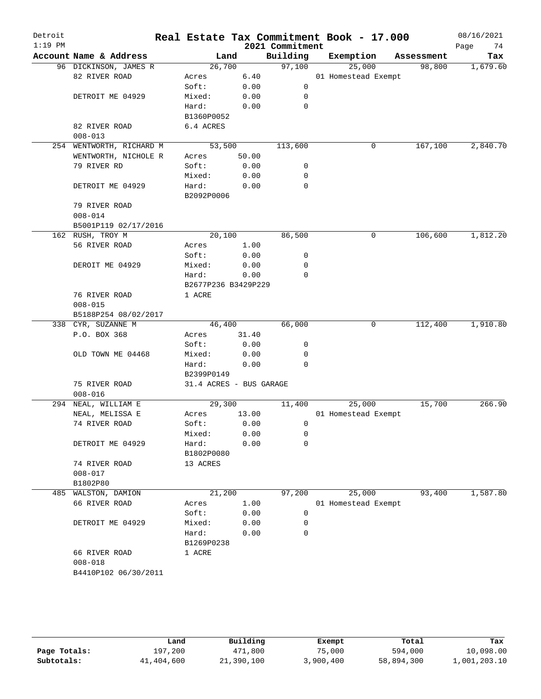| Detroit   |                          |                         |       |                             | Real Estate Tax Commitment Book - 17.000 |                      | 08/16/2021        |
|-----------|--------------------------|-------------------------|-------|-----------------------------|------------------------------------------|----------------------|-------------------|
| $1:19$ PM | Account Name & Address   | Land                    |       | 2021 Commitment<br>Building | Exemption                                |                      | 74<br>Page<br>Tax |
|           | 96 DICKINSON, JAMES R    | 26,700                  |       | 97,100                      | 25,000                                   | Assessment<br>98,800 | 1,679.60          |
|           | 82 RIVER ROAD            | Acres                   | 6.40  |                             | 01 Homestead Exempt                      |                      |                   |
|           |                          | Soft:                   | 0.00  | 0                           |                                          |                      |                   |
|           |                          |                         |       |                             |                                          |                      |                   |
|           | DETROIT ME 04929         | Mixed:                  | 0.00  | 0                           |                                          |                      |                   |
|           |                          | Hard:                   | 0.00  | $\mathbf 0$                 |                                          |                      |                   |
|           |                          | B1360P0052              |       |                             |                                          |                      |                   |
|           | 82 RIVER ROAD            | 6.4 ACRES               |       |                             |                                          |                      |                   |
|           | $008 - 013$              |                         |       |                             |                                          |                      |                   |
|           | 254 WENTWORTH, RICHARD M | 53,500                  |       | 113,600                     | 0                                        | 167,100              | 2,840.70          |
|           | WENTWORTH, NICHOLE R     | Acres                   | 50.00 |                             |                                          |                      |                   |
|           | 79 RIVER RD              | Soft:                   | 0.00  | 0                           |                                          |                      |                   |
|           |                          | Mixed:                  | 0.00  | 0                           |                                          |                      |                   |
|           | DETROIT ME 04929         | Hard:                   | 0.00  | 0                           |                                          |                      |                   |
|           |                          | B2092P0006              |       |                             |                                          |                      |                   |
|           | 79 RIVER ROAD            |                         |       |                             |                                          |                      |                   |
|           | $008 - 014$              |                         |       |                             |                                          |                      |                   |
|           | B5001P119 02/17/2016     |                         |       |                             |                                          |                      |                   |
|           | 162 RUSH, TROY M         | 20,100                  |       | 86,500                      | 0                                        | 106,600              | 1,812.20          |
|           | 56 RIVER ROAD            | Acres                   | 1.00  |                             |                                          |                      |                   |
|           |                          | Soft:                   | 0.00  | 0                           |                                          |                      |                   |
|           | DEROIT ME 04929          | Mixed:                  | 0.00  | 0                           |                                          |                      |                   |
|           |                          | Hard:                   | 0.00  | $\mathbf 0$                 |                                          |                      |                   |
|           |                          | B2677P236 B3429P229     |       |                             |                                          |                      |                   |
|           | 76 RIVER ROAD            | 1 ACRE                  |       |                             |                                          |                      |                   |
|           | $008 - 015$              |                         |       |                             |                                          |                      |                   |
|           | B5188P254 08/02/2017     |                         |       |                             |                                          |                      |                   |
|           | 338 CYR, SUZANNE M       | 46,400                  |       | 66,000                      | 0                                        | 112,400              | 1,910.80          |
|           | P.O. BOX 368             | Acres                   | 31.40 |                             |                                          |                      |                   |
|           |                          | Soft:                   | 0.00  | 0                           |                                          |                      |                   |
|           | OLD TOWN ME 04468        | Mixed:                  | 0.00  | 0                           |                                          |                      |                   |
|           |                          | Hard:                   | 0.00  | $\Omega$                    |                                          |                      |                   |
|           |                          | B2399P0149              |       |                             |                                          |                      |                   |
|           | 75 RIVER ROAD            | 31.4 ACRES - BUS GARAGE |       |                             |                                          |                      |                   |
|           | $008 - 016$              |                         |       |                             |                                          |                      |                   |
|           | 294 NEAL, WILLIAM E      | 29,300                  |       | 11,400                      | 25,000                                   | 15,700               | 266.90            |
|           | NEAL, MELISSA E          | Acres                   | 13.00 |                             | 01 Homestead Exempt                      |                      |                   |
|           | 74 RIVER ROAD            | Soft:                   | 0.00  | 0                           |                                          |                      |                   |
|           |                          | Mixed:                  | 0.00  | 0                           |                                          |                      |                   |
|           | DETROIT ME 04929         | Hard:                   | 0.00  | 0                           |                                          |                      |                   |
|           |                          | B1802P0080              |       |                             |                                          |                      |                   |
|           | 74 RIVER ROAD            | 13 ACRES                |       |                             |                                          |                      |                   |
|           | $008 - 017$              |                         |       |                             |                                          |                      |                   |
|           | B1802P80                 |                         |       |                             |                                          |                      |                   |
|           | 485 WALSTON, DAMION      | 21,200                  |       | 97,200                      | 25,000                                   | 93,400               | 1,587.80          |
|           | 66 RIVER ROAD            | Acres                   | 1.00  |                             | 01 Homestead Exempt                      |                      |                   |
|           |                          | Soft:                   | 0.00  | 0                           |                                          |                      |                   |
|           | DETROIT ME 04929         | Mixed:                  | 0.00  | 0                           |                                          |                      |                   |
|           |                          | Hard:                   | 0.00  | 0                           |                                          |                      |                   |
|           |                          | B1269P0238              |       |                             |                                          |                      |                   |
|           | 66 RIVER ROAD            | 1 ACRE                  |       |                             |                                          |                      |                   |
|           | $008 - 018$              |                         |       |                             |                                          |                      |                   |
|           | B4410P102 06/30/2011     |                         |       |                             |                                          |                      |                   |
|           |                          |                         |       |                             |                                          |                      |                   |
|           |                          |                         |       |                             |                                          |                      |                   |

|              | Land       | Building   | Exempt    | Total      | Tax          |
|--------------|------------|------------|-----------|------------|--------------|
| Page Totals: | 197.200    | 471,800    | 75,000    | 594,000    | 10,098.00    |
| Subtotals:   | 41,404,600 | 21,390,100 | 3,900,400 | 58,894,300 | 1,001,203.10 |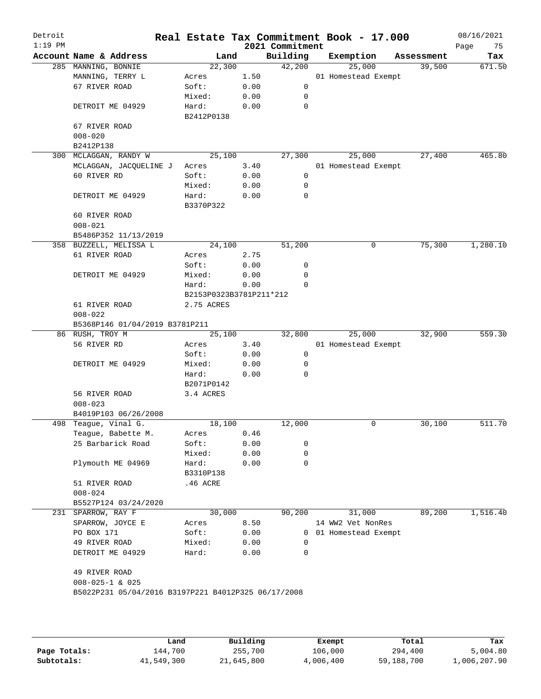| Detroit<br>$1:19$ PM |                                                     |                         |      | 2021 Commitment | Real Estate Tax Commitment Book - 17.000 |            | 08/16/2021<br>Page<br>75 |
|----------------------|-----------------------------------------------------|-------------------------|------|-----------------|------------------------------------------|------------|--------------------------|
|                      | Account Name & Address                              | Land                    |      | Building        | Exemption                                | Assessment | Tax                      |
|                      | 285 MANNING, BONNIE                                 | 22,300                  |      | 42,200          | 25,000                                   | 39,500     | 671.50                   |
|                      | MANNING, TERRY L                                    | Acres                   | 1.50 |                 | 01 Homestead Exempt                      |            |                          |
|                      | 67 RIVER ROAD                                       | Soft:                   | 0.00 | 0               |                                          |            |                          |
|                      |                                                     | Mixed:                  | 0.00 | 0               |                                          |            |                          |
|                      | DETROIT ME 04929                                    | Hard:                   | 0.00 | 0               |                                          |            |                          |
|                      |                                                     | B2412P0138              |      |                 |                                          |            |                          |
|                      | 67 RIVER ROAD                                       |                         |      |                 |                                          |            |                          |
|                      | $008 - 020$                                         |                         |      |                 |                                          |            |                          |
|                      | B2412P138                                           |                         |      |                 |                                          |            |                          |
|                      | 300 MCLAGGAN, RANDY W                               | 25,100                  |      | 27,300          | 25,000                                   | 27,400     | 465.80                   |
|                      | MCLAGGAN, JACQUELINE J                              | Acres                   | 3.40 |                 | 01 Homestead Exempt                      |            |                          |
|                      | 60 RIVER RD                                         | Soft:                   | 0.00 | 0               |                                          |            |                          |
|                      |                                                     | Mixed:                  | 0.00 | 0               |                                          |            |                          |
|                      | DETROIT ME 04929                                    | Hard:                   | 0.00 | 0               |                                          |            |                          |
|                      |                                                     | B3370P322               |      |                 |                                          |            |                          |
|                      | 60 RIVER ROAD                                       |                         |      |                 |                                          |            |                          |
|                      | $008 - 021$                                         |                         |      |                 |                                          |            |                          |
|                      | B5486P352 11/13/2019                                |                         |      |                 |                                          |            |                          |
|                      | 358 BUZZELL, MELISSA L                              | 24,100                  |      | 51,200          | 0                                        | 75,300     | 1,280.10                 |
|                      | 61 RIVER ROAD                                       | Acres                   | 2.75 |                 |                                          |            |                          |
|                      |                                                     | Soft:                   | 0.00 | 0               |                                          |            |                          |
|                      | DETROIT ME 04929                                    | Mixed:                  | 0.00 | 0               |                                          |            |                          |
|                      |                                                     | Hard:                   | 0.00 | $\Omega$        |                                          |            |                          |
|                      |                                                     | B2153P0323B3781P211*212 |      |                 |                                          |            |                          |
|                      | 61 RIVER ROAD                                       | 2.75 ACRES              |      |                 |                                          |            |                          |
|                      | $008 - 022$                                         |                         |      |                 |                                          |            |                          |
|                      | B5368P146 01/04/2019 B3781P211                      |                         |      |                 |                                          |            |                          |
|                      | 86 RUSH, TROY M                                     | 25,100                  |      | 32,800          | 25,000                                   | 32,900     | 559.30                   |
|                      | 56 RIVER RD                                         | Acres                   | 3.40 |                 | 01 Homestead Exempt                      |            |                          |
|                      |                                                     | Soft:                   | 0.00 | $\mathsf{O}$    |                                          |            |                          |
|                      | DETROIT ME 04929                                    | Mixed:                  | 0.00 | 0               |                                          |            |                          |
|                      |                                                     | Hard:                   | 0.00 | 0               |                                          |            |                          |
|                      |                                                     | B2071P0142              |      |                 |                                          |            |                          |
|                      | 56 RIVER ROAD                                       | 3.4 ACRES               |      |                 |                                          |            |                          |
|                      | $008 - 023$                                         |                         |      |                 |                                          |            |                          |
|                      | B4019P103 06/26/2008                                |                         |      |                 |                                          |            |                          |
|                      | 498 Teague, Vinal G.                                | 18,100                  |      | 12,000          | 0                                        | 30,100     | 511.70                   |
|                      | Teague, Babette M.                                  | Acres                   | 0.46 |                 |                                          |            |                          |
|                      | 25 Barbarick Road                                   | Soft:                   | 0.00 | 0               |                                          |            |                          |
|                      |                                                     | Mixed:                  | 0.00 | 0               |                                          |            |                          |
|                      | Plymouth ME 04969                                   | Hard:                   | 0.00 | 0               |                                          |            |                          |
|                      |                                                     | B3310P138               |      |                 |                                          |            |                          |
|                      | 51 RIVER ROAD                                       | .46 ACRE                |      |                 |                                          |            |                          |
|                      | $008 - 024$                                         |                         |      |                 |                                          |            |                          |
|                      | B5527P124 03/24/2020                                |                         |      |                 |                                          |            |                          |
|                      | 231 SPARROW, RAY F                                  | 30,000                  |      | 90,200          | 31,000                                   | 89,200     | 1,516.40                 |
|                      | SPARROW, JOYCE E                                    | Acres                   | 8.50 |                 | 14 WW2 Vet NonRes                        |            |                          |
|                      | PO BOX 171                                          | Soft:                   | 0.00 |                 | 0 01 Homestead Exempt                    |            |                          |
|                      | 49 RIVER ROAD                                       | Mixed:                  | 0.00 | 0               |                                          |            |                          |
|                      | DETROIT ME 04929                                    | Hard:                   | 0.00 | 0               |                                          |            |                          |
|                      |                                                     |                         |      |                 |                                          |            |                          |
|                      | 49 RIVER ROAD                                       |                         |      |                 |                                          |            |                          |
|                      | $008 - 025 - 1$ & 025                               |                         |      |                 |                                          |            |                          |
|                      | B5022P231 05/04/2016 B3197P221 B4012P325 06/17/2008 |                         |      |                 |                                          |            |                          |
|                      |                                                     |                         |      |                 |                                          |            |                          |
|                      |                                                     |                         |      |                 |                                          |            |                          |
|                      |                                                     |                         |      |                 |                                          |            |                          |

|              | Land       | Building   | Exempt    | Total      | Tax          |
|--------------|------------|------------|-----------|------------|--------------|
| Page Totals: | 144,700    | 255,700    | 106,000   | 294,400    | 5,004.80     |
| Subtotals:   | 41,549,300 | 21,645,800 | 4,006,400 | 59,188,700 | 1,006,207.90 |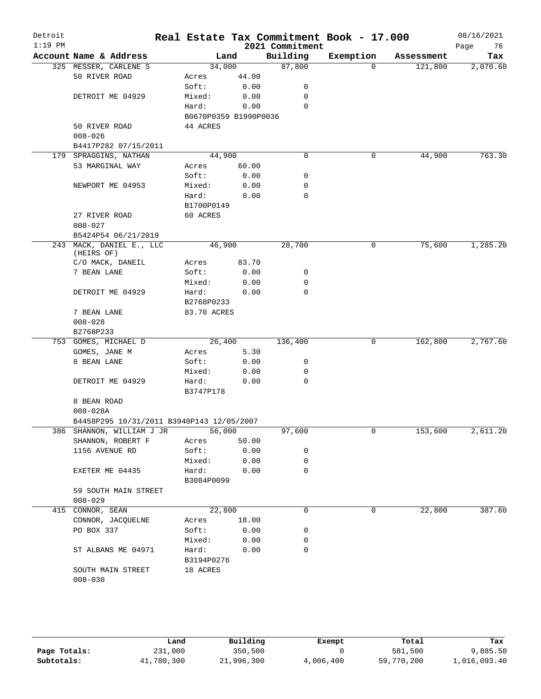| Detroit<br>$1:19$ PM |                                           |                       |       | Real Estate Tax Commitment Book - 17.000<br>2021 Commitment |           |            | 08/16/2021<br>Page<br>76 |
|----------------------|-------------------------------------------|-----------------------|-------|-------------------------------------------------------------|-----------|------------|--------------------------|
|                      | Account Name & Address                    | Land                  |       | Building                                                    | Exemption | Assessment | Tax                      |
|                      | 325 MESSER, CARLENE S                     | 34,000                |       | 87,800                                                      | $\Omega$  | 121,800    | 2,070.60                 |
|                      | 50 RIVER ROAD                             | Acres                 | 44.00 |                                                             |           |            |                          |
|                      |                                           | Soft:                 | 0.00  | 0                                                           |           |            |                          |
|                      | DETROIT ME 04929                          | Mixed:                | 0.00  | 0                                                           |           |            |                          |
|                      |                                           | Hard:                 | 0.00  | 0                                                           |           |            |                          |
|                      |                                           | B0670P0359 B1990P0036 |       |                                                             |           |            |                          |
|                      | 50 RIVER ROAD                             | 44 ACRES              |       |                                                             |           |            |                          |
|                      | $008 - 026$                               |                       |       |                                                             |           |            |                          |
|                      | B4417P282 07/15/2011                      |                       |       |                                                             |           |            |                          |
|                      | 179 SPRAGGINS, NATHAN                     | 44,900                |       | $\mathbf 0$                                                 | 0         | 44,900     | 763.30                   |
|                      | 53 MARGINAL WAY                           | Acres                 | 60.00 |                                                             |           |            |                          |
|                      |                                           | Soft:                 | 0.00  | 0                                                           |           |            |                          |
|                      | NEWPORT ME 04953                          | Mixed:                | 0.00  | 0                                                           |           |            |                          |
|                      |                                           | Hard:                 | 0.00  | 0                                                           |           |            |                          |
|                      |                                           | B1700P0149            |       |                                                             |           |            |                          |
|                      | 27 RIVER ROAD                             | 60 ACRES              |       |                                                             |           |            |                          |
|                      | $008 - 027$                               |                       |       |                                                             |           |            |                          |
|                      | B5424P54 06/21/2019                       |                       |       |                                                             |           |            |                          |
|                      | 243 MACK, DANIEL E., LLC<br>(HEIRS OF)    | 46,900                |       | 28,700                                                      | 0         | 75,600     | 1,285.20                 |
|                      | C/O MACK, DANEIL                          | Acres                 | 83.70 |                                                             |           |            |                          |
|                      | 7 BEAN LANE                               | Soft:                 | 0.00  | 0                                                           |           |            |                          |
|                      |                                           | Mixed:                | 0.00  | 0                                                           |           |            |                          |
|                      | DETROIT ME 04929                          | Hard:                 | 0.00  | $\Omega$                                                    |           |            |                          |
|                      |                                           | B2768P0233            |       |                                                             |           |            |                          |
|                      | 7 BEAN LANE                               | 83.70 ACRES           |       |                                                             |           |            |                          |
|                      | $008 - 028$                               |                       |       |                                                             |           |            |                          |
|                      | B2768P233                                 |                       |       |                                                             |           |            |                          |
|                      | 753 GOMES, MICHAEL D                      | 26,400                |       | 136,400                                                     | 0         | 162,800    | 2,767.60                 |
|                      | GOMES, JANE M                             | Acres                 | 5.30  |                                                             |           |            |                          |
|                      | 8 BEAN LANE                               | Soft:                 | 0.00  | 0                                                           |           |            |                          |
|                      |                                           | Mixed:                | 0.00  | 0                                                           |           |            |                          |
|                      | DETROIT ME 04929                          | Hard:                 | 0.00  | $\mathbf 0$                                                 |           |            |                          |
|                      |                                           | B3747P178             |       |                                                             |           |            |                          |
|                      | 8 BEAN ROAD                               |                       |       |                                                             |           |            |                          |
|                      | $008 - 028A$                              |                       |       |                                                             |           |            |                          |
|                      | B4458P295 10/31/2011 B3940P143 12/05/2007 |                       |       |                                                             |           |            |                          |
|                      | 386 SHANNON, WILLIAM J JR                 | 56,000                |       | 97,600                                                      | 0         | 153,600    | 2,611.20                 |
|                      | SHANNON, ROBERT F                         | Acres                 | 50.00 |                                                             |           |            |                          |
|                      | 1156 AVENUE RD                            | Soft:                 | 0.00  | 0                                                           |           |            |                          |
|                      |                                           | Mixed:                | 0.00  | 0                                                           |           |            |                          |
|                      | EXETER ME 04435                           | Hard:                 | 0.00  | 0                                                           |           |            |                          |
|                      |                                           | B3084P0099            |       |                                                             |           |            |                          |
|                      | 59 SOUTH MAIN STREET                      |                       |       |                                                             |           |            |                          |
|                      | $008 - 029$                               |                       |       |                                                             |           |            |                          |
|                      | 415 CONNOR, SEAN                          | 22,800                |       | 0                                                           | 0         | 22,800     | 387.60                   |
|                      | CONNOR, JACQUELNE                         | Acres                 | 18.00 |                                                             |           |            |                          |
|                      | PO BOX 337                                | Soft:                 | 0.00  | 0                                                           |           |            |                          |
|                      |                                           | Mixed:                | 0.00  | 0                                                           |           |            |                          |
|                      | ST ALBANS ME 04971                        | Hard:                 | 0.00  | 0                                                           |           |            |                          |
|                      |                                           | B3194P0276            |       |                                                             |           |            |                          |
|                      | SOUTH MAIN STREET                         | 18 ACRES              |       |                                                             |           |            |                          |
|                      | $008 - 030$                               |                       |       |                                                             |           |            |                          |
|                      |                                           |                       |       |                                                             |           |            |                          |

|              | Land       | Building   | Exempt    | Total      | Tax          |
|--------------|------------|------------|-----------|------------|--------------|
| Page Totals: | 231,000    | 350,500    |           | 581,500    | 9,885.50     |
| Subtotals:   | 41,780,300 | 21,996,300 | 4,006,400 | 59,770,200 | 1,016,093.40 |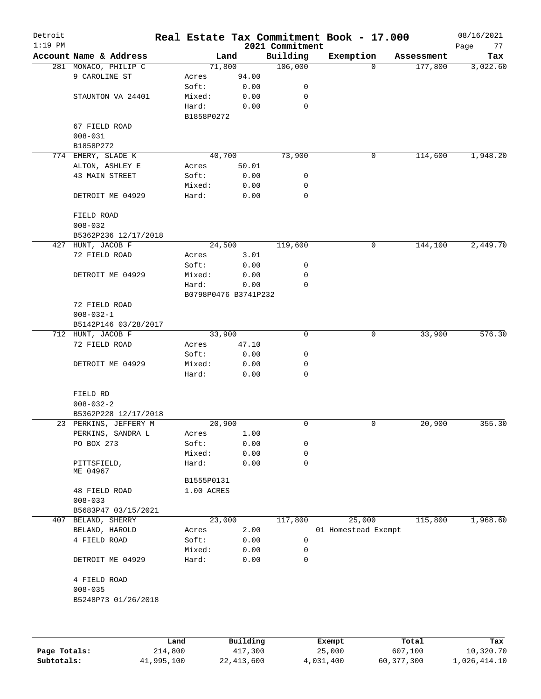| Detroit<br>$1:19$ PM |                           |                     |                      | 2021 Commitment | Real Estate Tax Commitment Book - 17.000 |            | 08/16/2021<br>Page<br>77 |
|----------------------|---------------------------|---------------------|----------------------|-----------------|------------------------------------------|------------|--------------------------|
|                      | Account Name & Address    |                     | Land                 | Building        | Exemption                                | Assessment | Tax                      |
|                      | 281 MONACO, PHILIP C      |                     | 71,800               | 106,000         | 0                                        | 177,800    | 3,022.60                 |
|                      | 9 CAROLINE ST             | Acres               | 94.00                |                 |                                          |            |                          |
|                      |                           | Soft:               | 0.00                 | 0               |                                          |            |                          |
|                      | STAUNTON VA 24401         | Mixed:              | 0.00                 | 0               |                                          |            |                          |
|                      |                           | Hard:<br>B1858P0272 | 0.00                 | 0               |                                          |            |                          |
|                      | 67 FIELD ROAD             |                     |                      |                 |                                          |            |                          |
|                      | $008 - 031$               |                     |                      |                 |                                          |            |                          |
|                      | B1858P272                 |                     |                      |                 |                                          |            |                          |
|                      | 774 EMERY, SLADE K        |                     | 40,700               | 73,900          | 0                                        | 114,600    | 1,948.20                 |
|                      | ALTON, ASHLEY E           | Acres               | 50.01                |                 |                                          |            |                          |
|                      | 43 MAIN STREET            | Soft:               | 0.00                 | 0               |                                          |            |                          |
|                      |                           | Mixed:              | 0.00                 | 0               |                                          |            |                          |
|                      | DETROIT ME 04929          | Hard:               | 0.00                 | $\mathbf 0$     |                                          |            |                          |
|                      | FIELD ROAD<br>$008 - 032$ |                     |                      |                 |                                          |            |                          |
|                      | B5362P236 12/17/2018      |                     |                      |                 |                                          |            |                          |
|                      | 427 HUNT, JACOB F         |                     | 24,500               | 119,600         | 0                                        | 144,100    | 2,449.70                 |
|                      | 72 FIELD ROAD             | Acres               | 3.01                 |                 |                                          |            |                          |
|                      |                           | Soft:               | 0.00                 | 0               |                                          |            |                          |
|                      | DETROIT ME 04929          | Mixed:              | 0.00                 | 0               |                                          |            |                          |
|                      |                           | Hard:               | 0.00                 | 0               |                                          |            |                          |
|                      |                           |                     | B0798P0476 B3741P232 |                 |                                          |            |                          |
|                      | 72 FIELD ROAD             |                     |                      |                 |                                          |            |                          |
|                      | $008 - 032 - 1$           |                     |                      |                 |                                          |            |                          |
|                      | B5142P146 03/28/2017      |                     |                      |                 |                                          |            |                          |
|                      | 712 HUNT, JACOB F         |                     | 33,900               | $\mathbf 0$     | 0                                        | 33,900     | 576.30                   |
|                      | 72 FIELD ROAD             |                     |                      |                 |                                          |            |                          |
|                      |                           | Acres<br>Soft:      | 47.10<br>0.00        | 0               |                                          |            |                          |
|                      |                           |                     | 0.00                 | 0               |                                          |            |                          |
|                      | DETROIT ME 04929          | Mixed:<br>Hard:     | 0.00                 | 0               |                                          |            |                          |
|                      | FIELD RD                  |                     |                      |                 |                                          |            |                          |
|                      | $008 - 032 - 2$           |                     |                      |                 |                                          |            |                          |
|                      | B5362P228 12/17/2018      |                     |                      |                 |                                          |            |                          |
|                      | 23 PERKINS, JEFFERY M     |                     | 20,900               | $\mathbf 0$     | 0                                        | 20,900     | 355.30                   |
|                      | PERKINS, SANDRA L         | Acres               | 1.00                 |                 |                                          |            |                          |
|                      | PO BOX 273                | Soft:               | 0.00                 | 0               |                                          |            |                          |
|                      |                           | Mixed:              | 0.00                 | 0               |                                          |            |                          |
|                      | PITTSFIELD,               | Hard:               | 0.00                 | 0               |                                          |            |                          |
|                      | ME 04967                  |                     |                      |                 |                                          |            |                          |
|                      |                           | B1555P0131          |                      |                 |                                          |            |                          |
|                      | 48 FIELD ROAD             | 1.00 ACRES          |                      |                 |                                          |            |                          |
|                      | $008 - 033$               |                     |                      |                 |                                          |            |                          |
|                      | B5683P47 03/15/2021       |                     |                      |                 |                                          |            |                          |
|                      | 407 BELAND, SHERRY        |                     | 23,000               | 117,800         | 25,000                                   | 115,800    | 1,968.60                 |
|                      | BELAND, HAROLD            | Acres               | 2.00                 |                 | 01 Homestead Exempt                      |            |                          |
|                      | 4 FIELD ROAD              | Soft:               | 0.00                 | 0               |                                          |            |                          |
|                      |                           | Mixed:              | 0.00                 | 0               |                                          |            |                          |
|                      | DETROIT ME 04929          | Hard:               | 0.00                 | $\mathbf 0$     |                                          |            |                          |
|                      | 4 FIELD ROAD              |                     |                      |                 |                                          |            |                          |
|                      | $008 - 035$               |                     |                      |                 |                                          |            |                          |
|                      | B5248P73 01/26/2018       |                     |                      |                 |                                          |            |                          |
|                      |                           |                     |                      |                 |                                          |            |                          |
|                      |                           | Land                | Building             |                 | Exempt                                   | Total      | Tax                      |

|              | Land       | Building   | Exempt    | Total      | Tax          |
|--------------|------------|------------|-----------|------------|--------------|
| Page Totals: | 214,800    | 417,300    | 25,000    | 607,100    | 10,320.70    |
| Subtotals:   | 41,995,100 | 22,413,600 | 4,031,400 | 60,377,300 | 1,026,414.10 |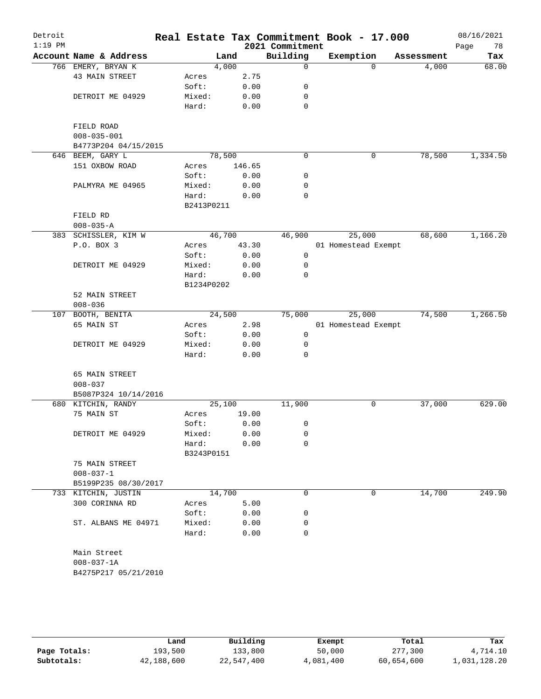| Detroit<br>$1:19$ PM |                        |            |        |        | 2021 Commitment | Real Estate Tax Commitment Book - 17.000 |            | 08/16/2021<br>78<br>Page |
|----------------------|------------------------|------------|--------|--------|-----------------|------------------------------------------|------------|--------------------------|
|                      | Account Name & Address |            | Land   |        | Building        | Exemption                                | Assessment | Tax                      |
|                      | 766 EMERY, BRYAN K     |            | 4,000  |        | 0               | $\Omega$                                 | 4,000      | 68.00                    |
|                      | 43 MAIN STREET         | Acres      |        | 2.75   |                 |                                          |            |                          |
|                      |                        | Soft:      |        | 0.00   | 0               |                                          |            |                          |
|                      | DETROIT ME 04929       | Mixed:     |        | 0.00   | 0               |                                          |            |                          |
|                      |                        | Hard:      |        | 0.00   | 0               |                                          |            |                          |
|                      | FIELD ROAD             |            |        |        |                 |                                          |            |                          |
|                      | $008 - 035 - 001$      |            |        |        |                 |                                          |            |                          |
|                      | B4773P204 04/15/2015   |            |        |        |                 |                                          |            |                          |
|                      | 646 BEEM, GARY L       |            | 78,500 |        | 0               | $\mathsf{O}$                             | 78,500     | 1,334.50                 |
|                      | 151 OXBOW ROAD         | Acres      |        | 146.65 |                 |                                          |            |                          |
|                      |                        | Soft:      |        | 0.00   | 0               |                                          |            |                          |
|                      | PALMYRA ME 04965       | Mixed:     |        | 0.00   | 0               |                                          |            |                          |
|                      |                        | Hard:      |        | 0.00   | 0               |                                          |            |                          |
|                      |                        | B2413P0211 |        |        |                 |                                          |            |                          |
|                      | FIELD RD               |            |        |        |                 |                                          |            |                          |
|                      | $008 - 035 - A$        |            |        |        |                 |                                          |            |                          |
|                      | 383 SCHISSLER, KIM W   |            | 46,700 |        | 46,900          | 25,000                                   | 68,600     | 1,166.20                 |
|                      | P.O. BOX 3             | Acres      |        | 43.30  |                 | 01 Homestead Exempt                      |            |                          |
|                      |                        | Soft:      |        | 0.00   | 0               |                                          |            |                          |
|                      | DETROIT ME 04929       | Mixed:     |        | 0.00   | 0               |                                          |            |                          |
|                      |                        | Hard:      |        | 0.00   | 0               |                                          |            |                          |
|                      |                        | B1234P0202 |        |        |                 |                                          |            |                          |
|                      | 52 MAIN STREET         |            |        |        |                 |                                          |            |                          |
|                      | $008 - 036$            |            |        |        |                 |                                          |            |                          |
| 107                  | BOOTH, BENITA          |            | 24,500 |        | 75,000          | 25,000                                   | 74,500     | 1,266.50                 |
|                      | 65 MAIN ST             | Acres      |        | 2.98   |                 | 01 Homestead Exempt                      |            |                          |
|                      |                        | Soft:      |        | 0.00   | 0               |                                          |            |                          |
|                      | DETROIT ME 04929       | Mixed:     |        | 0.00   | 0               |                                          |            |                          |
|                      |                        | Hard:      |        | 0.00   | 0               |                                          |            |                          |
|                      |                        |            |        |        |                 |                                          |            |                          |
|                      | 65 MAIN STREET         |            |        |        |                 |                                          |            |                          |
|                      | $008 - 037$            |            |        |        |                 |                                          |            |                          |
|                      | B5087P324 10/14/2016   |            |        |        |                 |                                          |            |                          |
|                      | 680 KITCHIN, RANDY     |            | 25,100 |        | 11,900          | 0                                        | 37,000     | 629.00                   |
|                      | 75 MAIN ST             | Acres      |        | 19.00  |                 |                                          |            |                          |
|                      |                        | Soft:      |        | 0.00   | 0               |                                          |            |                          |
|                      | DETROIT ME 04929       | Mixed:     |        | 0.00   | 0               |                                          |            |                          |
|                      |                        | Hard:      |        | 0.00   | 0               |                                          |            |                          |
|                      |                        | B3243P0151 |        |        |                 |                                          |            |                          |
|                      | 75 MAIN STREET         |            |        |        |                 |                                          |            |                          |
|                      | $008 - 037 - 1$        |            |        |        |                 |                                          |            |                          |
|                      | B5199P235 08/30/2017   |            |        |        |                 |                                          |            |                          |
|                      | 733 KITCHIN, JUSTIN    |            | 14,700 |        | 0               | 0                                        | 14,700     | 249.90                   |
|                      | 300 CORINNA RD         | Acres      |        | 5.00   |                 |                                          |            |                          |
|                      |                        | Soft:      |        | 0.00   | 0               |                                          |            |                          |
|                      | ST. ALBANS ME 04971    | Mixed:     |        | 0.00   | 0               |                                          |            |                          |
|                      |                        | Hard:      |        | 0.00   | 0               |                                          |            |                          |
|                      |                        |            |        |        |                 |                                          |            |                          |
|                      | Main Street            |            |        |        |                 |                                          |            |                          |
|                      | $008 - 037 - 1A$       |            |        |        |                 |                                          |            |                          |
|                      | B4275P217 05/21/2010   |            |        |        |                 |                                          |            |                          |
|                      |                        |            |        |        |                 |                                          |            |                          |
|                      |                        |            |        |        |                 |                                          |            |                          |
|                      |                        |            |        |        |                 |                                          |            |                          |

|              | Land       | Building   | Exempt    | Total      | Tax          |
|--------------|------------|------------|-----------|------------|--------------|
| Page Totals: | 193,500    | 133,800    | 50,000    | 277,300    | 4,714.10     |
| Subtotals:   | 42,188,600 | 22,547,400 | 4,081,400 | 60,654,600 | 1,031,128.20 |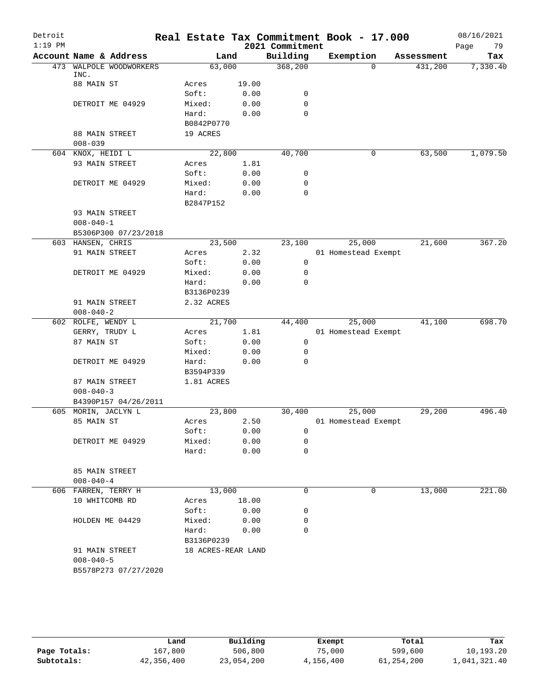| Detroit   |                             |                    |       |                 | Real Estate Tax Commitment Book - 17.000 |            | 08/16/2021 |
|-----------|-----------------------------|--------------------|-------|-----------------|------------------------------------------|------------|------------|
| $1:19$ PM |                             |                    |       | 2021 Commitment |                                          |            | Page<br>79 |
|           | Account Name & Address      | Land               |       | Building        | Exemption                                | Assessment | Tax        |
| 473       | WALPOLE WOODWORKERS<br>INC. | 63,000             |       | 368,200         | $\Omega$                                 | 431,200    | 7,330.40   |
|           | 88 MAIN ST                  | Acres              | 19.00 |                 |                                          |            |            |
|           |                             | Soft:              | 0.00  | 0               |                                          |            |            |
|           | DETROIT ME 04929            | Mixed:             | 0.00  | 0               |                                          |            |            |
|           |                             | Hard:              | 0.00  | $\mathbf 0$     |                                          |            |            |
|           |                             | B0842P0770         |       |                 |                                          |            |            |
|           | 88 MAIN STREET              | 19 ACRES           |       |                 |                                          |            |            |
|           | $008 - 039$                 |                    |       |                 |                                          |            |            |
|           | 604 KNOX, HEIDI L           | 22,800             |       | 40,700          | 0                                        | 63,500     | 1,079.50   |
|           | 93 MAIN STREET              | Acres              | 1.81  |                 |                                          |            |            |
|           |                             | Soft:              | 0.00  | 0               |                                          |            |            |
|           | DETROIT ME 04929            | Mixed:             | 0.00  | 0               |                                          |            |            |
|           |                             | Hard:              | 0.00  | 0               |                                          |            |            |
|           |                             | B2847P152          |       |                 |                                          |            |            |
|           | 93 MAIN STREET              |                    |       |                 |                                          |            |            |
|           | $008 - 040 - 1$             |                    |       |                 |                                          |            |            |
|           | B5306P300 07/23/2018        |                    |       |                 |                                          |            |            |
|           | 603 HANSEN, CHRIS           | 23,500             |       | 23,100          | 25,000                                   | 21,600     | 367.20     |
|           | 91 MAIN STREET              | Acres              | 2.32  |                 | 01 Homestead Exempt                      |            |            |
|           |                             | Soft:              | 0.00  | 0               |                                          |            |            |
|           | DETROIT ME 04929            | Mixed:             | 0.00  | 0               |                                          |            |            |
|           |                             | Hard:              | 0.00  | $\mathbf 0$     |                                          |            |            |
|           |                             | B3136P0239         |       |                 |                                          |            |            |
|           | 91 MAIN STREET              | 2.32 ACRES         |       |                 |                                          |            |            |
|           | $008 - 040 - 2$             |                    |       |                 |                                          |            |            |
|           | 602 ROLFE, WENDY L          | 21,700             |       | 44,400          | 25,000                                   | 41,100     | 698.70     |
|           | GERRY, TRUDY L              | Acres              | 1.81  |                 | 01 Homestead Exempt                      |            |            |
|           | 87 MAIN ST                  | Soft:              | 0.00  | 0               |                                          |            |            |
|           |                             | Mixed:             | 0.00  | 0               |                                          |            |            |
|           | DETROIT ME 04929            | Hard:              | 0.00  | $\mathbf 0$     |                                          |            |            |
|           |                             | B3594P339          |       |                 |                                          |            |            |
|           | 87 MAIN STREET              | 1.81 ACRES         |       |                 |                                          |            |            |
|           | $008 - 040 - 3$             |                    |       |                 |                                          |            |            |
|           | B4390P157 04/26/2011        |                    |       |                 |                                          |            |            |
|           | 605 MORIN, JACLYN L         | 23,800             |       | 30,400          | 25,000                                   | 29,200     | 496.40     |
|           | 85 MAIN ST                  | Acres              | 2.50  |                 | 01 Homestead Exempt                      |            |            |
|           |                             | Soft:              | 0.00  | 0               |                                          |            |            |
|           | DETROIT ME 04929            | Mixed:             | 0.00  | 0               |                                          |            |            |
|           |                             | Hard:              | 0.00  | $\mathbf 0$     |                                          |            |            |
|           |                             |                    |       |                 |                                          |            |            |
|           | 85 MAIN STREET              |                    |       |                 |                                          |            |            |
|           | $008 - 040 - 4$             |                    |       |                 |                                          |            |            |
|           | 606 FARREN, TERRY H         | 13,000             |       | 0               | 0                                        | 13,000     | 221.00     |
|           | 10 WHITCOMB RD              | Acres              | 18.00 |                 |                                          |            |            |
|           |                             | Soft:              | 0.00  | 0               |                                          |            |            |
|           | HOLDEN ME 04429             | Mixed:             | 0.00  | 0               |                                          |            |            |
|           |                             | Hard:              | 0.00  | 0               |                                          |            |            |
|           |                             | B3136P0239         |       |                 |                                          |            |            |
|           | 91 MAIN STREET              | 18 ACRES-REAR LAND |       |                 |                                          |            |            |
|           | $008 - 040 - 5$             |                    |       |                 |                                          |            |            |
|           | B5578P273 07/27/2020        |                    |       |                 |                                          |            |            |
|           |                             |                    |       |                 |                                          |            |            |
|           |                             |                    |       |                 |                                          |            |            |

|              | Land       | Building   | Exempt    | Total      | Tax          |
|--------------|------------|------------|-----------|------------|--------------|
| Page Totals: | 167,800    | 506,800    | 75,000    | 599,600    | 10,193.20    |
| Subtotals:   | 42,356,400 | 23,054,200 | 4,156,400 | 61,254,200 | 1,041,321.40 |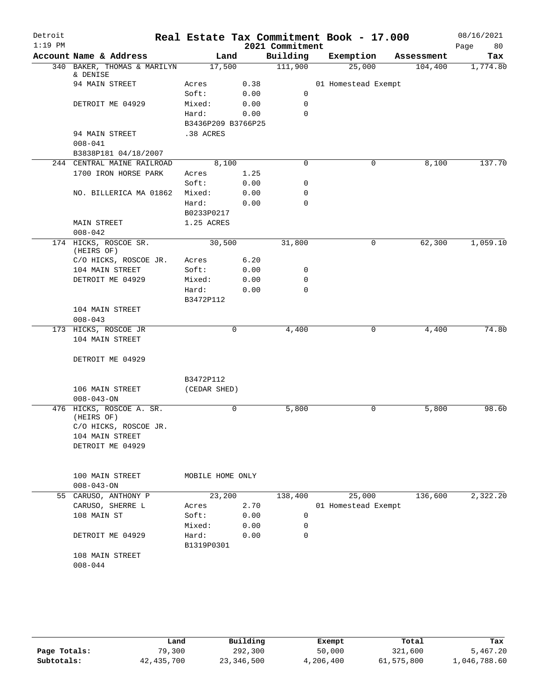| Detroit   |                                         |                     |        |                 | Real Estate Tax Commitment Book - 17.000 |            | 08/16/2021 |
|-----------|-----------------------------------------|---------------------|--------|-----------------|------------------------------------------|------------|------------|
| $1:19$ PM |                                         |                     |        | 2021 Commitment |                                          |            | Page<br>80 |
|           | Account Name & Address                  | Land                |        | Building        | Exemption                                | Assessment | Tax        |
|           | 340 BAKER, THOMAS & MARILYN<br>& DENISE | 17,500              |        | 111,900         | 25,000                                   | 104,400    | 1,774.80   |
|           | 94 MAIN STREET                          | Acres               | 0.38   |                 | 01 Homestead Exempt                      |            |            |
|           |                                         | Soft:               | 0.00   | 0               |                                          |            |            |
|           | DETROIT ME 04929                        | Mixed:              | 0.00   | $\mathbf 0$     |                                          |            |            |
|           |                                         | Hard:               | 0.00   | $\Omega$        |                                          |            |            |
|           |                                         | B3436P209 B3766P25  |        |                 |                                          |            |            |
|           | 94 MAIN STREET                          | .38 ACRES           |        |                 |                                          |            |            |
|           | $008 - 041$                             |                     |        |                 |                                          |            |            |
|           | B3838P181 04/18/2007                    |                     |        |                 |                                          |            |            |
|           | 244 CENTRAL MAINE RAILROAD              | 8,100               |        | 0               | 0                                        | 8,100      | 137.70     |
|           | 1700 IRON HORSE PARK                    | Acres               | 1.25   |                 |                                          |            |            |
|           |                                         | Soft:               | 0.00   | 0               |                                          |            |            |
|           | NO. BILLERICA MA 01862                  | Mixed:              | 0.00   | 0               |                                          |            |            |
|           |                                         | Hard:               | 0.00   | $\Omega$        |                                          |            |            |
|           |                                         | B0233P0217          |        |                 |                                          |            |            |
|           | MAIN STREET                             | 1.25 ACRES          |        |                 |                                          |            |            |
|           | $008 - 042$                             |                     |        |                 |                                          |            |            |
|           | 174 HICKS, ROSCOE SR.<br>(HEIRS OF)     | 30,500              |        | 31,800          | 0                                        | 62,300     | 1,059.10   |
|           | C/O HICKS, ROSCOE JR.                   | Acres               | 6.20   |                 |                                          |            |            |
|           | 104 MAIN STREET                         | Soft:               | 0.00   | 0               |                                          |            |            |
|           | DETROIT ME 04929                        | Mixed:              | 0.00   | $\mathbf 0$     |                                          |            |            |
|           |                                         | Hard:<br>B3472P112  | 0.00   | $\Omega$        |                                          |            |            |
|           | 104 MAIN STREET                         |                     |        |                 |                                          |            |            |
|           | $008 - 043$                             |                     |        |                 |                                          |            |            |
|           | 173 HICKS, ROSCOE JR                    |                     | 0      | 4,400           | 0                                        | 4,400      | 74.80      |
|           | 104 MAIN STREET                         |                     |        |                 |                                          |            |            |
|           | DETROIT ME 04929                        |                     |        |                 |                                          |            |            |
|           |                                         |                     |        |                 |                                          |            |            |
|           |                                         | B3472P112           |        |                 |                                          |            |            |
|           | 106 MAIN STREET<br>$008 - 043 - ON$     | (CEDAR SHED)        |        |                 |                                          |            |            |
|           | 476 HICKS, ROSCOE A. SR.                |                     | 0      | 5,800           | 0                                        | 5,800      | 98.60      |
|           | (HEIRS OF)<br>C/O HICKS, ROSCOE JR.     |                     |        |                 |                                          |            |            |
|           | 104 MAIN STREET                         |                     |        |                 |                                          |            |            |
|           | DETROIT ME 04929                        |                     |        |                 |                                          |            |            |
|           |                                         |                     |        |                 |                                          |            |            |
|           | 100 MAIN STREET                         | MOBILE HOME ONLY    |        |                 |                                          |            |            |
|           | $008 - 043 - ON$                        |                     |        |                 |                                          |            |            |
|           | 55 CARUSO, ANTHONY P                    |                     | 23,200 | 138,400         | 25,000                                   | 136,600    | 2,322.20   |
|           | CARUSO, SHERRE L                        | Acres               | 2.70   |                 | 01 Homestead Exempt                      |            |            |
|           | 108 MAIN ST                             | Soft:               | 0.00   | $\mathbf 0$     |                                          |            |            |
|           |                                         | Mixed:              | 0.00   | $\mathbf 0$     |                                          |            |            |
|           | DETROIT ME 04929                        | Hard:<br>B1319P0301 | 0.00   | 0               |                                          |            |            |
|           | 108 MAIN STREET                         |                     |        |                 |                                          |            |            |
|           | $008 - 044$                             |                     |        |                 |                                          |            |            |
|           |                                         |                     |        |                 |                                          |            |            |
|           |                                         |                     |        |                 |                                          |            |            |
|           |                                         |                     |        |                 |                                          |            |            |

|              | Land         | Building   | Exempt    | Total      | Tax          |
|--------------|--------------|------------|-----------|------------|--------------|
| Page Totals: | 79,300       | 292,300    | 50,000    | 321,600    | 5,467.20     |
| Subtotals:   | 42, 435, 700 | 23,346,500 | 4,206,400 | 61,575,800 | 1,046,788.60 |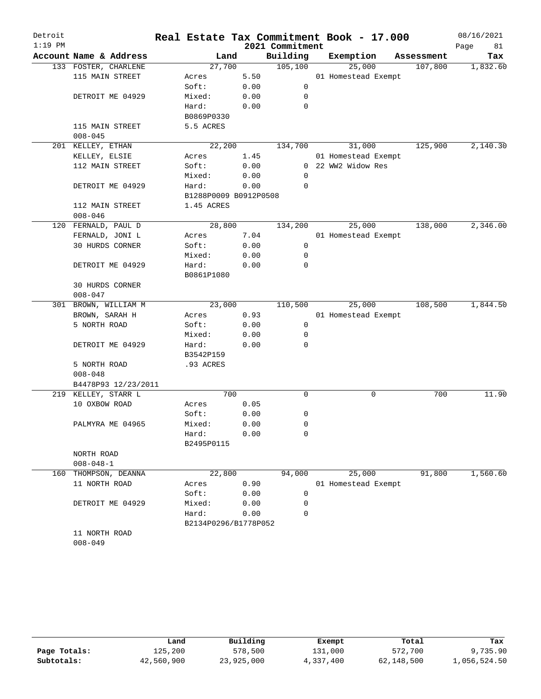| Detroit   |                        |                       |     |      |                 | Real Estate Tax Commitment Book - 17.000 |            | 08/16/2021 |
|-----------|------------------------|-----------------------|-----|------|-----------------|------------------------------------------|------------|------------|
| $1:19$ PM |                        |                       |     |      | 2021 Commitment |                                          |            | Page<br>81 |
|           | Account Name & Address | Land                  |     |      | Building        | Exemption                                | Assessment | Tax        |
|           | 133 FOSTER, CHARLENE   | 27,700                |     |      | 105, 100        | 25,000                                   | 107,800    | 1,832.60   |
|           | 115 MAIN STREET        | Acres                 |     | 5.50 |                 | 01 Homestead Exempt                      |            |            |
|           |                        | Soft:                 |     | 0.00 | 0               |                                          |            |            |
|           | DETROIT ME 04929       | Mixed:                |     | 0.00 | 0               |                                          |            |            |
|           |                        | Hard:                 |     | 0.00 | 0               |                                          |            |            |
|           |                        | B0869P0330            |     |      |                 |                                          |            |            |
|           | 115 MAIN STREET        | 5.5 ACRES             |     |      |                 |                                          |            |            |
|           | $008 - 045$            |                       |     |      |                 |                                          |            |            |
|           | 201 KELLEY, ETHAN      | 22,200                |     |      | 134,700         | 31,000                                   | 125,900    | 2,140.30   |
|           | KELLEY, ELSIE          | Acres                 |     | 1.45 |                 | 01 Homestead Exempt                      |            |            |
|           | 112 MAIN STREET        | Soft:                 |     | 0.00 |                 | 0 22 WW2 Widow Res                       |            |            |
|           |                        | Mixed:                |     | 0.00 | 0               |                                          |            |            |
|           | DETROIT ME 04929       | Hard:                 |     | 0.00 | 0               |                                          |            |            |
|           |                        | B1288P0009 B0912P0508 |     |      |                 |                                          |            |            |
|           | 112 MAIN STREET        | 1.45 ACRES            |     |      |                 |                                          |            |            |
|           | $008 - 046$            |                       |     |      |                 |                                          |            |            |
|           | 120 FERNALD, PAUL D    | 28,800                |     |      | 134,200         | 25,000                                   | 138,000    | 2,346.00   |
|           | FERNALD, JONI L        | Acres                 |     | 7.04 |                 | 01 Homestead Exempt                      |            |            |
|           | 30 HURDS CORNER        | Soft:                 |     | 0.00 | $\mathbf 0$     |                                          |            |            |
|           |                        | Mixed:                |     | 0.00 | 0               |                                          |            |            |
|           | DETROIT ME 04929       | Hard:                 |     | 0.00 | 0               |                                          |            |            |
|           |                        | B0861P1080            |     |      |                 |                                          |            |            |
|           | 30 HURDS CORNER        |                       |     |      |                 |                                          |            |            |
|           | $008 - 047$            |                       |     |      |                 |                                          |            |            |
|           | 301 BROWN, WILLIAM M   | 23,000                |     |      | 110,500         | 25,000                                   | 108,500    | 1,844.50   |
|           | BROWN, SARAH H         | Acres                 |     | 0.93 |                 | 01 Homestead Exempt                      |            |            |
|           | 5 NORTH ROAD           | Soft:                 |     | 0.00 | 0               |                                          |            |            |
|           |                        | Mixed:                |     | 0.00 | 0               |                                          |            |            |
|           | DETROIT ME 04929       | Hard:                 |     | 0.00 | 0               |                                          |            |            |
|           |                        | B3542P159             |     |      |                 |                                          |            |            |
|           | 5 NORTH ROAD           | .93 ACRES             |     |      |                 |                                          |            |            |
|           | $008 - 048$            |                       |     |      |                 |                                          |            |            |
|           | B4478P93 12/23/2011    |                       |     |      |                 |                                          |            |            |
|           | 219 KELLEY, STARR L    |                       | 700 |      | 0               | 0                                        | 700        | 11.90      |
|           | 10 OXBOW ROAD          | Acres                 |     | 0.05 |                 |                                          |            |            |
|           |                        | Soft:                 |     | 0.00 | 0               |                                          |            |            |
|           | PALMYRA ME 04965       | Mixed:                |     | 0.00 | $\mathbf 0$     |                                          |            |            |
|           |                        | Hard:                 |     | 0.00 | 0               |                                          |            |            |
|           |                        | B2495P0115            |     |      |                 |                                          |            |            |
|           | NORTH ROAD             |                       |     |      |                 |                                          |            |            |
|           | $008 - 048 - 1$        |                       |     |      |                 |                                          |            |            |
| 160       | THOMPSON, DEANNA       | 22,800                |     |      | 94,000          | 25,000                                   | 91,800     | 1,560.60   |
|           | 11 NORTH ROAD          | Acres                 |     | 0.90 |                 | 01 Homestead Exempt                      |            |            |
|           |                        | Soft:                 |     | 0.00 | 0               |                                          |            |            |
|           | DETROIT ME 04929       | Mixed:                |     | 0.00 | 0               |                                          |            |            |
|           |                        | Hard:                 |     | 0.00 | 0               |                                          |            |            |
|           |                        | B2134P0296/B1778P052  |     |      |                 |                                          |            |            |
|           | 11 NORTH ROAD          |                       |     |      |                 |                                          |            |            |
|           | $008 - 049$            |                       |     |      |                 |                                          |            |            |

|              | Land       | Building   | Exempt    | Total      | Tax          |
|--------------|------------|------------|-----------|------------|--------------|
| Page Totals: | 125,200    | 578,500    | 131,000   | 572,700    | 9,735.90     |
| Subtotals:   | 42,560,900 | 23,925,000 | 4,337,400 | 62,148,500 | 1,056,524.50 |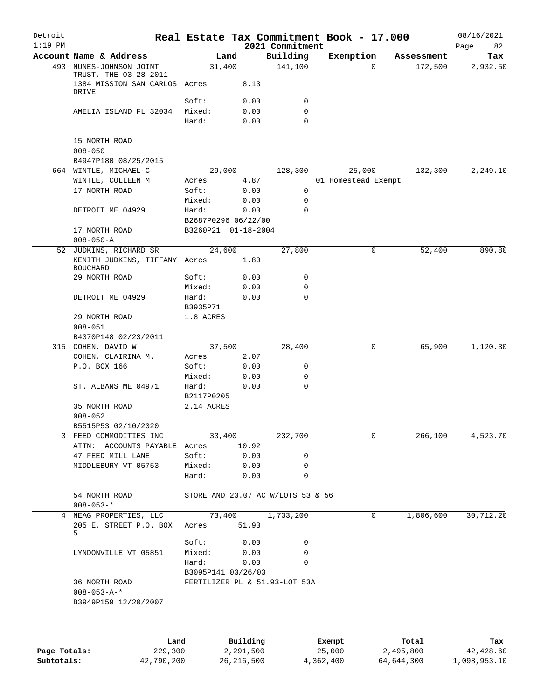| Detroit<br>$1:19$ PM |                                                        |                     |          | 2021 Commitment                   | Real Estate Tax Commitment Book - 17.000 |            | 08/16/2021<br>Page<br>82 |
|----------------------|--------------------------------------------------------|---------------------|----------|-----------------------------------|------------------------------------------|------------|--------------------------|
|                      | Account Name & Address                                 | Land                |          | Building                          | Exemption                                | Assessment | Tax                      |
|                      | 493 NUNES-JOHNSON JOINT                                | 31,400              |          | 141,100                           | $\Omega$                                 | 172,500    | 2,932.50                 |
|                      | TRUST, THE 03-28-2011<br>1384 MISSION SAN CARLOS Acres |                     | 8.13     |                                   |                                          |            |                          |
|                      | DRIVE                                                  |                     |          |                                   |                                          |            |                          |
|                      |                                                        | Soft:               | 0.00     | 0                                 |                                          |            |                          |
|                      | AMELIA ISLAND FL 32034                                 | Mixed:              | 0.00     | 0                                 |                                          |            |                          |
|                      |                                                        | Hard:               | 0.00     | 0                                 |                                          |            |                          |
|                      | 15 NORTH ROAD<br>$008 - 050$                           |                     |          |                                   |                                          |            |                          |
|                      | B4947P180 08/25/2015                                   |                     |          |                                   |                                          |            |                          |
|                      | 664 WINTLE, MICHAEL C                                  | 29,000              |          | 128,300                           | 25,000                                   | 132,300    | 2,249.10                 |
|                      | WINTLE, COLLEEN M                                      | Acres               | 4.87     |                                   | 01 Homestead Exempt                      |            |                          |
|                      | 17 NORTH ROAD                                          | Soft:               | 0.00     | 0                                 |                                          |            |                          |
|                      |                                                        | Mixed:              | 0.00     | 0                                 |                                          |            |                          |
|                      | DETROIT ME 04929                                       | Hard:               | 0.00     | $\mathbf 0$                       |                                          |            |                          |
|                      |                                                        | B2687P0296 06/22/00 |          |                                   |                                          |            |                          |
|                      | 17 NORTH ROAD                                          | B3260P21 01-18-2004 |          |                                   |                                          |            |                          |
|                      | $008 - 050 - A$                                        |                     |          |                                   |                                          |            |                          |
|                      |                                                        |                     |          | 27,800                            |                                          | 52,400     | 890.80                   |
|                      | 52 JUDKINS, RICHARD SR                                 | 24,600              |          |                                   | 0                                        |            |                          |
|                      | KENITH JUDKINS, TIFFANY Acres<br><b>BOUCHARD</b>       |                     | 1.80     |                                   |                                          |            |                          |
|                      | 29 NORTH ROAD                                          | Soft:               | 0.00     | 0                                 |                                          |            |                          |
|                      |                                                        | Mixed:              | 0.00     | 0                                 |                                          |            |                          |
|                      | DETROIT ME 04929                                       | Hard:               | 0.00     | 0                                 |                                          |            |                          |
|                      |                                                        | B3935P71            |          |                                   |                                          |            |                          |
|                      | 29 NORTH ROAD                                          | 1.8 ACRES           |          |                                   |                                          |            |                          |
|                      | $008 - 051$                                            |                     |          |                                   |                                          |            |                          |
|                      | B4370P148 02/23/2011                                   |                     |          |                                   |                                          |            |                          |
|                      | 315 COHEN, DAVID W                                     | 37,500              |          | 28,400                            | 0                                        | 65,900     | 1,120.30                 |
|                      | COHEN, CLAIRINA M.                                     | Acres               | 2.07     |                                   |                                          |            |                          |
|                      | P.O. BOX 166                                           | Soft:               | 0.00     | 0                                 |                                          |            |                          |
|                      |                                                        | Mixed:              | 0.00     | 0                                 |                                          |            |                          |
|                      | ST. ALBANS ME 04971                                    | Hard:               | 0.00     | 0                                 |                                          |            |                          |
|                      |                                                        | B2117P0205          |          |                                   |                                          |            |                          |
|                      | 35 NORTH ROAD                                          | 2.14 ACRES          |          |                                   |                                          |            |                          |
|                      | $008 - 052$                                            |                     |          |                                   |                                          |            |                          |
|                      |                                                        |                     |          |                                   |                                          |            |                          |
|                      | B5515P53 02/10/2020                                    | $\frac{33,400}{ }$  |          | 232,700                           | 0                                        | 266,100    | 4,523.70                 |
|                      | 3 FEED COMMODITIES INC                                 |                     |          |                                   |                                          |            |                          |
|                      | ATTN: ACCOUNTS PAYABLE Acres 10.92                     |                     |          |                                   |                                          |            |                          |
|                      | 47 FEED MILL LANE                                      | Soft:               | 0.00     | 0                                 |                                          |            |                          |
|                      | MIDDLEBURY VT 05753                                    | Mixed:              | 0.00     | 0                                 |                                          |            |                          |
|                      |                                                        | Hard:               | 0.00     | 0                                 |                                          |            |                          |
|                      | 54 NORTH ROAD<br>$008 - 053 -$ *                       |                     |          | STORE AND 23.07 AC W/LOTS 53 & 56 |                                          |            |                          |
|                      | 4 NEAG PROPERTIES, LLC                                 |                     |          | 73,400 1,733,200                  | 0                                        | 1,806,600  | 30, 712.20               |
|                      | 205 E. STREET P.O. BOX<br>5.                           | Acres 51.93         |          |                                   |                                          |            |                          |
|                      |                                                        | Soft:               | 0.00     | 0                                 |                                          |            |                          |
|                      | LYNDONVILLE VT 05851                                   | Mixed: 0.00         |          | 0                                 |                                          |            |                          |
|                      |                                                        | Hard:               | 0.00     | $\Omega$                          |                                          |            |                          |
|                      |                                                        | B3095P141 03/26/03  |          |                                   |                                          |            |                          |
|                      | 36 NORTH ROAD                                          |                     |          | FERTILIZER PL & 51.93-LOT 53A     |                                          |            |                          |
|                      | $008 - 053 - A -$ *                                    |                     |          |                                   |                                          |            |                          |
|                      | B3949P159 12/20/2007                                   |                     |          |                                   |                                          |            |                          |
|                      |                                                        |                     |          |                                   |                                          |            |                          |
|                      |                                                        |                     |          |                                   |                                          |            |                          |
|                      | Land                                                   |                     | Building |                                   | Exempt                                   | Total      | Tax                      |

**Page Totals:** 229,300 2,291,500 25,000 2,495,800 42,428.60 **Subtotals:** 42,790,200 26,216,500 4,362,400 64,644,300 1,098,953.10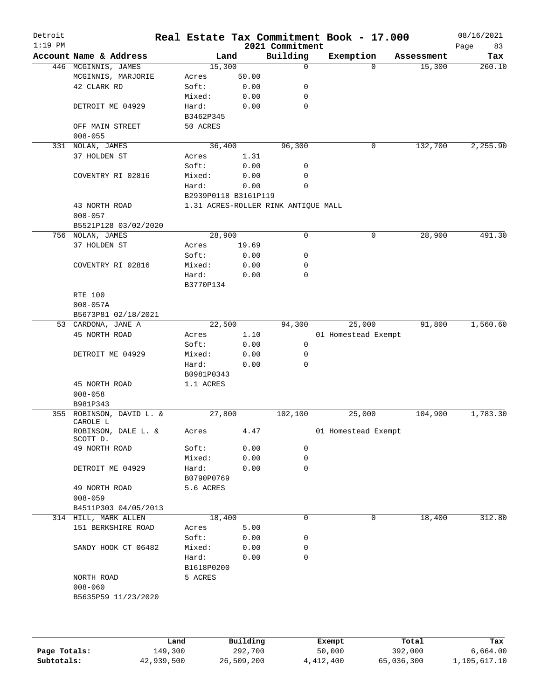| Detroit<br>$1:19$ PM |                                 |                      |       | 2021 Commitment                     | Real Estate Tax Commitment Book - 17.000 |          |            | 08/16/2021<br>Page<br>83 |
|----------------------|---------------------------------|----------------------|-------|-------------------------------------|------------------------------------------|----------|------------|--------------------------|
|                      | Account Name & Address          | Land                 |       | Building                            | Exemption                                |          | Assessment | Tax                      |
|                      | 446 MCGINNIS, JAMES             | 15,300               |       | $\mathbf 0$                         |                                          | $\Omega$ | 15,300     | 260.10                   |
|                      | MCGINNIS, MARJORIE              | Acres                | 50.00 |                                     |                                          |          |            |                          |
|                      | 42 CLARK RD                     | Soft:                | 0.00  | 0                                   |                                          |          |            |                          |
|                      |                                 | Mixed:               | 0.00  | 0                                   |                                          |          |            |                          |
|                      | DETROIT ME 04929                | Hard:                | 0.00  | $\mathbf 0$                         |                                          |          |            |                          |
|                      |                                 | B3462P345            |       |                                     |                                          |          |            |                          |
|                      | OFF MAIN STREET                 | 50 ACRES             |       |                                     |                                          |          |            |                          |
|                      | $008 - 055$                     |                      |       |                                     |                                          |          |            |                          |
|                      | 331 NOLAN, JAMES                | 36,400               |       | 96,300                              |                                          | 0        | 132,700    | 2,255.90                 |
|                      | 37 HOLDEN ST                    | Acres                | 1.31  |                                     |                                          |          |            |                          |
|                      |                                 | Soft:                | 0.00  | 0                                   |                                          |          |            |                          |
|                      | COVENTRY RI 02816               | Mixed:               | 0.00  | 0                                   |                                          |          |            |                          |
|                      |                                 | Hard:                | 0.00  | 0                                   |                                          |          |            |                          |
|                      |                                 | B2939P0118 B3161P119 |       |                                     |                                          |          |            |                          |
|                      | 43 NORTH ROAD                   |                      |       | 1.31 ACRES-ROLLER RINK ANTIQUE MALL |                                          |          |            |                          |
|                      | $008 - 057$                     |                      |       |                                     |                                          |          |            |                          |
|                      | B5521P128 03/02/2020            |                      |       |                                     |                                          |          |            |                          |
|                      | 756 NOLAN, JAMES                | 28,900               |       | $\mathbf 0$                         |                                          | 0        | 28,900     | 491.30                   |
|                      | 37 HOLDEN ST                    | Acres                | 19.69 |                                     |                                          |          |            |                          |
|                      |                                 | Soft:                | 0.00  | 0                                   |                                          |          |            |                          |
|                      | COVENTRY RI 02816               | Mixed:               | 0.00  | 0                                   |                                          |          |            |                          |
|                      |                                 | Hard:                | 0.00  | 0                                   |                                          |          |            |                          |
|                      |                                 | B3770P134            |       |                                     |                                          |          |            |                          |
|                      | RTE 100                         |                      |       |                                     |                                          |          |            |                          |
|                      | $008 - 057A$                    |                      |       |                                     |                                          |          |            |                          |
|                      | B5673P81 02/18/2021             |                      |       |                                     |                                          |          |            |                          |
|                      | 53 CARDONA, JANE A              | 22,500               |       | 94,300                              | 25,000                                   |          | 91,800     | 1,560.60                 |
|                      | 45 NORTH ROAD                   | Acres                | 1.10  |                                     | 01 Homestead Exempt                      |          |            |                          |
|                      |                                 | Soft:                | 0.00  | 0                                   |                                          |          |            |                          |
|                      | DETROIT ME 04929                | Mixed:               | 0.00  | 0                                   |                                          |          |            |                          |
|                      |                                 | Hard:                | 0.00  | $\Omega$                            |                                          |          |            |                          |
|                      |                                 | B0981P0343           |       |                                     |                                          |          |            |                          |
|                      | 45 NORTH ROAD                   | 1.1 ACRES            |       |                                     |                                          |          |            |                          |
|                      | $008 - 058$                     |                      |       |                                     |                                          |          |            |                          |
|                      | B981P343                        |                      |       |                                     |                                          |          |            |                          |
|                      | 355 ROBINSON, DAVID L. &        | 27,800               |       | 102,100                             | 25,000                                   |          | 104,900    | 1,783.30                 |
|                      | CAROLE L<br>ROBINSON, DALE L. & | Acres                | 4.47  |                                     | 01 Homestead Exempt                      |          |            |                          |
|                      | SCOTT D.                        |                      |       |                                     |                                          |          |            |                          |
|                      | 49 NORTH ROAD                   | Soft:                | 0.00  | 0                                   |                                          |          |            |                          |
|                      |                                 | Mixed:               | 0.00  | 0                                   |                                          |          |            |                          |
|                      | DETROIT ME 04929                | Hard:                | 0.00  | 0                                   |                                          |          |            |                          |
|                      |                                 | B0790P0769           |       |                                     |                                          |          |            |                          |
|                      | 49 NORTH ROAD                   | 5.6 ACRES            |       |                                     |                                          |          |            |                          |
|                      | $008 - 059$                     |                      |       |                                     |                                          |          |            |                          |
|                      | B4511P303 04/05/2013            |                      |       |                                     |                                          |          |            |                          |
|                      | 314 HILL, MARK ALLEN            | 18,400               |       | 0                                   |                                          | 0        | 18,400     | 312.80                   |
|                      | 151 BERKSHIRE ROAD              | Acres                | 5.00  |                                     |                                          |          |            |                          |
|                      |                                 | Soft:                | 0.00  | 0                                   |                                          |          |            |                          |
|                      | SANDY HOOK CT 06482             | Mixed:               | 0.00  | 0                                   |                                          |          |            |                          |
|                      |                                 | Hard:                | 0.00  | 0                                   |                                          |          |            |                          |
|                      |                                 | B1618P0200           |       |                                     |                                          |          |            |                          |
|                      | NORTH ROAD                      | 5 ACRES              |       |                                     |                                          |          |            |                          |
|                      | $008 - 060$                     |                      |       |                                     |                                          |          |            |                          |
|                      | B5635P59 11/23/2020             |                      |       |                                     |                                          |          |            |                          |
|                      |                                 |                      |       |                                     |                                          |          |            |                          |
|                      |                                 |                      |       |                                     |                                          |          |            |                          |
|                      |                                 |                      |       |                                     |                                          |          |            |                          |
|                      |                                 |                      |       |                                     |                                          |          |            |                          |
|                      |                                 |                      |       |                                     |                                          |          |            |                          |

|              | Land       | Building   | Exempt    | Total      | Tax          |
|--------------|------------|------------|-----------|------------|--------------|
| Page Totals: | 149,300    | 292,700    | 50,000    | 392,000    | 6.664.00     |
| Subtotals:   | 42,939,500 | 26,509,200 | 4,412,400 | 65,036,300 | 1,105,617.10 |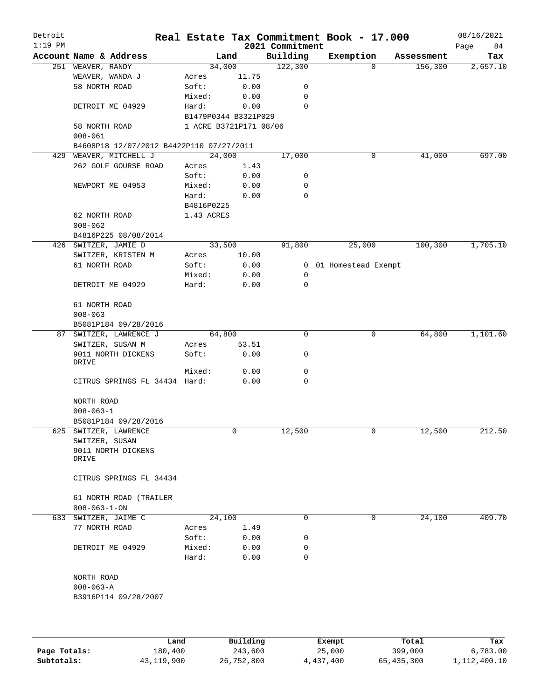| Detroit<br>$1:19$ PM |                                          |            |                        | 2021 Commitment | Real Estate Tax Commitment Book - 17.000 |            | 08/16/2021<br>Page<br>84 |
|----------------------|------------------------------------------|------------|------------------------|-----------------|------------------------------------------|------------|--------------------------|
|                      | Account Name & Address                   |            | Land                   | Building        | Exemption                                | Assessment | Tax                      |
|                      | 251 WEAVER, RANDY                        |            | 34,000                 | 122,300         | $\Omega$                                 | 156,300    | 2,657.10                 |
|                      | WEAVER, WANDA J                          | Acres      | 11.75                  |                 |                                          |            |                          |
|                      | 58 NORTH ROAD                            | Soft:      | 0.00                   | 0               |                                          |            |                          |
|                      |                                          | Mixed:     | 0.00                   | 0               |                                          |            |                          |
|                      | DETROIT ME 04929                         | Hard:      | 0.00                   | $\mathbf 0$     |                                          |            |                          |
|                      |                                          |            | B1479P0344 B3321P029   |                 |                                          |            |                          |
|                      | 58 NORTH ROAD                            |            | 1 ACRE B3721P171 08/06 |                 |                                          |            |                          |
|                      | $008 - 061$                              |            |                        |                 |                                          |            |                          |
|                      | B4608P18 12/07/2012 B4422P110 07/27/2011 |            |                        |                 |                                          |            |                          |
|                      | 429 WEAVER, MITCHELL J                   |            | 24,000                 | 17,000          | 0                                        | 41,000     | 697.00                   |
|                      | 262 GOLF GOURSE ROAD                     | Acres      | 1.43                   |                 |                                          |            |                          |
|                      |                                          | Soft:      | 0.00                   | 0               |                                          |            |                          |
|                      | NEWPORT ME 04953                         | Mixed:     | 0.00                   | 0               |                                          |            |                          |
|                      |                                          | Hard:      | 0.00                   | $\mathbf 0$     |                                          |            |                          |
|                      |                                          | B4816P0225 |                        |                 |                                          |            |                          |
|                      | 62 NORTH ROAD                            | 1.43 ACRES |                        |                 |                                          |            |                          |
|                      | $008 - 062$                              |            |                        |                 |                                          |            |                          |
|                      | B4816P225 08/08/2014                     |            |                        |                 |                                          |            |                          |
|                      | 426 SWITZER, JAMIE D                     |            | 33,500                 | 91,800          | 25,000                                   | 100,300    | 1,705.10                 |
|                      | SWITZER, KRISTEN M                       | Acres      | 10.00                  |                 |                                          |            |                          |
|                      | 61 NORTH ROAD                            | Soft:      | 0.00                   |                 | 0 01 Homestead Exempt                    |            |                          |
|                      |                                          | Mixed:     | 0.00                   | 0               |                                          |            |                          |
|                      | DETROIT ME 04929                         | Hard:      | 0.00                   | $\mathbf 0$     |                                          |            |                          |
|                      | 61 NORTH ROAD                            |            |                        |                 |                                          |            |                          |
|                      | $008 - 063$                              |            |                        |                 |                                          |            |                          |
|                      | B5081P184 09/28/2016                     |            |                        |                 |                                          |            |                          |
|                      | 87 SWITZER, LAWRENCE J                   |            | 64,800                 | 0               | 0                                        | 64,800     | 1,101.60                 |
|                      | SWITZER, SUSAN M                         | Acres      | 53.51                  |                 |                                          |            |                          |
|                      | 9011 NORTH DICKENS                       | Soft:      | 0.00                   | 0               |                                          |            |                          |
|                      | DRIVE                                    |            |                        |                 |                                          |            |                          |
|                      |                                          | Mixed:     | 0.00                   | 0               |                                          |            |                          |
|                      | CITRUS SPRINGS FL 34434 Hard:            |            | 0.00                   | 0               |                                          |            |                          |
|                      | NORTH ROAD                               |            |                        |                 |                                          |            |                          |
|                      | $008 - 063 - 1$                          |            |                        |                 |                                          |            |                          |
|                      | B5081P184 09/28/2016                     |            |                        |                 |                                          |            |                          |
| 625                  | SWITZER, LAWRENCE                        |            | 0                      | 12,500          | 0                                        | 12,500     | 212.50                   |
|                      | SWITZER, SUSAN                           |            |                        |                 |                                          |            |                          |
|                      | 9011 NORTH DICKENS                       |            |                        |                 |                                          |            |                          |
|                      | DRIVE                                    |            |                        |                 |                                          |            |                          |
|                      | CITRUS SPRINGS FL 34434                  |            |                        |                 |                                          |            |                          |
|                      |                                          |            |                        |                 |                                          |            |                          |
|                      | 61 NORTH ROAD (TRAILER                   |            |                        |                 |                                          |            |                          |
|                      | $008 - 063 - 1 - ON$                     |            |                        |                 |                                          |            |                          |
|                      | 633 SWITZER, JAIME C                     |            | 24,100                 | 0               | 0                                        | 24,100     | 409.70                   |
|                      | 77 NORTH ROAD                            | Acres      | 1.49                   |                 |                                          |            |                          |
|                      |                                          | Soft:      | 0.00                   | 0               |                                          |            |                          |
|                      | DETROIT ME 04929                         | Mixed:     | 0.00                   | 0               |                                          |            |                          |
|                      |                                          | Hard:      | 0.00                   | 0               |                                          |            |                          |
|                      |                                          |            |                        |                 |                                          |            |                          |
|                      | NORTH ROAD                               |            |                        |                 |                                          |            |                          |
|                      | $008 - 063 - A$                          |            |                        |                 |                                          |            |                          |
|                      | B3916P114 09/28/2007                     |            |                        |                 |                                          |            |                          |
|                      |                                          |            |                        |                 |                                          |            |                          |
|                      |                                          |            |                        |                 |                                          |            |                          |
|                      | Land                                     |            | Building               |                 | Exempt                                   | Total      | Tax                      |

|              | Land       | Building   | Exempt    | Total      | Tax          |
|--------------|------------|------------|-----------|------------|--------------|
| Page Totals: | 180,400    | 243,600    | 25,000    | 399,000    | 6,783.00     |
| Subtotals:   | 43,119,900 | 26,752,800 | 4,437,400 | 65,435,300 | 1,112,400.10 |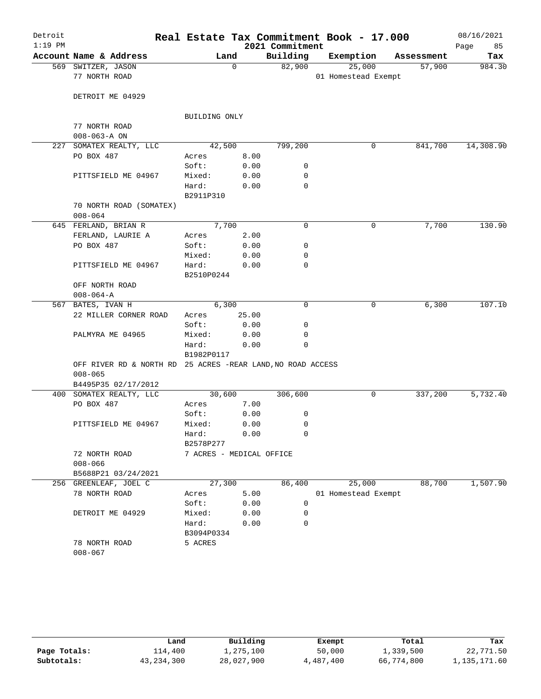| Detroit<br>$1:19$ PM |                                                             |                          |             | 2021 Commitment | Real Estate Tax Commitment Book - 17.000 |            | 08/16/2021<br>Page<br>85 |
|----------------------|-------------------------------------------------------------|--------------------------|-------------|-----------------|------------------------------------------|------------|--------------------------|
|                      | Account Name & Address                                      | Land                     |             | Building        | Exemption                                | Assessment | Tax                      |
|                      | 569 SWITZER, JASON                                          |                          | $\mathbf 0$ | 82,900          | 25,000                                   | 57,900     | 984.30                   |
|                      | 77 NORTH ROAD                                               |                          |             |                 | 01 Homestead Exempt                      |            |                          |
|                      | DETROIT ME 04929                                            |                          |             |                 |                                          |            |                          |
|                      |                                                             | BUILDING ONLY            |             |                 |                                          |            |                          |
|                      | 77 NORTH ROAD                                               |                          |             |                 |                                          |            |                          |
|                      | $008 - 063 - A ON$                                          |                          |             |                 |                                          |            |                          |
| 227                  | SOMATEX REALTY, LLC                                         | 42,500                   |             | 799,200         | 0                                        | 841,700    | 14,308.90                |
|                      | PO BOX 487                                                  | Acres                    | 8.00        |                 |                                          |            |                          |
|                      |                                                             | Soft:                    | 0.00        | 0               |                                          |            |                          |
|                      | PITTSFIELD ME 04967                                         | Mixed:                   | 0.00        | 0               |                                          |            |                          |
|                      |                                                             | Hard:<br>B2911P310       | 0.00        | $\mathbf 0$     |                                          |            |                          |
|                      | 70 NORTH ROAD (SOMATEX)<br>$008 - 064$                      |                          |             |                 |                                          |            |                          |
|                      | 645 FERLAND, BRIAN R                                        | 7,700                    |             | $\mathbf 0$     | 0                                        | 7,700      | 130.90                   |
|                      | FERLAND, LAURIE A                                           | Acres                    | 2.00        |                 |                                          |            |                          |
|                      | PO BOX 487                                                  | Soft:                    | 0.00        | 0               |                                          |            |                          |
|                      |                                                             | Mixed:                   | 0.00        | 0               |                                          |            |                          |
|                      | PITTSFIELD ME 04967                                         | Hard:<br>B2510P0244      | 0.00        | $\mathbf 0$     |                                          |            |                          |
|                      | OFF NORTH ROAD                                              |                          |             |                 |                                          |            |                          |
|                      | $008 - 064 - A$                                             |                          |             |                 |                                          |            |                          |
|                      | 567 BATES, IVAN H                                           | 6,300                    |             | $\mathbf 0$     | 0                                        | 6,300      | 107.10                   |
|                      | 22 MILLER CORNER ROAD                                       | Acres                    | 25.00       |                 |                                          |            |                          |
|                      |                                                             | Soft:                    | 0.00        | 0               |                                          |            |                          |
|                      | PALMYRA ME 04965                                            | Mixed:                   | 0.00        | 0               |                                          |            |                          |
|                      |                                                             | Hard:<br>B1982P0117      | 0.00        | $\mathbf 0$     |                                          |            |                          |
|                      | OFF RIVER RD & NORTH RD 25 ACRES -REAR LAND, NO ROAD ACCESS |                          |             |                 |                                          |            |                          |
|                      | $008 - 065$                                                 |                          |             |                 |                                          |            |                          |
|                      | B4495P35 02/17/2012                                         |                          |             |                 |                                          |            |                          |
|                      | 400 SOMATEX REALTY, LLC                                     | 30,600                   |             | 306,600         | 0                                        | 337,200    | 5,732.40                 |
|                      | PO BOX 487                                                  | Acres                    | 7.00        |                 |                                          |            |                          |
|                      |                                                             | Soft:                    | 0.00        | 0               |                                          |            |                          |
|                      | PITTSFIELD ME 04967                                         | Mixed:                   | 0.00        | 0               |                                          |            |                          |
|                      |                                                             | Hard:<br>B2578P277       | 0.00        | 0               |                                          |            |                          |
|                      | 72 NORTH ROAD                                               | 7 ACRES - MEDICAL OFFICE |             |                 |                                          |            |                          |
|                      | $008 - 066$                                                 |                          |             |                 |                                          |            |                          |
|                      | B5688P21 03/24/2021                                         |                          |             |                 |                                          |            |                          |
|                      | 256 GREENLEAF, JOEL C                                       | 27,300                   |             | 86,400          | 25,000                                   | 88,700     | 1,507.90                 |
|                      | 78 NORTH ROAD                                               | Acres                    | 5.00        |                 | 01 Homestead Exempt                      |            |                          |
|                      |                                                             | Soft:                    | 0.00        | 0               |                                          |            |                          |
|                      | DETROIT ME 04929                                            | Mixed:                   | 0.00        | 0               |                                          |            |                          |
|                      |                                                             | Hard:<br>B3094P0334      | 0.00        | $\mathbf 0$     |                                          |            |                          |
|                      | 78 NORTH ROAD<br>$008 - 067$                                | 5 ACRES                  |             |                 |                                          |            |                          |

|              | Land         | Building   | Exempt    | Total      | Tax          |
|--------------|--------------|------------|-----------|------------|--------------|
| Page Totals: | 114,400      | 1,275,100  | 50,000    | 1,339,500  | 22,771.50    |
| Subtotals:   | 43, 234, 300 | 28,027,900 | 4,487,400 | 66,774,800 | 1,135,171.60 |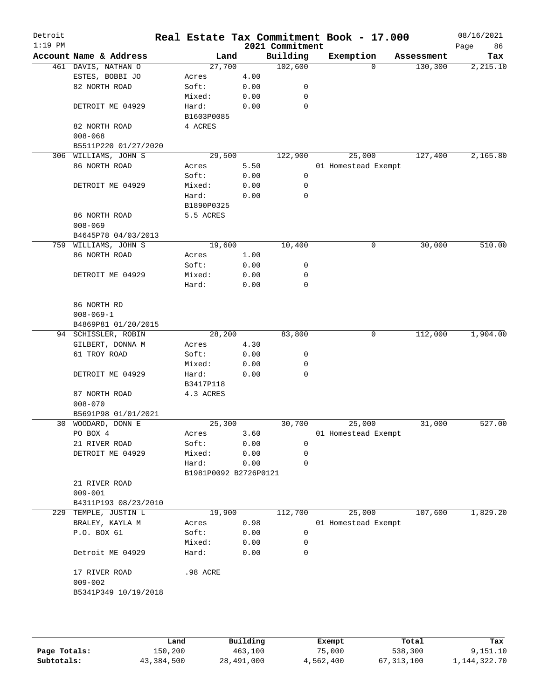| Detroit<br>$1:19$ PM |                              |                       |      | 2021 Commitment | Real Estate Tax Commitment Book - 17.000 |            | 08/16/2021<br>Page | 86       |
|----------------------|------------------------------|-----------------------|------|-----------------|------------------------------------------|------------|--------------------|----------|
|                      | Account Name & Address       | Land                  |      | Building        | Exemption                                | Assessment |                    | Tax      |
|                      | 461 DAVIS, NATHAN O          | 27,700                |      | 102,600         | $\Omega$                                 | 130,300    |                    | 2,215.10 |
|                      | ESTES, BOBBI JO              | Acres                 | 4.00 |                 |                                          |            |                    |          |
|                      | 82 NORTH ROAD                | Soft:                 | 0.00 | 0               |                                          |            |                    |          |
|                      |                              | Mixed:                | 0.00 | 0               |                                          |            |                    |          |
|                      | DETROIT ME 04929             | Hard:                 | 0.00 | 0               |                                          |            |                    |          |
|                      |                              | B1603P0085            |      |                 |                                          |            |                    |          |
|                      | 82 NORTH ROAD                | 4 ACRES               |      |                 |                                          |            |                    |          |
|                      | $008 - 068$                  |                       |      |                 |                                          |            |                    |          |
|                      | B5511P220 01/27/2020         |                       |      |                 |                                          |            |                    |          |
|                      | 306 WILLIAMS, JOHN S         | 29,500                |      | 122,900         | 25,000                                   | 127,400    |                    | 2,165.80 |
|                      | 86 NORTH ROAD                | Acres                 | 5.50 |                 | 01 Homestead Exempt                      |            |                    |          |
|                      |                              | Soft:                 | 0.00 | 0               |                                          |            |                    |          |
|                      | DETROIT ME 04929             | Mixed:                | 0.00 | 0               |                                          |            |                    |          |
|                      |                              | Hard:                 | 0.00 | 0               |                                          |            |                    |          |
|                      |                              | B1890P0325            |      |                 |                                          |            |                    |          |
|                      | 86 NORTH ROAD                | 5.5 ACRES             |      |                 |                                          |            |                    |          |
|                      | $008 - 069$                  |                       |      |                 |                                          |            |                    |          |
|                      | B4645P78 04/03/2013          |                       |      |                 |                                          |            |                    |          |
|                      | 759 WILLIAMS, JOHN S         | 19,600                |      | 10,400          | 0                                        | 30,000     |                    | 510.00   |
|                      | 86 NORTH ROAD                | Acres                 | 1.00 |                 |                                          |            |                    |          |
|                      |                              | Soft:                 | 0.00 | 0               |                                          |            |                    |          |
|                      | DETROIT ME 04929             | Mixed:                | 0.00 | 0               |                                          |            |                    |          |
|                      |                              | Hard:                 | 0.00 | $\mathbf 0$     |                                          |            |                    |          |
|                      |                              |                       |      |                 |                                          |            |                    |          |
|                      | 86 NORTH RD                  |                       |      |                 |                                          |            |                    |          |
|                      | $008 - 069 - 1$              |                       |      |                 |                                          |            |                    |          |
|                      | B4869P81 01/20/2015          |                       |      |                 |                                          |            |                    |          |
|                      | 94 SCHISSLER, ROBIN          | 28,200                |      | 83,800          | 0                                        | 112,000    |                    | 1,904.00 |
|                      | GILBERT, DONNA M             | Acres                 | 4.30 |                 |                                          |            |                    |          |
|                      | 61 TROY ROAD                 | Soft:                 | 0.00 | 0               |                                          |            |                    |          |
|                      |                              | Mixed:                | 0.00 | 0               |                                          |            |                    |          |
|                      | DETROIT ME 04929             | Hard:                 | 0.00 | 0               |                                          |            |                    |          |
|                      |                              | B3417P118             |      |                 |                                          |            |                    |          |
|                      | 87 NORTH ROAD                | 4.3 ACRES             |      |                 |                                          |            |                    |          |
|                      | $008 - 070$                  |                       |      |                 |                                          |            |                    |          |
|                      | B5691P98 01/01/2021          |                       |      |                 |                                          |            |                    |          |
|                      | 30 WOODARD, DONN E           | 25,300                |      | 30,700          | 25,000                                   | 31,000     |                    | 527.00   |
|                      | PO BOX 4                     | Acres                 | 3.60 |                 | 01 Homestead Exempt                      |            |                    |          |
|                      | 21 RIVER ROAD                | Soft:                 | 0.00 | $\mathbf 0$     |                                          |            |                    |          |
|                      | DETROIT ME 04929             | Mixed:                | 0.00 | 0               |                                          |            |                    |          |
|                      |                              | Hard:                 | 0.00 | 0               |                                          |            |                    |          |
|                      |                              | B1981P0092 B2726P0121 |      |                 |                                          |            |                    |          |
|                      | 21 RIVER ROAD                |                       |      |                 |                                          |            |                    |          |
|                      | $009 - 001$                  |                       |      |                 |                                          |            |                    |          |
|                      | B4311P193 08/23/2010         |                       |      |                 |                                          |            |                    |          |
|                      | 229 TEMPLE, JUSTIN L         | 19,900                |      | 112,700         | 25,000                                   | 107,600    |                    | 1,829.20 |
|                      | BRALEY, KAYLA M              | Acres                 | 0.98 |                 | 01 Homestead Exempt                      |            |                    |          |
|                      | P.O. BOX 61                  | Soft:                 | 0.00 | $\mathbf 0$     |                                          |            |                    |          |
|                      |                              | Mixed:                | 0.00 | 0               |                                          |            |                    |          |
|                      | Detroit ME 04929             | Hard:                 | 0.00 | 0               |                                          |            |                    |          |
|                      |                              |                       |      |                 |                                          |            |                    |          |
|                      |                              | .98 ACRE              |      |                 |                                          |            |                    |          |
|                      | 17 RIVER ROAD<br>$009 - 002$ |                       |      |                 |                                          |            |                    |          |
|                      |                              |                       |      |                 |                                          |            |                    |          |
|                      | B5341P349 10/19/2018         |                       |      |                 |                                          |            |                    |          |
|                      |                              |                       |      |                 |                                          |            |                    |          |
|                      |                              |                       |      |                 |                                          |            |                    |          |

|              | Land       | Building   | Exempt    | Total        | Tax             |
|--------------|------------|------------|-----------|--------------|-----------------|
| Page Totals: | 150,200    | 463,100    | 75,000    | 538,300      | 9,151.10        |
| Subtotals:   | 43,384,500 | 28,491,000 | 4,562,400 | 67, 313, 100 | 1, 144, 322. 70 |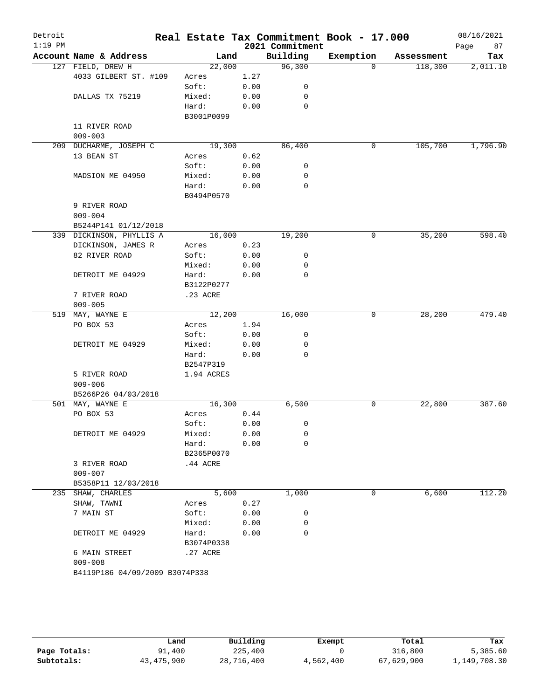| Detroit<br>$1:19$ PM |                                |            |      | 2021 Commitment | Real Estate Tax Commitment Book - 17.000 |            | 08/16/2021<br>87<br>Page |
|----------------------|--------------------------------|------------|------|-----------------|------------------------------------------|------------|--------------------------|
|                      | Account Name & Address         | Land       |      | Building        | Exemption                                | Assessment | Tax                      |
|                      | 127 FIELD, DREW H              | 22,000     |      | 96,300          | $\Omega$                                 | 118,300    | 2,011.10                 |
|                      | 4033 GILBERT ST. #109          | Acres      | 1.27 |                 |                                          |            |                          |
|                      |                                | Soft:      | 0.00 | 0               |                                          |            |                          |
|                      | DALLAS TX 75219                | Mixed:     | 0.00 | 0               |                                          |            |                          |
|                      |                                | Hard:      | 0.00 | 0               |                                          |            |                          |
|                      |                                | B3001P0099 |      |                 |                                          |            |                          |
|                      | 11 RIVER ROAD                  |            |      |                 |                                          |            |                          |
|                      | $009 - 003$                    |            |      |                 |                                          |            |                          |
| 209                  | DUCHARME, JOSEPH C             | 19,300     |      | 86,400          | 0                                        | 105,700    | 1,796.90                 |
|                      | 13 BEAN ST                     | Acres      | 0.62 |                 |                                          |            |                          |
|                      |                                | Soft:      | 0.00 | 0               |                                          |            |                          |
|                      | MADSION ME 04950               | Mixed:     | 0.00 | 0               |                                          |            |                          |
|                      |                                | Hard:      | 0.00 | 0               |                                          |            |                          |
|                      |                                | B0494P0570 |      |                 |                                          |            |                          |
|                      | 9 RIVER ROAD                   |            |      |                 |                                          |            |                          |
|                      | $009 - 004$                    |            |      |                 |                                          |            |                          |
|                      | B5244P141 01/12/2018           |            |      |                 |                                          |            |                          |
|                      | 339 DICKINSON, PHYLLIS A       | 16,000     |      | 19,200          | 0                                        | 35,200     | 598.40                   |
|                      | DICKINSON, JAMES R             | Acres      | 0.23 |                 |                                          |            |                          |
|                      | 82 RIVER ROAD                  | Soft:      | 0.00 | 0               |                                          |            |                          |
|                      |                                | Mixed:     | 0.00 | 0               |                                          |            |                          |
|                      | DETROIT ME 04929               | Hard:      | 0.00 | 0               |                                          |            |                          |
|                      |                                | B3122P0277 |      |                 |                                          |            |                          |
|                      | 7 RIVER ROAD                   | .23 ACRE   |      |                 |                                          |            |                          |
|                      | $009 - 005$                    |            |      |                 |                                          |            |                          |
| 519                  | MAY, WAYNE E                   | 12,200     |      | 16,000          | 0                                        | 28,200     | 479.40                   |
|                      | PO BOX 53                      | Acres      | 1.94 |                 |                                          |            |                          |
|                      |                                | Soft:      | 0.00 | 0               |                                          |            |                          |
|                      | DETROIT ME 04929               | Mixed:     | 0.00 | 0               |                                          |            |                          |
|                      |                                | Hard:      | 0.00 | $\mathbf 0$     |                                          |            |                          |
|                      |                                | B2547P319  |      |                 |                                          |            |                          |
|                      | 5 RIVER ROAD                   | 1.94 ACRES |      |                 |                                          |            |                          |
|                      | $009 - 006$                    |            |      |                 |                                          |            |                          |
|                      | B5266P26 04/03/2018            |            |      |                 |                                          |            |                          |
|                      | 501 MAY, WAYNE E               | 16,300     |      | 6,500           | 0                                        | 22,800     | 387.60                   |
|                      | PO BOX 53                      | Acres      | 0.44 |                 |                                          |            |                          |
|                      |                                | Soft:      | 0.00 | 0               |                                          |            |                          |
|                      | DETROIT ME 04929               | Mixed:     | 0.00 | 0               |                                          |            |                          |
|                      |                                | Hard:      | 0.00 | 0               |                                          |            |                          |
|                      |                                | B2365P0070 |      |                 |                                          |            |                          |
|                      | 3 RIVER ROAD                   | .44 ACRE   |      |                 |                                          |            |                          |
|                      | $009 - 007$                    |            |      |                 |                                          |            |                          |
|                      | B5358P11 12/03/2018            |            |      |                 |                                          |            |                          |
|                      | 235 SHAW, CHARLES              | 5,600      |      | 1,000           | 0                                        | 6,600      | 112.20                   |
|                      | SHAW, TAWNI                    | Acres      | 0.27 |                 |                                          |            |                          |
|                      | 7 MAIN ST                      | Soft:      | 0.00 | 0               |                                          |            |                          |
|                      |                                | Mixed:     | 0.00 | 0               |                                          |            |                          |
|                      | DETROIT ME 04929               | Hard:      | 0.00 | 0               |                                          |            |                          |
|                      |                                | B3074P0338 |      |                 |                                          |            |                          |
|                      | 6 MAIN STREET                  | .27 ACRE   |      |                 |                                          |            |                          |
|                      | $009 - 008$                    |            |      |                 |                                          |            |                          |
|                      | B4119P186 04/09/2009 B3074P338 |            |      |                 |                                          |            |                          |
|                      |                                |            |      |                 |                                          |            |                          |

|              | Land       | Building   | Exempt    | Total      | Tax          |
|--------------|------------|------------|-----------|------------|--------------|
| Page Totals: | 91,400     | 225,400    |           | 316,800    | 5,385.60     |
| Subtotals:   | 43,475,900 | 28,716,400 | 4,562,400 | 67,629,900 | 1,149,708.30 |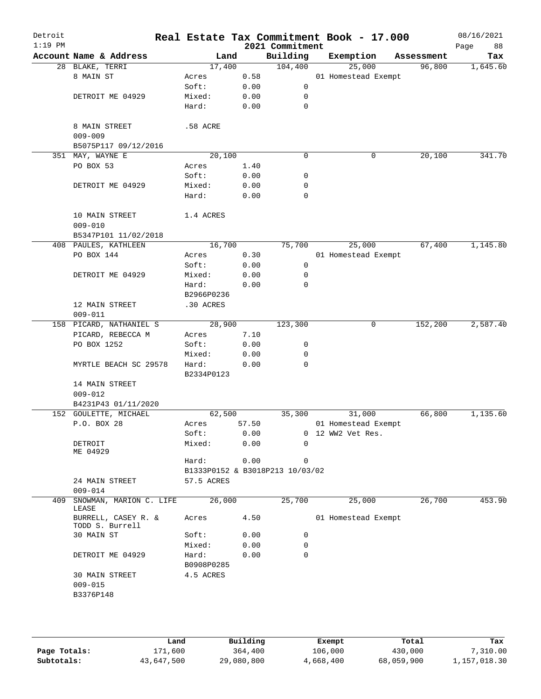| Detroit<br>$1:19$ PM |                                        |                     |       | 2021 Commitment                 | Real Estate Tax Commitment Book - 17.000 |            | 08/16/2021<br>88<br>Page |
|----------------------|----------------------------------------|---------------------|-------|---------------------------------|------------------------------------------|------------|--------------------------|
|                      | Account Name & Address                 | Land                |       | Building                        | Exemption                                | Assessment | Tax                      |
|                      | 28 BLAKE, TERRI                        | 17,400              |       | 104,400                         | 25,000                                   | 96,800     | 1,645.60                 |
|                      | 8 MAIN ST                              | Acres               | 0.58  |                                 | 01 Homestead Exempt                      |            |                          |
|                      |                                        | Soft:               | 0.00  | $\mathbf 0$                     |                                          |            |                          |
|                      | DETROIT ME 04929                       | Mixed:              | 0.00  | 0                               |                                          |            |                          |
|                      |                                        | Hard:               | 0.00  | 0                               |                                          |            |                          |
|                      |                                        |                     |       |                                 |                                          |            |                          |
|                      | 8 MAIN STREET                          | .58 ACRE            |       |                                 |                                          |            |                          |
|                      | $009 - 009$                            |                     |       |                                 |                                          |            |                          |
|                      | B5075P117 09/12/2016                   |                     |       |                                 |                                          |            |                          |
|                      | 351 MAY, WAYNE E                       | 20,100              |       | $\mathbf 0$                     | 0                                        | 20,100     | 341.70                   |
|                      | PO BOX 53                              | Acres               | 1.40  |                                 |                                          |            |                          |
|                      |                                        | Soft:               | 0.00  | 0                               |                                          |            |                          |
|                      | DETROIT ME 04929                       | Mixed:              | 0.00  | 0                               |                                          |            |                          |
|                      |                                        | Hard:               | 0.00  | $\mathbf 0$                     |                                          |            |                          |
|                      | 10 MAIN STREET                         | 1.4 ACRES           |       |                                 |                                          |            |                          |
|                      | $009 - 010$                            |                     |       |                                 |                                          |            |                          |
|                      | B5347P101 11/02/2018                   |                     |       |                                 |                                          |            |                          |
|                      | 408 PAULES, KATHLEEN                   | 16,700              |       | 75,700                          | 25,000                                   | 67,400     | 1,145.80                 |
|                      | PO BOX 144                             | Acres               | 0.30  |                                 | 01 Homestead Exempt                      |            |                          |
|                      |                                        | Soft:               | 0.00  | 0                               |                                          |            |                          |
|                      | DETROIT ME 04929                       | Mixed:              | 0.00  | 0                               |                                          |            |                          |
|                      |                                        | Hard:               | 0.00  | $\mathbf 0$                     |                                          |            |                          |
|                      |                                        | B2966P0236          |       |                                 |                                          |            |                          |
|                      | 12 MAIN STREET                         | .30 ACRES           |       |                                 |                                          |            |                          |
|                      | $009 - 011$                            |                     |       |                                 |                                          |            |                          |
|                      | 158 PICARD, NATHANIEL S                | 28,900              |       | 123,300                         | 0                                        | 152,200    | 2,587.40                 |
|                      | PICARD, REBECCA M                      | Acres               | 7.10  |                                 |                                          |            |                          |
|                      | PO BOX 1252                            | Soft:               | 0.00  | 0                               |                                          |            |                          |
|                      |                                        | Mixed:              | 0.00  | 0                               |                                          |            |                          |
|                      | MYRTLE BEACH SC 29578                  | Hard:<br>B2334P0123 | 0.00  | $\mathbf 0$                     |                                          |            |                          |
|                      | 14 MAIN STREET                         |                     |       |                                 |                                          |            |                          |
|                      | $009 - 012$                            |                     |       |                                 |                                          |            |                          |
|                      | B4231P43 01/11/2020                    |                     |       |                                 |                                          |            |                          |
|                      | 152 GOULETTE, MICHAEL                  | 62,500              |       | 35,300                          | 31,000                                   | 66,800     | 1,135.60                 |
|                      | P.O. BOX 28                            | Acres               | 57.50 |                                 | 01 Homestead Exempt                      |            |                          |
|                      |                                        | Soft:               | 0.00  |                                 | 0 12 WW2 Vet Res.                        |            |                          |
|                      | DETROIT<br>ME 04929                    | Mixed:              | 0.00  | $\Omega$                        |                                          |            |                          |
|                      |                                        | Hard:               | 0.00  | 0                               |                                          |            |                          |
|                      |                                        |                     |       | B1333P0152 & B3018P213 10/03/02 |                                          |            |                          |
|                      | 24 MAIN STREET<br>$009 - 014$          | 57.5 ACRES          |       |                                 |                                          |            |                          |
| 409                  | SNOWMAN, MARION C. LIFE<br>LEASE       | 26,000              |       | 25,700                          | 25,000                                   | 26,700     | 453.90                   |
|                      | BURRELL, CASEY R. &<br>TODD S. Burrell | Acres               | 4.50  |                                 | 01 Homestead Exempt                      |            |                          |
|                      | 30 MAIN ST                             | Soft:               | 0.00  | 0                               |                                          |            |                          |
|                      |                                        | Mixed:              | 0.00  | 0                               |                                          |            |                          |
|                      | DETROIT ME 04929                       | Hard:<br>B0908P0285 | 0.00  | $\mathbf 0$                     |                                          |            |                          |
|                      | 30 MAIN STREET                         | 4.5 ACRES           |       |                                 |                                          |            |                          |
|                      | $009 - 015$                            |                     |       |                                 |                                          |            |                          |
|                      | B3376P148                              |                     |       |                                 |                                          |            |                          |
|                      |                                        |                     |       |                                 |                                          |            |                          |
|                      |                                        |                     |       |                                 |                                          |            |                          |

|              | Land       | Building   | Exempt    | Total      | Tax          |
|--------------|------------|------------|-----------|------------|--------------|
| Page Totals: | 171,600    | 364,400    | 106,000   | 430,000    | 7,310.00     |
| Subtotals:   | 43,647,500 | 29,080,800 | 4,668,400 | 68,059,900 | 1,157,018.30 |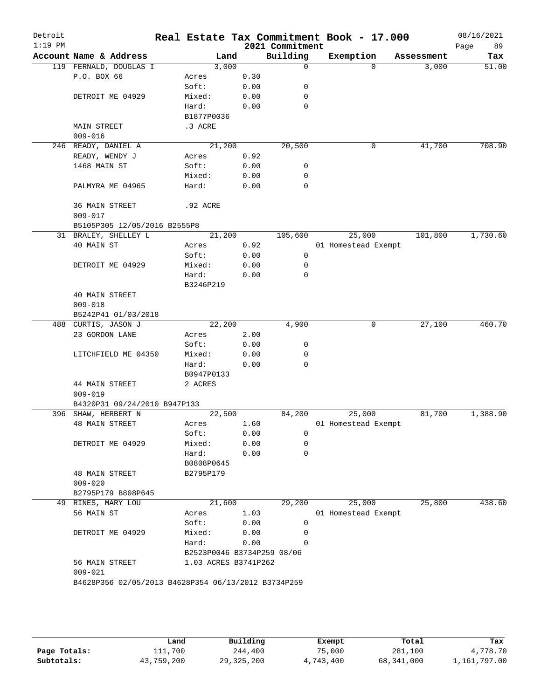| $1:19$ PM |                              |                      |        |      | 2021 Commitment            | Real Estate Tax Commitment Book - 17.000 |            | 08/16/2021<br>89<br>Page |
|-----------|------------------------------|----------------------|--------|------|----------------------------|------------------------------------------|------------|--------------------------|
|           | Account Name & Address       |                      | Land   |      | Building                   | Exemption                                | Assessment | Tax                      |
|           | 119 FERNALD, DOUGLAS I       |                      | 3,000  |      | $\mathbf 0$                | $\Omega$                                 | 3,000      | 51.00                    |
|           | P.O. BOX 66                  | Acres                |        | 0.30 |                            |                                          |            |                          |
|           |                              | Soft:                |        | 0.00 | 0                          |                                          |            |                          |
|           | DETROIT ME 04929             | Mixed:               |        | 0.00 | 0                          |                                          |            |                          |
|           |                              | Hard:                |        | 0.00 | $\mathbf 0$                |                                          |            |                          |
|           |                              | B1877P0036           |        |      |                            |                                          |            |                          |
|           | <b>MAIN STREET</b>           | .3 ACRE              |        |      |                            |                                          |            |                          |
|           | $009 - 016$                  |                      |        |      |                            |                                          |            |                          |
|           | 246 READY, DANIEL A          | 21,200               |        |      | 20,500                     | 0                                        | 41,700     | 708.90                   |
|           | READY, WENDY J               | Acres                |        | 0.92 |                            |                                          |            |                          |
|           | 1468 MAIN ST                 | Soft:                |        | 0.00 | 0                          |                                          |            |                          |
|           |                              | Mixed:               |        | 0.00 | 0                          |                                          |            |                          |
|           | PALMYRA ME 04965             | Hard:                |        | 0.00 | $\mathbf 0$                |                                          |            |                          |
|           |                              |                      |        |      |                            |                                          |            |                          |
|           | 36 MAIN STREET               | .92 ACRE             |        |      |                            |                                          |            |                          |
|           | $009 - 017$                  |                      |        |      |                            |                                          |            |                          |
|           | B5105P305 12/05/2016 B2555P8 |                      |        |      |                            |                                          |            |                          |
|           | 31 BRALEY, SHELLEY L         |                      | 21,200 |      | 105,600                    | 25,000                                   | 101,800    | 1,730.60                 |
|           | 40 MAIN ST                   | Acres                |        | 0.92 |                            | 01 Homestead Exempt                      |            |                          |
|           |                              | Soft:                |        | 0.00 | 0                          |                                          |            |                          |
|           | DETROIT ME 04929             | Mixed:               |        | 0.00 | 0                          |                                          |            |                          |
|           |                              | Hard:                |        | 0.00 | $\mathbf 0$                |                                          |            |                          |
|           |                              | B3246P219            |        |      |                            |                                          |            |                          |
|           | 40 MAIN STREET               |                      |        |      |                            |                                          |            |                          |
|           | $009 - 018$                  |                      |        |      |                            |                                          |            |                          |
|           | B5242P41 01/03/2018          |                      |        |      |                            |                                          |            |                          |
|           | 488 CURTIS, JASON J          | 22,200               |        |      | 4,900                      | 0                                        | 27,100     | 460.70                   |
|           | 23 GORDON LANE               | Acres                |        | 2.00 |                            |                                          |            |                          |
|           |                              | Soft:                |        | 0.00 | 0                          |                                          |            |                          |
|           | LITCHFIELD ME 04350          | Mixed:               |        | 0.00 | 0                          |                                          |            |                          |
|           |                              | Hard:                |        | 0.00 | $\mathbf 0$                |                                          |            |                          |
|           |                              | B0947P0133           |        |      |                            |                                          |            |                          |
|           | 44 MAIN STREET               | 2 ACRES              |        |      |                            |                                          |            |                          |
|           | $009 - 019$                  |                      |        |      |                            |                                          |            |                          |
|           | B4320P31 09/24/2010 B947P133 |                      |        |      |                            |                                          |            |                          |
|           | 396 SHAW, HERBERT N          | 22,500               |        |      | 84,200                     | 25,000                                   | 81,700     | 1,388.90                 |
|           | <b>48 MAIN STREET</b>        | Acres                |        | 1.60 |                            | 01 Homestead Exempt                      |            |                          |
|           |                              | Soft:                |        | 0.00 | 0                          |                                          |            |                          |
|           | DETROIT ME 04929             | Mixed:               |        | 0.00 | 0                          |                                          |            |                          |
|           |                              |                      |        |      | $\mathbf 0$                |                                          |            |                          |
|           |                              | Hard:                |        | 0.00 |                            |                                          |            |                          |
|           |                              | B0808P0645           |        |      |                            |                                          |            |                          |
|           | <b>48 MAIN STREET</b>        | B2795P179            |        |      |                            |                                          |            |                          |
|           | $009 - 020$                  |                      |        |      |                            |                                          |            |                          |
|           | B2795P179 B808P645           |                      |        |      |                            |                                          |            |                          |
|           | 49 RINES, MARY LOU           |                      | 21,600 |      | 29,200                     | 25,000                                   | 25,800     | 438.60                   |
|           | 56 MAIN ST                   | Acres                |        | 1.03 |                            | 01 Homestead Exempt                      |            |                          |
|           |                              | Soft:                |        | 0.00 | 0                          |                                          |            |                          |
|           | DETROIT ME 04929             | Mixed:               |        | 0.00 | 0                          |                                          |            |                          |
|           |                              | Hard:                |        | 0.00 | 0                          |                                          |            |                          |
|           |                              |                      |        |      | B2523P0046 B3734P259 08/06 |                                          |            |                          |
|           | 56 MAIN STREET               | 1.03 ACRES B3741P262 |        |      |                            |                                          |            |                          |
|           | $009 - 021$                  |                      |        |      |                            |                                          |            |                          |

|              | Land       | Building     | Exempt    | Total      | Tax          |
|--------------|------------|--------------|-----------|------------|--------------|
| Page Totals: | 111,700    | 244,400      | 75,000    | 281,100    | 4,778.70     |
| Subtotals:   | 43,759,200 | 29, 325, 200 | 4,743,400 | 68,341,000 | 1,161,797.00 |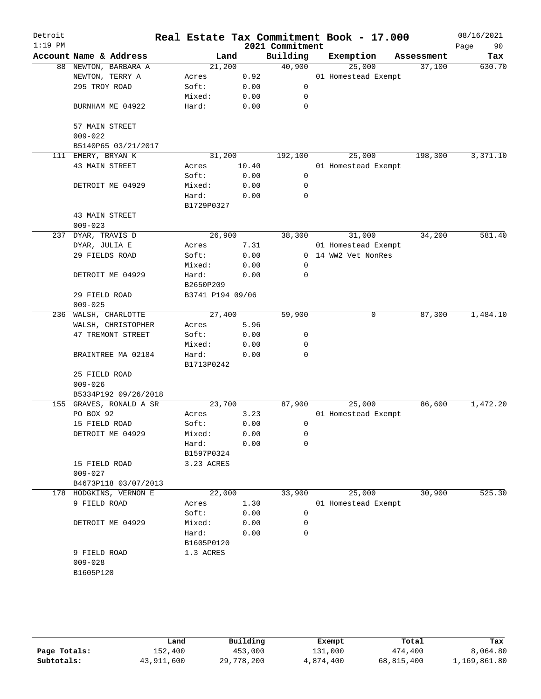| Detroit<br>$1:19$ PM |                               |                     |       | 2021 Commitment | Real Estate Tax Commitment Book - 17.000 |            | 08/16/2021<br>90<br>Page |
|----------------------|-------------------------------|---------------------|-------|-----------------|------------------------------------------|------------|--------------------------|
|                      | Account Name & Address        | Land                |       | Building        | Exemption                                | Assessment | Tax                      |
|                      | 88 NEWTON, BARBARA A          | 21,200              |       | 40,900          | 25,000                                   | 37,100     | 630.70                   |
|                      | NEWTON, TERRY A               | Acres               | 0.92  |                 | 01 Homestead Exempt                      |            |                          |
|                      | 295 TROY ROAD                 | Soft:               | 0.00  | 0               |                                          |            |                          |
|                      |                               | Mixed:              | 0.00  | 0               |                                          |            |                          |
|                      | BURNHAM ME 04922              | Hard:               | 0.00  | $\mathbf 0$     |                                          |            |                          |
|                      | 57 MAIN STREET<br>$009 - 022$ |                     |       |                 |                                          |            |                          |
|                      | B5140P65 03/21/2017           |                     |       |                 |                                          |            |                          |
|                      | 111 EMERY, BRYAN K            | 31,200              |       | 192,100         | 25,000                                   | 198,300    | 3,371.10                 |
|                      | 43 MAIN STREET                | Acres               | 10.40 |                 | 01 Homestead Exempt                      |            |                          |
|                      |                               | Soft:               | 0.00  | 0               |                                          |            |                          |
|                      | DETROIT ME 04929              | Mixed:              | 0.00  | 0               |                                          |            |                          |
|                      |                               | Hard:               | 0.00  | 0               |                                          |            |                          |
|                      |                               | B1729P0327          |       |                 |                                          |            |                          |
|                      | 43 MAIN STREET                |                     |       |                 |                                          |            |                          |
|                      | $009 - 023$                   |                     |       |                 |                                          |            |                          |
| 237                  | DYAR, TRAVIS D                | 26,900              |       | 38,300          | 31,000                                   | 34,200     | 581.40                   |
|                      | DYAR, JULIA E                 | Acres               | 7.31  |                 | 01 Homestead Exempt                      |            |                          |
|                      | 29 FIELDS ROAD                | Soft:               | 0.00  |                 | 0 14 WW2 Vet NonRes                      |            |                          |
|                      |                               | Mixed:              | 0.00  | 0               |                                          |            |                          |
|                      | DETROIT ME 04929              | Hard:               | 0.00  | $\mathbf 0$     |                                          |            |                          |
|                      |                               | B2650P209           |       |                 |                                          |            |                          |
|                      | 29 FIELD ROAD                 | B3741 P194 09/06    |       |                 |                                          |            |                          |
|                      | $009 - 025$                   |                     |       |                 |                                          |            |                          |
| 236                  | WALSH, CHARLOTTE              | 27,400              |       | 59,900          | 0                                        | 87,300     | 1,484.10                 |
|                      | WALSH, CHRISTOPHER            | Acres               | 5.96  |                 |                                          |            |                          |
|                      | 47 TREMONT STREET             | Soft:               | 0.00  | 0               |                                          |            |                          |
|                      |                               | Mixed:              | 0.00  | 0               |                                          |            |                          |
|                      | BRAINTREE MA 02184            | Hard:<br>B1713P0242 | 0.00  | 0               |                                          |            |                          |
|                      | 25 FIELD ROAD                 |                     |       |                 |                                          |            |                          |
|                      | $009 - 026$                   |                     |       |                 |                                          |            |                          |
|                      | B5334P192 09/26/2018          |                     |       |                 |                                          |            |                          |
| 155                  | GRAVES, RONALD A SR           | 23,700              |       | 87,900          | 25,000                                   | 86,600     | 1,472.20                 |
|                      | PO BOX 92                     | Acres               | 3.23  |                 | 01 Homestead Exempt                      |            |                          |
|                      | 15 FIELD ROAD                 | Soft:               | 0.00  | 0               |                                          |            |                          |
|                      | DETROIT ME 04929              | Mixed:              | 0.00  | 0               |                                          |            |                          |
|                      |                               | Hard:               | 0.00  | 0               |                                          |            |                          |
|                      |                               | B1597P0324          |       |                 |                                          |            |                          |
|                      | 15 FIELD ROAD                 | 3.23 ACRES          |       |                 |                                          |            |                          |
|                      | $009 - 027$                   |                     |       |                 |                                          |            |                          |
|                      | B4673P118 03/07/2013          |                     |       |                 |                                          |            |                          |
|                      | 178 HODGKINS, VERNON E        | 22,000              |       | 33,900          | 25,000                                   | 30,900     | 525.30                   |
|                      | 9 FIELD ROAD                  | Acres               | 1.30  |                 | 01 Homestead Exempt                      |            |                          |
|                      |                               | Soft:               | 0.00  | 0               |                                          |            |                          |
|                      | DETROIT ME 04929              | Mixed:              | 0.00  | 0               |                                          |            |                          |
|                      |                               | Hard:               | 0.00  | 0               |                                          |            |                          |
|                      |                               | B1605P0120          |       |                 |                                          |            |                          |
|                      | 9 FIELD ROAD                  | 1.3 ACRES           |       |                 |                                          |            |                          |
|                      | $009 - 028$                   |                     |       |                 |                                          |            |                          |
|                      | B1605P120                     |                     |       |                 |                                          |            |                          |
|                      |                               |                     |       |                 |                                          |            |                          |
|                      |                               |                     |       |                 |                                          |            |                          |

|              | Land       | Building   | Exempt    | Total      | Tax          |
|--------------|------------|------------|-----------|------------|--------------|
| Page Totals: | 152,400    | 453,000    | 131,000   | 474,400    | 8,064.80     |
| Subtotals:   | 43,911,600 | 29,778,200 | 4,874,400 | 68,815,400 | 1,169,861.80 |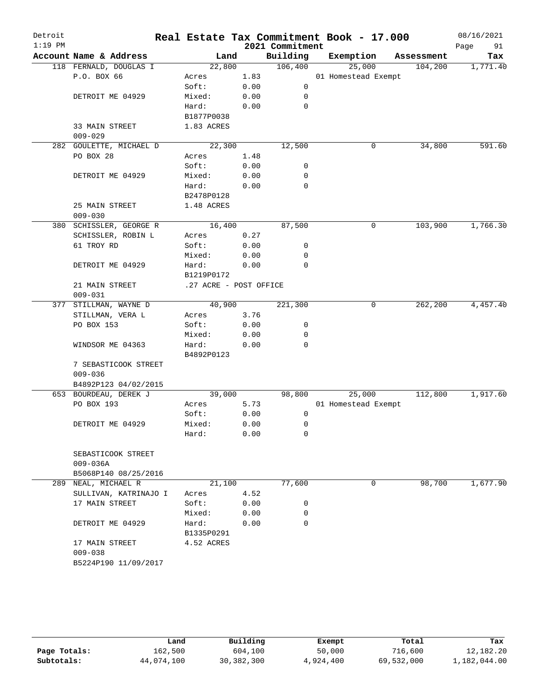| Detroit   |                                             |                        |      |                 | Real Estate Tax Commitment Book - 17.000 |            | 08/16/2021            |
|-----------|---------------------------------------------|------------------------|------|-----------------|------------------------------------------|------------|-----------------------|
| $1:19$ PM |                                             |                        |      | 2021 Commitment |                                          |            | 91<br>Page            |
|           | Account Name & Address                      | Land                   |      | Building        | Exemption                                | Assessment | Tax                   |
|           | 118 FERNALD, DOUGLAS I                      | 22,800                 |      | 106,400         | 25,000                                   | 104,200    | 1,771.40              |
|           | P.O. BOX 66                                 | Acres                  | 1.83 |                 | 01 Homestead Exempt                      |            |                       |
|           |                                             | Soft:                  | 0.00 | $\mathbf 0$     |                                          |            |                       |
|           | DETROIT ME 04929                            | Mixed:                 | 0.00 | 0               |                                          |            |                       |
|           |                                             | Hard:                  | 0.00 | $\mathbf 0$     |                                          |            |                       |
|           |                                             | B1877P0038             |      |                 |                                          |            |                       |
|           | 33 MAIN STREET                              | 1.83 ACRES             |      |                 |                                          |            |                       |
|           | $009 - 029$                                 |                        |      | 12,500          |                                          |            |                       |
|           | 282 GOULETTE, MICHAEL D                     | 22,300                 |      |                 | 0                                        | 34,800     | 591.60                |
|           | PO BOX 28                                   | Acres                  | 1.48 |                 |                                          |            |                       |
|           |                                             | Soft:                  | 0.00 | 0               |                                          |            |                       |
|           | DETROIT ME 04929                            | Mixed:                 | 0.00 | 0               |                                          |            |                       |
|           |                                             | Hard:                  | 0.00 | 0               |                                          |            |                       |
|           |                                             | B2478P0128             |      |                 |                                          |            |                       |
|           | 25 MAIN STREET                              | 1.48 ACRES             |      |                 |                                          |            |                       |
|           | $009 - 030$                                 |                        |      |                 |                                          |            |                       |
|           | 380 SCHISSLER, GEORGE R                     | 16,400                 |      | 87,500          | 0                                        | 103,900    | 1,766.30              |
|           | SCHISSLER, ROBIN L                          | Acres                  | 0.27 |                 |                                          |            |                       |
|           | 61 TROY RD                                  | Soft:                  | 0.00 | 0               |                                          |            |                       |
|           |                                             | Mixed:                 | 0.00 | 0               |                                          |            |                       |
|           | DETROIT ME 04929                            | Hard:                  | 0.00 | $\mathbf 0$     |                                          |            |                       |
|           |                                             | B1219P0172             |      |                 |                                          |            |                       |
|           | 21 MAIN STREET                              | .27 ACRE - POST OFFICE |      |                 |                                          |            |                       |
|           | $009 - 031$                                 |                        |      |                 |                                          |            |                       |
|           | 377 STILLMAN, WAYNE D                       | 40,900                 |      | 221,300         | 0                                        | 262,200    | 4,457.40              |
|           | STILLMAN, VERA L                            | Acres                  | 3.76 |                 |                                          |            |                       |
|           | PO BOX 153                                  | Soft:                  | 0.00 | 0               |                                          |            |                       |
|           |                                             | Mixed:                 | 0.00 | 0               |                                          |            |                       |
|           | WINDSOR ME 04363                            | Hard:                  | 0.00 | 0               |                                          |            |                       |
|           |                                             | B4892P0123             |      |                 |                                          |            |                       |
|           | 7 SEBASTICOOK STREET                        |                        |      |                 |                                          |            |                       |
|           | $009 - 036$                                 |                        |      |                 |                                          |            |                       |
|           | B4892P123 04/02/2015                        |                        |      |                 |                                          |            |                       |
|           | 653 BOURDEAU, DEREK J                       | 39,000                 |      | 98,800          | 25,000                                   | 112,800    | 1,917.60              |
|           | PO BOX 193                                  | Acres<br>Soft:         | 5.73 |                 | 01 Homestead Exempt                      |            |                       |
|           |                                             | Mixed:                 | 0.00 | 0               |                                          |            |                       |
|           | DETROIT ME 04929                            |                        | 0.00 | 0               |                                          |            |                       |
|           |                                             | Hard:                  | 0.00 | 0               |                                          |            |                       |
|           |                                             |                        |      |                 |                                          |            |                       |
|           | SEBASTICOOK STREET                          |                        |      |                 |                                          |            |                       |
|           | $009 - 036A$                                |                        |      |                 |                                          |            |                       |
|           | B5068P140 08/25/2016<br>289 NEAL, MICHAEL R | 21,100                 |      | 77,600          | 0                                        | 98,700     | $1,677.\overline{90}$ |
|           | SULLIVAN, KATRINAJO I                       | Acres                  | 4.52 |                 |                                          |            |                       |
|           | 17 MAIN STREET                              | Soft:                  | 0.00 | 0               |                                          |            |                       |
|           |                                             | Mixed:                 | 0.00 | 0               |                                          |            |                       |
|           | DETROIT ME 04929                            | Hard:                  | 0.00 | 0               |                                          |            |                       |
|           |                                             | B1335P0291             |      |                 |                                          |            |                       |
|           | 17 MAIN STREET                              | 4.52 ACRES             |      |                 |                                          |            |                       |
|           | $009 - 038$                                 |                        |      |                 |                                          |            |                       |
|           | B5224P190 11/09/2017                        |                        |      |                 |                                          |            |                       |
|           |                                             |                        |      |                 |                                          |            |                       |
|           |                                             |                        |      |                 |                                          |            |                       |

|              | Land       | Building   | Exempt    | Total      | Tax          |
|--------------|------------|------------|-----------|------------|--------------|
| Page Totals: | 162,500    | 604,100    | 50,000    | 716,600    | 12,182.20    |
| Subtotals:   | 44,074,100 | 30,382,300 | 4,924,400 | 69,532,000 | 1,182,044.00 |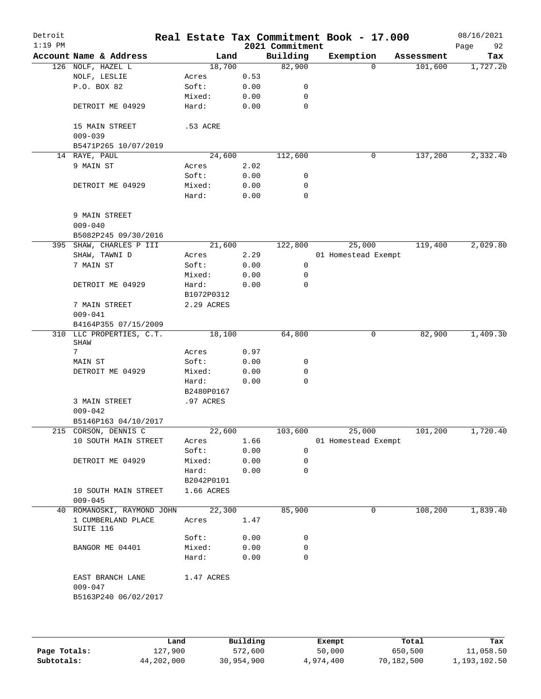| Detroit<br>$1:19$ PM |                                               |            |      | 2021 Commitment | Real Estate Tax Commitment Book - 17.000 |            | 08/16/2021<br>92<br>Page |
|----------------------|-----------------------------------------------|------------|------|-----------------|------------------------------------------|------------|--------------------------|
|                      | Account Name & Address                        | Land       |      | Building        | Exemption                                | Assessment | Tax                      |
|                      | 126 NOLF, HAZEL L                             | 18,700     |      | 82,900          | $\Omega$                                 | 101,600    | 1,727.20                 |
|                      | NOLF, LESLIE                                  | Acres      | 0.53 |                 |                                          |            |                          |
|                      | P.O. BOX 82                                   | Soft:      | 0.00 | 0               |                                          |            |                          |
|                      |                                               | Mixed:     | 0.00 | $\mathbf 0$     |                                          |            |                          |
|                      | DETROIT ME 04929                              | Hard:      | 0.00 | $\mathbf 0$     |                                          |            |                          |
|                      | 15 MAIN STREET<br>$009 - 039$                 | .53 ACRE   |      |                 |                                          |            |                          |
|                      | B5471P265 10/07/2019                          |            |      |                 |                                          |            |                          |
|                      | 14 RAYE, PAUL                                 | 24,600     |      | 112,600         | 0                                        | 137,200    | 2,332.40                 |
|                      | 9 MAIN ST                                     | Acres      | 2.02 |                 |                                          |            |                          |
|                      |                                               | Soft:      | 0.00 | 0               |                                          |            |                          |
|                      | DETROIT ME 04929                              | Mixed:     | 0.00 | 0               |                                          |            |                          |
|                      |                                               | Hard:      | 0.00 | $\mathbf 0$     |                                          |            |                          |
|                      |                                               |            |      |                 |                                          |            |                          |
|                      | 9 MAIN STREET<br>$009 - 040$                  |            |      |                 |                                          |            |                          |
|                      | B5082P245 09/30/2016                          |            |      |                 |                                          |            |                          |
|                      | 395 SHAW, CHARLES P III                       | 21,600     |      | 122,800         | 25,000                                   | 119,400    | 2,029.80                 |
|                      | SHAW, TAWNI D                                 | Acres      | 2.29 |                 | 01 Homestead Exempt                      |            |                          |
|                      | 7 MAIN ST                                     | Soft:      | 0.00 | 0               |                                          |            |                          |
|                      |                                               | Mixed:     |      | 0               |                                          |            |                          |
|                      |                                               |            | 0.00 | $\mathbf 0$     |                                          |            |                          |
|                      | DETROIT ME 04929                              | Hard:      | 0.00 |                 |                                          |            |                          |
|                      |                                               | B1072P0312 |      |                 |                                          |            |                          |
|                      | 7 MAIN STREET                                 | 2.29 ACRES |      |                 |                                          |            |                          |
|                      | $009 - 041$                                   |            |      |                 |                                          |            |                          |
|                      | B4164P355 07/15/2009                          |            |      |                 |                                          |            |                          |
|                      | 310 LLC PROPERTIES, C.T.<br>SHAW              | 18,100     |      | 64,800          | 0                                        | 82,900     | 1,409.30                 |
|                      | 7                                             | Acres      | 0.97 |                 |                                          |            |                          |
|                      | MAIN ST                                       | Soft:      | 0.00 | 0               |                                          |            |                          |
|                      | DETROIT ME 04929                              | Mixed:     | 0.00 | 0               |                                          |            |                          |
|                      |                                               | Hard:      | 0.00 | 0               |                                          |            |                          |
|                      |                                               | B2480P0167 |      |                 |                                          |            |                          |
|                      | 3 MAIN STREET                                 | .97 ACRES  |      |                 |                                          |            |                          |
|                      | $009 - 042$                                   |            |      |                 |                                          |            |                          |
|                      | B5146P163 04/10/2017                          |            |      |                 |                                          |            |                          |
|                      | 215 CORSON, DENNIS C                          | 22,600     |      | 103,600         | 25,000                                   | 101,200    | 1,720.40                 |
|                      | 10 SOUTH MAIN STREET                          | Acres      | 1.66 |                 | 01 Homestead Exempt                      |            |                          |
|                      |                                               | Soft:      | 0.00 | 0               |                                          |            |                          |
|                      |                                               |            |      |                 |                                          |            |                          |
|                      | DETROIT ME 04929                              | Mixed:     | 0.00 | 0               |                                          |            |                          |
|                      |                                               | Hard:      | 0.00 | 0               |                                          |            |                          |
|                      |                                               | B2042P0101 |      |                 |                                          |            |                          |
|                      | 10 SOUTH MAIN STREET                          | 1.66 ACRES |      |                 |                                          |            |                          |
|                      | $009 - 045$                                   | 22,300     |      |                 |                                          | 108,200    |                          |
| 40                   | ROMANOSKI, RAYMOND JOHN<br>1 CUMBERLAND PLACE |            |      | 85,900          | 0                                        |            | 1,839.40                 |
|                      | SUITE 116                                     | Acres      | 1.47 |                 |                                          |            |                          |
|                      |                                               | Soft:      | 0.00 | 0               |                                          |            |                          |
|                      | BANGOR ME 04401                               | Mixed:     | 0.00 | 0               |                                          |            |                          |
|                      |                                               | Hard:      | 0.00 | 0               |                                          |            |                          |
|                      |                                               |            |      |                 |                                          |            |                          |
|                      | EAST BRANCH LANE<br>$009 - 047$               | 1.47 ACRES |      |                 |                                          |            |                          |
|                      | B5163P240 06/02/2017                          |            |      |                 |                                          |            |                          |

|              | Land       | Building   | Exempt    | Total      | Tax          |
|--------------|------------|------------|-----------|------------|--------------|
| Page Totals: | 127,900    | 572,600    | 50,000    | 650,500    | 11,058.50    |
| Subtotals:   | 44,202,000 | 30,954,900 | 4,974,400 | 70,182,500 | 1,193,102.50 |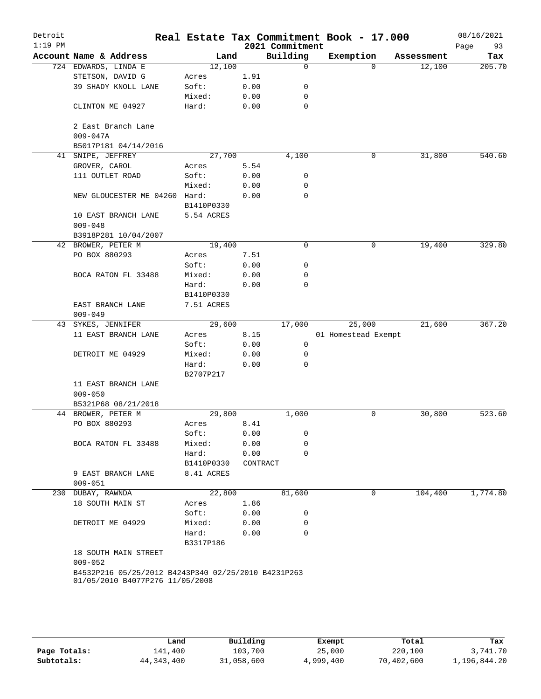| Detroit<br>$1:19$ PM |                                                     |            |          | 2021 Commitment | Real Estate Tax Commitment Book - 17.000 |            | 08/16/2021<br>93<br>Page |
|----------------------|-----------------------------------------------------|------------|----------|-----------------|------------------------------------------|------------|--------------------------|
|                      | Account Name & Address                              | Land       |          | Building        | Exemption                                | Assessment | Tax                      |
|                      | 724 EDWARDS, LINDA E                                | 12,100     |          | $\mathbf 0$     | $\Omega$                                 | 12,100     | 205.70                   |
|                      | STETSON, DAVID G                                    | Acres      | 1.91     |                 |                                          |            |                          |
|                      | 39 SHADY KNOLL LANE                                 | Soft:      | 0.00     | 0               |                                          |            |                          |
|                      |                                                     | Mixed:     | 0.00     | 0               |                                          |            |                          |
|                      | CLINTON ME 04927                                    | Hard:      | 0.00     | 0               |                                          |            |                          |
|                      | 2 East Branch Lane                                  |            |          |                 |                                          |            |                          |
|                      | $009 - 047A$                                        |            |          |                 |                                          |            |                          |
|                      | B5017P181 04/14/2016                                |            |          |                 |                                          |            |                          |
|                      | 41 SNIPE, JEFFREY                                   | 27,700     |          | 4,100           | 0                                        | 31,800     | 540.60                   |
|                      | GROVER, CAROL                                       | Acres      | 5.54     |                 |                                          |            |                          |
|                      | 111 OUTLET ROAD                                     | Soft:      | 0.00     | 0               |                                          |            |                          |
|                      |                                                     | Mixed:     | 0.00     | 0               |                                          |            |                          |
|                      | NEW GLOUCESTER ME 04260                             | Hard:      | 0.00     | $\mathbf 0$     |                                          |            |                          |
|                      |                                                     | B1410P0330 |          |                 |                                          |            |                          |
|                      | 10 EAST BRANCH LANE<br>$009 - 048$                  | 5.54 ACRES |          |                 |                                          |            |                          |
|                      | B3918P281 10/04/2007                                |            |          |                 |                                          |            |                          |
|                      | 42 BROWER, PETER M                                  | 19,400     |          | 0               | 0                                        | 19,400     | 329.80                   |
|                      | PO BOX 880293                                       | Acres      | 7.51     |                 |                                          |            |                          |
|                      |                                                     | Soft:      | 0.00     | 0               |                                          |            |                          |
|                      | BOCA RATON FL 33488                                 | Mixed:     | 0.00     | 0               |                                          |            |                          |
|                      |                                                     | Hard:      | 0.00     | $\mathbf 0$     |                                          |            |                          |
|                      |                                                     | B1410P0330 |          |                 |                                          |            |                          |
|                      | EAST BRANCH LANE                                    | 7.51 ACRES |          |                 |                                          |            |                          |
|                      | $009 - 049$                                         |            |          |                 |                                          |            |                          |
|                      | 43 SYKES, JENNIFER                                  | 29,600     |          | 17,000          | 25,000                                   | 21,600     | 367.20                   |
|                      | 11 EAST BRANCH LANE                                 | Acres      | 8.15     |                 | 01 Homestead Exempt                      |            |                          |
|                      |                                                     | Soft:      | 0.00     | 0               |                                          |            |                          |
|                      | DETROIT ME 04929                                    | Mixed:     | 0.00     | 0               |                                          |            |                          |
|                      |                                                     | Hard:      | 0.00     | 0               |                                          |            |                          |
|                      |                                                     | B2707P217  |          |                 |                                          |            |                          |
|                      | 11 EAST BRANCH LANE                                 |            |          |                 |                                          |            |                          |
|                      | $009 - 050$                                         |            |          |                 |                                          |            |                          |
|                      | B5321P68 08/21/2018                                 |            |          |                 |                                          |            |                          |
|                      | 44 BROWER, PETER M                                  | 29,800     |          | 1,000           | 0                                        | 30,800     | 523.60                   |
|                      | PO BOX 880293                                       | Acres      | 8.41     |                 |                                          |            |                          |
|                      |                                                     | Soft:      | 0.00     | 0               |                                          |            |                          |
|                      | BOCA RATON FL 33488                                 | Mixed:     | 0.00     | $\mathbf 0$     |                                          |            |                          |
|                      |                                                     | Hard:      | 0.00     | $\mathbf 0$     |                                          |            |                          |
|                      |                                                     | B1410P0330 | CONTRACT |                 |                                          |            |                          |
|                      | 9 EAST BRANCH LANE                                  | 8.41 ACRES |          |                 |                                          |            |                          |
|                      | $009 - 051$                                         |            |          |                 |                                          |            |                          |
|                      | 230 DUBAY, RAWNDA                                   | 22,800     |          | 81,600          | 0                                        | 104,400    | 1,774.80                 |
|                      | 18 SOUTH MAIN ST                                    | Acres      | 1.86     |                 |                                          |            |                          |
|                      |                                                     | Soft:      | 0.00     | 0               |                                          |            |                          |
|                      | DETROIT ME 04929                                    | Mixed:     | 0.00     | 0               |                                          |            |                          |
|                      |                                                     | Hard:      | 0.00     | 0               |                                          |            |                          |
|                      |                                                     | B3317P186  |          |                 |                                          |            |                          |
|                      | 18 SOUTH MAIN STREET                                |            |          |                 |                                          |            |                          |
|                      | $009 - 052$                                         |            |          |                 |                                          |            |                          |
|                      | B4532P216 05/25/2012 B4243P340 02/25/2010 B4231P263 |            |          |                 |                                          |            |                          |
|                      | 01/05/2010 B4077P276 11/05/2008                     |            |          |                 |                                          |            |                          |
|                      |                                                     |            |          |                 |                                          |            |                          |
|                      |                                                     |            |          |                 |                                          |            |                          |
|                      |                                                     |            |          |                 |                                          |            |                          |

|              | Land         | Building   | Exempt    | Total      | Tax          |
|--------------|--------------|------------|-----------|------------|--------------|
| Page Totals: | 141,400      | 103,700    | 25,000    | 220,100    | 3,741.70     |
| Subtotals:   | 44, 343, 400 | 31,058,600 | 4,999,400 | 70,402,600 | 1,196,844.20 |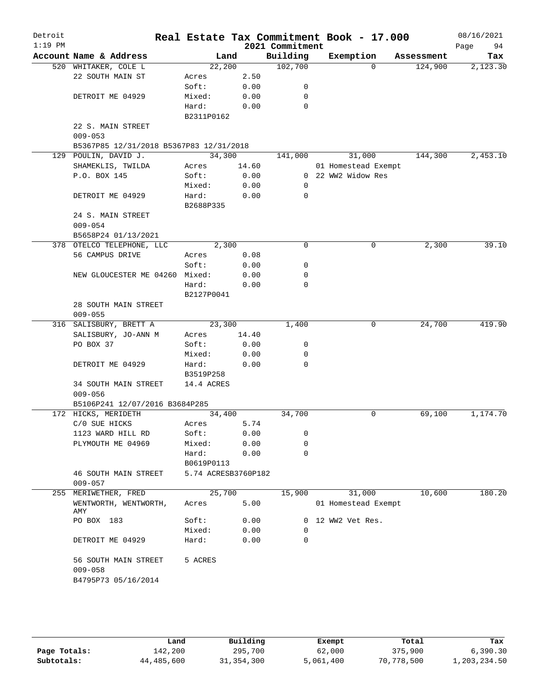| Detroit   |                                         |                     |       |                 | Real Estate Tax Commitment Book - 17.000 |            | 08/16/2021 |
|-----------|-----------------------------------------|---------------------|-------|-----------------|------------------------------------------|------------|------------|
| $1:19$ PM |                                         |                     |       | 2021 Commitment |                                          |            | Page<br>94 |
|           | Account Name & Address                  | Land                |       | Building        | Exemption                                | Assessment | Tax        |
|           | 520 WHITAKER, COLE L                    | 22,200              |       | 102,700         | $\Omega$                                 | 124,900    | 2,123.30   |
|           | 22 SOUTH MAIN ST                        | Acres               | 2.50  |                 |                                          |            |            |
|           |                                         | Soft:               | 0.00  | 0               |                                          |            |            |
|           | DETROIT ME 04929                        | Mixed:              | 0.00  | 0               |                                          |            |            |
|           |                                         | Hard:               | 0.00  | 0               |                                          |            |            |
|           |                                         | B2311P0162          |       |                 |                                          |            |            |
|           | 22 S. MAIN STREET                       |                     |       |                 |                                          |            |            |
|           | $009 - 053$                             |                     |       |                 |                                          |            |            |
|           | B5367P85 12/31/2018 B5367P83 12/31/2018 |                     |       |                 |                                          |            |            |
|           | 129 POULIN, DAVID J.                    | 34,300              |       | 141,000         | 31,000                                   | 144,300    | 2,453.10   |
|           | SHAMEKLIS, TWILDA                       | Acres               | 14.60 |                 | 01 Homestead Exempt                      |            |            |
|           | P.O. BOX 145                            | Soft:               | 0.00  |                 | 0 22 WW2 Widow Res                       |            |            |
|           |                                         | Mixed:              | 0.00  | 0               |                                          |            |            |
|           | DETROIT ME 04929                        | Hard:               | 0.00  | 0               |                                          |            |            |
|           |                                         | B2688P335           |       |                 |                                          |            |            |
|           | 24 S. MAIN STREET                       |                     |       |                 |                                          |            |            |
|           | $009 - 054$                             |                     |       |                 |                                          |            |            |
|           | B5658P24 01/13/2021                     |                     |       |                 |                                          |            |            |
|           | 378 OTELCO TELEPHONE, LLC               | 2,300               |       | $\mathbf 0$     | 0                                        | 2,300      | 39.10      |
|           | 56 CAMPUS DRIVE                         | Acres               | 0.08  |                 |                                          |            |            |
|           |                                         | Soft:               | 0.00  | 0               |                                          |            |            |
|           | NEW GLOUCESTER ME 04260 Mixed:          |                     | 0.00  | 0               |                                          |            |            |
|           |                                         | Hard:               | 0.00  | 0               |                                          |            |            |
|           |                                         | B2127P0041          |       |                 |                                          |            |            |
|           | 28 SOUTH MAIN STREET                    |                     |       |                 |                                          |            |            |
|           | $009 - 055$                             |                     |       |                 |                                          |            |            |
|           | 316 SALISBURY, BRETT A                  | 23,300              |       | 1,400           | $\mathsf{O}$                             | 24,700     | 419.90     |
|           | SALISBURY, JO-ANN M                     | Acres               | 14.40 |                 |                                          |            |            |
|           | PO BOX 37                               | Soft:               | 0.00  | 0               |                                          |            |            |
|           |                                         | Mixed:              | 0.00  | 0               |                                          |            |            |
|           | DETROIT ME 04929                        | Hard:               | 0.00  | 0               |                                          |            |            |
|           |                                         | B3519P258           |       |                 |                                          |            |            |
|           | 34 SOUTH MAIN STREET                    | 14.4 ACRES          |       |                 |                                          |            |            |
|           | $009 - 056$                             |                     |       |                 |                                          |            |            |
|           | B5106P241 12/07/2016 B3684P285          |                     |       |                 |                                          |            |            |
|           | 172 HICKS, MERIDETH                     | 34,400              |       | 34,700          | 0                                        | 69,100     | 1,174.70   |
|           | $C/O$ SUE HICKS                         | Acres               | 5.74  |                 |                                          |            |            |
|           | 1123 WARD HILL RD                       | Soft:               | 0.00  | 0               |                                          |            |            |
|           | PLYMOUTH ME 04969                       | Mixed:              | 0.00  | 0               |                                          |            |            |
|           |                                         | Hard:               | 0.00  | 0               |                                          |            |            |
|           |                                         | B0619P0113          |       |                 |                                          |            |            |
|           | <b>46 SOUTH MAIN STREET</b>             | 5.74 ACRESB3760P182 |       |                 |                                          |            |            |
|           | $009 - 057$                             |                     |       |                 |                                          |            |            |
| 255       | MERIWETHER, FRED                        | 25,700              |       | 15,900          | 31,000                                   | 10,600     | 180.20     |
|           | WENTWORTH, WENTWORTH,                   | Acres               | 5.00  |                 | 01 Homestead Exempt                      |            |            |
|           | AMY                                     |                     |       |                 |                                          |            |            |
|           | PO BOX 183                              | Soft:               | 0.00  |                 | 0 12 WW2 Vet Res.                        |            |            |
|           |                                         | Mixed:              | 0.00  | 0               |                                          |            |            |
|           | DETROIT ME 04929                        | Hard:               | 0.00  | 0               |                                          |            |            |
|           |                                         |                     |       |                 |                                          |            |            |
|           | 56 SOUTH MAIN STREET                    | 5 ACRES             |       |                 |                                          |            |            |
|           | $009 - 058$                             |                     |       |                 |                                          |            |            |
|           | B4795P73 05/16/2014                     |                     |       |                 |                                          |            |            |
|           |                                         |                     |       |                 |                                          |            |            |
|           |                                         |                     |       |                 |                                          |            |            |
|           |                                         |                     |       |                 |                                          |            |            |

|              | Land       | Building     | Exempt    | Total      | Tax          |
|--------------|------------|--------------|-----------|------------|--------------|
| Page Totals: | 142,200    | 295,700      | 62,000    | 375,900    | 6,390.30     |
| Subtotals:   | 44,485,600 | 31, 354, 300 | 5,061,400 | 70,778,500 | 1,203,234.50 |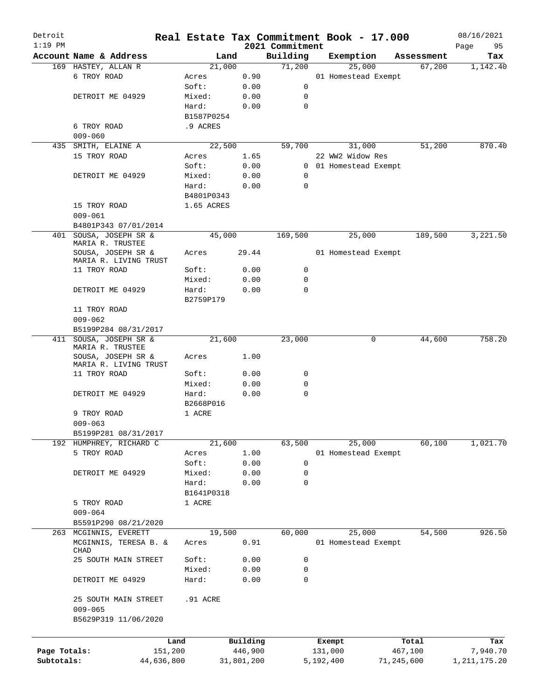| Detroit      |                                        |            |                |                    | Real Estate Tax Commitment Book - 17.000 |                      | 08/16/2021      |
|--------------|----------------------------------------|------------|----------------|--------------------|------------------------------------------|----------------------|-----------------|
| $1:19$ PM    | Account Name & Address                 |            |                | 2021 Commitment    |                                          |                      | 95<br>Page      |
|              |                                        |            | Land<br>21,000 | Building<br>71,200 | Exemption<br>25,000                      | Assessment<br>67,200 | Tax<br>1,142.40 |
|              | 169 HASTEY, ALLAN R<br>6 TROY ROAD     | Acres      | 0.90           |                    | 01 Homestead Exempt                      |                      |                 |
|              |                                        | Soft:      | 0.00           | 0                  |                                          |                      |                 |
|              | DETROIT ME 04929                       | Mixed:     | 0.00           | 0                  |                                          |                      |                 |
|              |                                        | Hard:      | 0.00           | $\mathbf 0$        |                                          |                      |                 |
|              |                                        | B1587P0254 |                |                    |                                          |                      |                 |
|              | 6 TROY ROAD                            | .9 ACRES   |                |                    |                                          |                      |                 |
|              | $009 - 060$                            |            |                |                    |                                          |                      |                 |
| 435          | SMITH, ELAINE A                        |            | 22,500         | 59,700             | 31,000                                   | 51,200               | 870.40          |
|              | 15 TROY ROAD                           | Acres      | 1.65           |                    | 22 WW2 Widow Res                         |                      |                 |
|              |                                        | Soft:      | 0.00           |                    | 0 01 Homestead Exempt                    |                      |                 |
|              | DETROIT ME 04929                       | Mixed:     | 0.00           | 0                  |                                          |                      |                 |
|              |                                        | Hard:      | 0.00           | $\mathbf 0$        |                                          |                      |                 |
|              |                                        | B4801P0343 |                |                    |                                          |                      |                 |
|              |                                        |            |                |                    |                                          |                      |                 |
|              | 15 TROY ROAD                           | 1.65 ACRES |                |                    |                                          |                      |                 |
|              | $009 - 061$                            |            |                |                    |                                          |                      |                 |
|              | B4801P343 07/01/2014                   |            |                |                    |                                          |                      |                 |
| 401          | SOUSA, JOSEPH SR &<br>MARIA R. TRUSTEE |            | 45,000         | 169,500            | 25,000                                   | 189,500              | 3,221.50        |
|              | SOUSA, JOSEPH SR &                     | Acres      | 29.44          |                    | 01 Homestead Exempt                      |                      |                 |
|              | MARIA R. LIVING TRUST                  |            |                |                    |                                          |                      |                 |
|              | 11 TROY ROAD                           | Soft:      | 0.00           | $\mathsf{O}$       |                                          |                      |                 |
|              |                                        | Mixed:     | 0.00           | $\mathbf 0$        |                                          |                      |                 |
|              | DETROIT ME 04929                       | Hard:      | 0.00           | $\Omega$           |                                          |                      |                 |
|              |                                        | B2759P179  |                |                    |                                          |                      |                 |
|              | 11 TROY ROAD                           |            |                |                    |                                          |                      |                 |
|              | $009 - 062$                            |            |                |                    |                                          |                      |                 |
|              | B5199P284 08/31/2017                   |            |                |                    |                                          |                      |                 |
|              | 411 SOUSA, JOSEPH SR &                 |            | 21,600         | 23,000             | 0                                        | 44,600               | 758.20          |
|              | MARIA R. TRUSTEE                       |            |                |                    |                                          |                      |                 |
|              | SOUSA, JOSEPH SR &                     | Acres      | 1.00           |                    |                                          |                      |                 |
|              | MARIA R. LIVING TRUST                  |            |                |                    |                                          |                      |                 |
|              | 11 TROY ROAD                           | Soft:      | 0.00           | 0                  |                                          |                      |                 |
|              |                                        | Mixed:     | 0.00           | 0                  |                                          |                      |                 |
|              | DETROIT ME 04929                       | Hard:      | 0.00           | 0                  |                                          |                      |                 |
|              |                                        | B2668P016  |                |                    |                                          |                      |                 |
|              | 9 TROY ROAD                            | 1 ACRE     |                |                    |                                          |                      |                 |
|              | $009 - 063$                            |            |                |                    |                                          |                      |                 |
|              | B5199P281 08/31/2017                   |            |                |                    |                                          |                      |                 |
|              | 192 HUMPHREY, RICHARD C                |            | 21,600         | 63,500             | 25,000                                   | 60,100               | 1,021.70        |
|              | 5 TROY ROAD                            | Acres      | 1.00           |                    | 01 Homestead Exempt                      |                      |                 |
|              |                                        | Soft:      | 0.00           | $\mathbf 0$        |                                          |                      |                 |
|              | DETROIT ME 04929                       | Mixed:     | 0.00           | 0                  |                                          |                      |                 |
|              |                                        | Hard:      | 0.00           | 0                  |                                          |                      |                 |
|              |                                        | B1641P0318 |                |                    |                                          |                      |                 |
|              | 5 TROY ROAD                            | 1 ACRE     |                |                    |                                          |                      |                 |
|              | $009 - 064$                            |            |                |                    |                                          |                      |                 |
|              | B5591P290 08/21/2020                   |            |                |                    |                                          |                      |                 |
| 263          | MCGINNIS, EVERETT                      |            | 19,500         | 60,000             | 25,000                                   | 54,500               | 926.50          |
|              | MCGINNIS, TERESA B. &                  | Acres      | 0.91           |                    | 01 Homestead Exempt                      |                      |                 |
|              | CHAD                                   |            |                |                    |                                          |                      |                 |
|              | 25 SOUTH MAIN STREET                   | Soft:      | 0.00           | 0                  |                                          |                      |                 |
|              |                                        | Mixed:     | 0.00           | 0                  |                                          |                      |                 |
|              | DETROIT ME 04929                       | Hard:      | 0.00           | $\mathbf 0$        |                                          |                      |                 |
|              |                                        |            |                |                    |                                          |                      |                 |
|              | 25 SOUTH MAIN STREET                   | .91 ACRE   |                |                    |                                          |                      |                 |
|              | $009 - 065$                            |            |                |                    |                                          |                      |                 |
|              | B5629P319 11/06/2020                   |            |                |                    |                                          |                      |                 |
|              |                                        |            |                |                    |                                          |                      |                 |
|              |                                        | Land       | Building       |                    | Exempt                                   | Total                | Tax             |
| Page Totals: |                                        | 151,200    | 446,900        |                    | 131,000                                  | 467,100              | 7,940.70        |
| Subtotals:   | 44,636,800                             |            | 31,801,200     |                    | 5,192,400                                | 71,245,600           | 1, 211, 175. 20 |
|              |                                        |            |                |                    |                                          |                      |                 |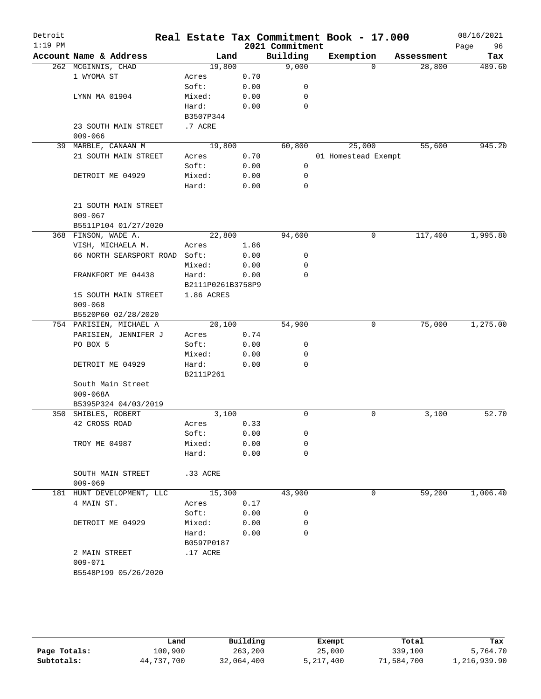| Detroit<br>$1:19$ PM |                                     |                            |      | 2021 Commitment | Real Estate Tax Commitment Book - 17.000 |            | 08/16/2021<br>Page<br>96 |
|----------------------|-------------------------------------|----------------------------|------|-----------------|------------------------------------------|------------|--------------------------|
|                      | Account Name & Address              | Land                       |      | Building        | Exemption                                | Assessment | Tax                      |
|                      | 262 MCGINNIS, CHAD                  | 19,800                     |      | 9,000           | $\Omega$                                 | 28,800     | 489.60                   |
|                      | 1 WYOMA ST                          | Acres                      | 0.70 |                 |                                          |            |                          |
|                      |                                     | Soft:                      | 0.00 | 0               |                                          |            |                          |
|                      | LYNN MA 01904                       | Mixed:                     | 0.00 | 0               |                                          |            |                          |
|                      |                                     | Hard:                      | 0.00 | $\mathbf 0$     |                                          |            |                          |
|                      |                                     | B3507P344                  |      |                 |                                          |            |                          |
|                      | 23 SOUTH MAIN STREET                | .7 ACRE                    |      |                 |                                          |            |                          |
|                      | $009 - 066$                         |                            |      |                 |                                          |            |                          |
|                      | 39 MARBLE, CANAAN M                 | 19,800                     |      | 60,800          | 25,000                                   | 55,600     | 945.20                   |
|                      | 21 SOUTH MAIN STREET                | Acres                      | 0.70 |                 | 01 Homestead Exempt                      |            |                          |
|                      |                                     | Soft:                      | 0.00 | $\mathbf 0$     |                                          |            |                          |
|                      | DETROIT ME 04929                    | Mixed:                     | 0.00 | 0               |                                          |            |                          |
|                      |                                     | Hard:                      | 0.00 | 0               |                                          |            |                          |
|                      | 21 SOUTH MAIN STREET<br>$009 - 067$ |                            |      |                 |                                          |            |                          |
|                      | B5511P104 01/27/2020                |                            |      |                 |                                          |            |                          |
|                      | 368 FINSON, WADE A.                 | 22,800                     |      | 94,600          | 0                                        | 117,400    | 1,995.80                 |
|                      | VISH, MICHAELA M.                   | Acres                      | 1.86 |                 |                                          |            |                          |
|                      | 66 NORTH SEARSPORT ROAD             | Soft:                      | 0.00 | 0               |                                          |            |                          |
|                      |                                     | Mixed:                     | 0.00 | 0               |                                          |            |                          |
|                      | FRANKFORT ME 04438                  | Hard:<br>B2111P0261B3758P9 | 0.00 | $\mathbf 0$     |                                          |            |                          |
|                      | 15 SOUTH MAIN STREET<br>$009 - 068$ | 1.86 ACRES                 |      |                 |                                          |            |                          |
|                      | B5520P60 02/28/2020                 |                            |      |                 |                                          |            |                          |
|                      | 754 PARISIEN, MICHAEL A             | 20,100                     |      | 54,900          | 0                                        | 75,000     | 1,275.00                 |
|                      | PARISIEN, JENNIFER J                | Acres                      | 0.74 |                 |                                          |            |                          |
|                      | PO BOX 5                            | Soft:                      | 0.00 | 0               |                                          |            |                          |
|                      |                                     | Mixed:                     | 0.00 | 0               |                                          |            |                          |
|                      | DETROIT ME 04929                    | Hard:<br>B2111P261         | 0.00 | $\mathbf 0$     |                                          |            |                          |
|                      | South Main Street<br>$009 - 068A$   |                            |      |                 |                                          |            |                          |
|                      | B5395P324 04/03/2019                |                            |      |                 |                                          |            |                          |
|                      | 350 SHIBLES, ROBERT                 | 3,100                      |      | 0               | 0                                        | 3,100      | 52.70                    |
|                      | 42 CROSS ROAD                       | Acres                      | 0.33 |                 |                                          |            |                          |
|                      |                                     | Soft:                      | 0.00 | 0               |                                          |            |                          |
|                      | TROY ME 04987                       | Mixed:                     | 0.00 | 0               |                                          |            |                          |
|                      |                                     | Hard:                      | 0.00 | 0               |                                          |            |                          |
|                      | SOUTH MAIN STREET<br>$009 - 069$    | .33 ACRE                   |      |                 |                                          |            |                          |
|                      | 181 HUNT DEVELOPMENT, LLC           | 15,300                     |      | 43,900          | 0                                        | 59,200     | 1,006.40                 |
|                      | 4 MAIN ST.                          | Acres                      | 0.17 |                 |                                          |            |                          |
|                      |                                     | Soft:                      | 0.00 | 0               |                                          |            |                          |
|                      | DETROIT ME 04929                    | Mixed:                     | 0.00 | 0               |                                          |            |                          |
|                      |                                     | Hard:<br>B0597P0187        | 0.00 | 0               |                                          |            |                          |
|                      | 2 MAIN STREET                       | .17 ACRE                   |      |                 |                                          |            |                          |
|                      | $009 - 071$<br>B5548P199 05/26/2020 |                            |      |                 |                                          |            |                          |

|              | Land       | Building   | Exempt    | Total      | Tax          |
|--------------|------------|------------|-----------|------------|--------------|
| Page Totals: | 100,900    | 263,200    | 25,000    | 339,100    | 5,764.70     |
| Subtotals:   | 44,737,700 | 32,064,400 | 5,217,400 | 71,584,700 | 1,216,939.90 |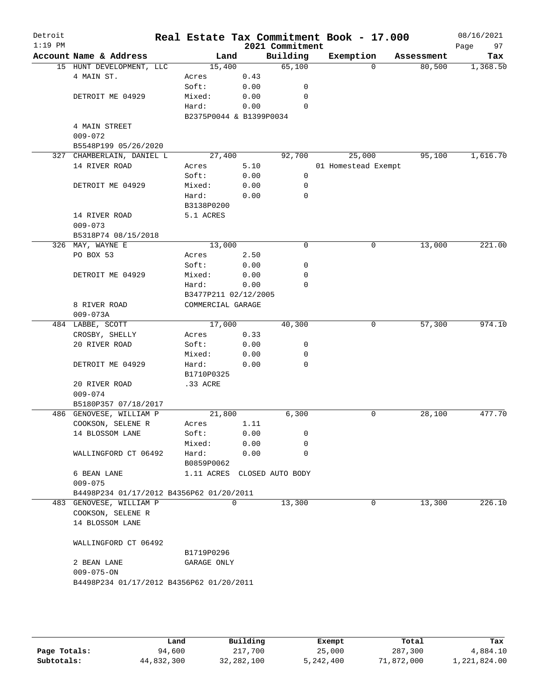| Account Name & Address   |                                                                                                                                                                                                                                                 | Land                                                                                                                                                                                                   |                                                                                                                                                                  | Building                                                                                                                     |                                                                                                                                                                                                                                                                                                                                                                                 | Exemption |             |                                                   |
|--------------------------|-------------------------------------------------------------------------------------------------------------------------------------------------------------------------------------------------------------------------------------------------|--------------------------------------------------------------------------------------------------------------------------------------------------------------------------------------------------------|------------------------------------------------------------------------------------------------------------------------------------------------------------------|------------------------------------------------------------------------------------------------------------------------------|---------------------------------------------------------------------------------------------------------------------------------------------------------------------------------------------------------------------------------------------------------------------------------------------------------------------------------------------------------------------------------|-----------|-------------|---------------------------------------------------|
|                          |                                                                                                                                                                                                                                                 |                                                                                                                                                                                                        |                                                                                                                                                                  |                                                                                                                              |                                                                                                                                                                                                                                                                                                                                                                                 |           | Assessment  | Tax                                               |
| 15 HUNT DEVELOPMENT, LLC |                                                                                                                                                                                                                                                 | 15,400                                                                                                                                                                                                 |                                                                                                                                                                  | 65,100                                                                                                                       |                                                                                                                                                                                                                                                                                                                                                                                 | $\Omega$  | 80,500      | 1,368.50                                          |
| 4 MAIN ST.               |                                                                                                                                                                                                                                                 | Acres                                                                                                                                                                                                  |                                                                                                                                                                  |                                                                                                                              |                                                                                                                                                                                                                                                                                                                                                                                 |           |             |                                                   |
|                          |                                                                                                                                                                                                                                                 |                                                                                                                                                                                                        |                                                                                                                                                                  |                                                                                                                              |                                                                                                                                                                                                                                                                                                                                                                                 |           |             |                                                   |
|                          |                                                                                                                                                                                                                                                 |                                                                                                                                                                                                        |                                                                                                                                                                  |                                                                                                                              |                                                                                                                                                                                                                                                                                                                                                                                 |           |             |                                                   |
|                          |                                                                                                                                                                                                                                                 |                                                                                                                                                                                                        |                                                                                                                                                                  |                                                                                                                              |                                                                                                                                                                                                                                                                                                                                                                                 |           |             |                                                   |
|                          |                                                                                                                                                                                                                                                 |                                                                                                                                                                                                        |                                                                                                                                                                  |                                                                                                                              |                                                                                                                                                                                                                                                                                                                                                                                 |           |             |                                                   |
|                          |                                                                                                                                                                                                                                                 |                                                                                                                                                                                                        |                                                                                                                                                                  |                                                                                                                              |                                                                                                                                                                                                                                                                                                                                                                                 |           |             |                                                   |
|                          |                                                                                                                                                                                                                                                 |                                                                                                                                                                                                        |                                                                                                                                                                  |                                                                                                                              |                                                                                                                                                                                                                                                                                                                                                                                 |           |             |                                                   |
|                          |                                                                                                                                                                                                                                                 |                                                                                                                                                                                                        |                                                                                                                                                                  |                                                                                                                              |                                                                                                                                                                                                                                                                                                                                                                                 |           |             | 1,616.70                                          |
|                          |                                                                                                                                                                                                                                                 |                                                                                                                                                                                                        |                                                                                                                                                                  |                                                                                                                              |                                                                                                                                                                                                                                                                                                                                                                                 |           |             |                                                   |
|                          |                                                                                                                                                                                                                                                 |                                                                                                                                                                                                        |                                                                                                                                                                  |                                                                                                                              |                                                                                                                                                                                                                                                                                                                                                                                 |           |             |                                                   |
|                          |                                                                                                                                                                                                                                                 |                                                                                                                                                                                                        |                                                                                                                                                                  |                                                                                                                              |                                                                                                                                                                                                                                                                                                                                                                                 |           |             |                                                   |
|                          |                                                                                                                                                                                                                                                 |                                                                                                                                                                                                        |                                                                                                                                                                  |                                                                                                                              |                                                                                                                                                                                                                                                                                                                                                                                 |           |             |                                                   |
|                          |                                                                                                                                                                                                                                                 |                                                                                                                                                                                                        |                                                                                                                                                                  |                                                                                                                              |                                                                                                                                                                                                                                                                                                                                                                                 |           |             |                                                   |
|                          |                                                                                                                                                                                                                                                 |                                                                                                                                                                                                        |                                                                                                                                                                  |                                                                                                                              |                                                                                                                                                                                                                                                                                                                                                                                 |           |             |                                                   |
|                          |                                                                                                                                                                                                                                                 |                                                                                                                                                                                                        |                                                                                                                                                                  |                                                                                                                              |                                                                                                                                                                                                                                                                                                                                                                                 |           |             |                                                   |
|                          |                                                                                                                                                                                                                                                 |                                                                                                                                                                                                        |                                                                                                                                                                  |                                                                                                                              |                                                                                                                                                                                                                                                                                                                                                                                 |           |             |                                                   |
| 326 MAY, WAYNE E         |                                                                                                                                                                                                                                                 |                                                                                                                                                                                                        |                                                                                                                                                                  | 0                                                                                                                            |                                                                                                                                                                                                                                                                                                                                                                                 | 0         | 13,000      | 221.00                                            |
| PO BOX 53                |                                                                                                                                                                                                                                                 | Acres                                                                                                                                                                                                  |                                                                                                                                                                  |                                                                                                                              |                                                                                                                                                                                                                                                                                                                                                                                 |           |             |                                                   |
|                          |                                                                                                                                                                                                                                                 | Soft:                                                                                                                                                                                                  |                                                                                                                                                                  | 0                                                                                                                            |                                                                                                                                                                                                                                                                                                                                                                                 |           |             |                                                   |
| DETROIT ME 04929         |                                                                                                                                                                                                                                                 | Mixed:                                                                                                                                                                                                 |                                                                                                                                                                  | 0                                                                                                                            |                                                                                                                                                                                                                                                                                                                                                                                 |           |             |                                                   |
|                          |                                                                                                                                                                                                                                                 | Hard:                                                                                                                                                                                                  |                                                                                                                                                                  | $\Omega$                                                                                                                     |                                                                                                                                                                                                                                                                                                                                                                                 |           |             |                                                   |
|                          |                                                                                                                                                                                                                                                 |                                                                                                                                                                                                        |                                                                                                                                                                  |                                                                                                                              |                                                                                                                                                                                                                                                                                                                                                                                 |           |             |                                                   |
| 8 RIVER ROAD             |                                                                                                                                                                                                                                                 |                                                                                                                                                                                                        |                                                                                                                                                                  |                                                                                                                              |                                                                                                                                                                                                                                                                                                                                                                                 |           |             |                                                   |
| $009 - 073A$             |                                                                                                                                                                                                                                                 |                                                                                                                                                                                                        |                                                                                                                                                                  |                                                                                                                              |                                                                                                                                                                                                                                                                                                                                                                                 |           |             |                                                   |
| 484 LABBE, SCOTT         |                                                                                                                                                                                                                                                 |                                                                                                                                                                                                        |                                                                                                                                                                  | 40,300                                                                                                                       |                                                                                                                                                                                                                                                                                                                                                                                 | 0         | 57,300      | 974.10                                            |
| CROSBY, SHELLY           |                                                                                                                                                                                                                                                 | Acres                                                                                                                                                                                                  |                                                                                                                                                                  |                                                                                                                              |                                                                                                                                                                                                                                                                                                                                                                                 |           |             |                                                   |
| 20 RIVER ROAD            |                                                                                                                                                                                                                                                 | Soft:                                                                                                                                                                                                  |                                                                                                                                                                  | 0                                                                                                                            |                                                                                                                                                                                                                                                                                                                                                                                 |           |             |                                                   |
|                          |                                                                                                                                                                                                                                                 | Mixed:                                                                                                                                                                                                 |                                                                                                                                                                  |                                                                                                                              |                                                                                                                                                                                                                                                                                                                                                                                 |           |             |                                                   |
|                          |                                                                                                                                                                                                                                                 |                                                                                                                                                                                                        |                                                                                                                                                                  |                                                                                                                              |                                                                                                                                                                                                                                                                                                                                                                                 |           |             |                                                   |
|                          |                                                                                                                                                                                                                                                 |                                                                                                                                                                                                        |                                                                                                                                                                  |                                                                                                                              |                                                                                                                                                                                                                                                                                                                                                                                 |           |             |                                                   |
|                          |                                                                                                                                                                                                                                                 |                                                                                                                                                                                                        |                                                                                                                                                                  |                                                                                                                              |                                                                                                                                                                                                                                                                                                                                                                                 |           |             |                                                   |
|                          |                                                                                                                                                                                                                                                 |                                                                                                                                                                                                        |                                                                                                                                                                  |                                                                                                                              |                                                                                                                                                                                                                                                                                                                                                                                 |           |             |                                                   |
|                          |                                                                                                                                                                                                                                                 |                                                                                                                                                                                                        |                                                                                                                                                                  |                                                                                                                              |                                                                                                                                                                                                                                                                                                                                                                                 |           |             |                                                   |
|                          |                                                                                                                                                                                                                                                 |                                                                                                                                                                                                        |                                                                                                                                                                  |                                                                                                                              |                                                                                                                                                                                                                                                                                                                                                                                 |           |             | 477.70                                            |
|                          |                                                                                                                                                                                                                                                 |                                                                                                                                                                                                        |                                                                                                                                                                  |                                                                                                                              |                                                                                                                                                                                                                                                                                                                                                                                 |           |             |                                                   |
|                          |                                                                                                                                                                                                                                                 |                                                                                                                                                                                                        |                                                                                                                                                                  |                                                                                                                              |                                                                                                                                                                                                                                                                                                                                                                                 |           |             |                                                   |
|                          |                                                                                                                                                                                                                                                 |                                                                                                                                                                                                        |                                                                                                                                                                  |                                                                                                                              |                                                                                                                                                                                                                                                                                                                                                                                 |           |             |                                                   |
|                          |                                                                                                                                                                                                                                                 |                                                                                                                                                                                                        |                                                                                                                                                                  |                                                                                                                              |                                                                                                                                                                                                                                                                                                                                                                                 |           |             |                                                   |
|                          |                                                                                                                                                                                                                                                 |                                                                                                                                                                                                        |                                                                                                                                                                  |                                                                                                                              |                                                                                                                                                                                                                                                                                                                                                                                 |           |             |                                                   |
|                          |                                                                                                                                                                                                                                                 |                                                                                                                                                                                                        |                                                                                                                                                                  |                                                                                                                              |                                                                                                                                                                                                                                                                                                                                                                                 |           |             |                                                   |
|                          |                                                                                                                                                                                                                                                 |                                                                                                                                                                                                        |                                                                                                                                                                  |                                                                                                                              |                                                                                                                                                                                                                                                                                                                                                                                 |           |             |                                                   |
|                          |                                                                                                                                                                                                                                                 |                                                                                                                                                                                                        |                                                                                                                                                                  |                                                                                                                              |                                                                                                                                                                                                                                                                                                                                                                                 | 0         |             | 226.10                                            |
| COOKSON, SELENE R        |                                                                                                                                                                                                                                                 |                                                                                                                                                                                                        |                                                                                                                                                                  |                                                                                                                              |                                                                                                                                                                                                                                                                                                                                                                                 |           |             |                                                   |
| 14 BLOSSOM LANE          |                                                                                                                                                                                                                                                 |                                                                                                                                                                                                        |                                                                                                                                                                  |                                                                                                                              |                                                                                                                                                                                                                                                                                                                                                                                 |           |             |                                                   |
|                          |                                                                                                                                                                                                                                                 |                                                                                                                                                                                                        |                                                                                                                                                                  |                                                                                                                              |                                                                                                                                                                                                                                                                                                                                                                                 |           |             |                                                   |
|                          |                                                                                                                                                                                                                                                 | B1719P0296                                                                                                                                                                                             |                                                                                                                                                                  |                                                                                                                              |                                                                                                                                                                                                                                                                                                                                                                                 |           |             |                                                   |
| 2 BEAN LANE              |                                                                                                                                                                                                                                                 |                                                                                                                                                                                                        |                                                                                                                                                                  |                                                                                                                              |                                                                                                                                                                                                                                                                                                                                                                                 |           |             |                                                   |
| $009 - 075 - ON$         |                                                                                                                                                                                                                                                 |                                                                                                                                                                                                        |                                                                                                                                                                  |                                                                                                                              |                                                                                                                                                                                                                                                                                                                                                                                 |           |             |                                                   |
|                          |                                                                                                                                                                                                                                                 |                                                                                                                                                                                                        |                                                                                                                                                                  |                                                                                                                              |                                                                                                                                                                                                                                                                                                                                                                                 |           |             |                                                   |
|                          | DETROIT ME 04929<br>4 MAIN STREET<br>$009 - 072$<br>14 RIVER ROAD<br>DETROIT ME 04929<br>14 RIVER ROAD<br>$009 - 073$<br>DETROIT ME 04929<br>20 RIVER ROAD<br>$009 - 074$<br>COOKSON, SELENE R<br>14 BLOSSOM LANE<br>6 BEAN LANE<br>$009 - 075$ | B5548P199 05/26/2020<br>327 CHAMBERLAIN, DANIEL L<br>B5318P74 08/15/2018<br>B5180P357 07/18/2017<br>486 GENOVESE, WILLIAM P<br>WALLINGFORD CT 06492<br>483 GENOVESE, WILLIAM P<br>WALLINGFORD CT 06492 | Soft:<br>Mixed:<br>Hard:<br>Acres<br>Soft:<br>Mixed:<br>Hard:<br>B3138P0200<br>5.1 ACRES<br>Hard:<br>B1710P0325<br>.33 ACRE<br>Acres<br>Soft:<br>Mixed:<br>Hard: | 27,400<br>13,000<br>17,000<br>21,800<br>B0859P0062<br>B4498P234 01/17/2012 B4356P62 01/20/2011<br>$\mathbf 0$<br>GARAGE ONLY | 0.43<br>0.00<br>0<br>0.00<br>$\mathbf 0$<br>0.00<br>$\Omega$<br>B2375P0044 & B1399P0034<br>92,700<br>5.10<br>0.00<br>0<br>0.00<br>0<br>0<br>0.00<br>2.50<br>0.00<br>0.00<br>0.00<br>B3477P211 02/12/2005<br>COMMERCIAL GARAGE<br>0.33<br>0.00<br>0.00<br>0<br>$\Omega$<br>0.00<br>6,300<br>1.11<br>0.00<br>0<br>0.00<br>0<br>0.00<br>0<br>1.11 ACRES CLOSED AUTO BODY<br>13,300 |           | 25,000<br>0 | 95,100<br>01 Homestead Exempt<br>28,100<br>13,300 |

|              | Land       | Building   | Exempt    | Total      | Tax          |
|--------------|------------|------------|-----------|------------|--------------|
| Page Totals: | 94,600     | 217,700    | 25,000    | 287,300    | 4,884.10     |
| Subtotals:   | 44,832,300 | 32,282,100 | 5,242,400 | 71,872,000 | 1,221,824.00 |